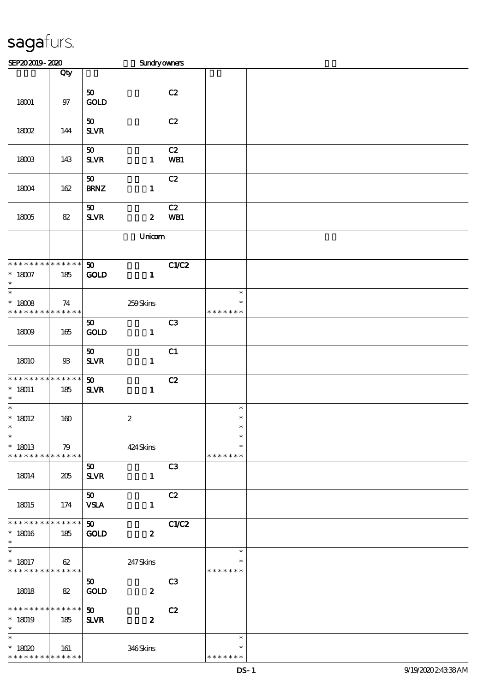| SEP202019-2020                                                        |                    |                                             | Sundryowners     |                |                                   |  |
|-----------------------------------------------------------------------|--------------------|---------------------------------------------|------------------|----------------|-----------------------------------|--|
|                                                                       | Qty                |                                             |                  |                |                                   |  |
| 18001                                                                 | $97$               | 50<br>GOLD                                  |                  | C2             |                                   |  |
| 18002                                                                 | 144                | 50 <sub>o</sub><br>${\bf S\!L}\!{\bf V\!R}$ |                  | C2             |                                   |  |
| 18003                                                                 | 143                | 50<br>${\bf S\!L}\!{\bf V\!R}$              | $\mathbf{1}$     | C2<br>WB1      |                                   |  |
| 18004                                                                 | 162                | 50<br><b>BRNZ</b>                           | $\mathbf{1}$     | C2             |                                   |  |
| 18005                                                                 | 82                 | 50<br>${\bf S\!L}\!{\bf V\!R}$              | $\boldsymbol{z}$ | C2<br>WB1      |                                   |  |
|                                                                       |                    |                                             | Unicom           |                |                                   |  |
| * * * * * * * * * * * * * *<br>$^\ast$ 18007<br>$\ast$                | 185                | 50<br><b>GOLD</b>                           | $\mathbf{1}$     | C1/C2          |                                   |  |
| $\ast$<br>$* 18008$<br>* * * * * * * *                                | 74<br>* * * * * *  |                                             | $259S$ kins      |                | $\ast$<br>$\ast$<br>* * * * * * * |  |
| 18009                                                                 | 165                | 50<br>$\mathop{\rm GOD}$                    | $\mathbf{1}$     | C3             |                                   |  |
| 18010                                                                 | $93\,$             | 50<br>${\bf S\!L}\!{\bf V\!R}$              | $\mathbf{1}$     | C1             |                                   |  |
| * * * * * * * *<br>$* 18011$<br>$\ast$                                | * * * * * *<br>185 | $\boldsymbol{\mathfrak{D}}$<br>$S\!L\!V\!R$ | $\mathbf{1}$     | C2             |                                   |  |
| $\ast$<br>$* 18012$                                                   | 160                |                                             | $\boldsymbol{2}$ |                | $\ast$<br>$\ast$                  |  |
| $\overline{\phantom{0}}$<br>$*18013$<br>* * * * * * * * * * * * * * * | 79                 |                                             | 424 Skins        |                | $\ast$<br>$\ast$<br>* * * * * * * |  |
| 18014                                                                 | 205                | 50<br><b>SLVR</b>                           | $\mathbf{1}$     | C <sub>3</sub> |                                   |  |
| 18015                                                                 | 174                | 50<br><b>VSLA</b>                           | $\mathbf{1}$     | C2             |                                   |  |
| * * * * * * * * * * * * * *<br>$*18016$<br>$\ast$                     | 185                | 50 <sub>2</sub><br><b>GOLD</b>              | $\boldsymbol{z}$ | C1/C2          |                                   |  |
| $\ast$<br>$* 18017$<br>* * * * * * * * * * * * * *                    | 62                 |                                             | 247Skins         |                | $\ast$<br>∗<br>* * * * * * *      |  |
| 18018                                                                 | 82                 | 50<br>GOLD                                  | $\boldsymbol{z}$ | C3             |                                   |  |
| * * * * * * * * * * * * * *<br>$*18019$<br>$\ast$                     | 185                | $\boldsymbol{\omega}$<br>$S\!L\!VR$         | $\boldsymbol{z}$ | C2             |                                   |  |
| $\ast$<br>$*18020$<br>* * * * * * * * * * * * * *                     | 161                |                                             | 346Skins         |                | $\ast$<br>$\ast$<br>* * * * * * * |  |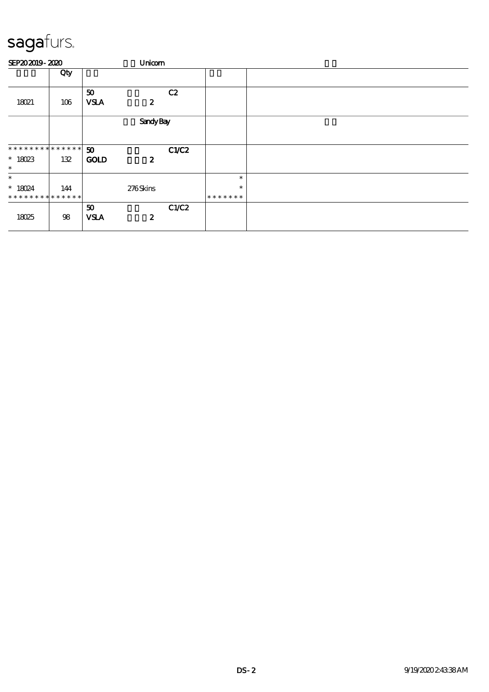| SEP202019-2020                                     |     |                                            |                  | Unicom |                             |  |  |  |
|----------------------------------------------------|-----|--------------------------------------------|------------------|--------|-----------------------------|--|--|--|
|                                                    | Qty |                                            |                  |        |                             |  |  |  |
| 18021                                              | 106 | 50<br><b>VSLA</b>                          | $\boldsymbol{z}$ | C2     |                             |  |  |  |
|                                                    |     |                                            | <b>Sandy Bay</b> |        |                             |  |  |  |
| * * * * * * * * * * * * * * *<br>$* 18023$         | 132 | $\boldsymbol{\mathfrak{D}}$<br><b>GOLD</b> | $\boldsymbol{z}$ | C1/C2  |                             |  |  |  |
| $\ast$                                             |     |                                            |                  |        |                             |  |  |  |
| $\ast$<br>$* 18024$<br>* * * * * * * * * * * * * * | 144 |                                            | 276Skins         |        | $\ast$<br>$\ast$<br>******* |  |  |  |
| 18025                                              | 98  | 50<br><b>VSLA</b>                          | $\boldsymbol{z}$ | C1/C2  |                             |  |  |  |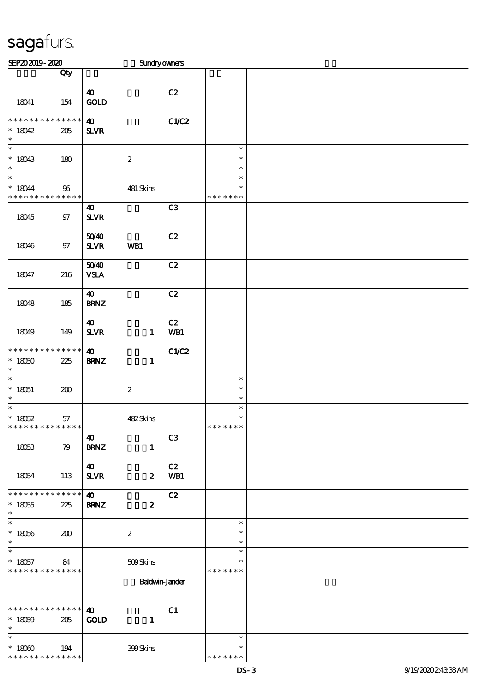| SEP202019-2020                                                               |                   |                                                   | Sundryowners     |                |                                   |  |
|------------------------------------------------------------------------------|-------------------|---------------------------------------------------|------------------|----------------|-----------------------------------|--|
|                                                                              | Qty               |                                                   |                  |                |                                   |  |
| 18041                                                                        | 154               | $\boldsymbol{\omega}$<br>GOLD                     |                  | C2             |                                   |  |
| * * * * * * * * * * * * * *<br>$*18042$<br>$\ast$                            | 205               | $\boldsymbol{\omega}$<br><b>SLVR</b>              |                  | C1/C2          |                                   |  |
| $\ast$<br>$*18043$<br>$\ast$                                                 | 180               |                                                   | $\boldsymbol{2}$ |                | $\ast$<br>$\ast$<br>$\ast$        |  |
| $\overline{\ast}$<br>$* 18044$<br>* * * * * * * * <mark>* * * * * * *</mark> | 96                |                                                   | 481 Skins        |                | $\ast$<br>$\ast$<br>* * * * * * * |  |
| 18045                                                                        | $97$              | 40<br><b>SLVR</b>                                 |                  | C3             |                                   |  |
| 18046                                                                        | $97$              | 5040<br><b>SLVR</b>                               | WB1              | C2             |                                   |  |
| 18047                                                                        | 216               | 5040<br><b>VSLA</b>                               |                  | C2             |                                   |  |
| 18048                                                                        | 185               | $\boldsymbol{\omega}$<br><b>BRNZ</b>              |                  | C2             |                                   |  |
| 18049                                                                        | 149               | $\boldsymbol{\omega}$<br>${\bf S\!L}\!{\bf V\!R}$ | $\mathbf{1}$     | C2<br>WB1      |                                   |  |
| * * * * * * * * * * * * * *<br>$*18050$<br>$\ast$                            | 225               | $\boldsymbol{\omega}$<br><b>BRNZ</b>              | $\mathbf{1}$     | C1/C2          |                                   |  |
| $\overline{\phantom{a}^*}$<br>$* 18051$<br>$\ast$                            | 200               |                                                   | $\boldsymbol{2}$ |                | $\ast$<br>$\ast$<br>$\ast$        |  |
| $\ast$<br>$* 18052$<br>* * * * * * * *                                       | 57<br>* * * * * * |                                                   | 482Skins         |                | $\ast$<br>$\ast$<br>* * * * * * * |  |
| 18053                                                                        | 79                | 40<br><b>BRNZ</b>                                 | $\mathbf{1}$     | C <sub>3</sub> |                                   |  |
| 18054                                                                        | 113               | $\boldsymbol{\omega}$<br><b>SLVR</b>              | $\boldsymbol{z}$ | C2<br>WB1      |                                   |  |
| * * * * * * * * * * * * * *<br>$^*$ 18055<br>$\ast$                          | 225               | $\boldsymbol{\omega}$<br><b>BRNZ</b>              | $\boldsymbol{z}$ | C2             |                                   |  |
| $\overline{\phantom{a}}$<br>$^*$ 18056 $\,$<br>$\ast$                        | 200               |                                                   | $\boldsymbol{2}$ |                | $\ast$<br>$\ast$<br>$\ast$        |  |
| $\ast$<br>$* 18057$<br>* * * * * * * * * * * * * *                           | 84                |                                                   | 509Skins         |                | $\ast$<br>*<br>* * * * * * *      |  |
|                                                                              |                   |                                                   | Baldwin-Jander   |                |                                   |  |
| **************<br>$* 18059$<br>$\ast$                                        | 205               | $\boldsymbol{\omega}$<br><b>GOLD</b>              | $\mathbf{1}$     | C1             |                                   |  |
| $\overline{\phantom{1}}$<br>$^*$ 18060 $\,$<br>* * * * * * * * * * * * * *   | 194               |                                                   | 399Skins         |                | $\ast$<br>∗<br>* * * * * * *      |  |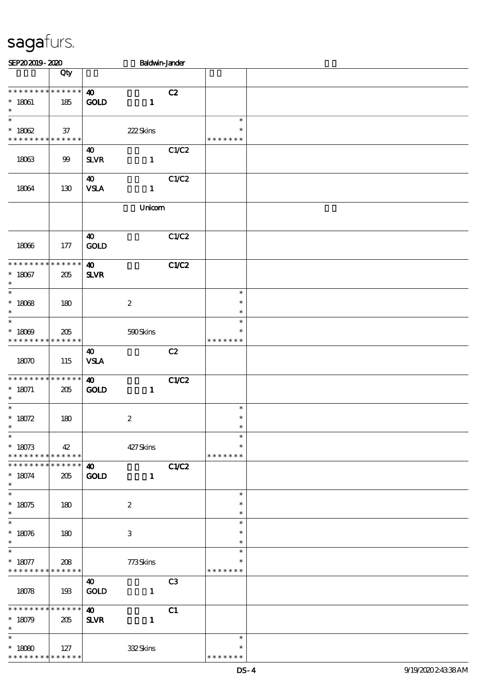| SEP202019-2020                                                |                    |                                       | <b>Baldwin-Jander</b> |                |                                   |  |
|---------------------------------------------------------------|--------------------|---------------------------------------|-----------------------|----------------|-----------------------------------|--|
|                                                               | Qty                |                                       |                       |                |                                   |  |
| * * * * * * * * * * * * * *<br>$* 18061$<br>$\ast$            | 185                | $\boldsymbol{\omega}$<br><b>GOLD</b>  | $\mathbf{1}$          | C2             |                                   |  |
| $\overline{\ast}$<br>$* 18062$<br>* * * * * * * * * * * * * * | 37                 |                                       | 222Skins              |                | $\ast$<br>$\ast$<br>* * * * * * * |  |
| 18063                                                         | 99                 | $\boldsymbol{\omega}$<br>$S\!L\!V\!R$ | $\mathbf{1}$          | C1/C2          |                                   |  |
| 18064                                                         | 130                | $\boldsymbol{\omega}$<br><b>VSLA</b>  | $\mathbf{1}$          | C1/C2          |                                   |  |
|                                                               |                    |                                       | Unicom                |                |                                   |  |
| 18066                                                         | 177                | 40<br>GOLD                            |                       | C1/C2          |                                   |  |
| * * * * * * * *<br>$* 18067$<br>$\ast$                        | * * * * * *<br>205 | $\boldsymbol{\omega}$<br><b>SLVR</b>  |                       | <b>C1/C2</b>   |                                   |  |
| $\ast$<br>$* 18068$<br>$\ast$                                 | 180                |                                       | $\boldsymbol{2}$      |                | $\ast$<br>$\ast$<br>$\ast$        |  |
| $\ast$<br>$* 18009$<br>* * * * * * * *                        | 205<br>* * * * * * |                                       | 590Skins              |                | $\ast$<br>$\ast$<br>* * * * * * * |  |
| 18070                                                         | 115                | $\boldsymbol{\omega}$<br><b>VSLA</b>  |                       | C2             |                                   |  |
| * * * * * * * * * * * * * *<br>$* 18071$<br>$\ast$            | 205                | $\boldsymbol{\omega}$<br><b>GOLD</b>  | $\mathbf{1}$          | <b>C1/C2</b>   |                                   |  |
| $\ast$<br>$* 18072$<br>∗                                      | 180                |                                       | $\boldsymbol{2}$      |                | $\ast$<br>$\ast$                  |  |
| $\ast$<br>$* 18073$<br>* * * * * * * * * * * * * *            | 42                 |                                       | 427Skins              |                | $\ast$<br>$\ast$<br>* * * * * * * |  |
| * * * * * * * * * * * * * * *<br>$* 18074$<br>$\ast$          | 205                | $\boldsymbol{\omega}$<br><b>GOLD</b>  | $\mathbf{1}$          | C1/C2          |                                   |  |
| $\ast$<br>$* 18075$<br>$\ast$                                 | 180                |                                       | $\boldsymbol{2}$      |                | $\ast$<br>$\ast$<br>$\ast$        |  |
| $\ast$<br>$* 18076$<br>$\ast$                                 | 180                |                                       | 3                     |                | $\ast$<br>$\ast$<br>$\ast$        |  |
| $\ast$<br>$* 18077$<br>* * * * * * * * * * * * * *            | 208                |                                       | 773Skins              |                | $\ast$<br>$\ast$<br>* * * * * * * |  |
| 18078                                                         | 193                | $\boldsymbol{\omega}$<br>GOLD         | $\mathbf{1}$          | C <sub>3</sub> |                                   |  |
| ***************<br>$*18079$<br>$\ast$                         | 205                | $\boldsymbol{\omega}$<br><b>SLVR</b>  | $\mathbf{1}$          | C1             |                                   |  |
| $\ast$<br>$^*$ 18080 $\,$<br>* * * * * * * * * * * * * *      | 127                |                                       | 332Skins              |                | $\ast$<br>$\ast$<br>* * * * * * * |  |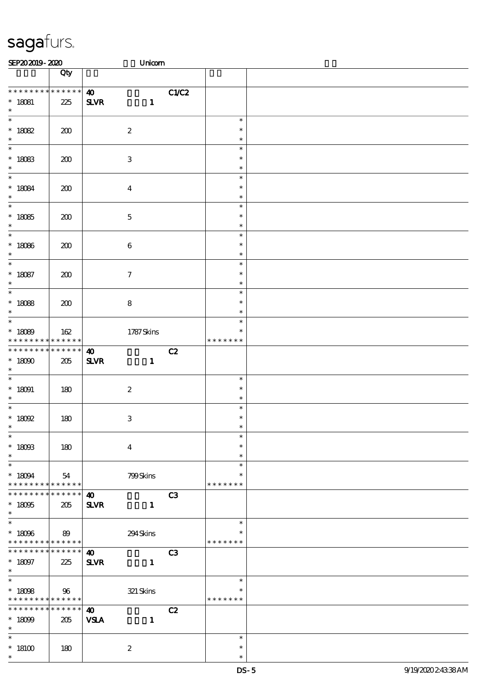| SEP202019-2020                                                             |                    | Unicom                                                |      |                                   |  |
|----------------------------------------------------------------------------|--------------------|-------------------------------------------------------|------|-----------------------------------|--|
|                                                                            | Qty                |                                                       |      |                                   |  |
| * * * * * * * * * * * * * *<br>$* 18081$<br>$\ast$                         | 225                | $\boldsymbol{\omega}$<br>$S\!L\!V\!R$<br>$\mathbf{1}$ | CLC2 |                                   |  |
| $\ast$<br>$* 18082$<br>$\ast$                                              | 200                | $\boldsymbol{2}$                                      |      | $\ast$<br>$\ast$<br>$\ast$        |  |
| $\overline{\ast}$<br>$* 18083$<br>$\ast$                                   | 200                | $\,3\,$                                               |      | $\ast$<br>$\ast$<br>$\ast$        |  |
| $\ast$<br>$^*$ 18084 $\,$<br>$\ast$                                        | 200                | $\boldsymbol{4}$                                      |      | $\ast$<br>$\ast$<br>$\ast$        |  |
| $\overline{\ast}$<br>$^\ast$ 18085<br>$\ast$                               | 200                | $\mathbf 5$                                           |      | $\ast$<br>$\ast$<br>$\ast$        |  |
| $\ast$<br>$* 18086$<br>$\ast$                                              | 200                | $\bf 6$                                               |      | $\ast$<br>$\ast$<br>$\ast$        |  |
| $\ast$<br>$* 18087$<br>$\ast$                                              | 200                | $\boldsymbol{7}$                                      |      | $\ast$<br>$\ast$<br>$\ast$        |  |
| $\overline{\ast}$<br>$* 18088$<br>$\ast$                                   | 200                | 8                                                     |      | $\ast$<br>$\ast$<br>$\ast$        |  |
| $\ast$<br>$* 18089$<br>* * * * * * * * <mark>* * * * * *</mark> *          | 162                | 1787Skins                                             |      | $\ast$<br>$\ast$<br>* * * * * * * |  |
| * * * * * * * *<br>$^*$ 18090 $\,$<br>$\ast$                               | * * * * * *<br>205 | $\boldsymbol{\omega}$<br>$S\!L\!V\!R$<br>$\mathbf{1}$ | C2   |                                   |  |
| $\overline{\phantom{0}}$<br>$^*$ 18091<br>$\ast$                           | 180                | $\boldsymbol{2}$                                      |      | $\ast$<br>$\ast$<br>$\ast$        |  |
| $\ast$<br>$^*$ 18092<br>$*$                                                | 180                | $\,3\,$                                               |      | $\ast$<br>$\ast$<br>$\ast$        |  |
| $\ast$<br>$^*$ 18093<br>$\ast$                                             | 180                | $\boldsymbol{4}$                                      |      | $\ast$<br>$\ast$<br>$\ast$        |  |
| $\ast$<br>$* 18094$<br>* * * * * * * * * * * * * *                         | 54                 | 799Skins                                              |      | $\ast$<br>$\ast$<br>* * * * * * * |  |
| * * * * * * *<br>$* 18095$<br>$\ast$                                       | * * * * * *<br>205 | $\boldsymbol{\omega}$<br><b>SLVR</b><br>$\mathbf{1}$  | C3   |                                   |  |
| $\overline{\ast}$<br>$* 18096$<br>* * * * * * * * <mark>* * * * * *</mark> | 89                 | 294Skins                                              |      | $\ast$<br>$\ast$<br>* * * * * * * |  |
| * * * * * * * *<br>$^*$ 18097<br>$*$                                       | * * * * * *<br>225 | $\boldsymbol{\omega}$<br><b>SLVR</b><br>$\mathbf{1}$  | C3   |                                   |  |
| $\overline{\ast}$<br>$* 18098$<br>* * * * * * * * <mark>* * * * * *</mark> | 96                 | $321\,$ Skins                                         |      | $\ast$<br>$\ast$<br>* * * * * * * |  |
| * * * * * * * *<br>$* 18099$<br>$\ast$                                     | * * * * * *<br>205 | $\boldsymbol{\omega}$<br><b>VSLA</b><br>$\mathbf{1}$  | C2   |                                   |  |
| $\ast$<br>$^*$ 18100 $\,$<br>$\ast$                                        | 180                | $\boldsymbol{2}$                                      |      | $\ast$<br>$\ast$<br>$\ast$        |  |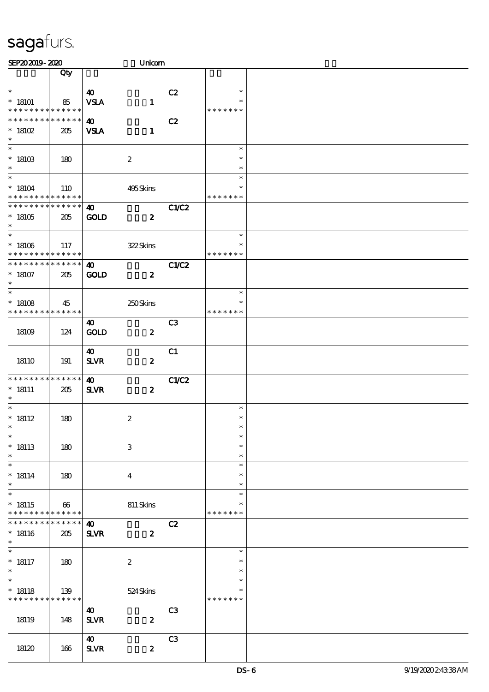| SEP202019-2020                                                              |                       | Unicom                                                   |                |                                   |  |
|-----------------------------------------------------------------------------|-----------------------|----------------------------------------------------------|----------------|-----------------------------------|--|
|                                                                             | Qty                   |                                                          |                |                                   |  |
| $\ast$<br>$*$ 18101<br>* * * * * * * * * * * * * *                          | 85                    | $\boldsymbol{\omega}$<br><b>VSLA</b><br>$\mathbf{1}$     | C2             | $\ast$<br>$\ast$<br>* * * * * * * |  |
| * * * * * * * * * * * * * *<br>$*$ 18102<br>$\ast$                          | 205                   | $\boldsymbol{\omega}$<br><b>VSLA</b><br>$\mathbf{1}$     | C2             |                                   |  |
| $\overline{\phantom{0}}$<br>$^*$ 18103<br>$\ast$                            | 180                   | $\boldsymbol{2}$                                         |                | $\ast$<br>$\ast$<br>$\ast$        |  |
| $\overline{\ast}$<br>$*18104$<br>* * * * * * * * <mark>* * * * * *</mark> * | 110                   | 495Skins                                                 |                | $\ast$<br>$\ast$<br>* * * * * * * |  |
| * * * * * * * *<br>$^*$ 18105<br>$\ast$                                     | * * * * * *<br>205    | $\boldsymbol{\omega}$<br><b>GOLD</b><br>$\boldsymbol{z}$ | <b>C1/C2</b>   |                                   |  |
| $\overline{\ast}$<br>$^*$ 18106 $\,$<br>* * * * * * * *                     | 117<br>* * * * * *    | 322Skins                                                 |                | $\ast$<br>$\ast$<br>* * * * * * * |  |
| * * * * * * * * * * * * * *<br>$^\ast$ 18107<br>$\ast$                      | 205                   | $\boldsymbol{\omega}$<br><b>GOLD</b><br>$\boldsymbol{z}$ | C1/C2          |                                   |  |
| $\ast$<br>$* 18108$<br>* * * * * * * * * * * * * *                          | 45                    | $250\mathrm{S}$ kins                                     |                | $\ast$<br>$\ast$<br>* * * * * * * |  |
| 18109                                                                       | 124                   | 40<br>GOLD<br>$\boldsymbol{z}$                           | C <sub>3</sub> |                                   |  |
| 18110                                                                       | 191                   | 40<br>$S\!L\!V\!R$<br>$\boldsymbol{z}$                   | C1             |                                   |  |
| * * * * * * * *<br>$* 18111$<br>$\ast$                                      | * * * * * *<br>205    | $\boldsymbol{\omega}$<br><b>SLVR</b><br>$\boldsymbol{z}$ | C1/C2          |                                   |  |
| $\ast$<br>$* 18112$<br>$*$                                                  | 180                   | $\boldsymbol{2}$                                         |                | $\ast$<br>$\ast$<br>$\ast$        |  |
| $\ast$<br>$* 18113$<br>$\ast$                                               | 180                   | $\ensuremath{\mathbf{3}}$                                |                | $\ast$<br>$\ast$<br>$\ast$        |  |
| $\ast$<br>$^*$ 18114<br>$\ast$                                              | 180                   | $\boldsymbol{4}$                                         |                | $\ast$<br>$\ast$<br>$\ast$        |  |
| $\ast$<br>$* 18115$<br>* * * * * * * * * * * * * *                          | $\boldsymbol{\omega}$ | 811 Skins                                                |                | $\ast$<br>$\ast$<br>* * * * * * * |  |
| * * * * * * * *<br>$* 18116$<br>$\ast$                                      | * * * * * *<br>205    | $\boldsymbol{\omega}$<br><b>SLVR</b><br>$\boldsymbol{z}$ | C2             |                                   |  |
| $\ast$<br>$* 18117$<br>$\ast$                                               | 180                   | $\boldsymbol{2}$                                         |                | $\ast$<br>$\ast$<br>$\ast$        |  |
| $\ast$<br>$* 18118$<br>* * * * * * * *                                      | 139<br>* * * * * *    | 524Skins                                                 |                | $\ast$<br>$\ast$<br>* * * * * * * |  |
| 18119                                                                       | 148                   | $\boldsymbol{\omega}$<br><b>SLVR</b><br>$\boldsymbol{z}$ | C <sub>3</sub> |                                   |  |
| 18120                                                                       | 166                   | $\boldsymbol{\omega}$<br><b>SLVR</b><br>$\boldsymbol{z}$ | C <sub>3</sub> |                                   |  |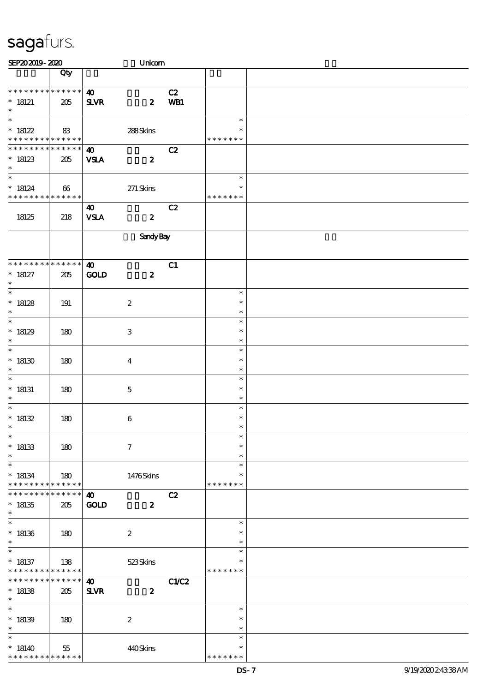| SEP202019-2020                                                        |                       |                                       | Unicom                        |           |                                   |  |
|-----------------------------------------------------------------------|-----------------------|---------------------------------------|-------------------------------|-----------|-----------------------------------|--|
|                                                                       | Qty                   |                                       |                               |           |                                   |  |
| * * * * * * * * * * * * * *<br>$*$ 18121<br>$\ast$                    | 205                   | $\boldsymbol{\omega}$<br>$S\!L\!V\!R$ | $\boldsymbol{z}$              | C2<br>WB1 |                                   |  |
| $\overline{\phantom{a}^*}$<br>$*18122$<br>* * * * * * * * * * * * * * | 83                    |                                       | $288\mathrm{S} \mathrm{kins}$ |           | $\ast$<br>$\ast$<br>* * * * * * * |  |
| * * * * * * * *<br>$*18123$<br>$\ast$                                 | * * * * * *<br>205    | $\boldsymbol{\omega}$<br><b>VSLA</b>  | $\boldsymbol{z}$              | C2        |                                   |  |
| $\overline{\ast}$<br>$* 18124$<br>* * * * * * * * * * * * * *         | $\boldsymbol{\omega}$ |                                       | $271$ Skins                   |           | $\ast$<br>$\ast$<br>* * * * * * * |  |
| 18125                                                                 | 218                   | 40<br><b>VSLA</b>                     | $\boldsymbol{z}$              | C2        |                                   |  |
|                                                                       |                       |                                       | SandyBay                      |           |                                   |  |
| * * * * * * * * * * * * * *<br>$* 18127$<br>$\ast$                    | 205                   | $\boldsymbol{\omega}$<br>GOLD         | $\boldsymbol{z}$              | C1        |                                   |  |
| $\overline{\phantom{0}}$<br>$*18128$<br>$\ast$                        | 191                   |                                       | $\boldsymbol{2}$              |           | $\ast$<br>$\ast$<br>$\ast$        |  |
| $\overline{\ast}$<br>$*18129$<br>$\ast$                               | 180                   |                                       | 3                             |           | $\ast$<br>$\ast$<br>$\ast$        |  |
| $\ast$<br>$*18130$<br>$\ast$                                          | 180                   |                                       | $\boldsymbol{4}$              |           | $\ast$<br>$\ast$<br>$\ast$        |  |
| $\ast$<br>$*$ 18131<br>$\ast$                                         | 180                   |                                       | $\bf 5$                       |           | $\ast$<br>$\ast$<br>$\ast$        |  |
| $\ast$<br>* $18132$<br>$*$                                            | 180                   |                                       | $\boldsymbol{6}$              |           | $\ast$<br>$\ast$<br>$\ast$        |  |
| $\ast$<br>$^*$ 18133<br>$\ast$                                        | 180                   |                                       | $\tau$                        |           | $\ast$<br>$\ast$<br>$\ast$        |  |
| $\ast$<br>$* 18134$<br>* * * * * * * * * * * * * *                    | 180                   |                                       | 1476Skins                     |           | $\ast$<br>$\ast$<br>* * * * * * * |  |
| * * * * * * *<br>$*18135$<br>$\ast$                                   | $******$<br>205       | $\boldsymbol{\omega}$<br><b>GOLD</b>  | $\boldsymbol{z}$              | C2        |                                   |  |
| $\ast$<br>$*18136$<br>$\ast$                                          | 180                   |                                       | $\boldsymbol{2}$              |           | $\ast$<br>$\ast$<br>$\ast$        |  |
| $\overline{\phantom{0}}$<br>$* 18137$<br>* * * * * * * * * * * * * *  | 138                   |                                       | 523Skins                      |           | $\ast$<br>$\ast$<br>* * * * * * * |  |
| * * * * * * *<br>$*18138$<br>$\ast$                                   | * * * * * *<br>205    | $\boldsymbol{\omega}$<br><b>SLVR</b>  | $\boldsymbol{z}$              | C1/C2     |                                   |  |
| $\ast$<br>$*18139$<br>$\ast$                                          | 180                   |                                       | $\boldsymbol{2}$              |           | $\ast$<br>$\ast$<br>$\ast$        |  |
| $\ast$<br>$*18140$<br>* * * * * * * *                                 | 55<br>* * * * * *     |                                       | 440Skins                      |           | $\ast$<br>$\ast$<br>* * * * * * * |  |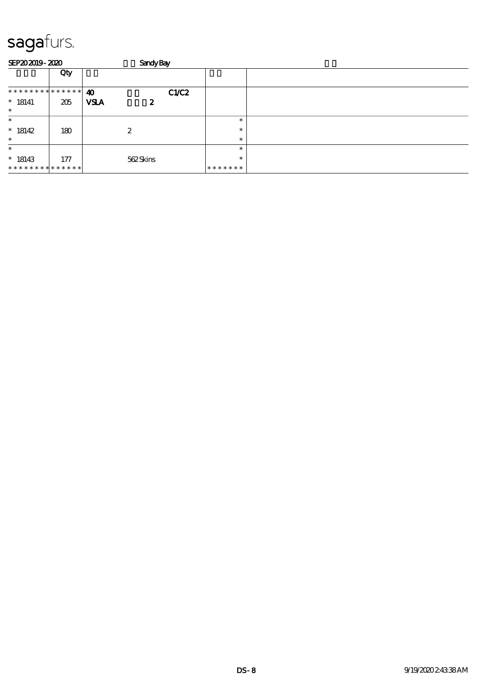| <b>SEP202019-2020</b>       |     | <b>Sandy Bay</b> |                  |      |         |  |
|-----------------------------|-----|------------------|------------------|------|---------|--|
|                             | Qty |                  |                  |      |         |  |
| **************              |     | 40               |                  | CLC2 |         |  |
| $* 18141$<br>$\ast$         | 205 | <b>VSLA</b>      | $\boldsymbol{z}$ |      |         |  |
| $\ast$                      |     |                  |                  |      | $\ast$  |  |
| $*18142$                    | 180 | 2                |                  |      | $\ast$  |  |
| $\ast$                      |     |                  |                  |      | $\ast$  |  |
| $\ast$                      |     |                  |                  |      | $\ast$  |  |
| $*18143$                    | 177 |                  | 562Skins         |      | $\ast$  |  |
| * * * * * * * * * * * * * * |     |                  |                  |      | ******* |  |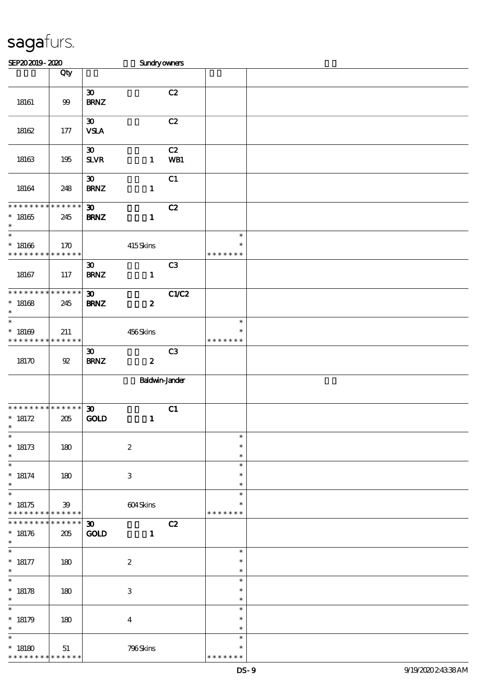| SEP202019-2020                                               |                 |                                            | Sundryowners              |                |                                   |  |
|--------------------------------------------------------------|-----------------|--------------------------------------------|---------------------------|----------------|-----------------------------------|--|
|                                                              | Qty             |                                            |                           |                |                                   |  |
| 18161                                                        | $99$            | $\pmb{\mathfrak{D}}$<br><b>BRNZ</b>        |                           | C2             |                                   |  |
| $18162$                                                      | $177$           | $\boldsymbol{\mathfrak{D}}$<br><b>VSLA</b> |                           | C2             |                                   |  |
| 18163                                                        | 195             | $\boldsymbol{\mathfrak{D}}$<br>SLVR        | $\mathbf{1}$              | C2<br>WB1      |                                   |  |
| 18164                                                        | 248             | $\boldsymbol{\mathfrak{D}}$<br><b>BRNZ</b> | $\mathbf{1}$              | C1             |                                   |  |
| * * * * * * * * * * * * * *<br>$^*$ 18165<br>$\ast$          | 245             | $\boldsymbol{\mathfrak{D}}$<br><b>BRNZ</b> | $\mathbf{1}$              | C2             |                                   |  |
| $_{*}^{-}$<br>$^*$ 18166 $\,$<br>* * * * * * * * * * * * * * | 170             |                                            | 415Skins                  |                | $\ast$<br>$\ast$<br>* * * * * * * |  |
| 18167                                                        | 117             | $\boldsymbol{\mathfrak{D}}$<br><b>BRNZ</b> | $\mathbf{1}$              | C <sub>3</sub> |                                   |  |
| * * * * * * * * * * * * * *<br>$* 18168$<br>$\ast$           | 245             | $\boldsymbol{\mathfrak{D}}$<br><b>BRNZ</b> | $\boldsymbol{z}$          | C1/C2          |                                   |  |
| $\ast$<br>$*18169$<br>* * * * * * * * * * * * * *            | 211             |                                            | 456Skins                  |                | $\ast$<br>$\ast$<br>* * * * * * * |  |
| 18170                                                        | $92\,$          | $\boldsymbol{\mathfrak{D}}$<br><b>BRNZ</b> | $\boldsymbol{z}$          | C3             |                                   |  |
|                                                              |                 |                                            | <b>Baldwin-Jander</b>     |                |                                   |  |
| * * * * * * * * * * * * * *<br>$* 18172$<br>$\star$          | 205             | $\boldsymbol{\mathfrak{D}}$<br>GOLD        | $\mathbf{1}$              | C1             |                                   |  |
| $\overline{\ast}$<br>$* 18173$<br>$\ast$                     | 180             |                                            | $\boldsymbol{2}$          |                | $\ast$<br>$\ast$<br>$\ast$        |  |
| $\ast$<br>$* 18174$<br>$\ast$                                | 180             |                                            | $\ensuremath{\mathbf{3}}$ |                | $\ast$<br>$\ast$<br>$\ast$        |  |
| $\ast$<br>$* 18175$<br>* * * * * * * * * * * * * *           | 39              |                                            | 604Skins                  |                | $\ast$<br>$\ast$<br>* * * * * * * |  |
| * * * * * * * *<br>$* 18176$<br>$\ast$                       | $******$<br>205 | $\boldsymbol{\mathfrak{D}}$<br><b>GOLD</b> | $\mathbf{1}$              | C2             |                                   |  |
| $\ast$<br>$* 18177$<br>$\ast$                                | 180             |                                            | $\boldsymbol{2}$          |                | $\ast$<br>$\ast$<br>$\ast$        |  |
| $\ast$<br>$* 18178$<br>$\ast$                                | 180             |                                            | 3                         |                | $\ast$<br>$\ast$<br>$\ast$        |  |
| $\ast$<br>$* 18179$<br>$\ast$                                | 180             |                                            | $\boldsymbol{4}$          |                | $\ast$<br>$\ast$<br>$\ast$        |  |
| $\ast$<br>$^*$ 18180 $\,$<br>* * * * * * * * * * * * * *     | 51              |                                            | 796Skins                  |                | $\ast$<br>*<br>* * * * * *<br>∗   |  |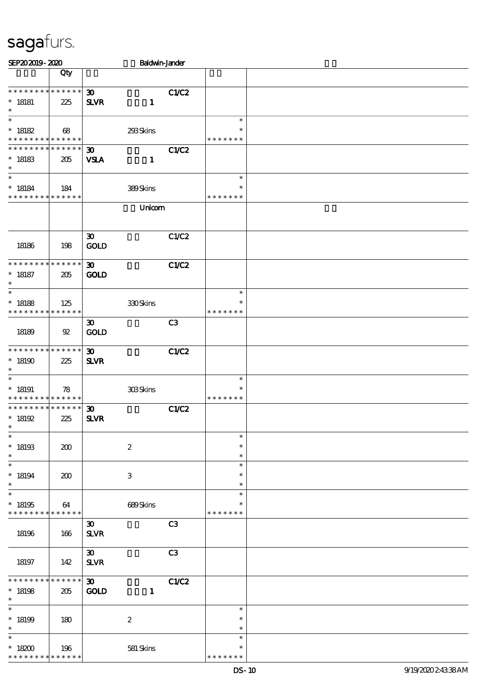| SEP202019-2020                                                    |                    |                                             | <b>Baldwin-Jander</b>     |                |                                   |  |
|-------------------------------------------------------------------|--------------------|---------------------------------------------|---------------------------|----------------|-----------------------------------|--|
|                                                                   | Qty                |                                             |                           |                |                                   |  |
| * * * * * * * * * * * * * *<br>$* 18181$<br>$\ast$                | 225                | $\boldsymbol{\mathfrak{D}}$<br><b>SLVR</b>  | $\mathbf{1}$              | C1/C2          |                                   |  |
| $\ast$<br>$* 18182$<br>* * * * * * * * <mark>* * * * * * *</mark> | 68                 |                                             | 293Skins                  |                | $\ast$<br>$\ast$<br>* * * * * * * |  |
| * * * * * * * * * * * * * * *<br>$* 18183$<br>$\ast$              | 205                | $\boldsymbol{\mathfrak{D}}$<br><b>VSLA</b>  | $\mathbf{1}$              | C1/C2          |                                   |  |
| $\ast$<br>$* 18184$<br>* * * * * * * * * * * * * *                | 184                |                                             | 389Skins                  |                | $\ast$<br>*<br>* * * * * * *      |  |
|                                                                   |                    |                                             | Unicom                    |                |                                   |  |
| 18186                                                             | 198                | $\boldsymbol{\mathfrak{D}}$<br><b>GOLD</b>  |                           | C1/C2          |                                   |  |
| * * * * * * * * * * * * * *<br>$* 18187$<br>$\ast$                | 205                | $\boldsymbol{\mathfrak{D}}$<br><b>GOLD</b>  |                           | <b>C1/C2</b>   |                                   |  |
| $\ast$<br>$* 18188$<br>* * * * * * * *                            | 125<br>* * * * * * |                                             | 330Skins                  |                | $\ast$<br>$\ast$<br>* * * * * * * |  |
| 18189                                                             | $\mathfrak{B}$     | $\boldsymbol{\mathfrak{D}}$<br><b>GOLD</b>  |                           | C <sub>3</sub> |                                   |  |
| * * * * * * * * * * * * * *<br>$^*$ 18190 $\,$<br>$\ast$          | 225                | $\boldsymbol{\mathfrak{D}}$<br><b>SLVR</b>  |                           | <b>C1/C2</b>   |                                   |  |
| $\ast$<br>$*18191$<br>* * * * * * * * * * * * * *                 | 78                 |                                             | 308Skins                  |                | $\ast$<br>$\ast$<br>* * * * * * * |  |
| ******** <mark>******</mark><br>$*18192$<br>∗                     | 225                | $\boldsymbol{\mathfrak{D}}$<br><b>SLVR</b>  |                           | C1/C2          |                                   |  |
| $\ast$<br>$*18193$<br>$\ast$                                      | 200                |                                             | $\boldsymbol{2}$          |                | $\ast$<br>$\ast$<br>$\ast$        |  |
| $\ast$<br>$* 18194$<br>$\ast$                                     | 200                |                                             | $\ensuremath{\mathbf{3}}$ |                | $\ast$<br>$\ast$<br>$\ast$        |  |
| $\ast$<br>$^\ast$ 18195<br>* * * * * * * *                        | 64<br>* * * * * *  |                                             | 689Skins                  |                | $\ast$<br>$\ast$<br>* * * * * * * |  |
| 18196                                                             | 166                | $\boldsymbol{\mathfrak{D}}$<br><b>SLVR</b>  |                           | C <sub>3</sub> |                                   |  |
| 18197                                                             | 142                | $\boldsymbol{\mathfrak{D}}$<br>$S\!L\!V\!R$ |                           | C <sub>3</sub> |                                   |  |
| * * * * * * * *<br>$* 18198$<br>$\ast$                            | $******$<br>205    | $\boldsymbol{\mathfrak{D}}$<br><b>GOLD</b>  | $\mathbf{1}$              | <b>C1/C2</b>   |                                   |  |
| $\ast$<br>$* 18199$<br>$\ast$                                     | 180                |                                             | $\boldsymbol{2}$          |                | $\ast$<br>$\ast$<br>$\ast$        |  |
| $\ast$<br>$^*$ 18200 $\,$<br>* * * * * * * *                      | 196<br>* * * * * * |                                             | 581 Skins                 |                | $\ast$<br>$\ast$<br>* * * * * * * |  |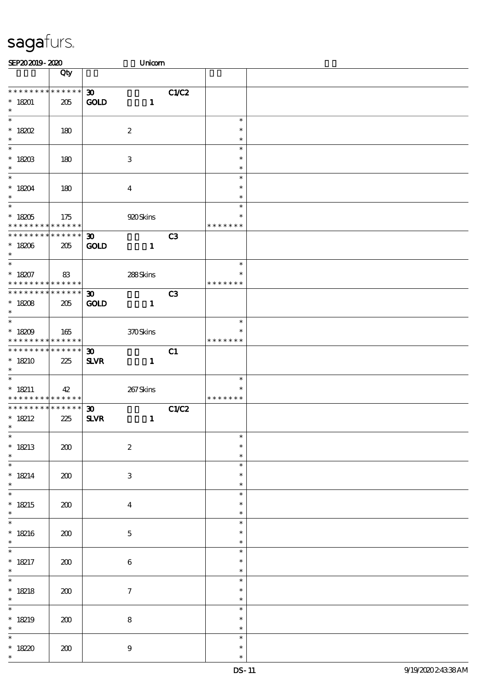| SEP202019-2020                                                                      |                    | Unicom                                                      |                |                                   |  |
|-------------------------------------------------------------------------------------|--------------------|-------------------------------------------------------------|----------------|-----------------------------------|--|
|                                                                                     | Qty                |                                                             |                |                                   |  |
| * * * * * * * * * * * * * *<br>$* 18201$                                            | 205                | 30 <sub>o</sub><br><b>GOLD</b><br>$\mathbf{1}$              | C1/C2          |                                   |  |
| $\ast$<br>$\overline{\phantom{0}}$<br>$*$ 18202                                     | 180                | $\boldsymbol{2}$                                            |                | $\ast$<br>$\ast$                  |  |
| $\ast$<br>$\overline{\phantom{0}}$                                                  |                    |                                                             |                | $\ast$<br>$\ast$                  |  |
| $^*$ 18203<br>$\ast$<br>$\overline{\ast}$                                           | 180                | $\ensuremath{\mathbf{3}}$                                   |                | $\ast$<br>$\ast$<br>$\ast$        |  |
| $* 18204$<br>$\ast$<br>$\overline{\ast}$                                            | 180                | $\boldsymbol{4}$                                            |                | $\ast$<br>$\ast$<br>$\ast$        |  |
| $^\ast$ 18205<br>* * * * * * * *                                                    | 175<br>* * * * * * | 920 Skins                                                   |                | $\ast$<br>* * * * * * *           |  |
| * * * * * * * *<br>$^\ast$ 18206<br>$\ast$                                          | ******<br>205      | 30 <sub>o</sub><br><b>GOLD</b><br>$\mathbf{1}$              | C <sub>3</sub> |                                   |  |
| $\overline{\ast}$<br>$* 18207$<br>* * * * * * * * <mark>* * * * * * *</mark>        | 83                 | 288Skins                                                    |                | $\ast$<br>$\ast$<br>* * * * * * * |  |
| * * * * * * * * * * * * * * *<br>$* 18208$<br>$\ast$                                | 205                | $\boldsymbol{\mathfrak{D}}$<br><b>GOLD</b><br>$\mathbf{1}$  | C <sub>3</sub> |                                   |  |
| $\overline{\ast}$<br>$^*$ 18209 $\,$<br>* * * * * * * * <mark>* * * * * * *</mark>  | 165                | 370Skins                                                    |                | $\ast$<br>* * * * * * *           |  |
| * * * * * * * * * * * * * *<br>$*18210$<br>$\ast$                                   | 225                | $\boldsymbol{\mathfrak{D}}$<br><b>SLVR</b><br>$\mathbf{1}$  | C1             |                                   |  |
| $\overline{\phantom{0}}$<br>$* 18211$<br>* * * * * * * * <mark>* * * * * * *</mark> | 42                 | 267Skins                                                    |                | $\ast$<br>$\ast$<br>* * * * * * * |  |
| * * * * * * * * * * * * * * *<br>$* 18212$<br>$*$                                   | 225                | $\boldsymbol{\mathfrak{D}}$<br>$S\!L\!V\!R$<br>$\mathbf{1}$ | <b>C1/C2</b>   |                                   |  |
| $\ast$<br>$* 18213$<br>$\ast$                                                       | 200                | $\boldsymbol{2}$                                            |                | $\ast$<br>$\ast$<br>$\ast$        |  |
| $\ast$<br>$* 18214$<br>$\ast$                                                       | 200                | $\ensuremath{\mathbf{3}}$                                   |                | $\ast$<br>$\ast$<br>$\ast$        |  |
| $\overline{\ast}$<br>$* 18215$<br>$\ast$                                            | 200                | $\boldsymbol{4}$                                            |                | $\ast$<br>$\ast$<br>$\ast$        |  |
| $\ast$<br>$* 18216$<br>$\ast$                                                       | 200                | $\mathbf 5$                                                 |                | $\ast$<br>$\ast$<br>$\ast$        |  |
| $\ast$<br>$* 18217$<br>$\ast$                                                       | 200                | $\,6\,$                                                     |                | $\ast$<br>$\ast$<br>$\ast$        |  |
| $\overline{\ast}$<br>$* 18218$<br>$\ast$                                            | 200                | $\boldsymbol{7}$                                            |                | $\ast$<br>$\ast$<br>$\ast$        |  |
| $\ast$<br>$* 18219$<br>$\ast$                                                       | 200                | $\bf 8$                                                     |                | $\ast$<br>$\ast$<br>$\ast$        |  |
| $\ast$<br>$* 1820$<br>$\ast$                                                        | 200                | $\boldsymbol{9}$                                            |                | $\ast$<br>$\ast$<br>$\ast$        |  |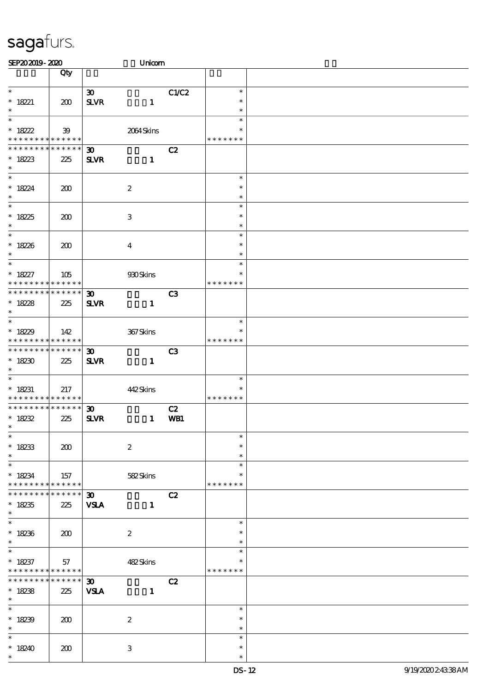| SEP202019-2020                           |                 |                             | Unicom           |                |               |  |
|------------------------------------------|-----------------|-----------------------------|------------------|----------------|---------------|--|
|                                          | Qty             |                             |                  |                |               |  |
|                                          |                 |                             |                  |                |               |  |
| $\ast$                                   |                 | $\boldsymbol{\mathfrak{D}}$ |                  | C1/C2          | $\ast$        |  |
| $* 18221$                                | 200             | $S\!L\!V\!R$                | $\mathbf{1}$     |                | $\ast$        |  |
| $\ast$                                   |                 |                             |                  |                | $\ast$        |  |
| $\ast$                                   |                 |                             |                  |                | $\ast$        |  |
| $* 18222$                                | 39              |                             | 2064Skins        |                | $\ast$        |  |
| * * * * * * * * <mark>* * * * * *</mark> |                 |                             |                  |                | * * * * * * * |  |
| * * * * * * * * * * * * * *              |                 | 30 <sub>o</sub>             |                  | C2             |               |  |
| $* 18223$                                | 225             | <b>SLVR</b>                 | $\mathbf{1}$     |                |               |  |
| $\ast$                                   |                 |                             |                  |                |               |  |
|                                          |                 |                             |                  |                | $\ast$        |  |
| $* 18224$                                | 200             |                             | $\boldsymbol{2}$ |                | $\ast$        |  |
| $\ast$                                   |                 |                             |                  |                | $\ast$        |  |
|                                          |                 |                             |                  |                | $\ast$        |  |
| * $1825$                                 | 200             |                             | 3                |                | $\ast$        |  |
| $\ast$                                   |                 |                             |                  |                | $\ast$        |  |
| $\overline{\ast}$                        |                 |                             |                  |                | $\ast$        |  |
| $* 18226$                                | 200             |                             | $\boldsymbol{4}$ |                | $\ast$        |  |
| $\ast$                                   |                 |                             |                  |                | $\ast$        |  |
| $\overline{\ast}$                        |                 |                             |                  |                | $\ast$        |  |
| $* 18227$                                | 105             |                             | 930Skins         |                | $\ast$        |  |
| * * * * * * * * * * * * * *              |                 |                             |                  |                | * * * * * * * |  |
| * * * * * * * * * * * * * *              |                 | $\boldsymbol{\mathfrak{D}}$ |                  | C3             |               |  |
| $* 18228$                                | 225             | <b>SLVR</b>                 | $\mathbf{1}$     |                |               |  |
| $\ast$                                   |                 |                             |                  |                |               |  |
| $\overline{\ast}$                        |                 |                             |                  |                | $\ast$        |  |
| $*1829$                                  | 142             |                             | 367Skins         |                |               |  |
| * * * * * * * * * * * * * * *            |                 |                             |                  |                | * * * * * * * |  |
| * * * * * * * * * * * * * * *            |                 | $\boldsymbol{\mathfrak{D}}$ |                  | C <sub>3</sub> |               |  |
| $*18230$                                 | 225             | <b>SLVR</b>                 | $\mathbf{1}$     |                |               |  |
| $\ast$                                   |                 |                             |                  |                |               |  |
|                                          |                 |                             |                  |                | $\ast$        |  |
| $^*$ 18231                               | 217             |                             | 442Skins         |                | $\ast$        |  |
| * * * * * * * * * * * * * *              |                 |                             |                  |                | * * * * * * * |  |
| * * * * * * * * * * * * * * *            |                 | $\boldsymbol{\mathfrak{D}}$ |                  | C2             |               |  |
| $* 18232$                                | 225             | $S\!L\!V\!R$                | $\mathbf{1}$     | WB1            |               |  |
| $*$                                      |                 |                             |                  |                |               |  |
| $\ast$                                   |                 |                             |                  |                | $\ast$        |  |
| $* 18233$                                | 200             |                             | $\boldsymbol{2}$ |                | $\ast$        |  |
| $\ast$                                   |                 |                             |                  |                | $\ast$        |  |
| $\ast$                                   |                 |                             |                  |                | $\ast$        |  |
| $* 18234$                                | 157             |                             | 582Skins         |                | ∗             |  |
| * * * * * * * * <mark>* * * * * *</mark> |                 |                             |                  |                | * * * * * * * |  |
| * * * * * * *                            | $******$        | 30 <sup>2</sup>             |                  | C2             |               |  |
| $* 18235$                                | 225             | <b>VSLA</b>                 | $\mathbf{1}$     |                |               |  |
| $\ast$                                   |                 |                             |                  |                |               |  |
| $\overline{\phantom{0}}$                 |                 |                             |                  |                | $\ast$        |  |
| $* 18236$                                | 200             |                             | $\boldsymbol{2}$ |                | $\ast$        |  |
| $\ast$                                   |                 |                             |                  |                | $\ast$        |  |
| $\ast$                                   |                 |                             |                  |                | $\ast$        |  |
| $* 18237$                                | 57              |                             | 482Skins         |                | $\ast$        |  |
| * * * * * * * * <mark>* * * * * *</mark> |                 |                             |                  |                | * * * * * * * |  |
| * * * * * * * *                          | $* * * * * * *$ | $\boldsymbol{\mathfrak{D}}$ |                  | C2             |               |  |
| $* 18238$                                | 225             | <b>VSLA</b>                 | $\mathbf{1}$     |                |               |  |
| $\ast$                                   |                 |                             |                  |                |               |  |
| $\overline{\ }$                          |                 |                             |                  |                | $\ast$        |  |
| $* 18239$                                |                 |                             | $\boldsymbol{2}$ |                | $\ast$        |  |
| $\ast$                                   | 200             |                             |                  |                | $\ast$        |  |
| $\ast$                                   |                 |                             |                  |                | $\ast$        |  |
| $*18240$                                 | 200             |                             | 3                |                | $\ast$        |  |
| $\ast$                                   |                 |                             |                  |                | $\ast$        |  |
|                                          |                 |                             |                  |                |               |  |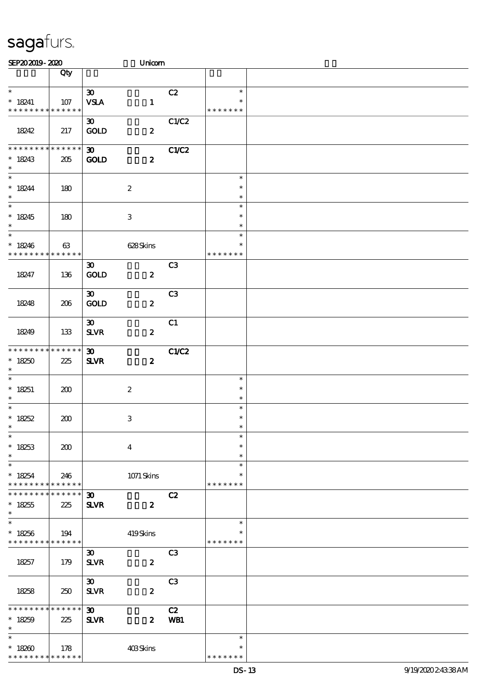| SEP202019-2020                                       |                    |                                                   | Unicom           |                |                                   |  |
|------------------------------------------------------|--------------------|---------------------------------------------------|------------------|----------------|-----------------------------------|--|
|                                                      | Qty                |                                                   |                  |                |                                   |  |
| $\ast$<br>$* 18241$<br>* * * * * * * * * * * * * *   | 107                | $\boldsymbol{\mathfrak{D}}$<br><b>VSLA</b>        | $\mathbf{1}$     | C2             | $\ast$<br>$\ast$<br>* * * * * * * |  |
| 18242                                                | 217                | 30 <sub>o</sub><br><b>GOLD</b>                    | $\boldsymbol{z}$ | C1/C2          |                                   |  |
| * * * * * * * * * * * * * *<br>$* 18243$<br>$\ast$   | 205                | 30 <sub>o</sub><br><b>GOLD</b>                    | $\boldsymbol{z}$ | C1/C2          |                                   |  |
| $\ast$<br>$* 18244$<br>$\ast$                        | 180                | $\boldsymbol{2}$                                  |                  |                | $\ast$<br>$\ast$<br>$\ast$        |  |
| $\overline{\phantom{0}}$<br>$* 18245$<br>$\ast$      | 180                | $\ensuremath{\mathbf{3}}$                         |                  |                | $\ast$<br>$\ast$<br>$\ast$        |  |
| $\ast$<br>$*18246$<br>* * * * * * * * * * * * * *    | 63                 |                                                   | 628Skins         |                | $\ast$<br>$\ast$<br>* * * * * * * |  |
| 18247                                                | 136                | $\boldsymbol{\mathfrak{D}}$<br>$\mathop{\rm GOD}$ | $\boldsymbol{z}$ | C <sub>3</sub> |                                   |  |
| 18248                                                | 206                | $\boldsymbol{\mathfrak{D}}$<br><b>GOLD</b>        | $\boldsymbol{z}$ | C <sub>3</sub> |                                   |  |
| 18249                                                | 133                | $\boldsymbol{\mathfrak{D}}$<br>$S\!L\!V\!R$       | $\boldsymbol{z}$ | C1             |                                   |  |
| * * * * * * * *<br>$*18250$<br>$\ast$                | ******<br>225      | $\boldsymbol{\mathfrak{D}}$<br>$S\!L\!VR$         | $\boldsymbol{z}$ | C1/C2          |                                   |  |
| $\ast$<br>$* 18251$<br>$\ast$                        | 200                | $\boldsymbol{2}$                                  |                  |                | $\ast$<br>$\ast$<br>$\ast$        |  |
| $\overline{\ast}$<br>* $18252$<br>$*$                | 200                | $\ensuremath{\mathbf{3}}$                         |                  |                | $\ast$<br>$\ast$<br>$\ast$        |  |
| $\ast$<br>$* 18253$<br>$\ast$                        | 200                | $\boldsymbol{4}$                                  |                  |                | $\ast$<br>$\ast$<br>$\ast$        |  |
| $\ast$<br>$* 18254$<br>* * * * * * * *               | 246<br>******      |                                                   | 1071 Skins       |                | $\ast$<br>$\ast$<br>* * * * * * * |  |
| * * * * * * *<br>$* 18255$<br>$\ast$                 | * * * * * *<br>225 | $\boldsymbol{\mathfrak{D}}$<br><b>SLVR</b>        | $\boldsymbol{z}$ | C2             |                                   |  |
| $\ast$<br>$* 18256$<br>* * * * * * * * * * * * * *   | 194                |                                                   | 419Skins         |                | $\ast$<br>$\ast$<br>* * * * * * * |  |
| 18257                                                | 179                | $\boldsymbol{\mathfrak{D}}$<br><b>SLVR</b>        | $\boldsymbol{z}$ | C <sub>3</sub> |                                   |  |
| 18258                                                | 250                | $\boldsymbol{\mathfrak{D}}$<br><b>SLVR</b>        | $\boldsymbol{z}$ | C <sub>3</sub> |                                   |  |
| * * * * * * * * * * * * * * *<br>$* 18259$<br>$\ast$ | 225                | 30 <sub>1</sub><br><b>SLVR</b>                    | $\boldsymbol{z}$ | C2<br>WB1      |                                   |  |
| $\ast$<br>$*18200$<br>* * * * * * * * * * * * * *    | 178                |                                                   | 403Skins         |                | $\ast$<br>$\ast$<br>* * * * * * * |  |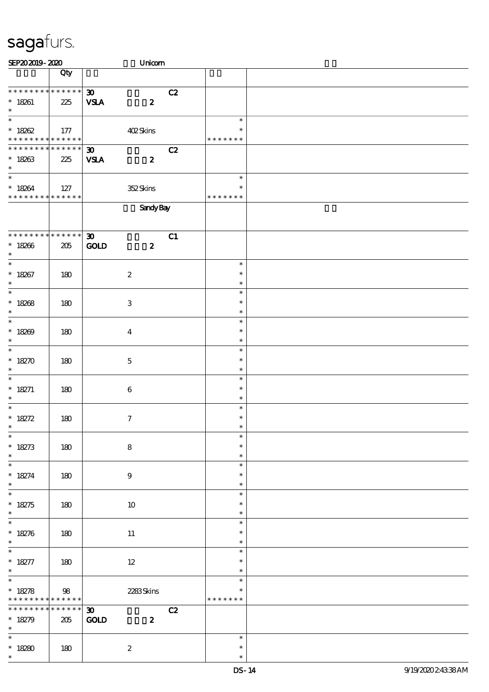| SEP202019-2020                                           |                       | Unicom                                                         |    |                                   |  |
|----------------------------------------------------------|-----------------------|----------------------------------------------------------------|----|-----------------------------------|--|
|                                                          | Qty                   |                                                                |    |                                   |  |
| * * * * * * * * * * * * * *<br>$* 18261$<br>$\ast$       | 225                   | $\boldsymbol{\mathfrak{D}}$<br>$\pmb{2}$<br><b>VSLA</b>        | C2 |                                   |  |
| $\ast$<br>$* 18262$<br>******** <mark>******</mark>      | $177$                 | 402Skins                                                       |    | $\ast$<br>$\ast$<br>* * * * * * * |  |
| **************<br>$*18263$<br>$\ast$                     | 225                   | $\boldsymbol{\mathfrak{D}}$<br><b>VSLA</b><br>$\boldsymbol{z}$ | C2 |                                   |  |
| $\ast$<br>$* 18264$<br>* * * * * * * * * * * * * *       | $\vert$ 127           | 352Skins                                                       |    | $\ast$<br>$\ast$<br>* * * * * * * |  |
|                                                          |                       | <b>Sandy Bay</b>                                               |    |                                   |  |
| * * * * * * * * * * * * * * *<br>$* 18266$<br>$\ast$     | $205\,$               | $\boldsymbol{\mathfrak{D}}$<br><b>GOLD</b><br>$\boldsymbol{z}$ | C1 |                                   |  |
| $\ast$<br>$* 18267$<br>$\ast$                            | 180                   | $\boldsymbol{2}$                                               |    | $\ast$<br>$\ast$<br>$\ast$        |  |
| $\overline{\phantom{0}}$<br>$* 18268$<br>$\ast$          | 180                   | $\,3\,$                                                        |    | $\ast$<br>$\ast$<br>$\ast$        |  |
| $\overline{\ast}$<br>$* 18209$<br>$\ast$                 | 180                   | $\boldsymbol{4}$                                               |    | $\ast$<br>$\ast$<br>$\ast$        |  |
| $\ast$<br>$* 18270$<br>$\ast$                            | 180                   | $\mathbf 5$                                                    |    | $\ast$<br>$\ast$<br>$\ast$        |  |
| $\ast$<br>$* 18271$<br>$\ast$                            | 180                   | $\boldsymbol{6}$                                               |    | $\ast$<br>$\ast$<br>$\ast$        |  |
| $\ast$<br>$* 18272$<br>$\ast$                            | 180                   | $\tau$                                                         |    | $\ast$<br>$\ast$<br>$\ast$        |  |
| $\ast$<br>$* 18273$<br>$\ast$                            | 180                   | ${\bf 8}$                                                      |    | $\ast$<br>$\ast$<br>$\ast$        |  |
| $\overline{\ast}$<br>$* 18274$<br>$\ast$                 | 180                   | $\boldsymbol{9}$                                               |    | $\ast$<br>$\ast$<br>$\ast$        |  |
| $\overline{\phantom{a}^*}$<br>$* 18275$<br>$\ast$        | 180                   | 10                                                             |    | $\ast$<br>$\ast$<br>$\ast$        |  |
| $\overline{\ast}$<br>$* 18276$<br>$\ast$                 | 180                   | 11                                                             |    | $\ast$<br>$\ast$<br>$\ast$        |  |
| $\ast$<br>$* 18277$<br>$\ast$                            | 180                   | $12 \,$                                                        |    | $\ast$<br>$\ast$<br>$\ast$        |  |
| $\overline{\phantom{0}}$<br>* $18278$<br>* * * * * * * * | 98<br>$* * * * * * *$ | 2283Skins                                                      |    | $\ast$<br>$\ast$<br>* * * * * * * |  |
| * * * * * * * *<br>$* 18279$<br>$\ast$                   | $******$<br>205       | 30 <sub>1</sub><br>GOLD<br>$\boldsymbol{z}$                    | C2 |                                   |  |
| $\ast$<br>$* 18280$<br>$\ast$                            | 180                   | $\boldsymbol{2}$                                               |    | $\ast$<br>$\ast$<br>$\ast$        |  |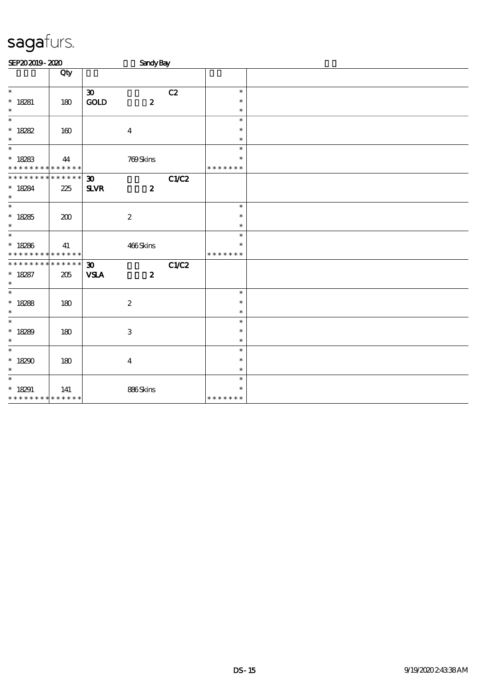| SEP202019-2020                                       |     |                                                   | <b>Sandy Bay</b>          |       |                                   |  |
|------------------------------------------------------|-----|---------------------------------------------------|---------------------------|-------|-----------------------------------|--|
|                                                      | Qty |                                                   |                           |       |                                   |  |
| $\ast$<br>$* 18281$<br>$\ast$                        | 180 | $\boldsymbol{\mathfrak{D}}$<br>$\mathop{\rm GOD}$ | $\boldsymbol{z}$          | C2    | $\ast$<br>$\ast$<br>$\ast$        |  |
| $\overline{\ast}$<br>$* 18282$<br>$\ast$             | 160 |                                                   | $\boldsymbol{4}$          |       | $\ast$<br>$\ast$<br>$\ast$        |  |
| $\ast$<br>$* 18283$<br>* * * * * * * * * * * * * *   | 44  |                                                   | 769Skins                  |       | $\ast$<br>$\ast$<br>* * * * * * * |  |
| * * * * * * * * * * * * * *<br>$* 18284$<br>$\ast$   | 225 | 30 <sub>o</sub><br><b>SLVR</b>                    | $\boldsymbol{z}$          | C1/C2 |                                   |  |
| $\overline{\ast}$<br>$* 18285$<br>$\ast$             | 200 |                                                   | $\boldsymbol{2}$          |       | $\ast$<br>$\ast$<br>$\ast$        |  |
| $\ast$<br>$* 18286$<br>* * * * * * * * * * * * * * * | 41  |                                                   | 466Skins                  |       | $\ast$<br>$\ast$<br>* * * * * * * |  |
| * * * * * * * * * * * * * * *<br>$* 18287$<br>$\ast$ | 205 | $\boldsymbol{\mathfrak{D}}$<br><b>VSLA</b>        | $\boldsymbol{z}$          | C1/C2 |                                   |  |
| $\overline{\phantom{0}}$<br>* 18288<br>$\ast$        | 180 |                                                   | $\boldsymbol{2}$          |       | $\ast$<br>$\ast$<br>$\ast$        |  |
| $\ast$<br>$* 18289$<br>$\ast$                        | 180 |                                                   | $\ensuremath{\mathbf{3}}$ |       | $\ast$<br>$\ast$<br>$\ast$        |  |
| $\ast$<br>$*18290$<br>$\ast$                         | 180 |                                                   | $\boldsymbol{4}$          |       | $\ast$<br>$\ast$<br>$\ast$        |  |
| $\ast$<br>$* 18291$<br>* * * * * * * * * * * * * *   | 141 |                                                   | 886Skins                  |       | $\ast$<br>$\ast$<br>* * * * * * * |  |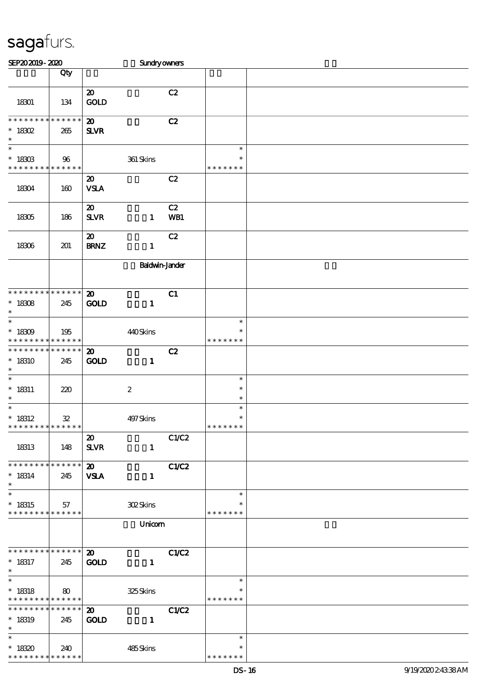| SEP202019-2020                                          |            |                                            | Sundryowners          |                    |  |
|---------------------------------------------------------|------------|--------------------------------------------|-----------------------|--------------------|--|
|                                                         | Qty        |                                            |                       |                    |  |
|                                                         |            |                                            |                       |                    |  |
|                                                         |            | $\boldsymbol{\mathfrak{D}}$                | C2                    |                    |  |
| 18301                                                   | 134        | <b>GOLD</b>                                |                       |                    |  |
|                                                         |            |                                            |                       |                    |  |
| * * * * * * * * * * * * * *                             |            | $\boldsymbol{\mathfrak{D}}$                | C2                    |                    |  |
| $* 18302$                                               | 265        | <b>SLVR</b>                                |                       |                    |  |
| $\ast$                                                  |            |                                            |                       |                    |  |
| $\overline{\ast}$                                       |            |                                            |                       | $\ast$             |  |
| $^*$ 18303                                              | 96         | 361 Skins                                  |                       | $\ast$             |  |
| * * * * * * * * <mark>* * * * * * *</mark>              |            |                                            |                       | * * * * * * *      |  |
|                                                         |            | $\boldsymbol{\mathsf{20}}$                 | C2                    |                    |  |
| 18304                                                   | 160        | <b>VSLA</b>                                |                       |                    |  |
|                                                         |            |                                            |                       |                    |  |
|                                                         |            | $\boldsymbol{\mathfrak{D}}$                | C2                    |                    |  |
| 18305                                                   | 186        | <b>SLVR</b>                                | WB1<br>$\mathbf{1}$   |                    |  |
|                                                         |            |                                            | C2                    |                    |  |
|                                                         |            | $\boldsymbol{\mathfrak{D}}$<br><b>BRNZ</b> |                       |                    |  |
| 18306                                                   | 201        |                                            | $\mathbf{1}$          |                    |  |
|                                                         |            |                                            | <b>Baldwin-Jander</b> |                    |  |
|                                                         |            |                                            |                       |                    |  |
|                                                         |            |                                            |                       |                    |  |
| * * * * * * * * * * * * * *                             |            | $\boldsymbol{\mathbf{z}}$                  | C1                    |                    |  |
| $* 18308$                                               | 245        | <b>GOLD</b>                                | $\mathbf{1}$          |                    |  |
| $\ast$                                                  |            |                                            |                       |                    |  |
| $\ast$                                                  |            |                                            |                       | $\ast$             |  |
| $* 18309$                                               | 195        | 440Skins                                   |                       | $\ast$             |  |
| * * * * * * * * * * * * * *                             |            |                                            |                       | * * * * * * *      |  |
| * * * * * * * * * * * * * *                             |            | $\boldsymbol{\mathfrak{D}}$                | C2                    |                    |  |
| $*18310$                                                | 245        | <b>GOLD</b>                                | $\mathbf{1}$          |                    |  |
| $\ast$                                                  |            |                                            |                       |                    |  |
| $\ast$                                                  |            |                                            |                       | $\ast$             |  |
| $* 18311$                                               | 220        | $\boldsymbol{2}$                           |                       | $\ast$             |  |
| $\ast$<br>$\overline{\phantom{a}}$                      |            |                                            |                       | $\ast$             |  |
|                                                         |            |                                            |                       | $\ast$<br>$\ast$   |  |
| $* 18312$<br>* * * * * * * * <mark>* * * * * * *</mark> | ${\bf 32}$ | 497Skins                                   |                       | * * * * * * *      |  |
|                                                         |            | $\boldsymbol{\mathfrak{D}}$                | C1/C2                 |                    |  |
| 18313                                                   | 148        | <b>SLVR</b>                                | $\mathbf{1}$          |                    |  |
|                                                         |            |                                            |                       |                    |  |
| * * * * * * * * * * * * * *                             |            | $\boldsymbol{\mathsf{20}}$                 | C1/C2                 |                    |  |
| $* 18314$                                               | 245        | <b>VSLA</b>                                | $\mathbf{1}$          |                    |  |
| $\ast$                                                  |            |                                            |                       |                    |  |
| $\ast$                                                  |            |                                            |                       | $\ast$             |  |
| $* 18315$                                               | 57         | <b>302Skins</b>                            |                       | $\ast$             |  |
| * * * * * * * * * * * * * *                             |            |                                            |                       | * * * * * * *      |  |
|                                                         |            |                                            | Unicom                |                    |  |
|                                                         |            |                                            |                       |                    |  |
|                                                         |            |                                            |                       |                    |  |
| * * * * * * * * * * * * * * *                           |            | $\boldsymbol{\omega}$                      | C1/C2                 |                    |  |
| $* 18317$                                               | 245        | <b>GOLD</b>                                | $\mathbf{1}$          |                    |  |
| $\ast$                                                  |            |                                            |                       |                    |  |
| $\ast$                                                  |            |                                            |                       | $\ast$             |  |
| $* 18318$<br>* * * * * * * * * * * * * *                | 80         | 325Skins                                   |                       | ∗<br>* * * * * * * |  |
| * * * * * * * * * * * * * *                             |            | $\boldsymbol{\mathfrak{D}}$                |                       |                    |  |
| $*18319$                                                |            | <b>GOLD</b>                                | C1/C2<br>$\mathbf{1}$ |                    |  |
| $\ast$                                                  | 245        |                                            |                       |                    |  |
| $\ast$                                                  |            |                                            |                       | $\ast$             |  |
| $*18320$                                                | 240        | 485Skins                                   |                       | *                  |  |
| * * * * * * * * * * * * * *                             |            |                                            |                       | * * * * * * *      |  |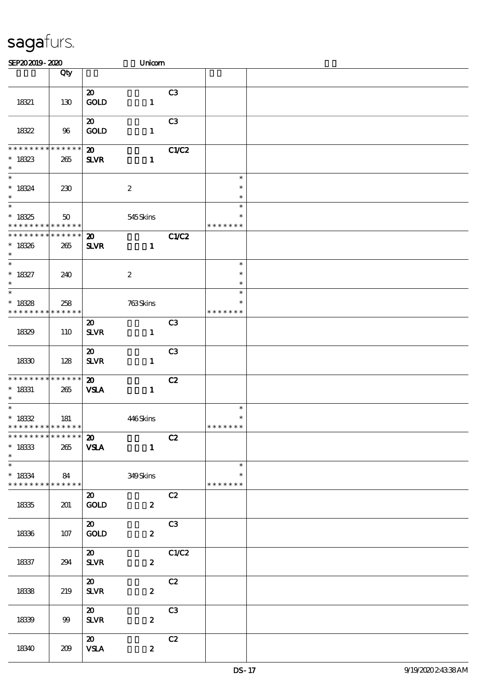| SEP202019-2020                                                            |                    |                                             | Unicom           |                |                                   |  |
|---------------------------------------------------------------------------|--------------------|---------------------------------------------|------------------|----------------|-----------------------------------|--|
|                                                                           | Qty                |                                             |                  |                |                                   |  |
| 18321                                                                     | 130                | $\boldsymbol{\mathfrak{D}}$<br>GOLD         | $\mathbf{1}$     | C <sub>3</sub> |                                   |  |
| 18322                                                                     | 96                 | $\boldsymbol{\mathfrak{D}}$<br><b>GOLD</b>  | $\mathbf{1}$     | C <sub>3</sub> |                                   |  |
| * * * * * * * * * * * * * *<br>$* 18323$<br>$\ast$                        | 265                | $\boldsymbol{\mathbf{z}}$<br>$S\!L\!VR$     | $\mathbf{1}$     | C1/C2          |                                   |  |
| $\overline{\ast}$<br>$* 18324$<br>$\ast$                                  | 230                |                                             | $\boldsymbol{2}$ |                | $\ast$<br>$\ast$<br>$\ast$        |  |
| $\ast$<br>$* 18325$<br>* * * * * * * * * * * * * *                        | 50                 |                                             | 545Skins         |                | $\ast$<br>$\ast$<br>* * * * * * * |  |
| * * * * * * * *<br>$* 18326$<br>$\ast$                                    | * * * * * *<br>265 | $\boldsymbol{\mathbf{z}}$<br><b>SLVR</b>    | $\mathbf{1}$     | C1/C2          |                                   |  |
| $\overline{\phantom{0}}$<br>$^*$ 18327<br>$\ast$                          | 240                |                                             | $\boldsymbol{2}$ |                | $\ast$<br>$\ast$<br>$\ast$        |  |
| $\ast$<br>$* 18328$<br>* * * * * * * *                                    | 258<br>* * * * * * |                                             | 763Skins         |                | $\ast$<br>$\ast$<br>* * * * * * * |  |
| 1839                                                                      | 110                | $\boldsymbol{\mathfrak{D}}$<br>$S\!L\!V\!R$ | $\mathbf{1}$     | C <sub>3</sub> |                                   |  |
| 18330                                                                     | 128                | $\boldsymbol{\mathfrak{D}}$<br><b>SLVR</b>  | $\mathbf{1}$     | C <sub>3</sub> |                                   |  |
| * * * * * * * * * * * * * *<br>$* 18331$<br>$\ast$                        | 265                | $\boldsymbol{\mathsf{20}}$<br><b>VSLA</b>   | $\mathbf{1}$     | C2             |                                   |  |
| $\overline{\phantom{a}^*}$<br>$^\ast$ 1832<br>* * * * * * * * * * * * * * | 181                |                                             | 446Skins         |                | $\ast$<br>$\ast$<br>* * * * * * * |  |
| * * * * * * * * * * * * * * *<br>$^\ast$ 1833<br>$\ast$                   | 265                | $\boldsymbol{\mathfrak{D}}$<br><b>VSLA</b>  | $\mathbf{1}$     | C2             |                                   |  |
| $\ast$<br>$* 18334$<br>* * * * * * * * * * * * * * *                      | 84                 |                                             | 349Skins         |                | $\ast$<br>$\ast$<br>* * * * * * * |  |
| 18335                                                                     | 201                | $\boldsymbol{\mathfrak{D}}$<br><b>GOLD</b>  | $\boldsymbol{z}$ | C2             |                                   |  |
| 1836                                                                      | 107                | $\boldsymbol{\mathsf{20}}$<br>GOLD          | $\boldsymbol{z}$ | C3             |                                   |  |
| 18337                                                                     | 294                | $\boldsymbol{\mathsf{20}}$<br><b>SLVR</b>   | $\mathbf{z}$     | C1/C2          |                                   |  |
| 1838                                                                      | 219                | $\boldsymbol{\omega}$<br><b>SLVR</b>        | $\boldsymbol{z}$ | C2             |                                   |  |
| 1839                                                                      | 99                 | $\boldsymbol{\omega}$<br><b>SLVR</b>        | $\boldsymbol{z}$ | C3             |                                   |  |
| 18340                                                                     | 209                | $\boldsymbol{\mathsf{20}}$<br><b>VSLA</b>   | $\boldsymbol{z}$ | C2             |                                   |  |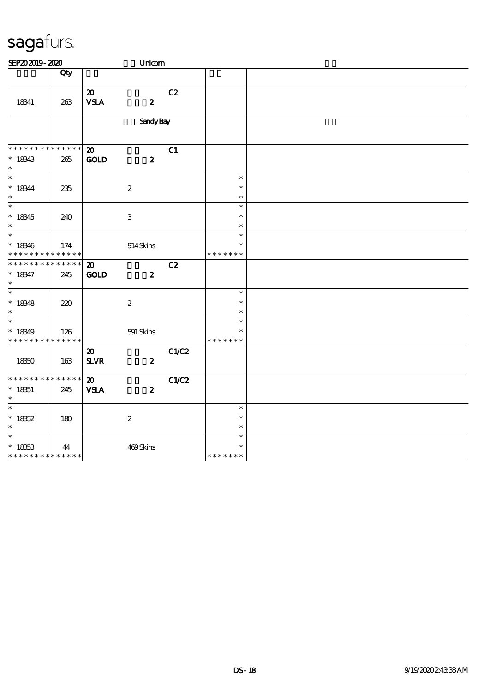| SEP202019-2020                                     |                    |                                                       | Unicom           |       |                                   |  |
|----------------------------------------------------|--------------------|-------------------------------------------------------|------------------|-------|-----------------------------------|--|
|                                                    | Qty                |                                                       |                  |       |                                   |  |
| 18341                                              | 263                | $\boldsymbol{\mathsf{20}}$<br>${\bf VSA}$             | $\boldsymbol{z}$ | C2    |                                   |  |
|                                                    |                    |                                                       | <b>Sandy Bay</b> |       |                                   |  |
| * * * * * * * *                                    | * * * * * *        | $\boldsymbol{\mathfrak{D}}$                           |                  | C1    |                                   |  |
| $* 18343$<br>$\ast$                                | $265\,$            | <b>GOLD</b>                                           | $\boldsymbol{z}$ |       |                                   |  |
| $\overline{\phantom{1}}$<br>$* 18344$<br>$\ast$    | 235                |                                                       | $\boldsymbol{2}$ |       | $\ast$<br>$\ast$<br>$\ast$        |  |
| $\overline{\phantom{0}}$<br>$* 18345$<br>$\ast$    | 240                |                                                       | $\,3$            |       | $\ast$<br>$\ast$<br>$\ast$        |  |
| $\ast$<br>$*18346$<br>* * * * * * * *              | 174<br>* * * * * * |                                                       | 914Skins         |       | $\ast$<br>$\ast$<br>* * * * * * * |  |
| * * * * * * *<br>$* 18347$<br>$\ast$               | * * * * * *<br>245 | $\boldsymbol{\mathfrak{D}}$<br>GOLD                   | $\boldsymbol{2}$ | C2    |                                   |  |
| $\overline{\phantom{0}}$<br>$* 18348$<br>$\ast$    | 220                |                                                       | $\boldsymbol{2}$ |       | $\ast$<br>$\ast$<br>$\ast$        |  |
| $\ast$<br>$*18349$<br>* * * * * * * *              | 126<br>* * * * * * |                                                       | 591 Skins        |       | $\ast$<br>$\ast$<br>* * * * * * * |  |
| 18350                                              | 163                | $\boldsymbol{\mathbf{z}}$<br>${\bf S\!L}\!{\bf V\!R}$ | $\boldsymbol{z}$ | C1/C2 |                                   |  |
| * * * * * * *<br>$* 18351$<br>$\ast$               | * * * * * *<br>245 | $\boldsymbol{\mathbf{z}}$<br><b>VSLA</b>              | $\boldsymbol{z}$ | C1/C2 |                                   |  |
| $\overline{\ast}$<br>$* 18352$<br>$\ast$           | 180                |                                                       | $\boldsymbol{2}$ |       | $\ast$<br>$\ast$<br>$\ast$        |  |
| $\ast$<br>$* 18353$<br>* * * * * * * * * * * * * * | 44                 |                                                       | 469Skins         |       | $\ast$<br>$\ast$<br>* * * * * * * |  |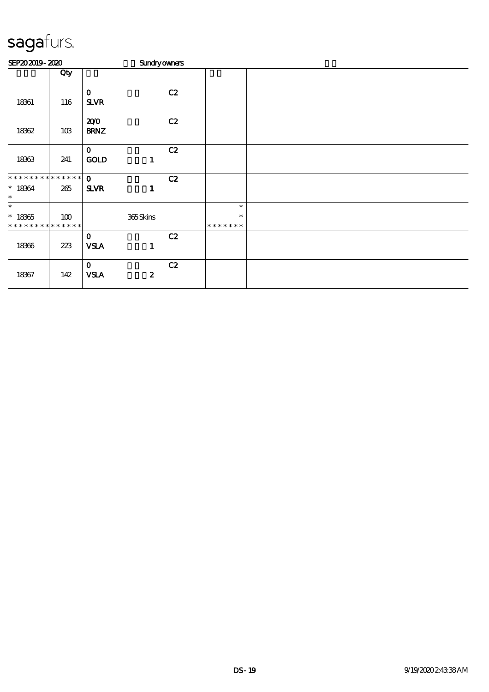| SEP202019-2020                            |     |                            |                  | <b>Sundryowners</b> |                         |  |  |  |  |  |
|-------------------------------------------|-----|----------------------------|------------------|---------------------|-------------------------|--|--|--|--|--|
|                                           | Qty |                            |                  |                     |                         |  |  |  |  |  |
| 18361                                     | 116 | $\mathbf 0$<br><b>SLVR</b> |                  | C2                  |                         |  |  |  |  |  |
| 18362                                     | 10B | 200<br><b>BRNZ</b>         |                  | C2                  |                         |  |  |  |  |  |
| 18363                                     | 241 | $\mathbf 0$<br><b>GOLD</b> | $\mathbf{1}$     | C2                  |                         |  |  |  |  |  |
| * * * * * * * * * * * * * * *             |     | $\mathbf 0$                |                  | C2                  |                         |  |  |  |  |  |
| $* 18364$<br>$\ast$                       | 265 | <b>SLVR</b>                | $\mathbf{1}$     |                     |                         |  |  |  |  |  |
| $\ast$                                    |     |                            |                  |                     | $\ast$                  |  |  |  |  |  |
| $^*$ 18365<br>* * * * * * * * * * * * * * | 100 |                            | 365Skins         |                     | $\ast$<br>* * * * * * * |  |  |  |  |  |
|                                           |     | $\mathbf 0$                |                  | C2                  |                         |  |  |  |  |  |
| 18366                                     | 223 | <b>VSLA</b>                | $\mathbf{1}$     |                     |                         |  |  |  |  |  |
|                                           |     | $\mathbf 0$                |                  | C2                  |                         |  |  |  |  |  |
| 18367                                     | 142 | <b>VSLA</b>                | $\boldsymbol{2}$ |                     |                         |  |  |  |  |  |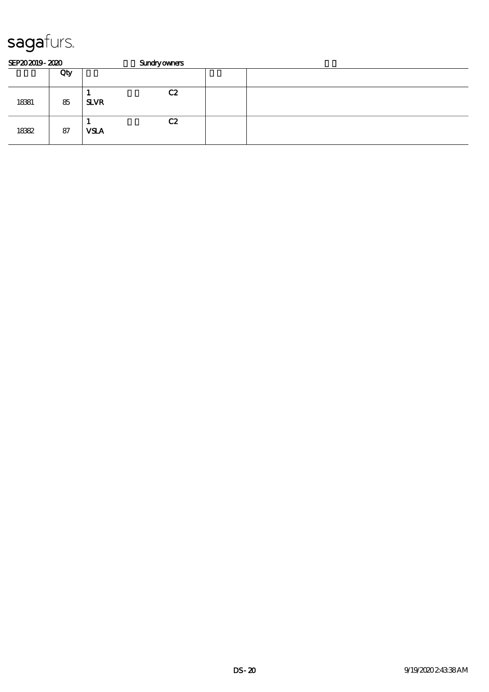| SEP202019-2020 |     |             | <b>Sundryowners</b> |  |  |  |  |  |  |  |
|----------------|-----|-------------|---------------------|--|--|--|--|--|--|--|
|                | Qty |             |                     |  |  |  |  |  |  |  |
| 18381          | 85  | <b>SLVR</b> | C2                  |  |  |  |  |  |  |  |
| 18382          | 87  | <b>VSLA</b> | C2                  |  |  |  |  |  |  |  |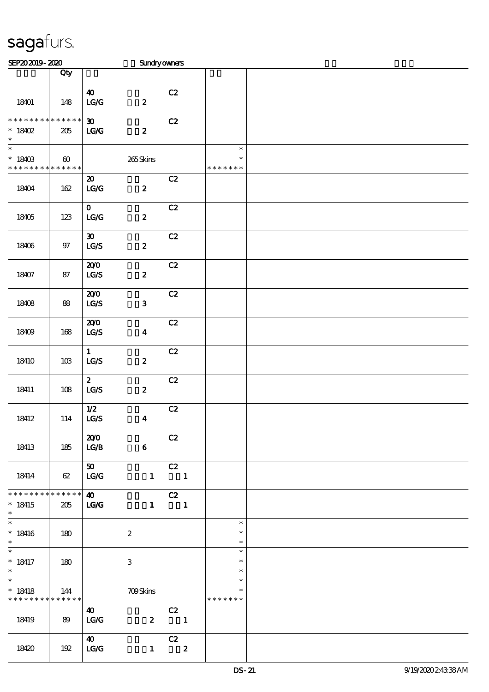| SEP202019-2020                                           |                                      |                                                         | Sundryowners     |                               |                                   |  |
|----------------------------------------------------------|--------------------------------------|---------------------------------------------------------|------------------|-------------------------------|-----------------------------------|--|
|                                                          | Qty                                  |                                                         |                  |                               |                                   |  |
| 18401                                                    | 148                                  | $\boldsymbol{\omega}$<br>$\mathbf{LG}\mathbf{G}$        | $\boldsymbol{z}$ | C2                            |                                   |  |
| * * * * * * * *<br>$*18402$<br>$\ast$                    | * * * * * *<br>205                   | $\boldsymbol{\mathfrak{D}}$<br>LG/G                     | $\boldsymbol{z}$ | C2                            |                                   |  |
| $\overline{\phantom{0}}$<br>$* 18403$<br>* * * * * * * * | $\boldsymbol{\omega}$<br>* * * * * * |                                                         | 265Skins         |                               | $\ast$<br>$\ast$<br>* * * * * * * |  |
| 18404                                                    | 162                                  | $\boldsymbol{\mathsf{20}}$<br>LG/G                      | $\boldsymbol{z}$ | C2                            |                                   |  |
| 18405                                                    | 123                                  | $\mathbf{O}$<br>$\mathbf{LG}\mathbf{G}$                 | $\pmb{2}$        | C2                            |                                   |  |
| 18406                                                    | $97$                                 | $\boldsymbol{\mathfrak{D}}$<br>$\mathtt{LG}\mathcal{S}$ | $\boldsymbol{2}$ | C2                            |                                   |  |
| 18407                                                    | 87                                   | 200<br>$\mathbf{L}\mathbf{C} \mathbf{S}$                | $\boldsymbol{z}$ | C2                            |                                   |  |
| 18408                                                    | 88                                   | 200<br>$\mathbf{LG}\mathbf{S}$                          | ${\bf 3}$        | C2                            |                                   |  |
| 18409                                                    | 168                                  | 200<br>$\mathtt{LG}\mathcal{S}$                         | $\boldsymbol{4}$ | C2                            |                                   |  |
| 18410                                                    | 10B                                  | $\mathbf{1}$<br>LCS                                     | $\boldsymbol{z}$ | C2                            |                                   |  |
| 18411                                                    | 108                                  | $\boldsymbol{z}$<br>$\mathtt{LG}\mathcal{S}$            | $\boldsymbol{z}$ | C2                            |                                   |  |
| 18412                                                    | 114                                  | $1/2$<br>$\mathtt{LG}\mathcal{S}$                       | $\boldsymbol{4}$ | C2                            |                                   |  |
| 18413                                                    | 185                                  | 200<br>LG/B                                             | $\bf 6$          | C2                            |                                   |  |
| 18414                                                    | 62                                   | 50<br>LG/G                                              |                  | C2<br>$1 \quad 1$             |                                   |  |
| * * * * * * * * * * * * * * *<br>$*18415$<br>$\ast$      | 205                                  | $\boldsymbol{\omega}$<br>LG/G                           |                  | C2<br>$1 \quad 1$             |                                   |  |
| $\overline{\phantom{a}^*}$<br>$*18416$<br>$\ast$         | 180                                  |                                                         | $\boldsymbol{2}$ |                               | $\ast$<br>$\ast$<br>$\ast$        |  |
| $\ast$<br>$* 18417$<br>$\ast$                            | 180                                  |                                                         | 3                |                               | $\ast$<br>$\ast$<br>$\ast$        |  |
| $\overline{\ast}$<br>$* 18418$<br>* * * * * * * *        | 144<br>$* * * * * * *$               |                                                         | <b>709Skins</b>  |                               | $\ast$<br>$\ast$<br>* * * * * * * |  |
| 18419                                                    | 89                                   | 40<br>LG/G                                              | $\boldsymbol{z}$ | C2<br>$\blacksquare$          |                                   |  |
| 18420                                                    | 192                                  | $\boldsymbol{\omega}$<br>LG/G                           | $\mathbf{1}$     | C2<br>$\overline{\mathbf{2}}$ |                                   |  |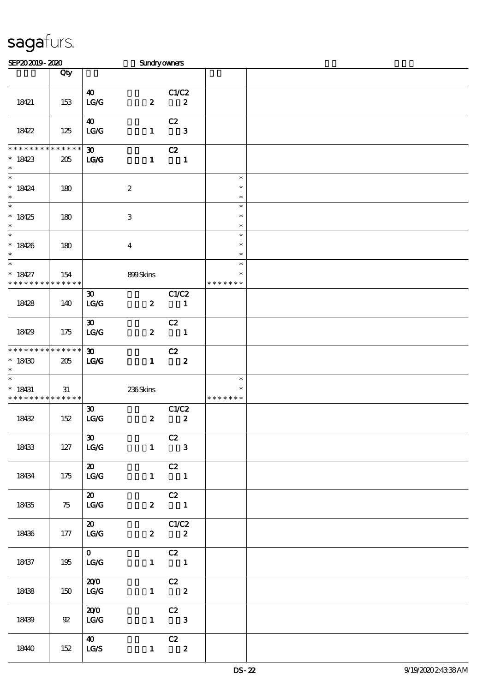| SEP202019-2020                                    |                    |                                                        | Sundryowners              |                                                                            |                                   |  |
|---------------------------------------------------|--------------------|--------------------------------------------------------|---------------------------|----------------------------------------------------------------------------|-----------------------------------|--|
|                                                   | Qty                |                                                        |                           |                                                                            |                                   |  |
| 18421                                             | 153                | $\boldsymbol{\omega}$<br>LG/G                          | $\boldsymbol{z}$          | C1/C2<br>$\boldsymbol{z}$                                                  |                                   |  |
| 18422                                             | 125                | $\boldsymbol{\omega}$<br>LG/G                          | $\mathbf{1}$              | C2<br>$\overline{\phantom{a}}$ 3                                           |                                   |  |
| * * * * * * * *<br>$*18423$<br>$\ast$             | * * * * * *<br>205 | $30-1$<br>$\mathbf{LG}$                                | $\mathbf{1}$              | C2<br>$\blacksquare$                                                       |                                   |  |
| $\ast$<br>$* 18424$<br>$\ast$                     | 180                |                                                        | $\boldsymbol{2}$          |                                                                            | $\ast$<br>$\ast$<br>$\ast$        |  |
| $\overline{\ast}$<br>$*18425$<br>$\ast$           | 180                |                                                        | $\ensuremath{\mathbf{3}}$ |                                                                            | $\ast$<br>$\ast$<br>$\ast$        |  |
| $\overline{\phantom{0}}$<br>$*18426$<br>$\ast$    | 180                |                                                        | $\bf{4}$                  |                                                                            | $\ast$<br>$\ast$<br>$\ast$        |  |
| $\ast$<br>$* 18427$<br>* * * * * * * *            | 154<br>* * * * * * |                                                        | 899Skins                  |                                                                            | $\ast$<br>$\ast$<br>* * * * * * * |  |
| 18428                                             | 140                | $\boldsymbol{\mathfrak{D}}$<br>$\mathbf{LG}\mathbf{G}$ | $\boldsymbol{z}$          | C1/C2<br>$\blacksquare$                                                    |                                   |  |
| 18429                                             | 175                | $\boldsymbol{\mathfrak{D}}$<br>LG/G                    | $\boldsymbol{z}$          | C2<br>$\overline{\mathbf{1}}$                                              |                                   |  |
| * * * * * * * * * * * * * *<br>$*18430$<br>$\ast$ | 205                | $\boldsymbol{\mathfrak{D}}$<br>LG                      | $\mathbf{1}$              | C2<br>$\overline{\mathbf{2}}$                                              |                                   |  |
| $* 18431$<br>* * * * * * * * * * * * * *          | 31                 |                                                        | 236Skins                  |                                                                            | $\ast$<br>$\ast$<br>* * * * * * * |  |
| 18432                                             | 152                | $\boldsymbol{\mathfrak{D}}$<br>$\mathbf{LG}\mathbf{G}$ | $\boldsymbol{z}$          | C1/C2<br>$\boldsymbol{z}$                                                  |                                   |  |
| 18433                                             | 127                | $\infty$<br>LG/G                                       |                           | C2<br>$1 \qquad 3$                                                         |                                   |  |
| 18434                                             | 175                | $\overline{\mathbf{a}}$<br>LG/G                        |                           | $\overline{C}$<br>$\begin{array}{cccc} 1 & \hspace{1.6cm} & 1 \end{array}$ |                                   |  |
| 18435                                             | $\frac{75}{5}$     | $\boldsymbol{\mathsf{20}}$<br>LG/G                     |                           | $\overline{C}$<br>$2 \qquad \qquad 1$                                      |                                   |  |
| 18436                                             | 177                | $\boldsymbol{\mathsf{20}}$<br>LG/G                     |                           | C1/C2<br>$2\qquad 2$                                                       |                                   |  |
| 18437                                             | 195                | $\overline{0}$<br>LG/G                                 |                           | $\overline{C}$<br>$1 \qquad \qquad 1$                                      |                                   |  |
| 18438                                             | 150                | 200<br>$\mathbf{L}\mathbf{C}\mathbf{C}$                |                           | $\begin{array}{c} \text{C2} \\ 1 \end{array}$                              |                                   |  |
| 18439                                             | 92                 | 200<br>LG/G                                            |                           | $\begin{array}{c c}\n\hline\n\text{C2} \\ 1 & 3\n\end{array}$              |                                   |  |
| 1840                                              | 152                | $\boldsymbol{40}$<br>LG/S                              |                           | $\begin{array}{cc} & c2 \\ 1 & 2 \end{array}$                              |                                   |  |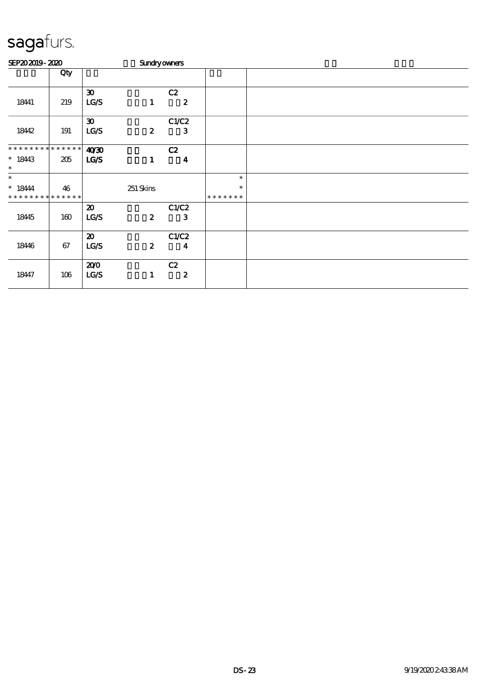| SEP202019-2020                          |         |                             |                  | <b>Sundryowners</b>     |                         |  |
|-----------------------------------------|---------|-----------------------------|------------------|-------------------------|-------------------------|--|
|                                         | Qty     |                             |                  |                         |                         |  |
|                                         |         | $\boldsymbol{\mathfrak{D}}$ |                  | C2                      |                         |  |
| 18441                                   | 219     | LG/S                        | $\mathbf{1}$     | $\boldsymbol{z}$        |                         |  |
|                                         |         | $\boldsymbol{\mathfrak{D}}$ |                  | C1/C2                   |                         |  |
| 18442                                   | 191     | LG/S                        | $\boldsymbol{z}$ | $\mathbf{3}$            |                         |  |
| * * * * * * * * * * * * * *             |         | 40'30                       |                  | C2                      |                         |  |
| $* 1843$<br>$\ast$                      | 205     | LGS                         | $\mathbf{1}$     | $\overline{\mathbf{4}}$ |                         |  |
| $\ast$                                  |         |                             |                  |                         | $\ast$                  |  |
| $*18444$<br>* * * * * * * * * * * * * * | 46      |                             | 251 Skins        |                         | $\ast$<br>* * * * * * * |  |
|                                         |         | $\boldsymbol{\mathfrak{D}}$ |                  | C1/C2                   |                         |  |
| 18445                                   | 160     | LG/S                        | $\boldsymbol{z}$ | $\mathbf{3}$            |                         |  |
|                                         |         | $\boldsymbol{\mathfrak{D}}$ |                  | C1/C2                   |                         |  |
| 18446                                   | 67      | LG/S                        | $\boldsymbol{z}$ | $\boldsymbol{4}$        |                         |  |
|                                         |         | 200                         |                  | C2                      |                         |  |
| 18447                                   | $106\,$ | <b>LG/S</b>                 | 1                | $\boldsymbol{2}$        |                         |  |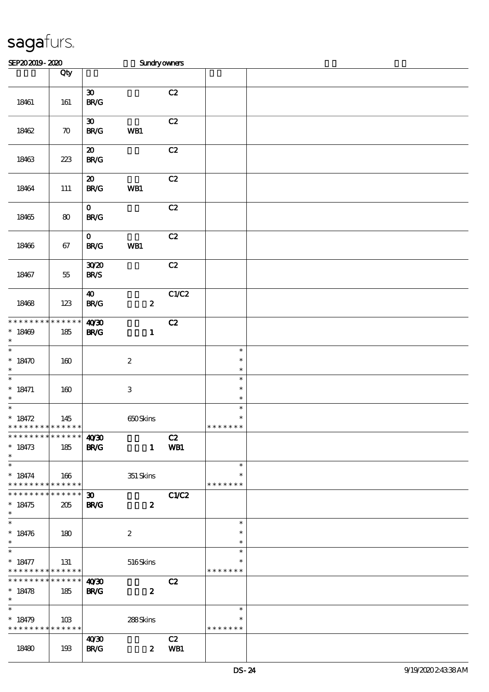| SEP202019-2020                                                         |                    |                                                                  | Sundryowners              |             |                                   |  |
|------------------------------------------------------------------------|--------------------|------------------------------------------------------------------|---------------------------|-------------|-----------------------------------|--|
|                                                                        | Qty                |                                                                  |                           |             |                                   |  |
| 18461                                                                  | 161                | $\pmb{\mathfrak{D}}$<br>$\mathbf{B}\mathbf{R}/\mathbf{G}$        |                           | C2          |                                   |  |
| 18462                                                                  | $\boldsymbol{\pi}$ | $\boldsymbol{\mathfrak{D}}$<br>$\mathbf{B}\mathbf{R}/\mathbf{G}$ | WB1                       | C2          |                                   |  |
| 18463                                                                  | $223\,$            | $\boldsymbol{\mathfrak{D}}$<br>B R/G                             |                           | C2          |                                   |  |
| 18464                                                                  | 111                | $\boldsymbol{\mathfrak{D}}$<br><b>BR/G</b>                       | WB1                       | C2          |                                   |  |
| 18465                                                                  | ${\bf 80}$         | $\mathbf 0$<br>$\mathbf{B}\mathbf{R}/\mathbf{G}$                 |                           | C2          |                                   |  |
| 18466                                                                  | 67                 | $\mathbf{o}$<br>B R/G                                            | WB1                       | C2          |                                   |  |
| 18467                                                                  | $55\,$             | 3020<br><b>BR/S</b>                                              |                           | C2          |                                   |  |
| 18468                                                                  | 123                | $\boldsymbol{40}$<br><b>BR/G</b>                                 | $\boldsymbol{z}$          | C1/C2       |                                   |  |
| * * * * * * * * * * * * * *<br>$*18409$<br>$\ast$                      | 185                | 40'30<br><b>BR/G</b>                                             | $\mathbf{1}$              | C2          |                                   |  |
| $\ast$<br>$* 18470$<br>$\ast$                                          | 160                |                                                                  | $\boldsymbol{2}$          |             | $\ast$<br>$\ast$<br>$\ast$        |  |
| $\ast$<br>$* 18471$<br>$\ast$                                          | 160                |                                                                  | $\ensuremath{\mathbf{3}}$ |             | $\ast$<br>$\ast$<br>$\ast$        |  |
| $\ast$<br>$* 18472$<br>: * * * * * * * <mark>* * * * * *</mark>        | 145                |                                                                  | 650Skins                  |             | $\ast$<br>$\ast$<br>* * * * * * * |  |
| ************** 4030<br>$* 18473$<br>$\ast$                             | 185                | <b>BR/G</b>                                                      |                           | C2<br>1 WB1 |                                   |  |
| $\ast$<br>$* 18474$<br>* * * * * * * * * * * * * * *                   | 166                |                                                                  | $351$ Skins               |             | $\ast$<br>$\ast$<br>* * * * * * * |  |
| * * * * * * * * * * * * * * *<br>$* 18475$<br>$\ast$                   | 205                | $\boldsymbol{\mathfrak{D}}$<br><b>BR/G</b>                       | $\boldsymbol{z}$          | C1/C2       |                                   |  |
| $\ast$<br>$* 18476$<br>$\ast$                                          | 180                |                                                                  | $\boldsymbol{2}$          |             | $\ast$<br>$\ast$<br>$\ast$        |  |
| $\overline{\phantom{1}}$<br>$* 18477$<br>* * * * * * * * * * * * * *   | 131                |                                                                  | 516Skins                  |             | $\ast$<br>∗<br>* * * * * * *      |  |
| * * * * * * * * * * * * * * *<br>$* 18478$<br>$\ast$                   | 185                | 40'30<br><b>BR/G</b>                                             | $\boldsymbol{z}$          | C2          |                                   |  |
| $\overline{\phantom{0}}$<br>$* 18479$<br>* * * * * * * * * * * * * * * | 10B                |                                                                  | 288Skins                  |             | $\ast$<br>$\ast$<br>* * * * * * * |  |
| 18480                                                                  | 193                | 40 <sup>20</sup><br><b>BR/G</b>                                  | $\boldsymbol{z}$          | C2<br>WB1   |                                   |  |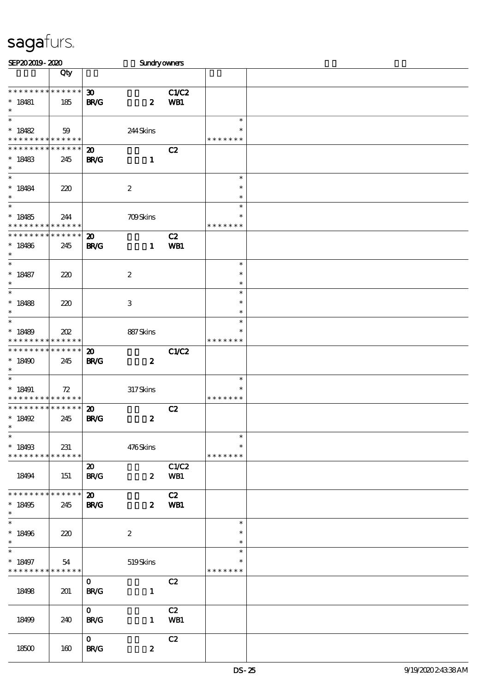| SEP202019-2020                             |     |                             | Sundryowners              |              |               |  |
|--------------------------------------------|-----|-----------------------------|---------------------------|--------------|---------------|--|
|                                            | Qty |                             |                           |              |               |  |
|                                            |     |                             |                           |              |               |  |
| * * * * * * * * * * * * * * *              |     | $\boldsymbol{\mathfrak{D}}$ |                           | <b>C1/C2</b> |               |  |
| $* 18481$                                  | 185 | <b>BR/G</b>                 | $\boldsymbol{z}$          | WB1          |               |  |
| $\ast$                                     |     |                             |                           |              |               |  |
| $\ast$                                     |     |                             |                           |              | $\ast$        |  |
| $* 18482$                                  | 59  |                             | 244Skins                  |              | $\ast$        |  |
| * * * * * * * * * * * * * *                |     |                             |                           |              | * * * * * * * |  |
| * * * * * * * * * * * * * *                |     | $\boldsymbol{\mathbf{z}}$   |                           | C2           |               |  |
| $* 18483$                                  | 245 | <b>BR/G</b>                 | $\mathbf{1}$              |              |               |  |
| $\ast$                                     |     |                             |                           |              |               |  |
| $\ast$                                     |     |                             |                           |              | $\ast$        |  |
| $* 18484$                                  | 220 |                             | $\boldsymbol{2}$          |              | $\ast$        |  |
| $\ast$                                     |     |                             |                           |              | $\ast$        |  |
| $\overline{\ast}$                          |     |                             |                           |              | $\ast$        |  |
| $*18485$                                   | 244 |                             | <b>709Skins</b>           |              | $\ast$        |  |
| * * * * * * * * <mark>* * * * * * *</mark> |     |                             |                           |              | * * * * * * * |  |
| * * * * * * * * * * * * * *                |     | $\boldsymbol{\mathfrak{D}}$ |                           | C2           |               |  |
| $*18486$                                   | 245 | <b>BR/G</b>                 | $\mathbf{1}$              | WB1          |               |  |
| $\ast$                                     |     |                             |                           |              |               |  |
| $\ast$                                     |     |                             |                           |              | $\ast$        |  |
| $* 18487$                                  | 220 |                             | $\boldsymbol{2}$          |              | $\ast$        |  |
| $\ast$                                     |     |                             |                           |              | $\ast$        |  |
| $\overline{\ast}$                          |     |                             |                           |              | $\ast$        |  |
| $* 18488$                                  |     |                             | $\ensuremath{\mathbf{3}}$ |              | $\ast$        |  |
| $\ast$                                     | 220 |                             |                           |              | $\ast$        |  |
| $\ast$                                     |     |                             |                           |              | $\ast$        |  |
| $*18489$                                   |     |                             |                           |              | $\ast$        |  |
| * * * * * * * * * * * * * *                | 202 |                             | 887Skins                  |              | * * * * * * * |  |
| * * * * * * * * * * * * * *                |     | $\boldsymbol{\mathfrak{D}}$ |                           | <b>C1/C2</b> |               |  |
| $*18490$                                   | 245 | <b>BR/G</b>                 | $\boldsymbol{z}$          |              |               |  |
| $\ast$                                     |     |                             |                           |              |               |  |
| $\ast$                                     |     |                             |                           |              | $\ast$        |  |
| $* 18491$                                  | 72  |                             | 317Skins                  |              | $\ast$        |  |
| * * * * * * * * <mark>* * * * * * *</mark> |     |                             |                           |              | * * * * * * * |  |
| * * * * * * * * * * * * * * *              |     | $\boldsymbol{\mathfrak{D}}$ |                           | C2           |               |  |
| $* 18492$                                  | 245 | <b>BR/G</b>                 | $\boldsymbol{z}$          |              |               |  |
| $*$                                        |     |                             |                           |              |               |  |
| $\ast$                                     |     |                             |                           |              | $\ast$        |  |
| $* 18493$                                  | 231 |                             | 476Skins                  |              | $\ast$        |  |
| * * * * * * * * * * * * * *                |     |                             |                           |              | * * * * * * * |  |
|                                            |     | $\boldsymbol{\mathfrak{D}}$ |                           | C1/C2        |               |  |
| 18494                                      | 151 | <b>BR/G</b>                 | $\boldsymbol{2}$          | WB1          |               |  |
|                                            |     |                             |                           |              |               |  |
| * * * * * * * * * * * * * *                |     | $\boldsymbol{\mathfrak{D}}$ |                           | C2           |               |  |
| $*18495$                                   | 245 | <b>BR/G</b>                 | $\mathbf{z}$              | WB1          |               |  |
| $\ast$                                     |     |                             |                           |              |               |  |
| $\overline{\ast}$                          |     |                             |                           |              | $\ast$        |  |
| $* 18496$                                  | 220 |                             | $\boldsymbol{2}$          |              | $\ast$        |  |
| $\ast$                                     |     |                             |                           |              | $\ast$        |  |
| $\ast$                                     |     |                             |                           |              | $\ast$        |  |
| $* 18497$                                  | 54  |                             | $519S$ kins               |              | $\ast$        |  |
| * * * * * * * * <mark>* * * * * * *</mark> |     |                             |                           |              | * * * * * * * |  |
|                                            |     | $\mathbf{O}$                |                           | C2           |               |  |
| 18498                                      | 201 | <b>BR/G</b>                 | $\mathbf{1}$              |              |               |  |
|                                            |     |                             |                           |              |               |  |
|                                            |     | $\mathbf{O}$                |                           | C2           |               |  |
|                                            |     |                             |                           |              |               |  |
| 18499                                      | 240 | <b>BR/G</b>                 | $\mathbf{1}$              | WB1          |               |  |
|                                            |     | $\mathbf{O}$                |                           |              |               |  |
|                                            |     |                             |                           | C2           |               |  |
| 18500                                      | 160 | <b>BR/G</b>                 | $\boldsymbol{z}$          |              |               |  |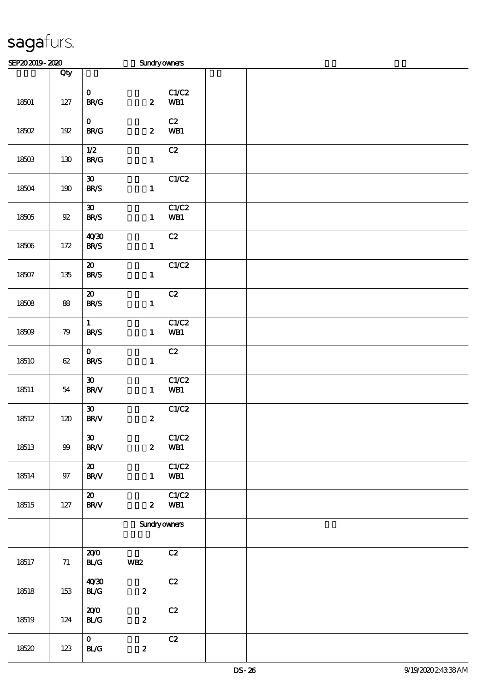| SEP202019-2020 |        |                                                       | Sundryowners        |              |  |
|----------------|--------|-------------------------------------------------------|---------------------|--------------|--|
|                | Qty    |                                                       |                     |              |  |
| 18501          | $127$  | $\mathbf{O}$<br>$\mathbf{B}\mathbf{R}/\mathbf{G}$     | $\boldsymbol{z}$    | C1/C2<br>WB1 |  |
| 18502          | 192    | $\mathbf{O}$<br>$\mathbf{B}\mathbf{R}/\mathbf{G}$     | $\boldsymbol{z}$    | C2<br>WB1    |  |
| 18503          | 130    | 1/2<br><b>BR/G</b>                                    | $\mathbf{1}$        | C2           |  |
| 18504          | 190    | $\boldsymbol{\mathfrak{D}}$<br><b>BR/S</b>            | $\mathbf{1}$        | C1/C2        |  |
| 18505          | $9\!2$ | $\boldsymbol{\mathfrak{D}}$<br><b>BR/S</b>            | $\mathbf{1}$        | C1/C2<br>WB1 |  |
| 18506          | 172    | 40'30<br><b>BR/S</b>                                  | $\mathbf{1}$        | C2           |  |
| 18507          | 135    | $\boldsymbol{\mathfrak{D}}$<br><b>BR/S</b>            | $\mathbf{1}$        | C1/C2        |  |
| 18508          | 88     | $\boldsymbol{\mathfrak{D}}$<br><b>BR/S</b>            | $\mathbf{1}$        | C2           |  |
| 18509          | 79     | $\mathbf{1}$<br><b>BR/S</b>                           | $\mathbf{1}$        | C1/C2<br>WB1 |  |
| 18510          | $62\,$ | $\mathbf{O}$<br><b>BR/S</b>                           | $\mathbf{1}$        | C2           |  |
| 18511          | 54     | $\boldsymbol{\mathfrak{D}}$<br><b>BR/V</b>            | $\mathbf{1}$        | C1/C2<br>WB1 |  |
| 18512          | 120    | $\pmb{\mathfrak{D}}$<br>$\text{BR}\mathcal{N}$        | $\boldsymbol{z}$    | C1/C2        |  |
| 18513          | $99$   | $\boldsymbol{\mathfrak{D}}$<br>$\text{BR}\mathcal{N}$ | $\boldsymbol{z}$    | C1/C2<br>WB1 |  |
| 18514          | $97\,$ | $\boldsymbol{\mathfrak{D}}$<br><b>BR/V</b>            | $\mathbf{1}$        | C1/C2<br>WB1 |  |
| 18515          | $127$  | $\boldsymbol{\mathfrak{D}}$<br><b>BR/V</b>            | $\mathbf{z}$        | C1/C2<br>WB1 |  |
|                |        |                                                       | <b>Sundryowners</b> |              |  |
| 18517          | $71\,$ | 200<br>$\mathbf{B}\mathbf{L}\mathbf{G}$               | <b>WB2</b>          | C2           |  |
| 18518          | 153    | 40'30<br>$\mathbf{B}\mathcal{L}\mathbf{G}$            | $\boldsymbol{z}$    | C2           |  |
| 18519          | 124    | 200<br>BLG                                            | $\boldsymbol{2}$    | C2           |  |
| 18520          | 123    | $\mathbf{O}$<br>BLG                                   | $\boldsymbol{z}$    | C2           |  |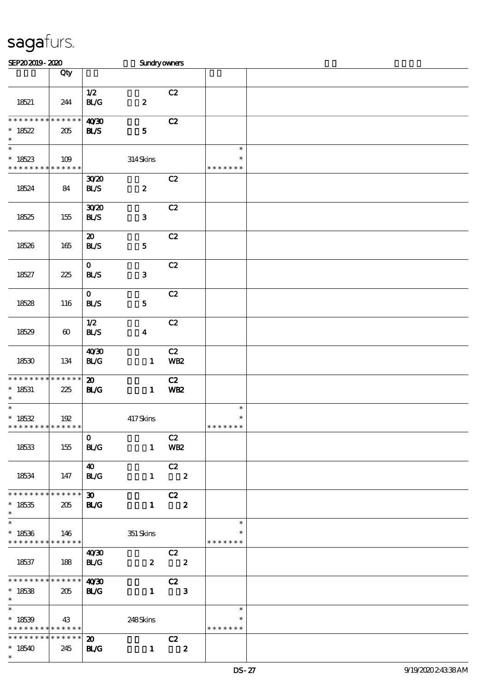| SEP202019-2020                                                                        |                       |                                            | Sundryowners     |                                  |                                   |  |
|---------------------------------------------------------------------------------------|-----------------------|--------------------------------------------|------------------|----------------------------------|-----------------------------------|--|
|                                                                                       | Qty                   |                                            |                  |                                  |                                   |  |
|                                                                                       |                       |                                            |                  |                                  |                                   |  |
| 18521                                                                                 | 244                   | $1/2$<br><b>BL/G</b>                       | $\pmb{2}$        | C2                               |                                   |  |
| * * * * * * * * * * * * * *                                                           |                       |                                            |                  |                                  |                                   |  |
| $*18522$<br>$\ast$                                                                    | 205                   | 40'30<br><b>BL/S</b>                       | ${\bf 5}$        | C2                               |                                   |  |
| $\overline{\ast}$                                                                     |                       |                                            |                  |                                  | $\ast$                            |  |
| $*18523$                                                                              | 109                   |                                            | 314Skins         |                                  | $\ast$                            |  |
| * * * * * * * * * * * * * *                                                           |                       |                                            |                  |                                  | * * * * * * *                     |  |
| 18524                                                                                 | 84                    | 3020<br><b>BL/S</b>                        | $\pmb{2}$        | C2                               |                                   |  |
| 18525                                                                                 | 155                   | 3020<br><b>BL/S</b>                        | $\mathbf{3}$     | C2                               |                                   |  |
| 18526                                                                                 | 165                   | $\boldsymbol{\mathfrak{D}}$<br><b>BL/S</b> | ${\bf 5}$        | C2                               |                                   |  |
| 18527                                                                                 | 225                   | $\mathbf{O}$<br><b>BL/S</b>                | $\mathbf 3$      | C2                               |                                   |  |
| 18528                                                                                 | 116                   | $\mathbf{O}$<br><b>BL/S</b>                | ${\bf 5}$        | C2                               |                                   |  |
| 18529                                                                                 | $\boldsymbol{\omega}$ | 1/2<br><b>BL/S</b>                         | $\boldsymbol{4}$ | C2                               |                                   |  |
| 18530                                                                                 | 134                   | 40'30<br>BLG                               | $\mathbf{1}$     | C2<br>WB <sub>2</sub>            |                                   |  |
| * * * * * * * * * * * * * *<br>$* 18531$<br>$\ast$                                    | 225                   | $\boldsymbol{\mathfrak{D}}$<br><b>BL/G</b> | $\mathbf{1}$     | C2<br><b>WB2</b>                 |                                   |  |
| $\overline{\phantom{a}^*}$<br>$* 18532$<br>* * * * * * * * <mark>* * * * * * *</mark> | 192                   |                                            | 417Skins         |                                  | $\ast$<br>$\ast$<br>* * * * * * * |  |
| 18533                                                                                 | 155                   | $\mathbf{O}$<br><b>BL/G</b>                |                  | C2<br>1 WB2                      |                                   |  |
| 18534                                                                                 | 147                   | 40<br><b>BL/G</b>                          |                  | C2<br>$1 \t2$                    |                                   |  |
| * * * * * * * * * * * * * *<br>$^*$ 18535<br>$\ast$                                   | 205                   | $\infty$<br><b>BL/G</b>                    | $\mathbf{1}$     | C2<br>$\overline{\mathbf{2}}$    |                                   |  |
| $\overline{\phantom{0}}$<br>$*18536$<br>* * * * * * * * * * * * * * *                 | 146                   |                                            | 351 Skins        |                                  | $\ast$<br>∗<br>* * * * * * *      |  |
| 18537                                                                                 | $\vert$ 188           | 40'30<br><b>BL/G</b>                       |                  | C2<br>$2 \t2$                    |                                   |  |
| $\frac{1}{2}$ 4030<br>$*18538$<br>$\ast$                                              | 205                   | <b>BL/G</b>                                | $\mathbf{1}$     | C2<br>$\overline{\phantom{a}}$ 3 |                                   |  |
| $\ast$<br>$*18539$<br>* * * * * * * * <mark>* * * * * *</mark>                        | 43                    |                                            | 248Skins         |                                  | $\ast$<br>$\ast$<br>* * * * * * * |  |
| * * * * * * * * * * * * * * *<br>$*18540$<br>$\ast$                                   | 245                   | $\boldsymbol{\mathfrak{D}}$<br><b>BL/G</b> | $\mathbf{1}$     | C2<br>$\overline{\mathbf{2}}$    |                                   |  |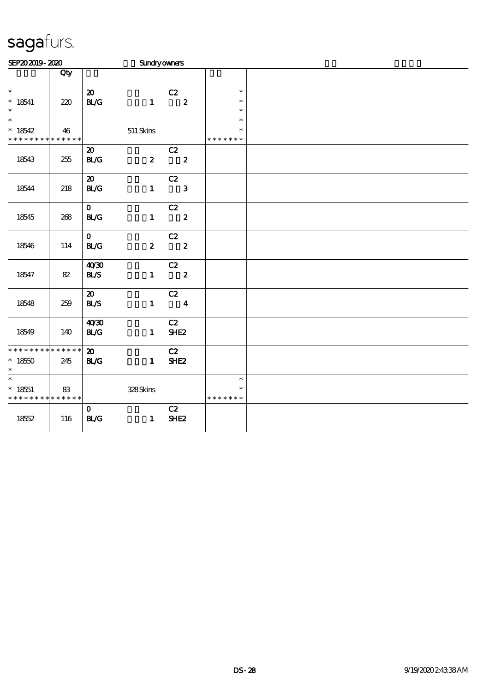| SEP202019-2020                           |                   |                             | Sundryowners     |                            |                         |  |
|------------------------------------------|-------------------|-----------------------------|------------------|----------------------------|-------------------------|--|
|                                          | Qty               |                             |                  |                            |                         |  |
| $\overline{\ast}$                        |                   | $\boldsymbol{\mathfrak{D}}$ |                  | C2                         | $\ast$                  |  |
| $* 18541$<br>$\ast$                      | 220               | BLG                         |                  | $1 \t 2$                   | $\ast$<br>$\ast$        |  |
| $\overline{\phantom{0}}$                 |                   |                             |                  |                            | $\ast$                  |  |
| $*18542$<br>* * * * * * * *              | 46<br>* * * * * * |                             | $511$ Skins      |                            | $\ast$<br>* * * * * * * |  |
|                                          |                   | $\boldsymbol{\mathfrak{D}}$ |                  | C2                         |                         |  |
| 18543                                    | 255               | BLG                         | $\boldsymbol{z}$ | $\overline{\mathbf{2}}$    |                         |  |
|                                          |                   | $\boldsymbol{\mathfrak{D}}$ |                  | C2                         |                         |  |
| 18544                                    | 218               | BLG                         | $\mathbf{1}$     | $\mathbf{3}$               |                         |  |
|                                          |                   | $\mathbf{O}$                |                  | C2                         |                         |  |
| 18545                                    | 268               | <b>BL/G</b>                 | $\mathbf{1}$     | $\overline{\mathbf{2}}$    |                         |  |
|                                          |                   | $\mathbf{O}$                |                  | C2                         |                         |  |
| 18546                                    | 114               | BLG                         | $\mathbf{z}$     | $\overline{\phantom{a}}$ 2 |                         |  |
|                                          |                   | 40'30                       |                  | C2                         |                         |  |
| 18547                                    | 82                | BLS                         | $\mathbf{1}$     | $\overline{\phantom{a}}$ 2 |                         |  |
|                                          |                   | $\boldsymbol{\mathfrak{D}}$ |                  | C2                         |                         |  |
| 18548                                    | 259               | <b>BL/S</b>                 |                  | $1 \qquad \qquad 4$        |                         |  |
|                                          |                   | 40'30                       |                  | C2                         |                         |  |
| 18549                                    | 140               | $\mathbf{BLG}$              | $\mathbf{1}$     | SHE <sub>2</sub>           |                         |  |
| * * * * * * * * * * * * * *              |                   | $\boldsymbol{\mathfrak{D}}$ |                  | C2                         |                         |  |
| $*1850$<br>$\ast$                        | 245               | BLG                         | $\mathbf{1}$     | SHE <sub>2</sub>           |                         |  |
| $\overline{\phantom{0}}$                 |                   |                             |                  |                            | $\ast$                  |  |
| $* 18551$<br>* * * * * * * * * * * * * * | 83                |                             | 328Skins         |                            | $\ast$<br>* * * * * * * |  |
|                                          |                   | $\mathbf{O}$                |                  | C2                         |                         |  |
| 1852                                     | 116               | BLG                         | $\mathbf{1}$     | SHE <sub>2</sub>           |                         |  |
|                                          |                   |                             |                  |                            |                         |  |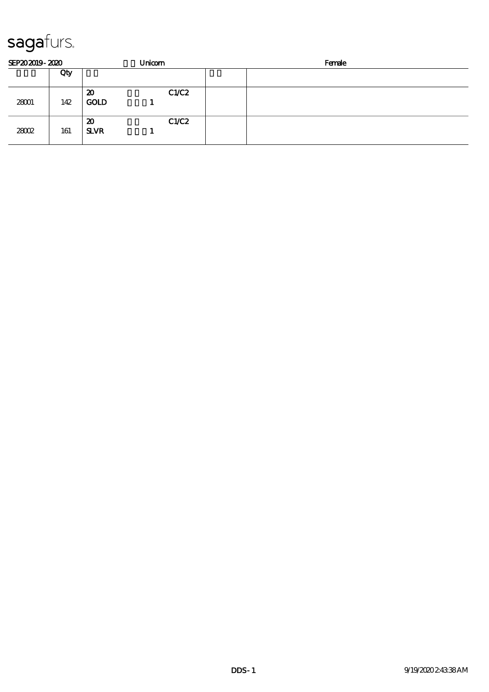| SEP202019-2020 |     |                   | Unicom | Female |  |  |
|----------------|-----|-------------------|--------|--------|--|--|
|                | Qty |                   |        |        |  |  |
| 28001          | 142 | 20<br><b>GOLD</b> | C1/C2  |        |  |  |
| 28002          | 161 | 20<br><b>SLVR</b> | C1/C2  |        |  |  |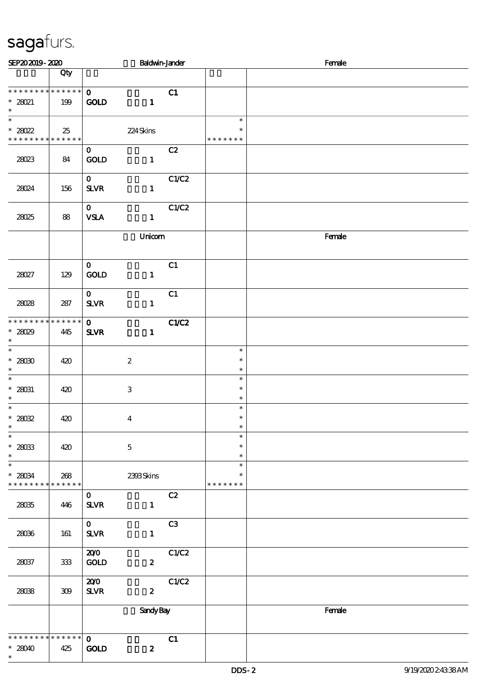| SEP202019-2020                                                |           |                                 | <b>Baldwin-Jander</b>     |                |                                   | Female |
|---------------------------------------------------------------|-----------|---------------------------------|---------------------------|----------------|-----------------------------------|--------|
|                                                               | Qty       |                                 |                           |                |                                   |        |
| * * * * * * * * * * * * * * *<br>$*28021$<br>$\ast$           | 199       | $\mathbf{O}$<br><b>GOLD</b>     | $\mathbf{1}$              | C1             |                                   |        |
| $\overline{\ast}$<br>$* 28022$<br>* * * * * * * * * * * * * * | 25        |                                 | 224Skins                  |                | $\ast$<br>$\ast$<br>* * * * * * * |        |
| 28023                                                         | 84        | $\mathbf{O}$<br>GOLD            | $\mathbf{1}$              | C2             |                                   |        |
| 28024                                                         | 156       | $\mathbf{O}$<br>$S\!L\!V\!R$    | $\mathbf{1}$              | C1/C2          |                                   |        |
| 28025                                                         | 88        | $\mathbf{0}$<br><b>VSLA</b>     | $\mathbf{1}$              | C1/C2          |                                   |        |
|                                                               |           |                                 | Unicom                    |                |                                   | Female |
| 28027                                                         | 129       | $\mathbf{o}$<br><b>GOLD</b>     | $\mathbf{1}$              | C1             |                                   |        |
| 28028                                                         | 287       | $\mathbf{O}$<br>$S\!L\!V\!R$    | $\mathbf{1}$              | C1             |                                   |        |
| * * * * * * * * * * * * * *<br>$* 28029$<br>$\ast$            | 445       | $\mathbf{O}$<br><b>SLVR</b>     | $\mathbf{1}$              | C1/C2          |                                   |        |
| $\overline{\ast}$<br>$* 28030$<br>$\ast$                      | 420       |                                 | $\boldsymbol{2}$          |                | $\ast$<br>$\ast$<br>$\ast$        |        |
| $\overline{\phantom{0}}$<br>$^\ast$ 28031<br>$\ast$           | 420       |                                 | $\ensuremath{\mathbf{3}}$ |                | $\ast$<br>$\ast$<br>$\ast$        |        |
| $\overline{\ast}$<br>$^\ast$ 28032<br>$\ast$                  | 420       |                                 | $\bf{4}$                  |                | $\ast$<br>$\ast$<br>$\ast$        |        |
| $\overline{\phantom{a}^*}$<br>$^*$ 28033<br>$\ast$            | 420       |                                 | $\mathbf 5$               |                | $\ast$<br>$\ast$<br>$\ast$        |        |
| $\ast$<br>$^*$ 28034 $\,$<br>* * * * * * * * * * * * * *      | 268       |                                 | 2393Skins                 |                | $\ast$<br>$\ast$<br>* * * * * * * |        |
| 28035                                                         | 446       | $\mathbf{o}$<br>$S\!L\!V\!R$    | $\mathbf{1}$              | C2             |                                   |        |
| 28036                                                         | 161       | $\mathbf{O}$<br><b>SLVR</b>     | $\mathbf{1}$              | C <sub>3</sub> |                                   |        |
| 28037                                                         | $33\!\!3$ | 200<br><b>GOLD</b>              | $\boldsymbol{z}$          | C1/C2          |                                   |        |
| 2808                                                          | $309\,$   | 200<br>${\bf S\!L}\!{\bf V\!R}$ | $\boldsymbol{z}$          | C1/C2          |                                   |        |
|                                                               |           |                                 | <b>Sandy Bay</b>          |                |                                   | Female |
| * * * * * * * * * * * * * *<br>$*28040$<br>$\ast$             | 425       | $\mathbf{o}$<br>GOLD            | $\boldsymbol{z}$          | C1             |                                   |        |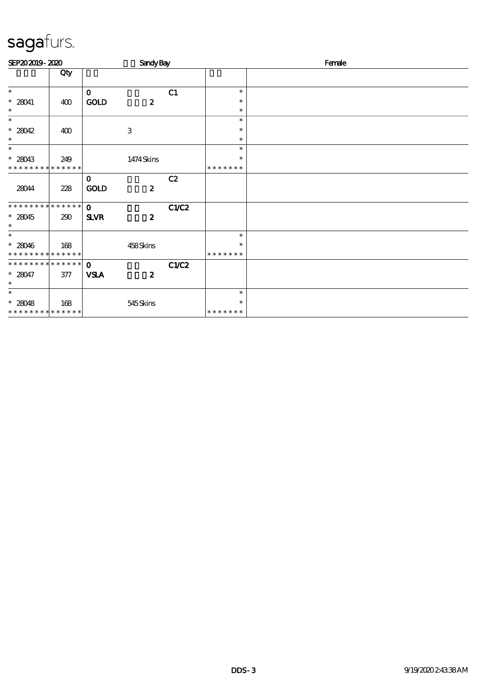| SEP202019-2020              |       |              | <b>Sandy Bay</b> |       |               | Female |
|-----------------------------|-------|--------------|------------------|-------|---------------|--------|
|                             | Qty   |              |                  |       |               |        |
| $\ast$                      |       | $\mathbf{o}$ |                  | C1    | $\ast$        |        |
| $* 28041$                   | 400   | <b>GOLD</b>  | $\boldsymbol{z}$ |       | $\ast$        |        |
| $\ast$                      |       |              |                  |       | $\ast$        |        |
| $\overline{\ast}$           |       |              |                  |       | $\ast$        |        |
| $*28042$                    | 400   |              | 3                |       | $\ast$        |        |
| $\ast$                      |       |              |                  |       | $\ast$        |        |
| $\ast$                      |       |              |                  |       | $\ast$        |        |
| $* 28043$                   | 249   |              | 1474Skins        |       | $\ast$        |        |
| * * * * * * * * * * * * * * |       |              |                  |       | * * * * * * * |        |
|                             |       | $\mathbf 0$  |                  | C2    |               |        |
| 28044                       | 228   | <b>GOLD</b>  | $\boldsymbol{z}$ |       |               |        |
| ***************             |       | $\Omega$     |                  | C1/C2 |               |        |
| $* 28045$<br>$\ast$         | 290   | <b>SLVR</b>  | $\boldsymbol{z}$ |       |               |        |
| $\ast$                      |       |              |                  |       | $\ast$        |        |
| $* 28046$                   | 168   |              | 458Skins         |       | $\ast$        |        |
| * * * * * * * * * * * * * * |       |              |                  |       | * * * * * * * |        |
| **************              |       | $\mathbf 0$  |                  | C1/C2 |               |        |
| $* 28047$                   | $377$ | <b>VSLA</b>  | $\boldsymbol{z}$ |       |               |        |
| $\ast$                      |       |              |                  |       |               |        |
| $\overline{\ast}$           |       |              |                  |       | $\ast$        |        |
| $* 28048$                   | 168   |              | 545Skins         |       | $\ast$        |        |
| * * * * * * * * * * * * * * |       |              |                  |       | * * * * * * * |        |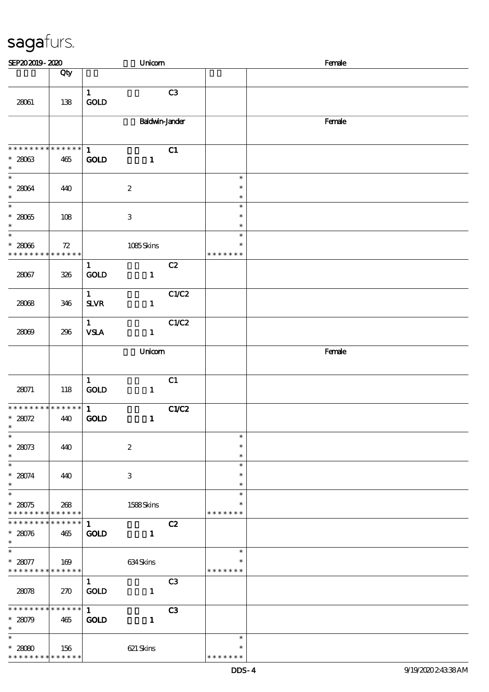| SEP202019-2020                                           |                        |                                    | Unicom                    |                |                                   | Female |
|----------------------------------------------------------|------------------------|------------------------------------|---------------------------|----------------|-----------------------------------|--------|
|                                                          | Qty                    |                                    |                           |                |                                   |        |
| 28061                                                    | 138                    | $\mathbf{1}$<br>GOLD               |                           | C3             |                                   |        |
|                                                          |                        |                                    | <b>Baldwin-Jander</b>     |                |                                   | Female |
| * * * * * * * * * * * * * * *<br>$* 28063$<br>$\ast$     | 465                    | $\mathbf{1}$<br>GOD                | $\mathbf{1}$              | C1             |                                   |        |
| $\overline{\ast}$<br>$* 28064$<br>$\ast$                 | 440                    |                                    | $\boldsymbol{2}$          |                | $\ast$<br>$\ast$<br>$\ast$        |        |
| $\ast$<br>$^\ast$ 28065<br>$\ast$                        | 108                    |                                    | $\ensuremath{\mathbf{3}}$ |                | $\ast$<br>$\ast$<br>$\ast$        |        |
| $\overline{\phantom{0}}$<br>$* 28066$<br>* * * * * * * * | 72<br>* * * * * *      |                                    | 1085Skins                 |                | $\ast$<br>$\ast$<br>* * * * * * * |        |
| 28067                                                    | 326                    | $\mathbf{1}$<br>GOLD               | $\mathbf{1}$              | C2             |                                   |        |
| 28068                                                    | 346                    | $\mathbf{1}$<br>$S\!L\!V\!R$       | $\mathbf{1}$              | C1/C2          |                                   |        |
| 28009                                                    | 296                    | $\mathbf{1}$<br><b>VSLA</b>        | $\mathbf{1}$              | C1/C2          |                                   |        |
|                                                          |                        |                                    | Unicom                    |                |                                   | Female |
| 28071                                                    | 118                    | $\mathbf{1}$<br>$\mathop{\rm GOD}$ | $\mathbf{1}$              | C1             |                                   |        |
| * * * * * * * * * * * * * *<br>* $28072$<br>$\ast$       | 440                    | $\mathbf{1}$<br><b>GOLD</b>        | $\mathbf{1}$              | C1/C2          |                                   |        |
| $\overline{\phantom{a}}$<br>$* 28073$<br>$\ast$          | 440                    |                                    | $\boldsymbol{2}$          |                | $\ast$<br>$\ast$<br>$\ast$        |        |
| $\overline{\phantom{a}}$<br>$* 28074$<br>$\ast$          | 440                    |                                    | 3                         |                | $\ast$<br>$\ast$<br>$\ast$        |        |
| $\overline{\ast}$<br>$* 28075$<br>* * * * * * * *        | 268<br>* * * * * *     |                                    | 1588Skins                 |                | $\ast$<br>$\ast$<br>* * * * * * * |        |
| * * * * * * * *<br>$* 28076$<br>$\ast$                   | $* * * * * * *$<br>465 | $\mathbf{1}$<br><b>GOLD</b>        | $\mathbf{1}$              | C2             |                                   |        |
| $\ast$<br>$* 28077$<br>* * * * * * * * * * * * * * *     | 169                    |                                    | 634Skins                  |                | $\ast$<br>$\ast$<br>* * * * * * * |        |
| 28078                                                    | 270                    | $\mathbf{1}$<br>GOLD               | $\mathbf{1}$              | C <sub>3</sub> |                                   |        |
| ******** <mark>*******</mark><br>$* 28079$<br>$\ast$     | 465                    | 1<br>GOLD                          | $\mathbf{1}$              | C3             |                                   |        |
| $\ast$<br>$* 28080$<br>* * * * * * * *                   | 156<br>* * * * * *     |                                    | 621 Skins                 |                | $\ast$<br>$\ast$<br>* * * * * * * |        |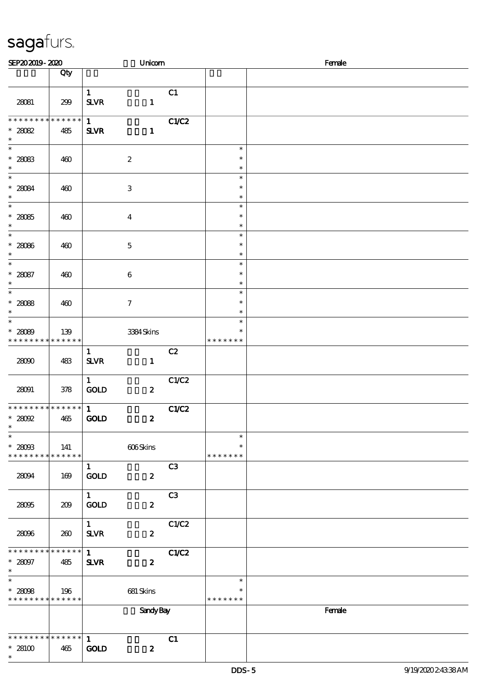| SEP202019-2020                                                                |                    |                                          | Unicom              |       | Female                            |        |  |  |  |
|-------------------------------------------------------------------------------|--------------------|------------------------------------------|---------------------|-------|-----------------------------------|--------|--|--|--|
|                                                                               | Qty                |                                          |                     |       |                                   |        |  |  |  |
| 28081                                                                         | 299                | $\mathbf{1}$<br><b>SLVR</b>              | $\mathbf{1}$        | C1    |                                   |        |  |  |  |
| * * * * * * *<br>* $28082$<br>$\ast$                                          | * * * * * *<br>485 | 1<br><b>SLVR</b>                         | $\mathbf{1}$        | C1/C2 |                                   |        |  |  |  |
| $\overline{\phantom{0}}$<br>$* 28083$<br>$\ast$                               | 460                |                                          | $\boldsymbol{2}$    |       | $\ast$<br>$\ast$<br>$\ast$        |        |  |  |  |
| $\ast$<br>$* 28084$<br>$\ast$                                                 | 460                |                                          | $\,3$               |       | $\ast$<br>$\ast$<br>$\ast$        |        |  |  |  |
| $\overline{\phantom{a}^*}$<br>$* 28085$<br>$\ast$                             | 460                |                                          | $\boldsymbol{4}$    |       | $\ast$<br>$\ast$<br>$\ast$        |        |  |  |  |
| $\overline{\phantom{0}}$<br>$*28086$<br>$\ast$                                | 460                |                                          | $\mathbf 5$         |       | $\ast$<br>$\ast$<br>$\ast$        |        |  |  |  |
| $\overline{\phantom{0}}$<br>$* 28087$<br>$\ast$<br>$\overline{\phantom{a}^*}$ | 460                |                                          | $\bf 6$             |       | $\ast$<br>$\ast$<br>$\ast$        |        |  |  |  |
| $* 28088$<br>$\ast$                                                           | 460                |                                          | $\boldsymbol{\tau}$ |       | $\ast$<br>$\ast$<br>$\ast$        |        |  |  |  |
| $\overline{\ast}$<br>$* 28089$<br>* * * * * * * *                             | 139<br>* * * * * * |                                          | 3384Skins           |       | $\ast$<br>$\ast$<br>* * * * * * * |        |  |  |  |
| 28000                                                                         | 483                | $\mathbf{1}$<br>${\bf S\!L}\!{\bf V\!R}$ | $\mathbf{1}$        | C2    |                                   |        |  |  |  |
| 28091                                                                         | 378                | $\mathbf{1}$<br>$\mathop{\rm GOD}$       | $\boldsymbol{z}$    | C1/C2 |                                   |        |  |  |  |
| * * * * * * * * * * * * * * *<br>$*28092$<br>$\ast$                           | 465                | $\mathbf{1}$<br><b>GOLD</b>              | $\boldsymbol{z}$    | C1/C2 |                                   |        |  |  |  |
| $\overline{\phantom{a}^*}$<br>$^*$ 28093<br>* * * * * * * * * * * * * *       | 141                |                                          | 606Skins            |       | $\ast$<br>$\ast$<br>* * * * * * * |        |  |  |  |
| 28094                                                                         | 169                | $\mathbf{1}$<br>$\rm GOID$               | $\boldsymbol{z}$    | C3    |                                   |        |  |  |  |
| 28095                                                                         | 209                | $\mathbf{1}$<br>GOLD                     | $\boldsymbol{z}$    | C3    |                                   |        |  |  |  |
| 28096                                                                         | 260                | $\mathbf{1}$<br>$S\!L\!V\!R$             | $\boldsymbol{z}$    | C1/C2 |                                   |        |  |  |  |
| * * * * * * * * * * * * * *<br>$^*$ 28097<br>$\ast$                           | 485                | $\mathbf{1}$<br>$S\!L\!V\!R$             | $\boldsymbol{z}$    | C1/C2 |                                   |        |  |  |  |
| $\ast$<br>$* 28098$<br>* * * * * * * * * * * * * *                            | 196                |                                          | 681 Skins           |       | $\ast$<br>$\ast$<br>* * * * * * * |        |  |  |  |
|                                                                               |                    |                                          | <b>Sandy Bay</b>    |       |                                   | Female |  |  |  |
| * * * * * * * * * * * * * *<br>$*28100$<br>$\ast$                             | 465                | $\mathbf{1}$<br>$\mathbf{GOD}$           | $\boldsymbol{z}$    | C1    |                                   |        |  |  |  |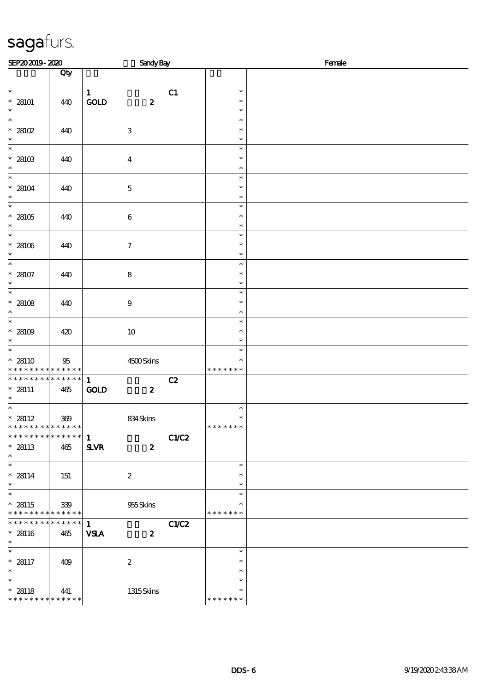| SEP202019-2020                                                             |                    | <b>Sandy Bay</b>                                       |              | Female                            |  |  |  |
|----------------------------------------------------------------------------|--------------------|--------------------------------------------------------|--------------|-----------------------------------|--|--|--|
|                                                                            | Qty                |                                                        |              |                                   |  |  |  |
| $\overline{\ast}$<br>$* 28101$<br>$\ast$                                   | 440                | $\mathbf{1}$<br>$\mathop{\rm GOD}$<br>$\boldsymbol{z}$ | C1           | $\ast$<br>$\ast$<br>$\ast$        |  |  |  |
| $\ast$<br>$*28102$<br>$\ast$                                               | 440                | $\ensuremath{\mathbf{3}}$                              |              | $\ast$<br>$\ast$<br>$\ast$        |  |  |  |
| $\ast$<br>$^\ast$ 28103<br>$\ast$                                          | 440                | $\boldsymbol{4}$                                       |              | $\ast$<br>$\ast$<br>$\ast$        |  |  |  |
| $\ast$<br>* 28104<br>$\ast$                                                | 440                | $\mathbf 5$                                            |              | $\ast$<br>$\ast$<br>$\ast$        |  |  |  |
| $\overline{\ast}$<br>* 28105<br>$\ast$                                     | 440                | $\bf 6$                                                |              | $\ast$<br>$\ast$<br>$\ast$        |  |  |  |
| $\ast$<br>$* 28106$<br>$\ast$                                              | 440                | $\boldsymbol{\tau}$                                    |              | $\ast$<br>$\ast$<br>$\ast$        |  |  |  |
| $\ast$<br>$* 28107$<br>$\ast$                                              | 440                | $\bf 8$                                                |              | $\ast$<br>$\ast$<br>$\ast$        |  |  |  |
| $\overline{\phantom{0}}$<br>* 28108<br>$\ast$                              | 440                | $9$                                                    |              | $\ast$<br>$\ast$<br>$\ast$        |  |  |  |
| $\overline{\phantom{0}}$<br>* 28109<br>$\ast$                              | 420                | $10\,$                                                 |              | $\ast$<br>$\ast$<br>$\ast$        |  |  |  |
| $\overline{\ast}$<br>$* 28110$<br>$* *$                                    | 95<br>* * * * * *  | $4500$ Skins                                           |              | $\ast$<br>$\ast$<br>* * * * * * * |  |  |  |
| * * * * * * * *<br>* 28111<br>$\ast$                                       | * * * * * *<br>465 | $\mathbf{1}$<br>$\mathop{\rm GOD}$<br>$\boldsymbol{z}$ | C2           |                                   |  |  |  |
| $\overline{\ast}$<br>$* 28112$<br>* * * * * * * * <mark>* * * * * *</mark> | $300\,$            | 834Skins                                               |              | $\ast$<br>$\ast$<br>* * * * * * * |  |  |  |
| * * * * * * * * * * * * * *<br>$* 28113$<br>$\ast$                         | $465$              | $\mathbf{1}$<br>$S\!L\!VR$<br>$\boldsymbol{z}$         | C1/C2        |                                   |  |  |  |
| $\overline{\phantom{0}}$<br>$* 28114$<br>$\ast$                            | 151                | $\boldsymbol{2}$                                       |              | $\ast$<br>$\ast$<br>$\ast$        |  |  |  |
| $\overline{\phantom{a}^*}$<br>$* 28115$<br>* * * * * * * *                 | 339<br>* * * * * * | 955Skins                                               |              | $\ast$<br>$\ast$<br>* * * * * * * |  |  |  |
| * * * * * * * *<br>$* 28116$<br>$\ast$                                     | * * * * * *<br>465 | $\mathbf{1}$<br><b>VSLA</b><br>$\boldsymbol{z}$        | <b>C1/C2</b> |                                   |  |  |  |
| $\ast$<br>$* 28117$<br>$\ast$                                              | 409                | $\boldsymbol{2}$                                       |              | $\ast$<br>$\ast$<br>$\ast$        |  |  |  |
| $\ast$<br>$* 28118$<br>* * * * * * * * * * * * * *                         | 441                | $1315$ Skins                                           |              | $\ast$<br>$\ast$<br>* * * * * * * |  |  |  |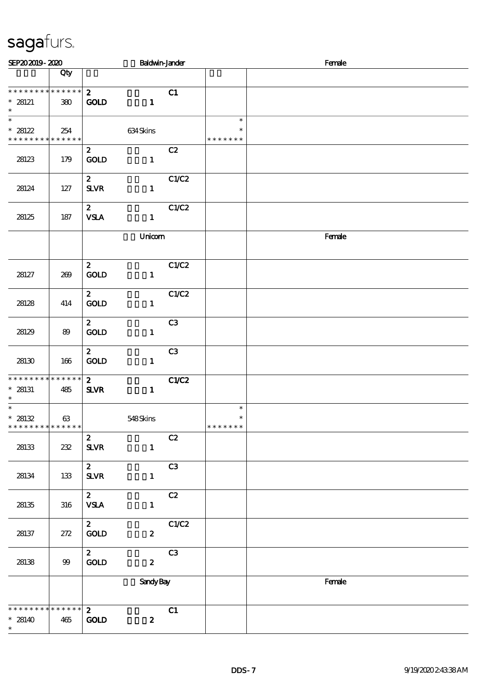| SEP202019-2020                                                           |      |                                              | <b>Baldwin-Jander</b> |              |                                   | Female |
|--------------------------------------------------------------------------|------|----------------------------------------------|-----------------------|--------------|-----------------------------------|--------|
|                                                                          | Qty  |                                              |                       |              |                                   |        |
| * * * * * * * * * * * * * *<br>$* 28121$<br>$\ast$                       | 380  | $\mathbf{2}$<br><b>GOLD</b>                  | $\mathbf{1}$          | C1           |                                   |        |
| $\overline{\phantom{0}}$<br>$* 28122$<br>* * * * * * * * * * * * * *     | 254  |                                              | 634Skins              |              | $\ast$<br>$\ast$<br>* * * * * * * |        |
| 28123                                                                    | 179  | $\mathbf{z}$<br>$\rm GOID$                   | $\mathbf{1}$          | C2           |                                   |        |
| 28124                                                                    | 127  | $\mathbf{z}$<br><b>SLVR</b>                  | $\mathbf{1}$          | C1/C2        |                                   |        |
| 28125                                                                    | 187  | $\mathbf{z}$<br><b>VSLA</b>                  | $\mathbf{1}$          | C1/C2        |                                   |        |
|                                                                          |      |                                              | Unicom                |              |                                   | Female |
| 28127                                                                    | 269  | $\mathbf{z}$<br>GOLD                         | $\mathbf{1}$          | C1/C2        |                                   |        |
| 28128                                                                    | 414  | $\mathbf{2}$<br><b>GOLD</b>                  | $\mathbf{1}$          | C1/C2        |                                   |        |
| 28129                                                                    | 89   | $\boldsymbol{z}$<br>GOLD                     | $\mathbf{1}$          | C3           |                                   |        |
| 28130                                                                    | 166  | $\boldsymbol{z}$<br>GOLD                     | $\mathbf{1}$          | C3           |                                   |        |
| * * * * * * * * * * * * * *<br>$* 28131$<br>$\ast$                       | 485  | $\mathbf{2}$<br><b>SLVR</b>                  | $\mathbf{1}$          | <b>C1/C2</b> |                                   |        |
| $\overline{\ast}$<br>* 28132<br>* * * * * * * * <mark>* * * * * *</mark> | 63   |                                              | 548Skins              |              | $\ast$<br>$\ast$<br>* * * * * * * |        |
| 28133                                                                    | 232  | $\boldsymbol{z}$<br>${\bf S\!L}\!{\bf V\!R}$ | $\mathbf{1}$          | C2           |                                   |        |
| 28134                                                                    | 133  | $\mathbf{z}$<br>SLVR                         | $\mathbf{1}$          | C3           |                                   |        |
| 28135                                                                    | 316  | $\boldsymbol{z}$<br><b>VSLA</b>              | $\mathbf{1}$          | C2           |                                   |        |
| 28137                                                                    | 272  | $\boldsymbol{z}$<br><b>GOLD</b>              | $\boldsymbol{z}$      | C1/C2        |                                   |        |
| 28138                                                                    | $99$ | $\mathbf{2}$<br>$\mathop{\rm GOD}$           | $\boldsymbol{z}$      | C3           |                                   |        |
|                                                                          |      |                                              | <b>Sandy Bay</b>      |              |                                   | Female |
| * * * * * * * * * * * * * * *<br>$* 28140$<br>$\ast$                     | 465  | $\mathbf{z}$<br><b>GOLD</b>                  | $\boldsymbol{z}$      | C1           |                                   |        |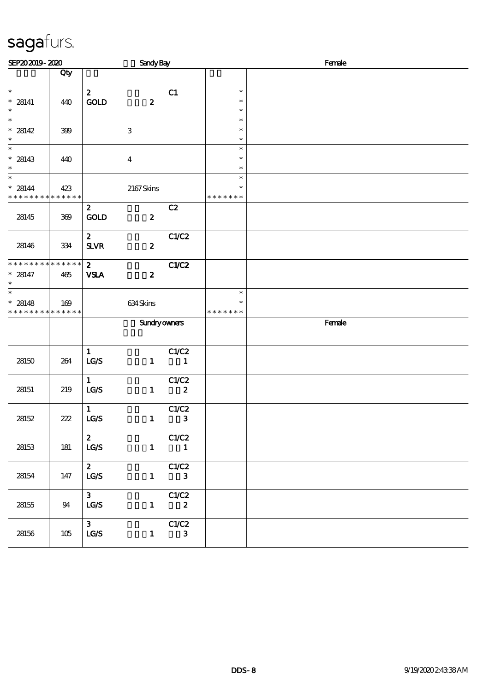| SEP202019-2020                                                       |                    |                                            | <b>Sandy Bay</b>    |                                   |                                   | Female |
|----------------------------------------------------------------------|--------------------|--------------------------------------------|---------------------|-----------------------------------|-----------------------------------|--------|
|                                                                      | Qty                |                                            |                     |                                   |                                   |        |
| $\ast$<br>$* 28141$<br>$\ast$                                        | 440                | $\mathbf{z}$<br>GOLD                       | $\boldsymbol{z}$    | C1                                | $\ast$<br>$\ast$<br>$\ast$        |        |
| $\overline{\phantom{a}}$<br>$* 28142$<br>$\ast$                      | 399                |                                            | $\,3$               |                                   | $\ast$<br>$\ast$<br>$\ast$        |        |
| $\ast$<br>$* 28143$<br>$\ast$                                        | 440                |                                            | $\overline{4}$      |                                   | $\ast$<br>$\ast$<br>$\ast$        |        |
| $\overline{\phantom{0}}$<br>$* 28144$<br>* * * * * * * * * * * * * * | 423                |                                            | $2167$ Skins        |                                   | $\ast$<br>$\ast$<br>* * * * * * * |        |
| 28145                                                                | 369                | $\mathbf{z}$<br><b>GOLD</b>                | $\boldsymbol{z}$    | C2                                |                                   |        |
| 28146                                                                | 334                | $\mathbf{2}$<br>${\bf S\!L}\!{\bf V\!R}$   | $\boldsymbol{z}$    | C1/C2                             |                                   |        |
| * * * * * * * *<br>$* 28147$<br>$\ast$                               | * * * * * *<br>465 | $\mathbf{2}$<br><b>VSLA</b>                | $\boldsymbol{z}$    | C1/C2                             |                                   |        |
| $_{*}^{-}$<br>$* 28148$<br>* * * * * * * * * * * * * *               | 169                |                                            | 634Skins            |                                   | $\ast$<br>$\ast$<br>* * * * * * * |        |
|                                                                      |                    |                                            | <b>Sundryowners</b> |                                   |                                   | Female |
| 28150                                                                | 264                | $\mathbf{1}$<br>LCS                        | $\mathbf{1}$        | C1/C2<br>$\overline{\phantom{a}}$ |                                   |        |
| 28151                                                                | 219                | $\mathbf{1}$<br>LG/S                       | $\mathbf{1}$        | C1/C2<br>$\overline{\mathbf{2}}$  |                                   |        |
| 28152                                                                | $222\,$            | $\mathbf{1}$<br>LG/S                       | $\mathbf{1}$        | C1/C2<br>$\mathbf{3}$             |                                   |        |
| 28153                                                                | 181                | $\mathbf{z}$<br>$\mathbf{LG}\mathcal{S}$   | $\mathbf{1}$        | C1/C2<br>$\blacksquare$           |                                   |        |
| 28154                                                                | 147                | $\mathbf{2}$<br>$\mathtt{LG}\mathcal{S}$   | $\mathbf{1}$        | C1/C2<br>$\mathbf{3}$             |                                   |        |
| 28155                                                                | 94                 | 3 <sup>7</sup><br>LG/S                     | $\mathbf{1}$        | C1/C2<br>$\boldsymbol{z}$         |                                   |        |
| 28156                                                                | 105                | 3 <sup>7</sup><br>$\mathtt{LG}\mathcal{S}$ | $\mathbf{1}$        | C1/C2<br>$\mathbf{3}$             |                                   |        |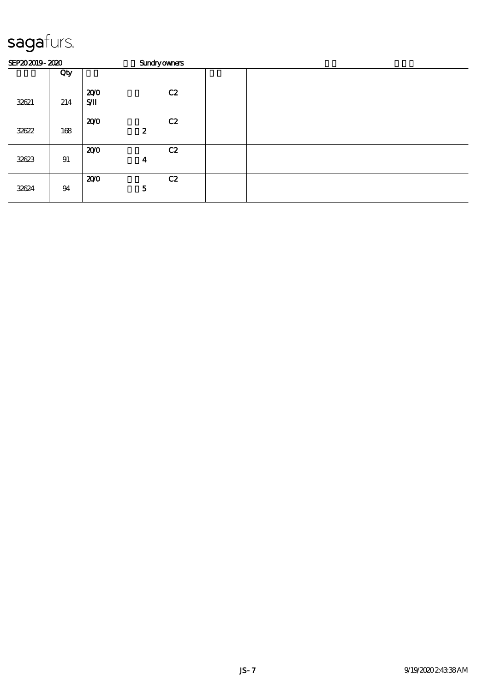| SEP202019-2020 |     | <b>Sundryowners</b> |                  |    |  |  |  |  |  |  |  |
|----------------|-----|---------------------|------------------|----|--|--|--|--|--|--|--|
|                | Qty |                     |                  |    |  |  |  |  |  |  |  |
| 32621          | 214 | 200<br>$S$ $I$      |                  | C2 |  |  |  |  |  |  |  |
| 32622          | 168 | 200                 | $\boldsymbol{z}$ | C2 |  |  |  |  |  |  |  |
| 32623          | 91  | 200                 | 4                | C2 |  |  |  |  |  |  |  |
| 32624          | 94  | 200                 | $\mathbf{5}$     | C2 |  |  |  |  |  |  |  |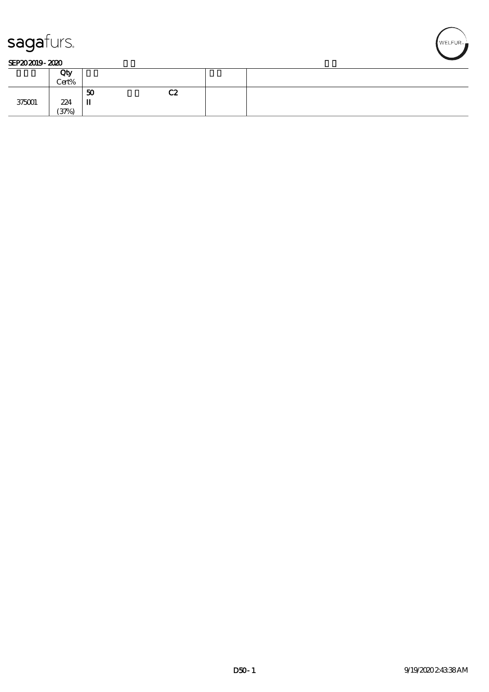

#### SEP202019-2020

|        | Qty   |              |    |  |
|--------|-------|--------------|----|--|
|        | Cert% |              |    |  |
|        |       | 50           | C2 |  |
| 375001 | 224   | $\mathbf{u}$ |    |  |
|        | (37%) |              |    |  |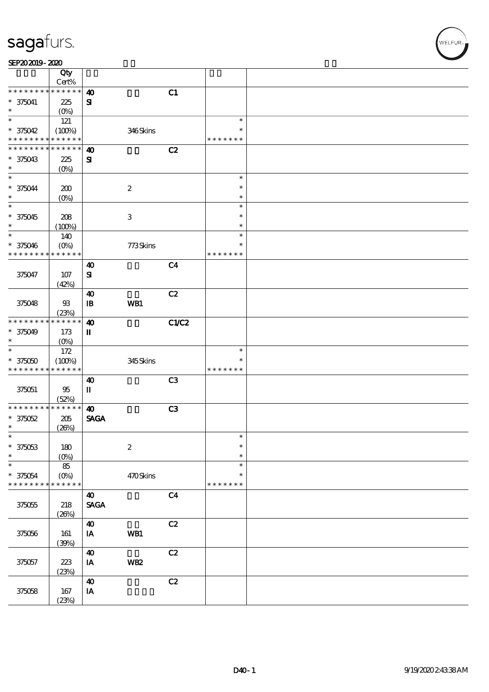| $\overline{Q}$ ty<br>Cert%<br>* * * * * * * * * * * * * *<br>C1<br>$\boldsymbol{\omega}$<br>$* 375041$<br>${\bf s}$<br>225<br>$\ast$<br>$(0\%)$<br>$\ast$<br>121<br>$\ast$<br>346Skins<br>$* 375042$<br>(100%)<br>∗<br>* * * * * * * * <mark>* * * * * *</mark><br>* * * * * * *<br>* * * * * * * * <mark>* * * * * *</mark><br>C2<br>$\boldsymbol{\omega}$<br>$\mathbf{S}$<br>$* 375043$<br>225<br>$\ast$<br>$(O_0)$<br>$\ast$<br>$\ast$<br>$* 375044$<br>$\boldsymbol{2}$<br>200<br>$\ast$<br>$\ast$<br>$(O\%)$<br>$\ast$<br>$\ast$<br>$\ast$<br>$* 375045$<br>$\,3$<br>208<br>$\ast$<br>$\ast$<br>$\ast$<br>(100%)<br>$\ast$<br>$\ast$<br>140<br>773Skins<br>$* 375046$<br>$(O\%)$<br>$\ast$<br>* * * * * * * * * * * * * *<br>* * * * * * *<br>C <sub>4</sub><br>$\boldsymbol{\omega}$<br>375047<br>$\mathbf{S}$<br>107<br>(42%)<br>C2<br>40<br>WB1<br>375048<br>$93$<br>$\mathbf{B}$<br>(23%)<br>* * * * * * * * <mark>* * * * * * *</mark><br>C1/C2<br>$\boldsymbol{\omega}$<br>$* 375049$<br>173<br>п<br>$\ast$<br>$(O_0)$<br>$\overline{\phantom{a}}$<br>172<br>$\ast$<br>$* 375050$<br>345Skins<br>(100%)<br>$\ast$<br>* * * * * * * * <mark>* * * * * *</mark><br>* * * * * * *<br>C3<br>40<br>П<br>375051<br>95<br>(52%)<br>* * * * * * * * * * * * * *<br>$\boldsymbol{\omega}$<br>C3<br><b>SAGA</b><br>$* 375052$<br>205<br>$\ast$<br>(20%)<br>$\overline{\phantom{a}}$<br>$\ast$<br>$\boldsymbol{2}$<br>$* 375053$<br>$\ast$<br>180<br>$\ast$<br>$\ast$<br>$(0\%)$<br>$\ast$<br>$\ast$<br>85<br>470Skins<br>$* 375054$<br>$(O\%)$<br>$\ast$<br>* * * * * * * * <mark>* * * * * *</mark> *<br>* * * * * * *<br>C <sub>4</sub><br>40<br><b>SAGA</b><br>$375055\,$<br>218<br>(20%)<br>C2<br>$\boldsymbol{\omega}$<br>WB1<br>IA<br>375056<br>161<br>(30%)<br>C2<br>$\boldsymbol{\omega}$<br><b>WB2</b><br>375057<br>223<br>IA<br>(23%)<br>C2<br>$\boldsymbol{\omega}$<br>$\mathbf{I}\mathbf{A}$<br>375058<br>167 | SEP202019-2020 |       |  |  |  |
|----------------------------------------------------------------------------------------------------------------------------------------------------------------------------------------------------------------------------------------------------------------------------------------------------------------------------------------------------------------------------------------------------------------------------------------------------------------------------------------------------------------------------------------------------------------------------------------------------------------------------------------------------------------------------------------------------------------------------------------------------------------------------------------------------------------------------------------------------------------------------------------------------------------------------------------------------------------------------------------------------------------------------------------------------------------------------------------------------------------------------------------------------------------------------------------------------------------------------------------------------------------------------------------------------------------------------------------------------------------------------------------------------------------------------------------------------------------------------------------------------------------------------------------------------------------------------------------------------------------------------------------------------------------------------------------------------------------------------------------------------------------------------------------------------------------------------------------------------------------------------------------------------------------------------|----------------|-------|--|--|--|
|                                                                                                                                                                                                                                                                                                                                                                                                                                                                                                                                                                                                                                                                                                                                                                                                                                                                                                                                                                                                                                                                                                                                                                                                                                                                                                                                                                                                                                                                                                                                                                                                                                                                                                                                                                                                                                                                                                                            |                |       |  |  |  |
|                                                                                                                                                                                                                                                                                                                                                                                                                                                                                                                                                                                                                                                                                                                                                                                                                                                                                                                                                                                                                                                                                                                                                                                                                                                                                                                                                                                                                                                                                                                                                                                                                                                                                                                                                                                                                                                                                                                            |                |       |  |  |  |
|                                                                                                                                                                                                                                                                                                                                                                                                                                                                                                                                                                                                                                                                                                                                                                                                                                                                                                                                                                                                                                                                                                                                                                                                                                                                                                                                                                                                                                                                                                                                                                                                                                                                                                                                                                                                                                                                                                                            |                |       |  |  |  |
|                                                                                                                                                                                                                                                                                                                                                                                                                                                                                                                                                                                                                                                                                                                                                                                                                                                                                                                                                                                                                                                                                                                                                                                                                                                                                                                                                                                                                                                                                                                                                                                                                                                                                                                                                                                                                                                                                                                            |                |       |  |  |  |
|                                                                                                                                                                                                                                                                                                                                                                                                                                                                                                                                                                                                                                                                                                                                                                                                                                                                                                                                                                                                                                                                                                                                                                                                                                                                                                                                                                                                                                                                                                                                                                                                                                                                                                                                                                                                                                                                                                                            |                |       |  |  |  |
|                                                                                                                                                                                                                                                                                                                                                                                                                                                                                                                                                                                                                                                                                                                                                                                                                                                                                                                                                                                                                                                                                                                                                                                                                                                                                                                                                                                                                                                                                                                                                                                                                                                                                                                                                                                                                                                                                                                            |                |       |  |  |  |
|                                                                                                                                                                                                                                                                                                                                                                                                                                                                                                                                                                                                                                                                                                                                                                                                                                                                                                                                                                                                                                                                                                                                                                                                                                                                                                                                                                                                                                                                                                                                                                                                                                                                                                                                                                                                                                                                                                                            |                |       |  |  |  |
|                                                                                                                                                                                                                                                                                                                                                                                                                                                                                                                                                                                                                                                                                                                                                                                                                                                                                                                                                                                                                                                                                                                                                                                                                                                                                                                                                                                                                                                                                                                                                                                                                                                                                                                                                                                                                                                                                                                            |                |       |  |  |  |
|                                                                                                                                                                                                                                                                                                                                                                                                                                                                                                                                                                                                                                                                                                                                                                                                                                                                                                                                                                                                                                                                                                                                                                                                                                                                                                                                                                                                                                                                                                                                                                                                                                                                                                                                                                                                                                                                                                                            |                |       |  |  |  |
|                                                                                                                                                                                                                                                                                                                                                                                                                                                                                                                                                                                                                                                                                                                                                                                                                                                                                                                                                                                                                                                                                                                                                                                                                                                                                                                                                                                                                                                                                                                                                                                                                                                                                                                                                                                                                                                                                                                            |                |       |  |  |  |
|                                                                                                                                                                                                                                                                                                                                                                                                                                                                                                                                                                                                                                                                                                                                                                                                                                                                                                                                                                                                                                                                                                                                                                                                                                                                                                                                                                                                                                                                                                                                                                                                                                                                                                                                                                                                                                                                                                                            |                |       |  |  |  |
|                                                                                                                                                                                                                                                                                                                                                                                                                                                                                                                                                                                                                                                                                                                                                                                                                                                                                                                                                                                                                                                                                                                                                                                                                                                                                                                                                                                                                                                                                                                                                                                                                                                                                                                                                                                                                                                                                                                            |                |       |  |  |  |
|                                                                                                                                                                                                                                                                                                                                                                                                                                                                                                                                                                                                                                                                                                                                                                                                                                                                                                                                                                                                                                                                                                                                                                                                                                                                                                                                                                                                                                                                                                                                                                                                                                                                                                                                                                                                                                                                                                                            |                |       |  |  |  |
|                                                                                                                                                                                                                                                                                                                                                                                                                                                                                                                                                                                                                                                                                                                                                                                                                                                                                                                                                                                                                                                                                                                                                                                                                                                                                                                                                                                                                                                                                                                                                                                                                                                                                                                                                                                                                                                                                                                            |                |       |  |  |  |
|                                                                                                                                                                                                                                                                                                                                                                                                                                                                                                                                                                                                                                                                                                                                                                                                                                                                                                                                                                                                                                                                                                                                                                                                                                                                                                                                                                                                                                                                                                                                                                                                                                                                                                                                                                                                                                                                                                                            |                |       |  |  |  |
|                                                                                                                                                                                                                                                                                                                                                                                                                                                                                                                                                                                                                                                                                                                                                                                                                                                                                                                                                                                                                                                                                                                                                                                                                                                                                                                                                                                                                                                                                                                                                                                                                                                                                                                                                                                                                                                                                                                            |                |       |  |  |  |
|                                                                                                                                                                                                                                                                                                                                                                                                                                                                                                                                                                                                                                                                                                                                                                                                                                                                                                                                                                                                                                                                                                                                                                                                                                                                                                                                                                                                                                                                                                                                                                                                                                                                                                                                                                                                                                                                                                                            |                |       |  |  |  |
|                                                                                                                                                                                                                                                                                                                                                                                                                                                                                                                                                                                                                                                                                                                                                                                                                                                                                                                                                                                                                                                                                                                                                                                                                                                                                                                                                                                                                                                                                                                                                                                                                                                                                                                                                                                                                                                                                                                            |                |       |  |  |  |
|                                                                                                                                                                                                                                                                                                                                                                                                                                                                                                                                                                                                                                                                                                                                                                                                                                                                                                                                                                                                                                                                                                                                                                                                                                                                                                                                                                                                                                                                                                                                                                                                                                                                                                                                                                                                                                                                                                                            |                |       |  |  |  |
|                                                                                                                                                                                                                                                                                                                                                                                                                                                                                                                                                                                                                                                                                                                                                                                                                                                                                                                                                                                                                                                                                                                                                                                                                                                                                                                                                                                                                                                                                                                                                                                                                                                                                                                                                                                                                                                                                                                            |                |       |  |  |  |
|                                                                                                                                                                                                                                                                                                                                                                                                                                                                                                                                                                                                                                                                                                                                                                                                                                                                                                                                                                                                                                                                                                                                                                                                                                                                                                                                                                                                                                                                                                                                                                                                                                                                                                                                                                                                                                                                                                                            |                |       |  |  |  |
|                                                                                                                                                                                                                                                                                                                                                                                                                                                                                                                                                                                                                                                                                                                                                                                                                                                                                                                                                                                                                                                                                                                                                                                                                                                                                                                                                                                                                                                                                                                                                                                                                                                                                                                                                                                                                                                                                                                            |                |       |  |  |  |
|                                                                                                                                                                                                                                                                                                                                                                                                                                                                                                                                                                                                                                                                                                                                                                                                                                                                                                                                                                                                                                                                                                                                                                                                                                                                                                                                                                                                                                                                                                                                                                                                                                                                                                                                                                                                                                                                                                                            |                |       |  |  |  |
|                                                                                                                                                                                                                                                                                                                                                                                                                                                                                                                                                                                                                                                                                                                                                                                                                                                                                                                                                                                                                                                                                                                                                                                                                                                                                                                                                                                                                                                                                                                                                                                                                                                                                                                                                                                                                                                                                                                            |                |       |  |  |  |
|                                                                                                                                                                                                                                                                                                                                                                                                                                                                                                                                                                                                                                                                                                                                                                                                                                                                                                                                                                                                                                                                                                                                                                                                                                                                                                                                                                                                                                                                                                                                                                                                                                                                                                                                                                                                                                                                                                                            |                |       |  |  |  |
|                                                                                                                                                                                                                                                                                                                                                                                                                                                                                                                                                                                                                                                                                                                                                                                                                                                                                                                                                                                                                                                                                                                                                                                                                                                                                                                                                                                                                                                                                                                                                                                                                                                                                                                                                                                                                                                                                                                            |                |       |  |  |  |
|                                                                                                                                                                                                                                                                                                                                                                                                                                                                                                                                                                                                                                                                                                                                                                                                                                                                                                                                                                                                                                                                                                                                                                                                                                                                                                                                                                                                                                                                                                                                                                                                                                                                                                                                                                                                                                                                                                                            |                |       |  |  |  |
|                                                                                                                                                                                                                                                                                                                                                                                                                                                                                                                                                                                                                                                                                                                                                                                                                                                                                                                                                                                                                                                                                                                                                                                                                                                                                                                                                                                                                                                                                                                                                                                                                                                                                                                                                                                                                                                                                                                            |                |       |  |  |  |
|                                                                                                                                                                                                                                                                                                                                                                                                                                                                                                                                                                                                                                                                                                                                                                                                                                                                                                                                                                                                                                                                                                                                                                                                                                                                                                                                                                                                                                                                                                                                                                                                                                                                                                                                                                                                                                                                                                                            |                |       |  |  |  |
|                                                                                                                                                                                                                                                                                                                                                                                                                                                                                                                                                                                                                                                                                                                                                                                                                                                                                                                                                                                                                                                                                                                                                                                                                                                                                                                                                                                                                                                                                                                                                                                                                                                                                                                                                                                                                                                                                                                            |                |       |  |  |  |
|                                                                                                                                                                                                                                                                                                                                                                                                                                                                                                                                                                                                                                                                                                                                                                                                                                                                                                                                                                                                                                                                                                                                                                                                                                                                                                                                                                                                                                                                                                                                                                                                                                                                                                                                                                                                                                                                                                                            |                |       |  |  |  |
|                                                                                                                                                                                                                                                                                                                                                                                                                                                                                                                                                                                                                                                                                                                                                                                                                                                                                                                                                                                                                                                                                                                                                                                                                                                                                                                                                                                                                                                                                                                                                                                                                                                                                                                                                                                                                                                                                                                            |                |       |  |  |  |
|                                                                                                                                                                                                                                                                                                                                                                                                                                                                                                                                                                                                                                                                                                                                                                                                                                                                                                                                                                                                                                                                                                                                                                                                                                                                                                                                                                                                                                                                                                                                                                                                                                                                                                                                                                                                                                                                                                                            |                |       |  |  |  |
|                                                                                                                                                                                                                                                                                                                                                                                                                                                                                                                                                                                                                                                                                                                                                                                                                                                                                                                                                                                                                                                                                                                                                                                                                                                                                                                                                                                                                                                                                                                                                                                                                                                                                                                                                                                                                                                                                                                            |                |       |  |  |  |
|                                                                                                                                                                                                                                                                                                                                                                                                                                                                                                                                                                                                                                                                                                                                                                                                                                                                                                                                                                                                                                                                                                                                                                                                                                                                                                                                                                                                                                                                                                                                                                                                                                                                                                                                                                                                                                                                                                                            |                |       |  |  |  |
|                                                                                                                                                                                                                                                                                                                                                                                                                                                                                                                                                                                                                                                                                                                                                                                                                                                                                                                                                                                                                                                                                                                                                                                                                                                                                                                                                                                                                                                                                                                                                                                                                                                                                                                                                                                                                                                                                                                            |                |       |  |  |  |
|                                                                                                                                                                                                                                                                                                                                                                                                                                                                                                                                                                                                                                                                                                                                                                                                                                                                                                                                                                                                                                                                                                                                                                                                                                                                                                                                                                                                                                                                                                                                                                                                                                                                                                                                                                                                                                                                                                                            |                |       |  |  |  |
|                                                                                                                                                                                                                                                                                                                                                                                                                                                                                                                                                                                                                                                                                                                                                                                                                                                                                                                                                                                                                                                                                                                                                                                                                                                                                                                                                                                                                                                                                                                                                                                                                                                                                                                                                                                                                                                                                                                            |                |       |  |  |  |
|                                                                                                                                                                                                                                                                                                                                                                                                                                                                                                                                                                                                                                                                                                                                                                                                                                                                                                                                                                                                                                                                                                                                                                                                                                                                                                                                                                                                                                                                                                                                                                                                                                                                                                                                                                                                                                                                                                                            |                |       |  |  |  |
|                                                                                                                                                                                                                                                                                                                                                                                                                                                                                                                                                                                                                                                                                                                                                                                                                                                                                                                                                                                                                                                                                                                                                                                                                                                                                                                                                                                                                                                                                                                                                                                                                                                                                                                                                                                                                                                                                                                            |                |       |  |  |  |
|                                                                                                                                                                                                                                                                                                                                                                                                                                                                                                                                                                                                                                                                                                                                                                                                                                                                                                                                                                                                                                                                                                                                                                                                                                                                                                                                                                                                                                                                                                                                                                                                                                                                                                                                                                                                                                                                                                                            |                |       |  |  |  |
|                                                                                                                                                                                                                                                                                                                                                                                                                                                                                                                                                                                                                                                                                                                                                                                                                                                                                                                                                                                                                                                                                                                                                                                                                                                                                                                                                                                                                                                                                                                                                                                                                                                                                                                                                                                                                                                                                                                            |                |       |  |  |  |
|                                                                                                                                                                                                                                                                                                                                                                                                                                                                                                                                                                                                                                                                                                                                                                                                                                                                                                                                                                                                                                                                                                                                                                                                                                                                                                                                                                                                                                                                                                                                                                                                                                                                                                                                                                                                                                                                                                                            |                |       |  |  |  |
|                                                                                                                                                                                                                                                                                                                                                                                                                                                                                                                                                                                                                                                                                                                                                                                                                                                                                                                                                                                                                                                                                                                                                                                                                                                                                                                                                                                                                                                                                                                                                                                                                                                                                                                                                                                                                                                                                                                            |                |       |  |  |  |
|                                                                                                                                                                                                                                                                                                                                                                                                                                                                                                                                                                                                                                                                                                                                                                                                                                                                                                                                                                                                                                                                                                                                                                                                                                                                                                                                                                                                                                                                                                                                                                                                                                                                                                                                                                                                                                                                                                                            |                |       |  |  |  |
|                                                                                                                                                                                                                                                                                                                                                                                                                                                                                                                                                                                                                                                                                                                                                                                                                                                                                                                                                                                                                                                                                                                                                                                                                                                                                                                                                                                                                                                                                                                                                                                                                                                                                                                                                                                                                                                                                                                            |                |       |  |  |  |
|                                                                                                                                                                                                                                                                                                                                                                                                                                                                                                                                                                                                                                                                                                                                                                                                                                                                                                                                                                                                                                                                                                                                                                                                                                                                                                                                                                                                                                                                                                                                                                                                                                                                                                                                                                                                                                                                                                                            |                |       |  |  |  |
|                                                                                                                                                                                                                                                                                                                                                                                                                                                                                                                                                                                                                                                                                                                                                                                                                                                                                                                                                                                                                                                                                                                                                                                                                                                                                                                                                                                                                                                                                                                                                                                                                                                                                                                                                                                                                                                                                                                            |                |       |  |  |  |
|                                                                                                                                                                                                                                                                                                                                                                                                                                                                                                                                                                                                                                                                                                                                                                                                                                                                                                                                                                                                                                                                                                                                                                                                                                                                                                                                                                                                                                                                                                                                                                                                                                                                                                                                                                                                                                                                                                                            |                |       |  |  |  |
|                                                                                                                                                                                                                                                                                                                                                                                                                                                                                                                                                                                                                                                                                                                                                                                                                                                                                                                                                                                                                                                                                                                                                                                                                                                                                                                                                                                                                                                                                                                                                                                                                                                                                                                                                                                                                                                                                                                            |                |       |  |  |  |
|                                                                                                                                                                                                                                                                                                                                                                                                                                                                                                                                                                                                                                                                                                                                                                                                                                                                                                                                                                                                                                                                                                                                                                                                                                                                                                                                                                                                                                                                                                                                                                                                                                                                                                                                                                                                                                                                                                                            |                |       |  |  |  |
|                                                                                                                                                                                                                                                                                                                                                                                                                                                                                                                                                                                                                                                                                                                                                                                                                                                                                                                                                                                                                                                                                                                                                                                                                                                                                                                                                                                                                                                                                                                                                                                                                                                                                                                                                                                                                                                                                                                            |                |       |  |  |  |
|                                                                                                                                                                                                                                                                                                                                                                                                                                                                                                                                                                                                                                                                                                                                                                                                                                                                                                                                                                                                                                                                                                                                                                                                                                                                                                                                                                                                                                                                                                                                                                                                                                                                                                                                                                                                                                                                                                                            |                |       |  |  |  |
|                                                                                                                                                                                                                                                                                                                                                                                                                                                                                                                                                                                                                                                                                                                                                                                                                                                                                                                                                                                                                                                                                                                                                                                                                                                                                                                                                                                                                                                                                                                                                                                                                                                                                                                                                                                                                                                                                                                            |                |       |  |  |  |
|                                                                                                                                                                                                                                                                                                                                                                                                                                                                                                                                                                                                                                                                                                                                                                                                                                                                                                                                                                                                                                                                                                                                                                                                                                                                                                                                                                                                                                                                                                                                                                                                                                                                                                                                                                                                                                                                                                                            |                |       |  |  |  |
|                                                                                                                                                                                                                                                                                                                                                                                                                                                                                                                                                                                                                                                                                                                                                                                                                                                                                                                                                                                                                                                                                                                                                                                                                                                                                                                                                                                                                                                                                                                                                                                                                                                                                                                                                                                                                                                                                                                            |                |       |  |  |  |
|                                                                                                                                                                                                                                                                                                                                                                                                                                                                                                                                                                                                                                                                                                                                                                                                                                                                                                                                                                                                                                                                                                                                                                                                                                                                                                                                                                                                                                                                                                                                                                                                                                                                                                                                                                                                                                                                                                                            |                |       |  |  |  |
|                                                                                                                                                                                                                                                                                                                                                                                                                                                                                                                                                                                                                                                                                                                                                                                                                                                                                                                                                                                                                                                                                                                                                                                                                                                                                                                                                                                                                                                                                                                                                                                                                                                                                                                                                                                                                                                                                                                            |                |       |  |  |  |
|                                                                                                                                                                                                                                                                                                                                                                                                                                                                                                                                                                                                                                                                                                                                                                                                                                                                                                                                                                                                                                                                                                                                                                                                                                                                                                                                                                                                                                                                                                                                                                                                                                                                                                                                                                                                                                                                                                                            |                | (23%) |  |  |  |

WELFUR<sub>"</sub>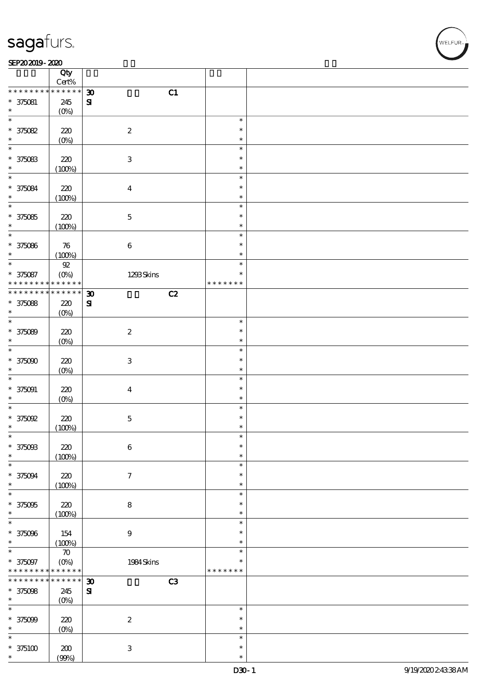#### $SEP202019 - 2020$

|                               | Qty                     |                                   |                         |  |
|-------------------------------|-------------------------|-----------------------------------|-------------------------|--|
| * * * * * * * *               | $Cert\%$<br>* * * * * * | C1<br>$\boldsymbol{\mathfrak{D}}$ |                         |  |
| $* 375081$                    | 245                     | $\mathbf{S}$                      |                         |  |
| $\ast$                        | $(0\%)$                 |                                   |                         |  |
| $\ast$                        |                         |                                   | $\ast$                  |  |
| $* 375082$                    | 220                     | $\boldsymbol{2}$                  | $\ast$                  |  |
| $\ast$<br>$\ast$              | $(0\%)$                 |                                   | $\ast$<br>$\ast$        |  |
| $* 375083$                    | 220                     | $\,3$                             | $\ast$                  |  |
| $\ast$                        | (100%)                  |                                   | $\ast$                  |  |
| $\ast$                        |                         |                                   | $\ast$                  |  |
| $* 375084$                    | $220$                   | $\boldsymbol{4}$                  | $\ast$                  |  |
| $\ast$                        | (100%)                  |                                   | $\ast$                  |  |
| $\ast$                        |                         |                                   | $\ast$<br>$\ast$        |  |
| $* 375085$<br>$\ast$          | 220<br>(100%)           | $\mathbf 5$                       | $\ast$                  |  |
| $\ast$                        |                         |                                   | $\ast$                  |  |
| $* 375086$                    | ${\bf 76}$              | $\bf 6$                           | $\ast$                  |  |
| $\ast$                        | (100%)                  |                                   | $\ast$                  |  |
| $\ast$                        | ${\mathfrak{A}}$        |                                   | $\ast$                  |  |
| $* 375087$<br>* * * * * * * * | $(O\%)$<br>* * * * * *  | 1293Skins                         | $\ast$<br>* * * * * * * |  |
| * * * * * * * *               | * * * * * *             | $\boldsymbol{\mathfrak{D}}$<br>C2 |                         |  |
| $* 375088$                    | 220                     | ${\bf S}$                         |                         |  |
| $\ast$                        | $(0\%)$                 |                                   |                         |  |
| $\ast$                        |                         |                                   | $\ast$                  |  |
| $* 375089$<br>$\ast$          | 220                     | $\boldsymbol{2}$                  | $\ast$                  |  |
| $\ast$                        | $(0\%)$                 |                                   | $\ast$<br>$\ast$        |  |
| $* 375000$                    | 220                     | $\,3$                             | $\ast$                  |  |
| $\ast$                        | $(0\%)$                 |                                   | $\ast$                  |  |
| $\ast$                        |                         |                                   | $\ast$                  |  |
| $* 375091$                    | $220$                   | $\boldsymbol{4}$                  | $\ast$                  |  |
| $\ast$<br>$\ast$              | $(0\%)$                 |                                   | $\ast$<br>$\ast$        |  |
| $^*$ 375092 $\,$              | 220                     | $\bf 5$                           | $\ast$                  |  |
| $\ast$                        | (100%)                  |                                   | $\ast$                  |  |
| $\ast$                        |                         |                                   | $\ast$                  |  |
| $* 375003$                    | $220$                   | $\bf 6$                           | $\ast$                  |  |
| $\ast$                        | (100%)                  |                                   | $\ast$                  |  |
| $\ast$<br>$* 375094$          | $220\,$                 | $\boldsymbol{\tau}$               | $\ast$<br>$\ast$        |  |
| $\ast$                        | (100%)                  |                                   | $\ast$                  |  |
| $\ast$                        |                         |                                   | $\ast$                  |  |
| $* 375005$                    | 220                     | ${\bf 8}$                         | $\ast$                  |  |
| $\ast$                        | (100%)                  |                                   | $\ast$                  |  |
| $\ast$<br>$* 375096$          | 154                     | $\boldsymbol{9}$                  | $\ast$<br>$\ast$        |  |
| $\ast$                        | (100%)                  |                                   | $\ast$                  |  |
| $\ast$                        | $\boldsymbol{\pi}$      |                                   | $\ast$                  |  |
| $* 375097$                    | (0%)                    | 1984 Skins                        | $\ast$                  |  |
| * * * * * * * *               | * * * * * *             |                                   | * * * * * * *           |  |
| * * * * * * *                 | * * * * * *             | C3<br>$\boldsymbol{\mathfrak{D}}$ |                         |  |
| $* 375098$<br>$\ast$          | 245<br>$(0\%)$          | $\mathbf{S}$                      |                         |  |
| $\ast$                        |                         |                                   | $\ast$                  |  |
| $* 375099$                    | 220                     | $\boldsymbol{2}$                  | $\ast$                  |  |
| $\ast$                        | $(0\%)$                 |                                   | $\ast$                  |  |
| $\ast$                        |                         |                                   | $\ast$                  |  |
| $*375100$<br>$\ast$           | 200                     | $\,3$                             | $\ast$<br>$\ast$        |  |
|                               | (90%)                   |                                   |                         |  |

**NELFUR**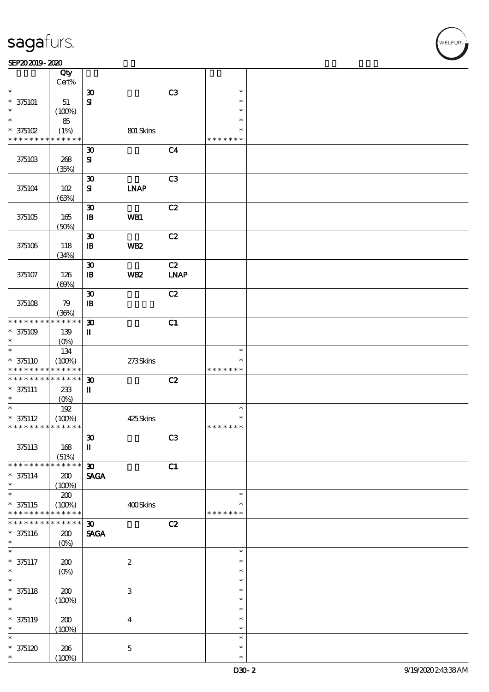#### SEP202019-2020

|                                            | Qty<br>Cert%         |                                       |                           |                |               |  |
|--------------------------------------------|----------------------|---------------------------------------|---------------------------|----------------|---------------|--|
| $\ast$                                     |                      | $\boldsymbol{\mathfrak{D}}$           |                           | C3             | $\ast$        |  |
| $* 375101$                                 | 51                   | $\mathbf{S}$                          |                           |                | $\ast$        |  |
| *                                          |                      |                                       |                           |                | $\ast$        |  |
| $\ast$                                     | (100%)               |                                       |                           |                | $\ast$        |  |
|                                            | 85                   |                                       |                           |                |               |  |
| $*$ 375102                                 | (1%)                 |                                       | 801 Skins                 |                | $\ast$        |  |
| * * * * * * * * <mark>* * * * * * *</mark> |                      |                                       |                           |                | * * * * * * * |  |
|                                            |                      | $\boldsymbol{\mathfrak{D}}$           |                           | C <sub>4</sub> |               |  |
| 375103                                     | 268                  | ${\bf s}$                             |                           |                |               |  |
|                                            | (35%)                |                                       |                           |                |               |  |
|                                            |                      | $\boldsymbol{\mathfrak{D}}$           |                           | C <sub>3</sub> |               |  |
|                                            |                      |                                       |                           |                |               |  |
| 375104                                     | 102                  | ${\bf s}$                             | <b>INAP</b>               |                |               |  |
|                                            | (63%)                |                                       |                           |                |               |  |
|                                            |                      | $\boldsymbol{\mathfrak{D}}$           |                           | C2             |               |  |
| 375105                                     | 165                  | $\, {\bf I} \! {\bf B} \,$            | WB1                       |                |               |  |
|                                            | (50%)                |                                       |                           |                |               |  |
|                                            |                      | $\boldsymbol{\mathfrak{D}}$           |                           | C2             |               |  |
| 375106                                     | 118                  | $\mathbf{B}$                          | WB <sub>2</sub>           |                |               |  |
|                                            |                      |                                       |                           |                |               |  |
|                                            | (34%)                |                                       |                           |                |               |  |
|                                            |                      | $\boldsymbol{\mathfrak{D}}$           |                           | C2             |               |  |
| 375107                                     | 126                  | $\, {\bf B}$                          | WB <sub>2</sub>           | <b>LNAP</b>    |               |  |
|                                            | (69%)                |                                       |                           |                |               |  |
|                                            |                      | $\boldsymbol{\mathfrak{D}}$           |                           | C2             |               |  |
| 375108                                     | 79                   | $\mathbf{B}$                          |                           |                |               |  |
|                                            | (36%)                |                                       |                           |                |               |  |
| * * * * * * * *                            | * * * * * *          | $\boldsymbol{\mathfrak{D}}$           |                           | C1             |               |  |
|                                            |                      |                                       |                           |                |               |  |
| $* 375109$                                 | 139                  | $\mathbf I$                           |                           |                |               |  |
| $\ast$                                     | $(O\%)$              |                                       |                           |                |               |  |
| $\ast$                                     | 134                  |                                       |                           |                | $\ast$        |  |
| $* 375110$                                 | (100%)               |                                       | 273Skins                  |                | *             |  |
| * * * * * * * *                            | * * * * * *          |                                       |                           |                | * * * * * * * |  |
| * * * * * * * *                            | $* * * * * * *$      | $\boldsymbol{\mathfrak{D}}$           |                           | C2             |               |  |
| $* 375111$                                 |                      | $\mathbf{I}$                          |                           |                |               |  |
|                                            |                      |                                       |                           |                |               |  |
|                                            | 233                  |                                       |                           |                |               |  |
| $\ast$                                     | $(O\%)$              |                                       |                           |                |               |  |
| $\ast$                                     | 192                  |                                       |                           |                | $\ast$        |  |
| $* 375112$                                 | (100%)               |                                       | 425Skins                  |                | $\ast$        |  |
| * * * * * * * * <mark>* * * * * * *</mark> |                      |                                       |                           |                | * * * * * * * |  |
|                                            |                      | $\boldsymbol{\mathfrak{D}}$           |                           | C3             |               |  |
| 375113                                     | 168                  | $\rm I\hspace{-.1em}I\hspace{-.1em}I$ |                           |                |               |  |
|                                            |                      |                                       |                           |                |               |  |
| * * * * * * * *                            | (51%)<br>* * * * * * |                                       |                           |                |               |  |
|                                            |                      | $\boldsymbol{\mathfrak{D}}$           |                           | C1             |               |  |
| $* 375114$                                 | 200                  | <b>SAGA</b>                           |                           |                |               |  |
| $\ast$                                     | (100%)               |                                       |                           |                |               |  |
| $\overline{\ast}$                          | 200                  |                                       |                           |                | $\ast$        |  |
| $* 375115$                                 | (100%)               |                                       | 400Skins                  |                | *             |  |
| * * * * * * * *                            | * * * * * *          |                                       |                           |                | * * * * * * * |  |
| * * * * * * *                              | * * * * * *          | $\boldsymbol{\mathfrak{D}}$           |                           | C2             |               |  |
| $* 375116$                                 | $200$                | <b>SAGA</b>                           |                           |                |               |  |
| $\ast$                                     | $(O\%)$              |                                       |                           |                |               |  |
| $\ast$                                     |                      |                                       |                           |                | $\ast$        |  |
|                                            |                      |                                       |                           |                | $\ast$        |  |
| $* 375117$<br>$\ast$                       | 200                  |                                       | $\boldsymbol{2}$          |                | $\ast$        |  |
|                                            | $(O_0)$              |                                       |                           |                |               |  |
| $\overline{\ast}$                          |                      |                                       |                           |                | $\ast$        |  |
| $* 375118$                                 | 200                  |                                       | $\ensuremath{\mathbf{3}}$ |                | $\ast$        |  |
| $\ast$                                     | (100%)               |                                       |                           |                | $\ast$        |  |
| $\ast$                                     |                      |                                       |                           |                | $\ast$        |  |
| $* 375119$                                 | 200                  |                                       | $\boldsymbol{4}$          |                | $\ast$        |  |
| $\ast$                                     |                      |                                       |                           |                | $\ast$        |  |
| $\ast$                                     | (100%)               |                                       |                           |                | $\ast$        |  |
|                                            |                      |                                       |                           |                | $\ast$        |  |
| $*375120$<br>$\ast$                        | 206<br>(100%)        |                                       | $\mathbf 5$               |                | $\ast$        |  |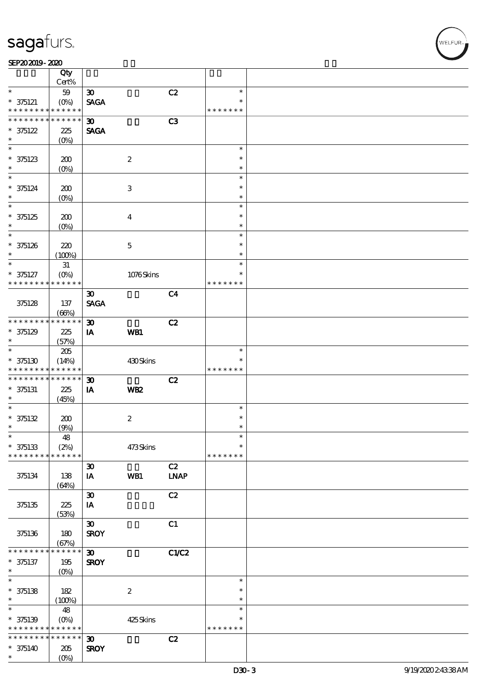#### $SEP202019 - 2020$

|                   | Qty<br>Cert%        |                             |                  |                |               |  |
|-------------------|---------------------|-----------------------------|------------------|----------------|---------------|--|
| $\ast$            | 59                  | $\boldsymbol{\mathfrak{D}}$ |                  | C2             | $\ast$        |  |
| $* 375121$        |                     | <b>SAGA</b>                 |                  |                | $\ast$        |  |
| * * * * * * * *   | * * * * * *         |                             |                  |                | * * * * * * * |  |
| * * * * * * * *   | $* * * * * * *$     |                             |                  |                |               |  |
|                   |                     | $\boldsymbol{\mathfrak{D}}$ |                  | C <sub>3</sub> |               |  |
| $* 375122$        | 225                 | <b>SAGA</b>                 |                  |                |               |  |
| $\ast$            | (O <sub>0</sub> )   |                             |                  |                |               |  |
| $\overline{\ast}$ |                     |                             |                  |                | $\ast$        |  |
| $* 375123$        | 200                 |                             | $\boldsymbol{2}$ |                | $\ast$        |  |
| $\ast$            | $(O\!/\!o)$         |                             |                  |                | $\ast$        |  |
| $\ast$            |                     |                             |                  |                | $\ast$        |  |
|                   |                     |                             |                  |                | $\ast$        |  |
| $* 375124$        | 200                 |                             | $\,3$            |                |               |  |
| $\ast$            | (O <sub>0</sub> )   |                             |                  |                | $\ast$        |  |
| $\ast$            |                     |                             |                  |                | $\ast$        |  |
| $*375125$         | 200                 |                             | $\overline{4}$   |                | $\ast$        |  |
| $\ast$            | (O <sub>0</sub> )   |                             |                  |                | $\ast$        |  |
| $\ast$            |                     |                             |                  |                | $\ast$        |  |
| $* 375126$        | 220                 |                             | $\mathbf 5$      |                | $\ast$        |  |
| $\ast$            | (100%)              |                             |                  |                | $\ast$        |  |
| $\ast$            |                     |                             |                  |                | $\ast$        |  |
|                   | $3\!1$              |                             |                  |                | $\ast$        |  |
| $* 375127$        | $(O\%)$             |                             | 1076Skins        |                |               |  |
| * * * * * * * *   | * * * * * *         |                             |                  |                | * * * * * * * |  |
|                   |                     | $\boldsymbol{\mathfrak{D}}$ |                  | C <sub>4</sub> |               |  |
| 375128            | 137                 | <b>SAGA</b>                 |                  |                |               |  |
|                   | (66%)               |                             |                  |                |               |  |
| * * * * * * * *   | * * * * * *         | $\boldsymbol{\mathfrak{D}}$ |                  | C2             |               |  |
| $* 375129$        | 225                 | IA                          | WB1              |                |               |  |
| $\ast$            | (57%)               |                             |                  |                |               |  |
| $\ast$            | $205\,$             |                             |                  |                | $\ast$        |  |
|                   |                     |                             |                  |                |               |  |
| $*375130$         | (14%)               |                             | 430Skins         |                |               |  |
| * * * * * * * *   | * * * * * *         |                             |                  |                | * * * * * * * |  |
| * * * * * * * *   | * * * * * *         | $\boldsymbol{\mathfrak{D}}$ |                  | C2             |               |  |
| $* 375131$        | 225                 | IA                          | WB <sub>2</sub>  |                |               |  |
| $\ast$            | (45%)               |                             |                  |                |               |  |
| $\ast$            |                     |                             |                  |                | $\ast$        |  |
| $* 375132$        | 200                 |                             | $\boldsymbol{2}$ |                | $\ast$        |  |
| $\ast$            | (9%)                |                             |                  |                | $\ast$        |  |
| $\ast$            | $48\,$              |                             |                  |                | $\ast$        |  |
|                   |                     |                             |                  |                | $\ast$        |  |
| $* 375133$        | (2%)<br>* * * * * * |                             | 473Skins         |                |               |  |
| * * * * * * * *   |                     |                             |                  |                | * * * * * * * |  |
|                   |                     | $\boldsymbol{\mathfrak{D}}$ |                  | C2             |               |  |
| 375134            | 138                 | IA                          | WB1              | <b>LNAP</b>    |               |  |
|                   | (64%)               |                             |                  |                |               |  |
|                   |                     | $\pmb{\mathfrak{D}}$        |                  | C2             |               |  |
| 375135            | 225                 | IA                          |                  |                |               |  |
|                   | (53%)               |                             |                  |                |               |  |
|                   |                     | $\boldsymbol{\mathfrak{D}}$ |                  | C1             |               |  |
|                   | 180                 | <b>SROY</b>                 |                  |                |               |  |
| 375136            |                     |                             |                  |                |               |  |
|                   | (67%)               |                             |                  |                |               |  |
| * * * * * * *     | $* * * * * *$<br>*  | $\boldsymbol{\mathfrak{D}}$ |                  | C1/C2          |               |  |
| $* 375137$        | 195                 | <b>SROY</b>                 |                  |                |               |  |
| $\ast$            | $(O\%)$             |                             |                  |                |               |  |
| $\overline{\ast}$ |                     |                             |                  |                | $\ast$        |  |
| $* 375138$        | 182                 |                             | $\boldsymbol{2}$ |                | $\ast$        |  |
| $\ast$            | (100%)              |                             |                  |                | $\ast$        |  |
| $\ast$            | 48                  |                             |                  |                | $\ast$        |  |
| $* 375139$        | $(O\!/\!o)$         |                             | 425Skins         |                | $\ast$        |  |
| * * * * * * * *   | * * * * * *         |                             |                  |                | * * * * * * * |  |
| * * * * * * * *   | $* * * * * * *$     |                             |                  |                |               |  |
|                   |                     | $\boldsymbol{\mathfrak{D}}$ |                  | C2             |               |  |
| $* 375140$        | 205                 | <b>SROY</b>                 |                  |                |               |  |
| $\ast$            | (O <sub>0</sub> )   |                             |                  |                |               |  |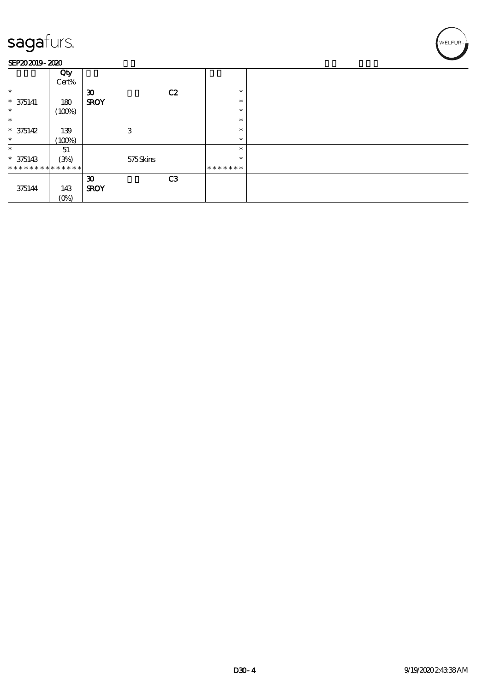#### SEP202019-2020

|                             | Qty<br>Cert% |                             |    |         |  |
|-----------------------------|--------------|-----------------------------|----|---------|--|
| $\ast$                      |              | $\boldsymbol{\mathfrak{D}}$ | C2 | $\ast$  |  |
| $* 375141$                  | 180          | <b>SROY</b>                 |    | $\ast$  |  |
| $\ast$                      | (100%)       |                             |    | $\ast$  |  |
| $\ast$                      |              |                             |    | $\ast$  |  |
| $* 375142$                  | 139          | 3                           |    | $\ast$  |  |
| $\ast$                      | (100%)       |                             |    | $\ast$  |  |
| $\ast$                      | 51           |                             |    | $\ast$  |  |
| $* 375143$                  | (3%)         | 575Skins                    |    | $\ast$  |  |
| * * * * * * * * * * * * * * |              |                             |    | ******* |  |
|                             |              | $\boldsymbol{\mathfrak{D}}$ | C3 |         |  |
| 375144                      | 143          | <b>SROY</b>                 |    |         |  |
|                             | $(O\%)$      |                             |    |         |  |

WELFUR<sub>2</sub>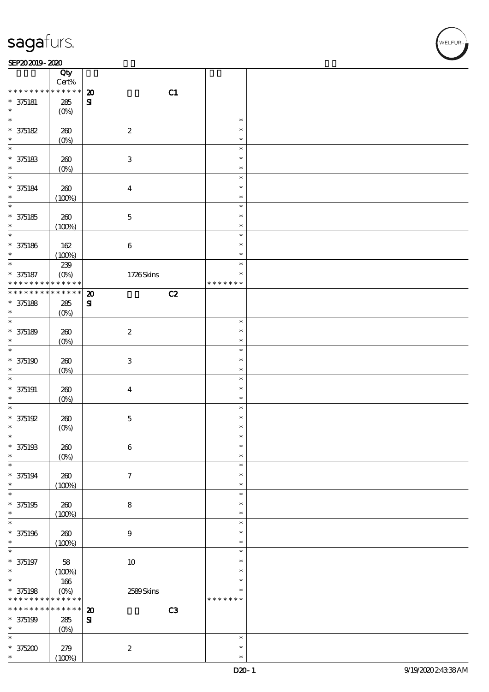┯

#### $SEP202019 - 2020$

|                                    | Qty<br>$Cert\%$            |                                   |                  |  |
|------------------------------------|----------------------------|-----------------------------------|------------------|--|
| * * * * * * * *                    | * * * * * *                | C1<br>$\boldsymbol{\mathfrak{D}}$ |                  |  |
| $* 375181$                         | 285                        | ${\bf S}$                         |                  |  |
| $\ast$                             | (0%)                       |                                   |                  |  |
| $\ast$                             |                            |                                   | $\ast$           |  |
| $* 375182$                         | 260                        | $\boldsymbol{2}$                  | $\ast$           |  |
| $\ast$                             | $(0\%)$                    |                                   | $\ast$           |  |
| $\overline{\phantom{0}}$           |                            |                                   | $\ast$           |  |
| $* 375183$                         | 260                        | $\ensuremath{\mathbf{3}}$         | $\ast$           |  |
| $\ast$                             | $(0\%)$                    |                                   | $\ast$           |  |
| $\overline{\ast}$                  |                            |                                   | $\ast$           |  |
| $* 375184$                         | $200$                      | $\boldsymbol{4}$                  | $\ast$           |  |
| $\ast$<br>$\overline{\phantom{0}}$ | (100%)                     |                                   | $\ast$           |  |
|                                    |                            |                                   | $\ast$           |  |
| $* 375185$                         | 260                        | $\mathbf 5$                       | $\ast$           |  |
| $\ast$<br>$\overline{\ast}$        | (100%)                     |                                   | $\ast$<br>$\ast$ |  |
| $* 375186$                         | 162                        |                                   | $\ast$           |  |
| $\ast$                             | (100%)                     | $\bf 6$                           | $\ast$           |  |
| $\ast$                             | 239                        |                                   | $\ast$           |  |
| $* 375187$                         | $(O\%)$                    | 1726Skins                         | $\ast$           |  |
| * * * * * * * *                    | * * * * * *                |                                   | * * * * * * *    |  |
| * * * * * * * *                    | $\ast\ast\ast\ast\ast\ast$ | C2<br>$\boldsymbol{\mathfrak{D}}$ |                  |  |
| $* 375188$                         | 285                        | ${\bf s}$                         |                  |  |
| $\ast$                             | (0%)                       |                                   |                  |  |
| $\overline{\ast}$                  |                            |                                   | $\ast$           |  |
| $* 375189$                         | 260                        | $\boldsymbol{2}$                  | $\ast$           |  |
| $\ast$                             | $(0\%)$                    |                                   | $\ast$           |  |
| $\ast$                             |                            |                                   | $\ast$           |  |
| $* 375190$                         | 260                        | $\ensuremath{\mathsf{3}}$         | $\ast$           |  |
| $\ast$<br>$\ast$                   | $(0\%)$                    |                                   | $\ast$<br>$\ast$ |  |
| $* 375191$                         |                            |                                   | $\ast$           |  |
| $\ast$                             | 260<br>$(0\%)$             | $\boldsymbol{4}$                  | $\ast$           |  |
| $\ast$                             |                            |                                   | $\ast$           |  |
| $* 375192$                         | 260                        | $\mathbf 5$                       | $\ast$           |  |
| $\ast$                             | (0%)                       |                                   | $\ast$           |  |
| $\ast$                             |                            |                                   | $\ast$           |  |
| $* 375193$                         | 260                        | $\,6\,$                           | $\ast$           |  |
| $\ast$                             | $(0\%)$                    |                                   | $\ast$           |  |
| $\ast$                             |                            |                                   | $\ast$           |  |
| $* 375194$                         | 260                        | $\boldsymbol{7}$                  | $\ast$           |  |
| $\ast$                             | (100%)                     |                                   | $\ast$           |  |
| $\ast$                             |                            |                                   | $\ast$<br>$\ast$ |  |
| $* 375195$<br>$\ast$               | 260                        | 8                                 | $\ast$           |  |
| $\ast$                             | (100%)                     |                                   | $\ast$           |  |
| $* 375196$                         | 260                        | $\boldsymbol{9}$                  | $\ast$           |  |
| $\ast$                             | (100%)                     |                                   | $\ast$           |  |
| $\ast$                             |                            |                                   | $\ast$           |  |
| $* 375197$                         | 58                         | $10\,$                            | $\ast$           |  |
| $\ast$                             | (100%)                     |                                   | $\ast$           |  |
| $\overline{\phantom{0}}$           | 166                        |                                   | $\ast$           |  |
| $* 375198$                         | $(O\%)$                    | 2589Skins                         | $\ast$           |  |
| * * * * * * * *                    | * * * * * *                |                                   | * * * * * * *    |  |
| * * * * * * *                      | * * * * * *                | C3<br>$\boldsymbol{\mathbf{z}}$   |                  |  |
| $* 375199$                         | $285\,$                    | ${\bf S}$                         |                  |  |
| $\ast$<br>$\ast$                   | $(0\%)$                    |                                   | $\ast$           |  |
|                                    |                            |                                   | $\ast$           |  |
| $* 375200$<br>$\ast$               | 279                        | $\boldsymbol{2}$                  | $\ast$           |  |
|                                    | (100%)                     |                                   |                  |  |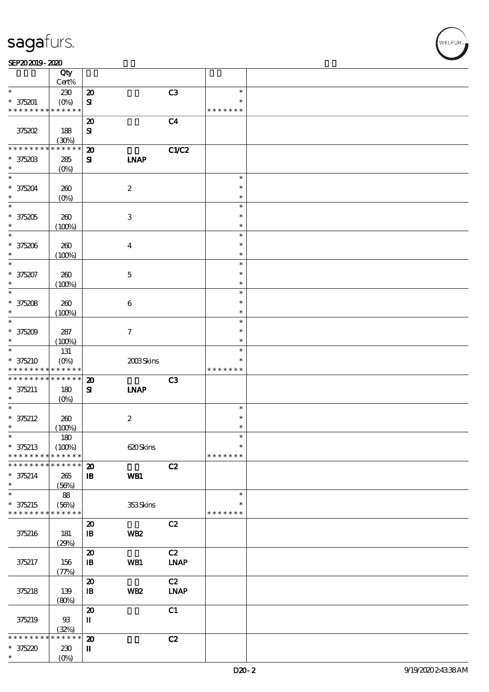#### $SEP202019 - 2020$

|                               | Qty<br>Cert%             |                                       |                           |                |               |  |
|-------------------------------|--------------------------|---------------------------------------|---------------------------|----------------|---------------|--|
| $\ast$                        | 230                      | $\boldsymbol{\mathsf{20}}$            |                           | C3             | $\ast$        |  |
|                               |                          |                                       |                           |                | $\ast$        |  |
| $* 375201$<br>* * * * * * * * | $(O\%)$<br>* * * * * *   | $\mathbf{S}$                          |                           |                | * * * * * * * |  |
|                               |                          |                                       |                           |                |               |  |
|                               |                          | $\boldsymbol{\mathsf{20}}$            |                           | C <sub>4</sub> |               |  |
| 375202                        | 188                      | ${\bf S}$                             |                           |                |               |  |
|                               | (30%)                    |                                       |                           |                |               |  |
| * * * * * * * *               | * * * * * *              | $\boldsymbol{\mathbf{z}}$             |                           | C1/C2          |               |  |
| $* 375203$                    | 285                      | ${\bf z}$                             | <b>INAP</b>               |                |               |  |
| $\ast$                        | (O <sub>0</sub> )        |                                       |                           |                |               |  |
| $\ast$                        |                          |                                       |                           |                | $\ast$        |  |
| $* 375204$                    | 260                      |                                       | $\boldsymbol{2}$          |                | $\ast$        |  |
| $\ast$                        | (O <sub>0</sub> )        |                                       |                           |                | $\ast$        |  |
| $\overline{\ast}$             |                          |                                       |                           |                | $\ast$        |  |
|                               |                          |                                       |                           |                | $\ast$        |  |
| $*375205$                     | 260                      |                                       | $\ensuremath{\mathbf{3}}$ |                |               |  |
| $\ast$                        | (100%)                   |                                       |                           |                | $\ast$        |  |
| $\ast$                        |                          |                                       |                           |                | $\ast$        |  |
| $* 375206$                    | 260                      |                                       | $\boldsymbol{4}$          |                | $\ast$        |  |
| $\ast$                        | (100%)                   |                                       |                           |                | $\ast$        |  |
| $\ast$                        |                          |                                       |                           |                | $\ast$        |  |
| * 375207                      | 260                      |                                       | $\mathbf 5$               |                | $\ast$        |  |
| $\ast$                        | (100%)                   |                                       |                           |                | $\ast$        |  |
| $\ast$                        |                          |                                       |                           |                | $\ast$        |  |
| $* 375208$                    | 260                      |                                       | $\bf 6$                   |                | $\ast$        |  |
| $\ast$                        | (100%)                   |                                       |                           |                | $\ast$        |  |
| $\ast$                        |                          |                                       |                           |                | $\ast$        |  |
|                               |                          |                                       |                           |                | $\ast$        |  |
| $* 375209$                    | 287                      |                                       | $\boldsymbol{\tau}$       |                |               |  |
| $\ast$                        | (100%)                   |                                       |                           |                | $\ast$        |  |
| $\ast$                        | 131                      |                                       |                           |                | $\ast$        |  |
| $* 375210$                    | $(O\%)$                  |                                       | 2003Skins                 |                | $\ast$        |  |
| * * * * * * * *               | * * * * * *              |                                       |                           |                | * * * * * * * |  |
|                               |                          |                                       |                           |                |               |  |
| * * * * * * * *               | $* * * * * * *$          | $\boldsymbol{\mathbf{z}}$             |                           |                |               |  |
|                               |                          |                                       |                           | C3             |               |  |
| $* 375211$<br>$\ast$          | 180                      | ${\bf s}$                             | <b>INAP</b>               |                |               |  |
| $\ast$                        | $(O\%)$                  |                                       |                           |                | $\ast$        |  |
|                               |                          |                                       |                           |                | $\ast$        |  |
| $* 375212$<br>$\ast$          | 260                      |                                       | $\boldsymbol{2}$          |                | $\ast$        |  |
|                               | (100%)                   |                                       |                           |                |               |  |
| $\ast$                        | 180                      |                                       |                           |                | $\ast$        |  |
| $* 375213$                    | (100%)                   |                                       | 620Skins                  |                | $\ast$        |  |
| * * * * * * * *               | * * * * * *              |                                       |                           |                | * * * * * * * |  |
| * * * * * * * *               | * * * * * *              | $\boldsymbol{\mathbf{z}}$             |                           | C2             |               |  |
| $* 375214$                    | 265                      | $\mathbf{B}$                          | WB1                       |                |               |  |
| $\ast$                        | (56%)                    |                                       |                           |                |               |  |
| $\ast$                        | 88                       |                                       |                           |                | $\ast$        |  |
| $* 375215$                    | (56%)                    |                                       | 353Skins                  |                |               |  |
| * * * * * * * *               | * * * * * *              |                                       |                           |                | * * * * * * * |  |
|                               |                          |                                       |                           |                |               |  |
|                               |                          | $\boldsymbol{\mathfrak{D}}$           |                           | C2             |               |  |
| 375216                        | 181                      | $\mathbf{B}$                          | WB <sub>2</sub>           |                |               |  |
|                               | (29%)                    |                                       |                           |                |               |  |
|                               |                          | $\boldsymbol{\mathbf{z}}$             |                           | C2             |               |  |
| 375217                        | 156                      | $\mathbf{B}$                          | WB1                       | <b>LNAP</b>    |               |  |
|                               | (77%)                    |                                       |                           |                |               |  |
|                               |                          | $\boldsymbol{\mathbf{z}}$             |                           | C2             |               |  |
| 375218                        | 139                      | $\, {\bf I} \! {\bf B} \,$            | WB <sub>2</sub>           | <b>LNAP</b>    |               |  |
|                               | (80%)                    |                                       |                           |                |               |  |
|                               |                          | $\boldsymbol{\mathfrak{D}}$           |                           | C1             |               |  |
| 375219                        | $93\,$                   | $\rm I\hspace{-.1em}I\hspace{-.1em}I$ |                           |                |               |  |
|                               | (32%)                    |                                       |                           |                |               |  |
| * * * * * *                   | * * * * *<br>*           | $\boldsymbol{\mathsf{20}}$            |                           | C2             |               |  |
|                               |                          |                                       |                           |                |               |  |
| $* 375220$<br>*               | 230<br>(O <sub>0</sub> ) | П                                     |                           |                |               |  |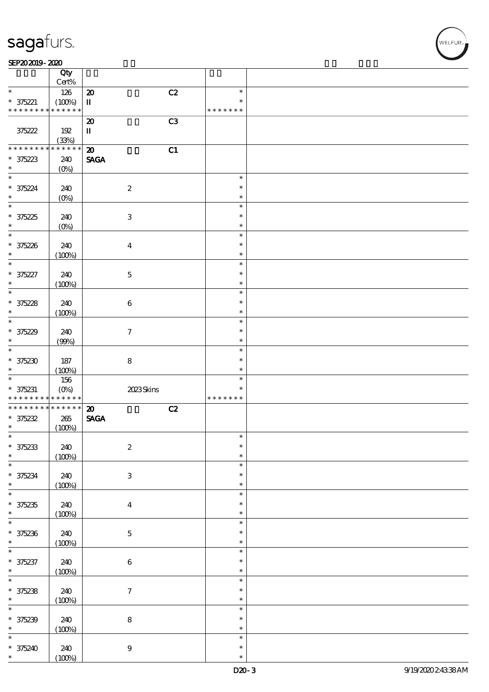#### $SEP202019 - 2020$

|                               | Qty<br>Cert%           |                                   |                  |  |
|-------------------------------|------------------------|-----------------------------------|------------------|--|
|                               |                        |                                   |                  |  |
| $\ast$                        | 126                    | C2<br>$\boldsymbol{\mathsf{20}}$  | $\ast$           |  |
| $* 375221$                    | (100%)                 | П                                 | $\ast$           |  |
| * * * * * * * *               | * * * * * *            |                                   | * * * * * * *    |  |
|                               |                        | C3<br>$\boldsymbol{\mathfrak{D}}$ |                  |  |
|                               |                        |                                   |                  |  |
| 375222                        | 192                    | $\mathbf I$                       |                  |  |
|                               | (33%)                  |                                   |                  |  |
| * * * * * * *                 | * * * * *<br>*         | C1<br>$\boldsymbol{\mathsf{20}}$  |                  |  |
|                               |                        |                                   |                  |  |
| $* 375223$                    | 240                    | $\operatorname{\mathsf{SAGA}}$    |                  |  |
| $\ast$                        | $(O\%)$                |                                   |                  |  |
| $\ast$                        |                        |                                   | $\ast$           |  |
|                               |                        |                                   | $\ast$           |  |
| $* 375224$                    | 240                    | $\boldsymbol{2}$                  |                  |  |
|                               | $(0\%)$                |                                   | $\ast$           |  |
| $\ast$                        |                        |                                   | $\ast$           |  |
|                               |                        | $\ensuremath{\mathbf{3}}$         | $\ast$           |  |
| $* 375225$                    | 240                    |                                   |                  |  |
| $\ast$                        | $(0\%)$                |                                   | $\ast$           |  |
| $\overline{\ast}$             |                        |                                   | $\ast$           |  |
| $* 375226$                    | 240                    | $\boldsymbol{4}$                  | $\ast$           |  |
| $\ast$                        |                        |                                   | $\ast$           |  |
|                               | (100%)                 |                                   |                  |  |
| $\ast$                        |                        |                                   | $\ast$           |  |
| * 375227                      | 240                    | $\mathbf 5$                       | $\ast$           |  |
| $\ast$                        | (100%)                 |                                   | $\ast$           |  |
| $\ast$                        |                        |                                   | $\ast$           |  |
|                               |                        |                                   |                  |  |
| $* 375228$                    | 240                    | $\bf 6$                           | $\ast$           |  |
| $\ast$                        | (100%)                 |                                   | $\ast$           |  |
| $\ast$                        |                        |                                   | $\ast$           |  |
|                               |                        |                                   |                  |  |
| $* 375229$                    | 240                    | $\boldsymbol{7}$                  | $\ast$           |  |
| $\ast$                        | (90%)                  |                                   | $\ast$           |  |
| $\ast$                        |                        |                                   | $\ast$           |  |
| $* 375230$                    | 187                    | ${\bf 8}$                         | $\ast$           |  |
|                               |                        |                                   |                  |  |
|                               |                        |                                   | $\ast$           |  |
| $\ast$                        | (100%)                 |                                   |                  |  |
| $\ast$                        | 156                    |                                   | $\ast$           |  |
|                               |                        |                                   | $\ast$           |  |
| $* 375231$<br>* * * * * * * * | $(O\%)$<br>* * * * * * | 2023Skins                         | * * * * * * *    |  |
|                               |                        |                                   |                  |  |
| * * * * * * * *               | * * * * * *            | $\boldsymbol{\mathfrak{D}}$<br>C2 |                  |  |
| $* 375232$                    | 265                    | <b>SAGA</b>                       |                  |  |
| $\ast$                        |                        |                                   |                  |  |
|                               | (100%)                 |                                   | ∗                |  |
|                               |                        |                                   |                  |  |
| $* 375233$                    | 240                    | $\boldsymbol{2}$                  | $\ast$           |  |
| $\ast$                        | (100%)                 |                                   | $\ast$           |  |
| $\ast$                        |                        |                                   | $\ast$           |  |
|                               |                        |                                   | $\ast$           |  |
| $* 375234$                    | 240                    | $\ensuremath{\mathbf{3}}$         |                  |  |
| $\ast$                        | (100%)                 |                                   | $\ast$           |  |
| $\ast$                        |                        |                                   | $\ast$           |  |
|                               |                        |                                   | $\ast$           |  |
| $* 375235$<br>$\ast$          | 240                    | $\boldsymbol{4}$                  | $\ast$           |  |
|                               | (100%)                 |                                   |                  |  |
| $\ast$                        |                        |                                   | $\ast$           |  |
| $* 375236$                    | 240                    | $\bf 5$                           | $\ast$           |  |
| $\ast$                        |                        |                                   | $\ast$           |  |
|                               | (100%)                 |                                   | $\ast$           |  |
| $\ast$                        |                        |                                   |                  |  |
| * 375237                      | 240                    | $\bf 6$                           | $\ast$           |  |
| $\ast$                        | (100%)                 |                                   | $\ast$           |  |
| $\overline{\ast}$             |                        |                                   | $\ast$           |  |
|                               |                        |                                   | $\ast$           |  |
| $* 375238$                    | 240                    | $\boldsymbol{7}$                  |                  |  |
| $\ast$                        | (100%)                 |                                   | $\ast$           |  |
| $\overline{\ast}$             |                        |                                   | $\ast$           |  |
|                               | 240                    |                                   | $\ast$           |  |
| $* 375239$<br>$\ast$          |                        | ${\bf 8}$                         | $\ast$           |  |
|                               | (100%)                 |                                   |                  |  |
| $\ast$                        |                        |                                   | $\ast$           |  |
| $* 375240$<br>$\ast$          | 240<br>(100%)          | $\boldsymbol{9}$                  | $\ast$<br>$\ast$ |  |

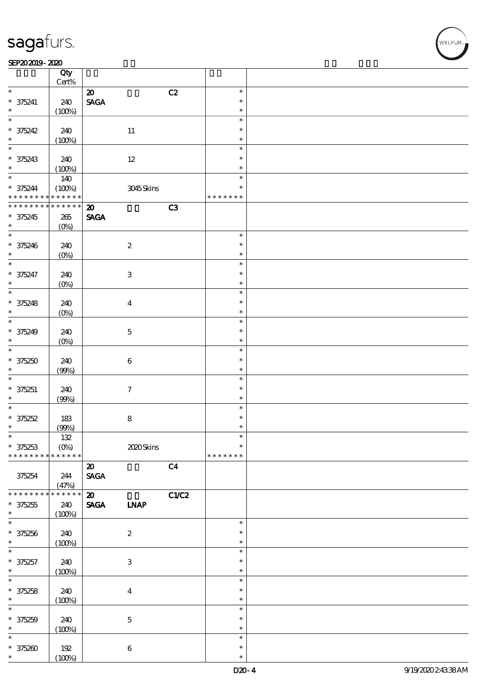$\top$ 

#### SEP202019-2020 DEEP202019-2020 DEEP202019-2020 DEEP202019-2020 DEEP202019-2020 DEEP20

|                          | Qty<br>$Cert\%$        |                                |                           |                |               |  |
|--------------------------|------------------------|--------------------------------|---------------------------|----------------|---------------|--|
| $\ast$                   |                        |                                |                           |                | $\ast$        |  |
|                          |                        | $\boldsymbol{\mathfrak{D}}$    |                           | C2             | $\ast$        |  |
| $* 375241$               | 240                    | $\operatorname{\mathsf{SAGA}}$ |                           |                |               |  |
| $\ast$                   | (100%)                 |                                |                           |                | $\ast$        |  |
| $\ast$                   |                        |                                |                           |                | $\ast$        |  |
| $* 375242$               | 240                    |                                | 11                        |                | $\ast$        |  |
| $\ast$                   | (100%)                 |                                |                           |                | $\ast$        |  |
| $\overline{\phantom{0}}$ |                        |                                |                           |                | $\ast$        |  |
| $* 375243$               | 240                    |                                | $12\,$                    |                | $\ast$        |  |
|                          | (100%)                 |                                |                           |                | $\ast$        |  |
| $*$                      | 140                    |                                |                           |                | $\ast$        |  |
| $* 375244$               | (100%)                 |                                | 3045Skins                 |                | $\ast$        |  |
| * * * * * * * *          | $* * * * * * *$        |                                |                           |                | * * * * * * * |  |
| * * * * * * * *          | * * * * * *            | $\boldsymbol{\mathfrak{D}}$    |                           | C3             |               |  |
| $* 375245$               | 265                    | <b>SAGA</b>                    |                           |                |               |  |
| $\ast$                   | $(O\%)$                |                                |                           |                |               |  |
| $\overline{\ast}$        |                        |                                |                           |                | $\ast$        |  |
|                          |                        |                                |                           |                | $\ast$        |  |
| $* 375246$               | 240                    |                                | $\boldsymbol{2}$          |                |               |  |
| $\ast$                   | $(O\%)$                |                                |                           |                | $\ast$        |  |
| $\ast$                   |                        |                                |                           |                | $\ast$        |  |
| $* 375247$               | 240                    |                                | $\ensuremath{\mathsf{3}}$ |                | $\ast$        |  |
| $\ast$                   | $(O\%)$                |                                |                           |                | $\ast$        |  |
| $\ast$                   |                        |                                |                           |                | $\ast$        |  |
| $* 375248$               | 240                    |                                | $\boldsymbol{4}$          |                | $\ast$        |  |
| $\ast$                   | $(O\%)$                |                                |                           |                | $\ast$        |  |
| $\overline{\ast}$        |                        |                                |                           |                | $\ast$        |  |
| $* 375249$               | 240                    |                                | $\mathbf 5$               |                | $\ast$        |  |
| $\ast$                   | $(O\%)$                |                                |                           |                | $\ast$        |  |
| $\overline{\ast}$        |                        |                                |                           |                | $\ast$        |  |
| $* 375250$               | 240                    |                                | $\,6\,$                   |                | $\ast$        |  |
| $\ast$                   |                        |                                |                           |                | $\ast$        |  |
| $\ast$                   | (90%)                  |                                |                           |                | $\ast$        |  |
|                          |                        |                                |                           |                |               |  |
| $* 375251$               | 240                    |                                | $\boldsymbol{\tau}$       |                | $\ast$        |  |
| $\ast$                   | (90%)                  |                                |                           |                | $\ast$        |  |
| $\ast$                   |                        |                                |                           |                | $\ast$        |  |
| $* 375252$               | 183                    |                                | $\bf 8$                   |                | $\ast$        |  |
| $\ast$                   | (90%)                  |                                |                           |                | $\ast$        |  |
| $\ast$                   | 132                    |                                |                           |                | $\ast$        |  |
| $* 375253$               | $(0\%)$                |                                | 2020Skins                 |                | $\ast$        |  |
| * * * * * * * *          | * * * * * *            |                                |                           |                | * * * * * * * |  |
|                          |                        | $\boldsymbol{\mathfrak{D}}$    |                           | C <sub>4</sub> |               |  |
| 375254                   | 244                    | $\operatorname{\mathsf{SAGA}}$ |                           |                |               |  |
|                          | (47%)                  |                                |                           |                |               |  |
| * * * * * * *            | $\ast\ast\ast\ast\ast$ | $\boldsymbol{\mathfrak{D}}$    |                           | <b>C1/C2</b>   |               |  |
| $* 375255$               | 240                    | <b>SAGA</b>                    | <b>INAP</b>               |                |               |  |
| $\ast$                   | (100%)                 |                                |                           |                |               |  |
| $\ast$                   |                        |                                |                           |                | $\ast$        |  |
| $* 375256$               | 240                    |                                | $\boldsymbol{z}$          |                | $\ast$        |  |
| $\ast$                   | (100%)                 |                                |                           |                | $\ast$        |  |
| $\ast$                   |                        |                                |                           |                | $\ast$        |  |
|                          |                        |                                |                           |                | $\ast$        |  |
| $* 375257$<br>$\ast$     | 240                    |                                | $\,3$                     |                | $\ast$        |  |
| $\ast$                   | (100%)                 |                                |                           |                | $\ast$        |  |
|                          |                        |                                |                           |                |               |  |
| $* 375258$               | 240                    |                                | $\boldsymbol{4}$          |                | $\ast$        |  |
| $\ast$                   | (100%)                 |                                |                           |                | $\ast$        |  |
| $\ast$                   |                        |                                |                           |                | $\ast$        |  |
| $* 375259$               | 240                    |                                | $\mathbf 5$               |                | $\ast$        |  |
| $\ast$                   | (100%)                 |                                |                           |                | $\ast$        |  |
| $\ast$                   |                        |                                |                           |                | $\ast$        |  |
| $* 375200$               | 192                    |                                | $\bf 6$                   |                | $\ast$        |  |
| $\ast$                   | (100%)                 |                                |                           |                | $\ast$        |  |

 $\overline{\mathbf{r}}$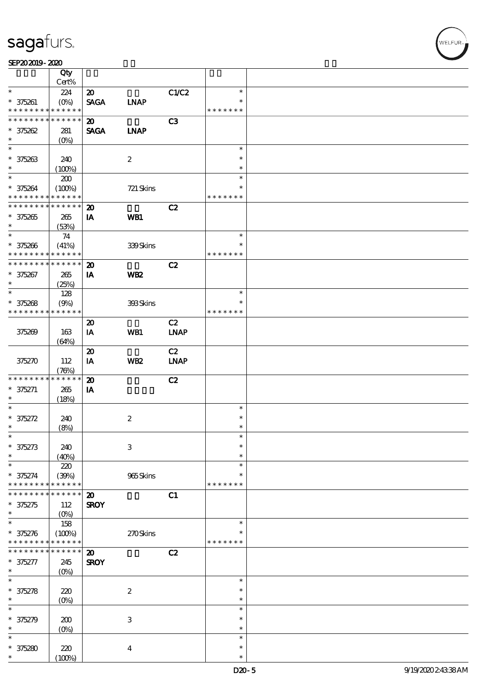#### SEP202019-2020

|                               | Qty<br>Cert%                                   |                             |                  |             |               |  |
|-------------------------------|------------------------------------------------|-----------------------------|------------------|-------------|---------------|--|
| $\ast$                        |                                                |                             |                  |             | $\ast$        |  |
|                               | 224                                            | $\boldsymbol{\mathsf{20}}$  |                  | C1/C2       | $\ast$        |  |
| $* 375261$<br>* * * * * * * * | $(O\!\!\!\!\!\!\backslash\rho)$<br>* * * * * * | <b>SAGA</b>                 | <b>LNAP</b>      |             | * * * * * * * |  |
|                               |                                                |                             |                  |             |               |  |
| * * * * * * * *               | * * * * * *                                    | $\boldsymbol{\mathfrak{D}}$ |                  | C3          |               |  |
| $* 375262$                    | 281                                            | <b>SAGA</b>                 | <b>INAP</b>      |             |               |  |
| $\ast$                        | $(0\%)$                                        |                             |                  |             |               |  |
| $\overline{\phantom{0}}$      |                                                |                             |                  |             | $\ast$        |  |
| $* 375263$                    | 240                                            |                             | $\boldsymbol{2}$ |             | $\ast$        |  |
| $\ast$                        | (100%)                                         |                             |                  |             | $\ast$        |  |
| $*$                           | 200                                            |                             |                  |             | $\ast$        |  |
| $* 375264$                    | (100%)                                         |                             | 721 Skins        |             | $\ast$        |  |
| * * * * * * * *               | * * * * * *                                    |                             |                  |             | * * * * * * * |  |
| * * * * * * * *               | * * * * * *                                    | $\boldsymbol{\mathfrak{D}}$ |                  | C2          |               |  |
| $* 375265$                    | 265                                            | IA                          | WB1              |             |               |  |
| $\ast$                        | (53%)                                          |                             |                  |             |               |  |
| $\ast$                        | 74                                             |                             |                  |             | $\ast$        |  |
| $* 375266$                    | (41%)                                          |                             | 339Skins         |             | $\ast$        |  |
| * * * * * * * *               | * * * * * *                                    |                             |                  |             | * * * * * * * |  |
| * * * * * * * *               | $\ast\ast\ast\ast\ast\ast$                     | $\boldsymbol{\mathbf{z}}$   |                  | C2          |               |  |
| $* 375267$                    | 265                                            | IA                          | WB <sub>2</sub>  |             |               |  |
| $\ast$                        | (25%)                                          |                             |                  |             |               |  |
| $\ast$                        |                                                |                             |                  |             | $\ast$        |  |
|                               | 128                                            |                             |                  |             | $\ast$        |  |
| $* 375268$<br>* * * * * * * * | (9%)<br>* * * * * *                            |                             | 393Skins         |             | * * * * * * * |  |
|                               |                                                |                             |                  |             |               |  |
|                               |                                                | $\boldsymbol{\mathbf{z}}$   |                  | C2          |               |  |
| 375269                        | 163                                            | IA                          | WB1              | <b>LNAP</b> |               |  |
|                               | (64%)                                          |                             |                  |             |               |  |
|                               |                                                | $\boldsymbol{\mathsf{20}}$  |                  | C2          |               |  |
| 375270                        | 112                                            | IA                          | WB <sub>2</sub>  | <b>LNAP</b> |               |  |
|                               | (76%)                                          |                             |                  |             |               |  |
| * * * * * * * *               | * * * * * *                                    | $\boldsymbol{\mathbf{z}}$   |                  | C2          |               |  |
| $* 375271$                    | 265                                            | IA                          |                  |             |               |  |
| $\ast$                        | (18%)                                          |                             |                  |             |               |  |
| $\ast$                        |                                                |                             |                  |             | $\ast$        |  |
| $* 375272$                    | 240                                            |                             | $\boldsymbol{2}$ |             | $\ast$        |  |
| $\ast$                        | (8%)                                           |                             |                  |             | $\ast$        |  |
| $\ast$                        |                                                |                             |                  |             | $\ast$        |  |
| $* 375273$                    | 240                                            |                             | $\,3$            |             | $\ast$        |  |
| $\ast$                        | (40%)                                          |                             |                  |             | $\ast$        |  |
| $\ast$                        | 220                                            |                             |                  |             | $\ast$        |  |
| $* 375274$                    | (30%)                                          |                             | 965Skins         |             | $\ast$        |  |
| * * * * * * *                 | * * * * * *                                    |                             |                  |             | * * * * * * * |  |
|                               | * * * * *                                      | $\boldsymbol{\mathbf{z}}$   |                  | C1          |               |  |
| $* 375275$                    | 112                                            | <b>SROY</b>                 |                  |             |               |  |
| $\ast$                        | $(O\%)$                                        |                             |                  |             |               |  |
| $\ast$                        | 158                                            |                             |                  |             | $\ast$        |  |
|                               |                                                |                             |                  |             | ∗             |  |
| $* 375276$<br>* * * * * * * * | (100%)<br>* * * * * *                          |                             | 270Skins         |             | * * * * * * * |  |
| * * * * * * *                 | * * * * * *                                    |                             |                  |             |               |  |
|                               |                                                | $\boldsymbol{\mathsf{20}}$  |                  | C2          |               |  |
| $* 375277$                    | 245                                            | <b>SROY</b>                 |                  |             |               |  |
| $\ast$                        | $(O\%)$                                        |                             |                  |             |               |  |
| $\ast$                        |                                                |                             |                  |             | $\ast$        |  |
| $* 375278$                    | 220                                            |                             | $\boldsymbol{2}$ |             | $\ast$        |  |
| $\ast$                        | (O <sub>0</sub> )                              |                             |                  |             | $\ast$        |  |
| $\ast$                        |                                                |                             |                  |             | $\ast$        |  |
| $* 375279$                    | 200                                            |                             | $\,3$            |             | $\ast$        |  |
| $\ast$                        | (O <sub>0</sub> )                              |                             |                  |             | $\ast$        |  |
| $\ast$                        |                                                |                             |                  |             | $\ast$        |  |
| $* 375280$                    | 220                                            |                             | $\bf{4}$         |             | $\ast$        |  |
| $\ast$                        | (100%)                                         |                             |                  |             | $\ast$        |  |

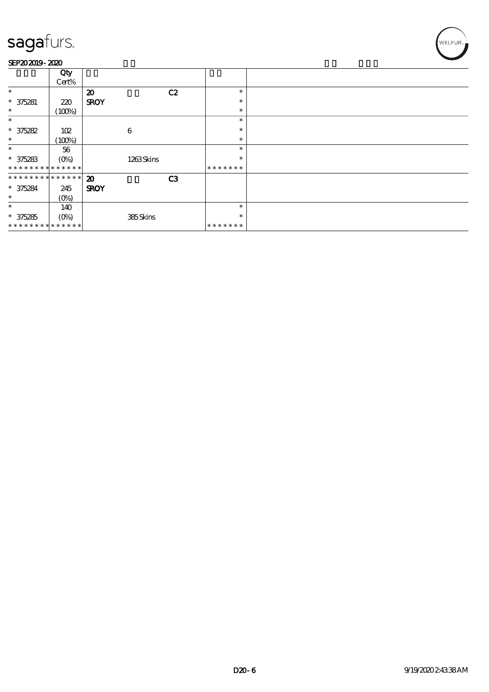#### SEP202019-2020

|                               | Qty<br>Cert% |                             |    |               |  |
|-------------------------------|--------------|-----------------------------|----|---------------|--|
| $\ast$                        |              | $\boldsymbol{\mathsf{20}}$  | C2 | $\ast$        |  |
| $* 375281$                    | 220          | <b>SROY</b>                 |    | $\ast$        |  |
| $\ast$                        | (100%)       |                             |    | $\ast$        |  |
| $\ast$                        |              |                             |    | $\ast$        |  |
| $* 375282$                    | 102          | 6                           |    | $\ast$        |  |
| $\ast$                        | (100%)       |                             |    | $\ast$        |  |
| $\ast$                        | 56           |                             |    | $\ast$        |  |
| $* 375283$                    | $(0\%)$      | 1263Skins                   |    | $\ast$        |  |
| * * * * * * * * * * * * * *   |              |                             |    | * * * * * * * |  |
| * * * * * * * * * * * * * * * |              | $\boldsymbol{\mathfrak{D}}$ | C3 |               |  |
| $* 375284$                    | 245          | <b>SROY</b>                 |    |               |  |
| $\ast$                        | $(0\%)$      |                             |    |               |  |
| $\ast$                        | 140          |                             |    | $\ast$        |  |
| $* 375285$                    | $(0\%)$      | 385Skins                    |    | $\ast$        |  |
| * * * * * * * * * * * * * *   |              |                             |    | *******       |  |

,<br>WELFUR-<br>.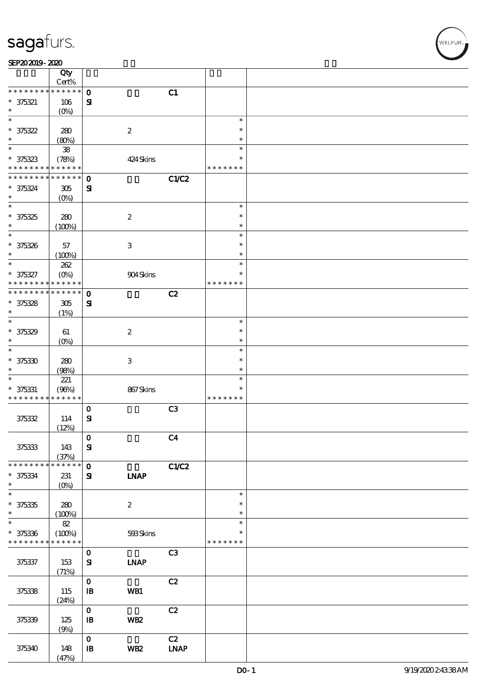|                          | Qty<br>Cert%              |                            |                           |                |               |  |
|--------------------------|---------------------------|----------------------------|---------------------------|----------------|---------------|--|
| * * * * * * * *          | $***$ * * * *             | $\mathbf 0$                |                           | C1             |               |  |
| $* 375321$               | 106                       | $\mathbf{S}$               |                           |                |               |  |
| $\ast$                   | $(O\%)$                   |                            |                           |                |               |  |
| $\ast$                   |                           |                            |                           |                | $\ast$        |  |
| $* 375322$               | 280                       |                            | $\boldsymbol{2}$          |                | $\ast$        |  |
| $\ast$                   | (80%)                     |                            |                           |                | $\ast$        |  |
| $\ast$                   | ${\bf 38}$                |                            |                           |                | $\ast$        |  |
| $* 375323$               | (78%)                     |                            | 424 Skins                 |                | *             |  |
| * * * * * * * *          | * * * * * *               |                            |                           |                | * * * * * * * |  |
| * * * * * * *            | $* * * * * * *$           | $\mathbf{o}$               |                           | C1/C2          |               |  |
| $* 375324$               | $305\,$                   | ${\bf s}$                  |                           |                |               |  |
| $\ast$                   | $(O\%)$                   |                            |                           |                |               |  |
| $\overline{\ast}$        |                           |                            |                           |                | $\ast$        |  |
| $* 375325$               | 280                       |                            | $\boldsymbol{2}$          |                | $\ast$        |  |
| $\ast$                   | (100%)                    |                            |                           |                | $\ast$        |  |
| $\ast$                   |                           |                            |                           |                | $\ast$        |  |
| $* 375326$               | 57                        |                            | $\ensuremath{\mathsf{3}}$ |                | $\ast$        |  |
| $\ast$                   | (100%)                    |                            |                           |                | $\ast$        |  |
| $\ast$                   | 262                       |                            |                           |                | $\ast$        |  |
| $* 375327$               | $(O\!\!\!\!\!\!\!/\,\!o)$ |                            | 904Skins                  |                | $\ast$        |  |
| * * * * * * * *          | * * * * * *               |                            |                           |                | * * * * * * * |  |
| * * * * * * * *          | * * * * * *               | $\mathbf 0$                |                           | C2             |               |  |
| $* 375328$               | 305                       | ${\bf s}$                  |                           |                |               |  |
| $\ast$                   | (1%)                      |                            |                           |                |               |  |
| $\ast$                   |                           |                            |                           |                | $\ast$        |  |
| $* 375329$               | 61                        |                            | $\boldsymbol{2}$          |                | $\ast$        |  |
| $\ast$                   | $(O\%)$                   |                            |                           |                | $\ast$        |  |
| $\ast$                   |                           |                            |                           |                | $\ast$        |  |
| $* 375330$               | 280                       |                            | $\ensuremath{\mathsf{3}}$ |                | $\ast$        |  |
| $\ast$                   | (98%)                     |                            |                           |                | $\ast$        |  |
| $\ast$                   | 221                       |                            |                           |                | $\ast$        |  |
| $* 375331$               | (96%)                     |                            | 867Skins                  |                | $\ast$        |  |
| * * * * * * * *          | * * * * * *               |                            |                           |                | * * * * * * * |  |
|                          |                           | $\mathbf 0$                |                           | C <sub>3</sub> |               |  |
| 375332                   | 114                       | $\mathbf{S}$               |                           |                |               |  |
|                          | (12%)                     |                            |                           |                |               |  |
|                          |                           | $\mathbf 0$                |                           | C <sub>4</sub> |               |  |
| 375333                   | 143                       | ${\bf S}$                  |                           |                |               |  |
|                          | (37%)                     |                            |                           |                |               |  |
| * * * * * * * *          | * * * * * *               | $\mathbf{o}$               |                           | C1/C2          |               |  |
| $* 375334$               | 231                       | ${\bf s}$                  | <b>INAP</b>               |                |               |  |
| $\ast$                   | $(0\%)$                   |                            |                           |                |               |  |
| $\overline{\phantom{0}}$ |                           |                            |                           |                | $\ast$        |  |
| $* 375335$               | 280                       |                            | $\boldsymbol{z}$          |                | $\ast$        |  |
| $\ast$                   | (100%)                    |                            |                           |                | $\ast$        |  |
| $\ast$                   | $8\!2$                    |                            |                           |                | $\ast$        |  |
| $* 375336$               | (100%)                    |                            | 593Skins                  |                | $\ast$        |  |
| * * * * * * * *          | $* * * * * * *$           |                            |                           |                | * * * * * * * |  |
|                          |                           | $\mathbf{o}$               |                           | C <sub>3</sub> |               |  |
| 375337                   | 153                       | $\mathbf{S}$               | <b>LNAP</b>               |                |               |  |
|                          | (71%)                     |                            |                           |                |               |  |
|                          |                           | $\mathbf{o}$               |                           | C2             |               |  |
| 375338                   | 115                       | $\mathbf{B}$               | WB1                       |                |               |  |
|                          | (24%)                     |                            |                           |                |               |  |
|                          |                           | $\mathbf 0$                |                           | C2             |               |  |
| 375339                   | 125                       | $\, {\bf I} \! {\bf B} \,$ | WB <sub>2</sub>           |                |               |  |
|                          | (9%)                      |                            |                           |                |               |  |
|                          |                           | $\mathbf{o}$               |                           | C2             |               |  |
| 375340                   | 148                       | ${\bf I\!B}$               | WB <sub>2</sub>           | <b>LNAP</b>    |               |  |
|                          | (47%)                     |                            |                           |                |               |  |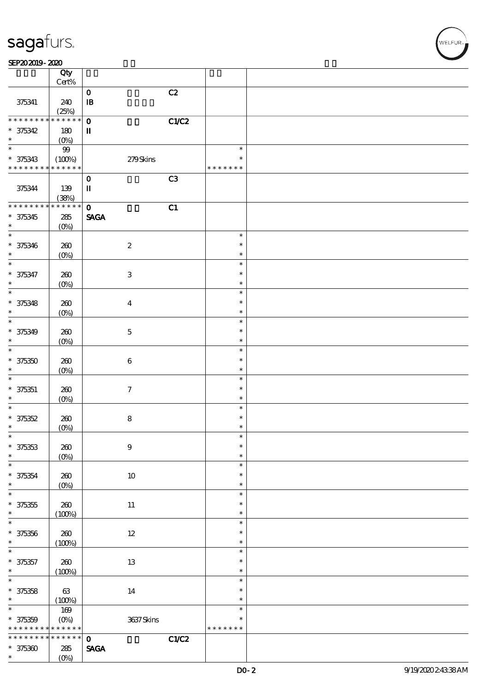#### $SEP202019 - 2020$  $\overline{\phantom{a}}$  Qty  $\overline{\phantom{a}}$

|                                                        | Qty                                                                                    |                                              |                            |  |
|--------------------------------------------------------|----------------------------------------------------------------------------------------|----------------------------------------------|----------------------------|--|
|                                                        | $Cert\%$                                                                               | C2<br>$\mathbf 0$                            |                            |  |
| 375341                                                 | 240<br>(25%)                                                                           | $\mathbf{B}$                                 |                            |  |
| * * * * * * * *                                        | $\begin{array}{c c c c c} \hline \textbf{***} & \textbf{**} & \textbf{**} \end{array}$ | $\mathbf 0$<br>C1/C2                         |                            |  |
| $* 375342$<br>$\ast$                                   | 180<br>$(O\%)$                                                                         | $\mathbf I$                                  |                            |  |
| $\ast$                                                 | 99                                                                                     |                                              | $\ast$                     |  |
| $* 375343$<br>* * * * * * * * <mark>* * * * * *</mark> | (100%)                                                                                 | 279Skins                                     | $\ast$<br>* * * * * * *    |  |
| 375344                                                 | 139                                                                                    | C3<br>$\mathbf{o}$<br>$\mathbf{I}\mathbf{I}$ |                            |  |
| * * * * * * * *                                        | (38%)<br>$******$                                                                      | $\mathbf 0$                                  |                            |  |
| $* 375345$<br>$\ast$                                   | 285<br>$(O\%)$                                                                         | C1<br><b>SAGA</b>                            |                            |  |
| $\ast$                                                 |                                                                                        |                                              | $\ast$                     |  |
| $* 375346$<br>$\ast$                                   | 260<br>$(0\%)$                                                                         | $\boldsymbol{2}$                             | $\ast$<br>$\ast$           |  |
| $\overline{\ast}$                                      |                                                                                        |                                              | $\ast$                     |  |
| $* 375347$<br>$\ast$                                   | 260<br>$(0\%)$                                                                         | $\ensuremath{\mathbf{3}}$                    | $\ast$<br>$\ast$           |  |
| $\ast$                                                 |                                                                                        |                                              | $\ast$<br>$\ast$           |  |
| $* 375348$<br>$\ast$                                   | 260<br>(0%)                                                                            | $\boldsymbol{4}$                             | $\ast$                     |  |
| $\ast$<br>$* 375349$                                   | 260                                                                                    | $\mathbf 5$                                  | $\ast$<br>$\ast$           |  |
| $\ast$<br>$\ast$                                       | $(O\%)$                                                                                |                                              | $\ast$<br>$\ast$           |  |
| $* 375350$<br>$\ast$                                   | 260<br>$(0\%)$                                                                         | $\boldsymbol{6}$                             | $\ast$<br>$\ast$           |  |
| $\ast$                                                 |                                                                                        |                                              | $\ast$                     |  |
| $* 375351$<br>$\ast$                                   | 260<br>(0%)                                                                            | $\tau$                                       | $\ast$<br>$\ast$           |  |
| $\ast$<br>$* 375352$                                   | 260                                                                                    | 8                                            | $\ast$<br>$\ast$           |  |
| $\ast$                                                 | $(0\%)$                                                                                |                                              | $\ast$                     |  |
| $\ast$<br>$* 375353$                                   | 260                                                                                    | $\boldsymbol{9}$                             | ж<br>$\ast$                |  |
| $\ast$<br>$\ast$                                       | $(O\%)$                                                                                |                                              | $\ast$                     |  |
| $* 375354$<br>$\ast$                                   | $200$                                                                                  | $10\,$                                       | $\ast$<br>$\ast$<br>$\ast$ |  |
| $\ast$                                                 | $(0\%)$                                                                                |                                              | $\ast$                     |  |
| $* 375355$<br>$\ast$                                   | 260<br>(100%)                                                                          | $11\,$                                       | $\ast$<br>$\ast$           |  |
| $\ast$                                                 |                                                                                        |                                              | $\ast$                     |  |
| $* 375356$<br>$\ast$                                   | 260<br>(100%)                                                                          | $12\,$                                       | $\ast$<br>$\ast$           |  |
| $\ast$                                                 |                                                                                        |                                              | $\ast$                     |  |
| $* 375357$<br>$\ast$                                   | 260<br>(100%)                                                                          | $13\,$                                       | $\ast$<br>$\ast$           |  |
| $\ast$<br>$* 375358$                                   | 63                                                                                     | 14                                           | $\ast$<br>$\ast$           |  |
| $\ast$                                                 | (100%)                                                                                 |                                              | $\ast$                     |  |
| $\ast$                                                 | $169$                                                                                  |                                              | $\ast$                     |  |
| $* 375359$<br>* * * * * * * *                          | $(0\%)$<br>* * * * * *                                                                 | 3637Skins                                    | *<br>* * * * * * *         |  |
| * * * * * * * *                                        | $******$                                                                               | CLC2<br>$\mathbf{o}$                         |                            |  |
| $* 375300$                                             | ${\bf 285}$                                                                            | $\operatorname{\mathsf{SAGA}}$               |                            |  |
| $\ast$                                                 | $(0\%)$                                                                                |                                              |                            |  |

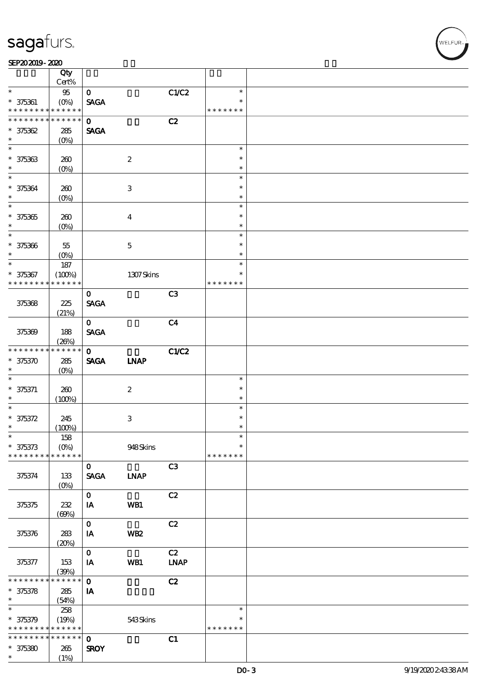#### SEP202019-2020

|                                    | Qty                        |                             |                           |                |                  |  |
|------------------------------------|----------------------------|-----------------------------|---------------------------|----------------|------------------|--|
| $\ast$                             | Cert%                      |                             |                           |                | $\ast$           |  |
| $* 375361$                         | $95\,$<br>$(O\%)$          | $\mathbf{O}$<br><b>SAGA</b> |                           | C1/C2          |                  |  |
| * * * * * * * *                    | * * * * * *                |                             |                           |                | * * * * * * *    |  |
| * * * * * * * *                    | $\ast\ast\ast\ast\ast\ast$ | $\mathbf{o}$                |                           | C2             |                  |  |
| $* 375362$                         | 285                        | <b>SAGA</b>                 |                           |                |                  |  |
| $\ast$                             | $(0\%)$                    |                             |                           |                |                  |  |
| $\overline{\phantom{0}}$           |                            |                             |                           |                | $\ast$           |  |
| $* 375363$                         | 260                        |                             | $\boldsymbol{2}$          |                | $\ast$           |  |
| $\ast$                             | $(O\%)$                    |                             |                           |                | $\ast$           |  |
|                                    |                            |                             |                           |                | $\ast$           |  |
| $* 375364$                         | 260                        |                             | 3                         |                | $\ast$           |  |
| $\ast$<br>$\overline{\phantom{0}}$ | $(O\%)$                    |                             |                           |                | $\ast$           |  |
|                                    |                            |                             |                           |                | $\ast$           |  |
| $* 375365$<br>$\ast$               | 260                        |                             | $\bf{4}$                  |                | $\ast$<br>$\ast$ |  |
| $\overline{\ast}$                  | $(O\%)$                    |                             |                           |                | $\ast$           |  |
| $* 375366$                         | 55                         |                             | $\mathbf{5}$              |                | $\ast$           |  |
| $\ast$                             | $(O\%)$                    |                             |                           |                | $\ast$           |  |
| $\ast$                             | 187                        |                             |                           |                | $\ast$           |  |
| $* 375367$                         | (100%)                     |                             | 1307Skins                 |                | $\ast$           |  |
| * * * * * * * *                    | * * * * * *                |                             |                           |                | * * * * * * *    |  |
|                                    |                            | $\mathbf 0$                 |                           | C <sub>3</sub> |                  |  |
| 375368                             | 225                        | <b>SAGA</b>                 |                           |                |                  |  |
|                                    | (21%)                      |                             |                           |                |                  |  |
|                                    |                            | $\mathbf{O}$                |                           | C <sub>4</sub> |                  |  |
| 375369                             | 188                        | <b>SAGA</b>                 |                           |                |                  |  |
|                                    | (20%)                      |                             |                           |                |                  |  |
| * * * * * * * *                    | * * * * * *                | $\mathbf{o}$                |                           | C1/C2          |                  |  |
| $* 375370$<br>$\ast$               | $285\,$                    | <b>SAGA</b>                 | <b>INAP</b>               |                |                  |  |
| $\ast$                             | $(O\%)$                    |                             |                           |                | $\ast$           |  |
| $* 375371$                         | 260                        |                             | $\boldsymbol{z}$          |                | $\ast$           |  |
| $\ast$                             | (100%)                     |                             |                           |                | $\ast$           |  |
| $\ast$                             |                            |                             |                           |                | $\ast$           |  |
| $* 375372$                         | 245                        |                             | $\ensuremath{\mathbf{3}}$ |                | $\ast$           |  |
| $\ast$                             | (100%)                     |                             |                           |                | $\ast$           |  |
| $\ast$                             | $158\,$                    |                             |                           |                | $\ast$           |  |
| $* 375373$                         | $(O\%)$                    |                             | 948Skins                  |                | $\ast$           |  |
| * * * * * * * *                    | * * * * * *                |                             |                           |                | * * * * * * *    |  |
|                                    |                            | $\mathbf{O}$                |                           | C3             |                  |  |
| 375374                             | 133                        | <b>SAGA</b>                 | <b>LNAP</b>               |                |                  |  |
|                                    | $(O\%)$                    | $\mathbf 0$                 |                           | C2             |                  |  |
| 375375                             | 232                        | IA                          | WB1                       |                |                  |  |
|                                    | (60%)                      |                             |                           |                |                  |  |
|                                    |                            | $\mathbf{o}$                |                           | C2             |                  |  |
| 375376                             | 283                        | IA                          | WB <sub>2</sub>           |                |                  |  |
|                                    | (20%)                      |                             |                           |                |                  |  |
|                                    |                            | $\mathbf{O}$                |                           | C2             |                  |  |
| 375377                             | 153                        | IA                          | WB1                       | <b>LNAP</b>    |                  |  |
|                                    | (30%)                      |                             |                           |                |                  |  |
| * * * * * * * *                    | * * * * * * $\frac{1}{1}$  | $\mathbf 0$                 |                           | C2             |                  |  |
| $* 375378$                         | 285                        | IA                          |                           |                |                  |  |
| $\ast$<br>$\ast$                   | (54%)                      |                             |                           |                |                  |  |
|                                    | 258                        |                             |                           |                | $\ast$<br>$\ast$ |  |
| $* 375379$<br>* * * * * * * *      | (19%)<br>* * * * * *       |                             | 543Skins                  |                | * * * * * * *    |  |
| * * * * * * * *                    | $* * * * * * *$            | $\mathbf 0$                 |                           | C1             |                  |  |
| $* 375380$                         | 265                        | <b>SROY</b>                 |                           |                |                  |  |
| $\ast$                             | (1%)                       |                             |                           |                |                  |  |
|                                    |                            |                             |                           |                |                  |  |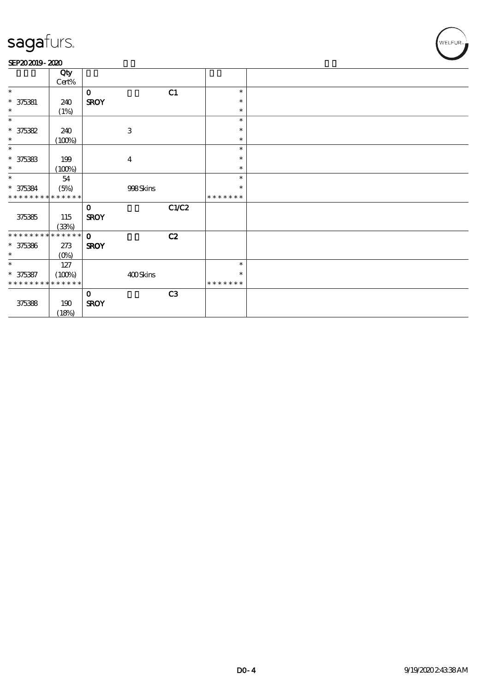#### SEP202019-2020

|                             | Qty     |              |                           |       |               |  |
|-----------------------------|---------|--------------|---------------------------|-------|---------------|--|
|                             | Cert%   |              |                           |       |               |  |
| $\ast$                      |         | $\mathbf 0$  |                           | C1    | $\ast$        |  |
| $* 375381$                  | 240     | <b>SROY</b>  |                           |       | ∗             |  |
| $\ast$                      | (1%)    |              |                           |       | $\ast$        |  |
| $\ast$                      |         |              |                           |       | $\ast$        |  |
| $* 375382$                  | 240     |              | $\ensuremath{\mathbf{3}}$ |       | ∗             |  |
| $\ast$                      | (100%)  |              |                           |       | $\ast$        |  |
| $\ast$                      |         |              |                           |       | $\ast$        |  |
| $* 375333$                  | 199     |              | $\boldsymbol{4}$          |       | $\ast$        |  |
| $\ast$                      | (100%)  |              |                           |       | $\ast$        |  |
| $\ast$                      | 54      |              |                           |       | $\ast$        |  |
| $* 375384$                  | (5%)    |              | 998Skins                  |       | ∗             |  |
| * * * * * * * * * * * * * * |         |              |                           |       | * * * * * * * |  |
|                             |         | $\mathbf 0$  |                           | C1/C2 |               |  |
| 375385                      | 115     | <b>SROY</b>  |                           |       |               |  |
|                             | (33%)   |              |                           |       |               |  |
| **************              |         | $\mathbf{o}$ |                           | C2    |               |  |
| $* 375386$                  | $273$   | <b>SROY</b>  |                           |       |               |  |
| $\ast$                      | $(0\%)$ |              |                           |       |               |  |
| $\ast$                      | 127     |              |                           |       | $\ast$        |  |
| $* 375387$                  | (100%)  |              | 400Skins                  |       | ∗             |  |
| * * * * * * * * * * * * * * |         |              |                           |       | * * * * * * * |  |
|                             |         | $\mathbf 0$  |                           | C3    |               |  |
| 375388                      | 190     | <b>SROY</b>  |                           |       |               |  |
|                             | (18%)   |              |                           |       |               |  |

WELFUR<sub>™</sub>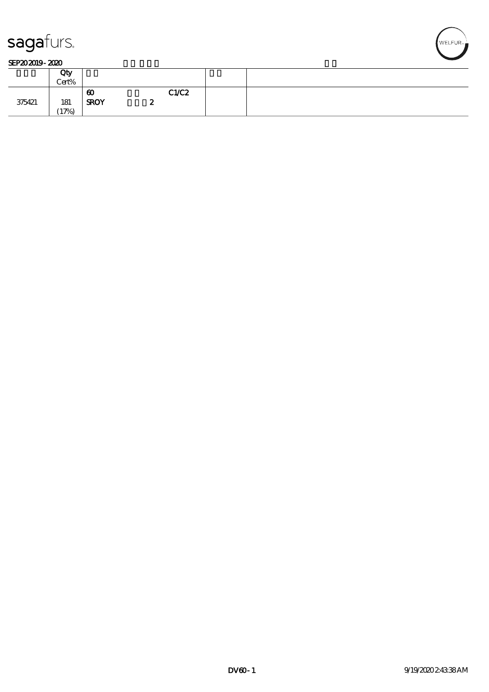

#### SEP202019-2020

|        | Qty<br>Cert% |                                      |   |       |  |
|--------|--------------|--------------------------------------|---|-------|--|
| 375421 | 181<br>(17%) | $\boldsymbol{\omega}$<br><b>SROY</b> | ∼ | C1/C2 |  |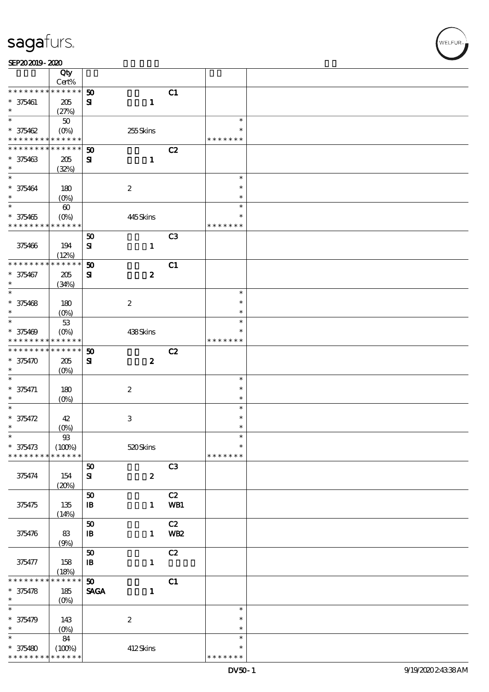| SEP202019-2020 |  |
|----------------|--|
|----------------|--|

|                                          | Qty                  |                            |                  |                |               |  |
|------------------------------------------|----------------------|----------------------------|------------------|----------------|---------------|--|
| * * * * * * * *                          | Cert%<br>* * * * * * |                            |                  |                |               |  |
|                                          |                      | 50                         |                  | C1             |               |  |
| $* 375461$<br>$\ast$                     | 205                  | ${\bf s}$                  | $\mathbf{1}$     |                |               |  |
| $\ast$                                   | (27%)<br>$50\,$      |                            |                  |                | $\ast$        |  |
| $* 375462$                               | $(O\%)$              |                            | 255Skins         |                | $\ast$        |  |
| * * * * * * * * <mark>* * * * * *</mark> |                      |                            |                  |                | * * * * * * * |  |
| * * * * * * * *                          | * * * * * *          | 50                         |                  | C2             |               |  |
| $* 375463$                               | 205                  | ${\bf s}$                  | $\mathbf{1}$     |                |               |  |
| $\ast$                                   | (32%)                |                            |                  |                |               |  |
| $\ast$                                   |                      |                            |                  |                | $\ast$        |  |
| $* 375464$                               | 180                  |                            | $\boldsymbol{2}$ |                | $\ast$        |  |
| $\ast$                                   | $(O_0)$              |                            |                  |                | $\ast$        |  |
| $\overline{\ast}$                        | $\pmb{\infty}$       |                            |                  |                | $\ast$        |  |
| $* 375465$                               | $(0\%)$              |                            | 445Skins         |                | $\ast$        |  |
| * * * * * * * * * * * * * *              |                      |                            |                  |                | * * * * * * * |  |
|                                          |                      | 50                         |                  | C <sub>3</sub> |               |  |
| 375466                                   | 194                  | $\mathbf{S}$               | $\mathbf{1}$     |                |               |  |
|                                          | (12%)                |                            |                  |                |               |  |
| * * * * * * * *                          | * * * * * *          | 50                         |                  | C1             |               |  |
| $* 375467$                               | 205                  | $\mathbf{S}$               | $\boldsymbol{z}$ |                |               |  |
| $\ast$                                   | (34%)                |                            |                  |                |               |  |
| $\ast$                                   |                      |                            |                  |                | $\ast$        |  |
| $* 375468$                               | 180                  |                            | $\boldsymbol{2}$ |                | $\ast$        |  |
| $\ast$                                   | (O <sub>0</sub> )    |                            |                  |                | $\ast$        |  |
| $\ast$                                   | 53                   |                            |                  |                | $\ast$        |  |
| $* 375469$                               | $(O\%)$              |                            | 438Skins         |                |               |  |
| * * * * * * * * <mark>* * * * * *</mark> |                      |                            |                  |                | * * * * * * * |  |
| * * * * * * * *                          | * * * * * *          | 50                         |                  | C2             |               |  |
| $* 375470$                               | 205                  | ${\bf s}$                  | $\boldsymbol{z}$ |                |               |  |
| $\ast$                                   | $(O\%)$              |                            |                  |                | $\ast$        |  |
| $* 375471$                               |                      |                            |                  |                | $\ast$        |  |
| $\ast$                                   | 180<br>$(O\%)$       |                            | $\boldsymbol{2}$ |                | $\ast$        |  |
| $\ast$                                   |                      |                            |                  |                | $\ast$        |  |
| $* 375472$                               | 42                   |                            | $\,3$            |                | $\ast$        |  |
| $\ast$                                   | $(O\!/\!\!\delta)$   |                            |                  |                | $\ast$        |  |
| $\ast$                                   | ${\mathfrak B}$      |                            |                  |                | $\ast$        |  |
| $* 375473$                               | (100%)               |                            | 520Skins         |                | $\ast$        |  |
| * * * * * * * *                          | * * * * * *          |                            |                  |                | * * * * * * * |  |
|                                          |                      | 50                         |                  | C3             |               |  |
| 375474                                   | 154                  | ${\bf s}$                  | $\boldsymbol{z}$ |                |               |  |
|                                          | (20%)                |                            |                  |                |               |  |
|                                          |                      | 50                         |                  | C2             |               |  |
| 375475                                   | $135\,$              | $\, {\bf I} \! {\bf B} \,$ | $\mathbf{1}$     | WB1            |               |  |
|                                          | (14%)                |                            |                  |                |               |  |
|                                          |                      | ${\bf 50}$                 |                  | C2             |               |  |
| 375476                                   | 83                   | $\, {\bf I} \! {\bf B} \,$ | $\mathbf{1}$     | <b>WB2</b>     |               |  |
|                                          | (9%)                 |                            |                  |                |               |  |
|                                          |                      | 50                         |                  | C2             |               |  |
| 375477                                   | 158                  | ${\bf I\!B}$               | $\mathbf{1}$     |                |               |  |
| * * * * * * *                            | (18%)<br>* * * * * * | 50                         |                  | C1             |               |  |
| $* 375478$                               | 185                  | <b>SAGA</b>                | $\mathbf{1}$     |                |               |  |
| $\ast$                                   | $(O\!/\!\!\delta)$   |                            |                  |                |               |  |
| $\ast$                                   |                      |                            |                  |                | $\ast$        |  |
| $* 375479$                               | 143                  |                            | $\boldsymbol{2}$ |                | $\ast$        |  |
| $\ast$                                   | (0%)                 |                            |                  |                | $\ast$        |  |
| $\ast$                                   | 84                   |                            |                  |                | $\ast$        |  |
| $* 375480$                               | (100%)               |                            | 412Skins         |                | $\ast$        |  |
| * * * * * * * *                          | * * * * * *          |                            |                  |                | * * * * * * * |  |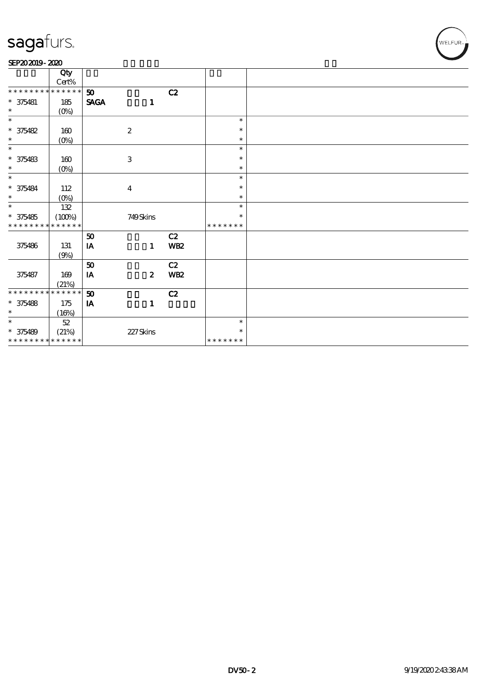#### SEP202019-2020

|                             | Qty             |             |                           |            |               |  |
|-----------------------------|-----------------|-------------|---------------------------|------------|---------------|--|
|                             | $\mbox{Cert\%}$ |             |                           |            |               |  |
| * * * * * * * *             | * * * * * *     | 50          |                           | C2         |               |  |
| $* 375481$                  | 185             | <b>SAGA</b> | $\mathbf{1}$              |            |               |  |
| $\ast$                      | $(0\%)$         |             |                           |            |               |  |
| $\ast$                      |                 |             |                           |            | $\ast$        |  |
| $* 375482$                  | $160$           |             | $\boldsymbol{2}$          |            | $\ast$        |  |
| $\ast$                      | $(0\%)$         |             |                           |            | $\ast$        |  |
| $\ast$                      |                 |             |                           |            | $\ast$        |  |
| $* 375483$                  | 160             |             | $\ensuremath{\mathbf{3}}$ |            | $\ast$        |  |
| $\ast$                      | $(0\%)$         |             |                           |            | $\ast$        |  |
| $\ast$                      |                 |             |                           |            | $\ast$        |  |
| $* 375484$                  | 112             |             | $\boldsymbol{4}$          |            | $\ast$        |  |
| $\ast$                      | $(O\%)$         |             |                           |            | $\ast$        |  |
| $\ast$                      | 132             |             |                           |            | $\ast$        |  |
| $* 375485$                  | (100%)          |             | 749Skins                  |            | $\ast$        |  |
| * * * * * * * *             | * * * * * *     |             |                           |            | * * * * * * * |  |
|                             |                 | 50          |                           | C2         |               |  |
| 375486                      | 131             | IA          | $\mathbf{1}$              | <b>WB2</b> |               |  |
|                             | (9%)            |             |                           |            |               |  |
|                             |                 | 50          |                           | C2         |               |  |
| 375487                      | $169$           | IA          | $\boldsymbol{z}$          | <b>WB2</b> |               |  |
|                             | (21%)           |             |                           |            |               |  |
| * * * * * * * *             | * * * * * *     | 50          |                           | C2         |               |  |
| $* 375488$                  | 175             | IA          | $\mathbf{1}$              |            |               |  |
| $\ast$                      | (16%)           |             |                           |            |               |  |
| $\ast$                      | $52\,$          |             |                           |            | $\ast$        |  |
| $* 375489$                  | (21%)           |             | 227Skins                  |            | $\ast$        |  |
| * * * * * * * * * * * * * * |                 |             |                           |            | * * * * * * * |  |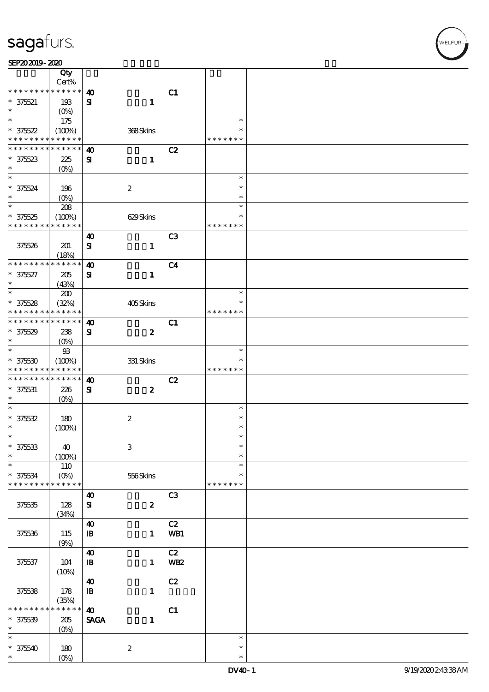| SEP202019-2020 |  |
|----------------|--|
|----------------|--|

|                                    | Qty                        |                            |                           |                 |                  |  |
|------------------------------------|----------------------------|----------------------------|---------------------------|-----------------|------------------|--|
|                                    | Cert%                      |                            |                           |                 |                  |  |
| * * * * * * * *                    | * * * * * *                | $\boldsymbol{\omega}$      |                           | C1              |                  |  |
| $* 375521$<br>$\ast$               | 193                        | ${\bf s}$                  | $\mathbf{1}$              |                 |                  |  |
| $\ast$                             | $(O_0)$<br>175             |                            |                           |                 | $\ast$           |  |
| $* 375522$                         | (100%)                     |                            | 368Skins                  |                 | $\ast$           |  |
| * * * * * * * *                    | * * * * * *                |                            |                           |                 | * * * * * * *    |  |
| * * * * * * * *                    | * * * * * *                | $\boldsymbol{\omega}$      |                           | C2              |                  |  |
| $* 37523$                          | 225                        | ${\bf s}$                  | $\mathbf{1}$              |                 |                  |  |
| $\ast$                             | $(0\%)$                    |                            |                           |                 |                  |  |
| $\ast$                             |                            |                            |                           |                 | $\ast$           |  |
| $* 375524$                         | 196                        |                            | $\boldsymbol{2}$          |                 | $\ast$           |  |
| $\ast$                             | $(O\!/\!\!\delta)$         |                            |                           |                 | $\ast$           |  |
| $\overline{\ast}$                  | $208\,$                    |                            |                           |                 | $\ast$           |  |
| $* 375525$                         | (100%)                     |                            | 629Skins                  |                 | $\ast$           |  |
| * * * * * * * *                    | * * * * * *                |                            |                           |                 | * * * * * * *    |  |
|                                    |                            | $\boldsymbol{\omega}$      |                           | C <sub>3</sub>  |                  |  |
| 375526                             | 201                        | $\mathbf{S}$               | $\mathbf{1}$              |                 |                  |  |
|                                    | (18%)                      |                            |                           |                 |                  |  |
| * * * * * * * *                    | * * * * * *                | $\boldsymbol{\omega}$      |                           | C <sub>4</sub>  |                  |  |
| $* 375627$                         | 205                        | ${\bf s}$                  | $\mathbf{1}$              |                 |                  |  |
| $\ast$                             | (43%)                      |                            |                           |                 |                  |  |
| $\ast$                             | 200                        |                            |                           |                 | $\ast$           |  |
| $* 375528$                         | (32%)                      |                            | 405Skins                  |                 | $\ast$           |  |
| * * * * * * * *<br>* * * * * * * * | * * * * * *<br>* * * * * * |                            |                           |                 | * * * * * * *    |  |
|                                    |                            | $\boldsymbol{\omega}$      |                           | C1              |                  |  |
| $* 375529$<br>$\ast$               | 238                        | $\mathbf{S}$               | $\boldsymbol{z}$          |                 |                  |  |
| $\ast$                             | $(O\%)$<br>$93$            |                            |                           |                 | $\ast$           |  |
| $* 375530$                         | (100%)                     |                            | $331$ Skins               |                 |                  |  |
| * * * * * * * *                    | * * * * * *                |                            |                           |                 | * * * * * * *    |  |
| * * * * * * * *                    | * * * * * *                | $\boldsymbol{\omega}$      |                           | C2              |                  |  |
| $* 375631$                         | 226                        | ${\bf s}$                  | $\boldsymbol{z}$          |                 |                  |  |
| $\ast$                             | $(O\%)$                    |                            |                           |                 |                  |  |
| $\ast$                             |                            |                            |                           |                 | $\ast$           |  |
| $* 375532$                         | 180                        |                            | $\boldsymbol{2}$          |                 | $\ast$           |  |
| $\ast$                             | (100%)                     |                            |                           |                 | $\ast$           |  |
| $\ast$                             |                            |                            |                           |                 | $\ast$           |  |
| $* 375533$                         | 40                         |                            | $\ensuremath{\mathbf{3}}$ |                 | $\ast$           |  |
| $\ast$                             | (100%)                     |                            |                           |                 | $\ast$           |  |
| $\ast$                             | 110                        |                            |                           |                 | $\ast$           |  |
| $* 375634$                         | $(O\%)$                    |                            | 556Skins                  |                 | ∗                |  |
| * * * * * * * *                    | * * * * * *                |                            |                           |                 | * * * * * * *    |  |
|                                    |                            | $\boldsymbol{\omega}$      |                           | C <sub>3</sub>  |                  |  |
| 375535                             | 128<br>(34%)               | ${\bf s}$                  | $\boldsymbol{z}$          |                 |                  |  |
|                                    |                            | $\boldsymbol{\omega}$      |                           | C2              |                  |  |
| 375536                             | 115                        | $\, {\bf I} \! {\bf B} \,$ | $\mathbf{1}$              | WB1             |                  |  |
|                                    | (9%)                       |                            |                           |                 |                  |  |
|                                    |                            | $\boldsymbol{\omega}$      |                           | C2              |                  |  |
| 375537                             | 104                        | $\mathbf{B}$               | $\mathbf{1}$              | WB <sub>2</sub> |                  |  |
|                                    | (10%)                      |                            |                           |                 |                  |  |
|                                    |                            | $\boldsymbol{\omega}$      |                           | C2              |                  |  |
| 375538                             | 178                        | ${\bf I\!B}$               | $\mathbf{1}$              |                 |                  |  |
|                                    | (35%)                      |                            |                           |                 |                  |  |
| * * * * *                          | * * * * * *                | $\boldsymbol{\omega}$      |                           | C1              |                  |  |
| $* 375539$                         | $205\,$                    | <b>SAGA</b>                | $\mathbf{1}$              |                 |                  |  |
| $\ast$                             | $(O\%)$                    |                            |                           |                 |                  |  |
| $\ast$                             |                            |                            |                           |                 | $\ast$           |  |
| $* 375540$<br>$\ast$               | 180                        |                            | $\boldsymbol{2}$          |                 | $\ast$<br>$\ast$ |  |
|                                    | $(O\%)$                    |                            |                           |                 |                  |  |

.<br>WELFUR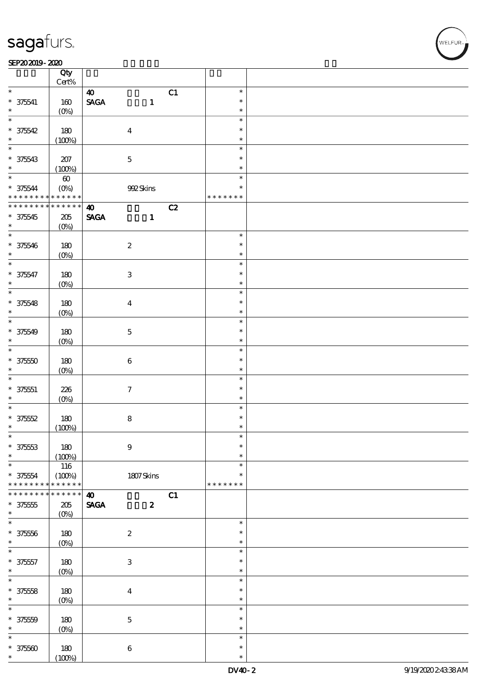#### $SEP202019 - 2020$

|                                              | Qty<br>$Cert\%$   |                       |                           |    |               |  |
|----------------------------------------------|-------------------|-----------------------|---------------------------|----|---------------|--|
| $\ast$                                       |                   |                       |                           | C1 | $\ast$        |  |
|                                              |                   | $\boldsymbol{\omega}$ |                           |    |               |  |
| $* 375641$                                   | 160               | <b>SAGA</b>           | $\mathbf{1}$              |    | $\ast$        |  |
| $\ast$                                       | $(O\%)$           |                       |                           |    | $\ast$        |  |
| $\ast$                                       |                   |                       |                           |    | $\ast$        |  |
| $* 375542$                                   | 180               |                       | $\boldsymbol{4}$          |    | $\ast$        |  |
| $\ast$                                       | (100%)            |                       |                           |    | $\ast$        |  |
| $\overline{\ast}$                            |                   |                       |                           |    | $\ast$        |  |
|                                              |                   |                       |                           |    |               |  |
| $* 375543$                                   | $207\,$           |                       | $\mathbf 5$               |    | $\ast$        |  |
| $\ast$                                       | (100%)            |                       |                           |    | $\ast$        |  |
| $*$                                          | $\pmb{\infty}$    |                       |                           |    | $\ast$        |  |
|                                              |                   |                       | 992Skins                  |    | $\ast$        |  |
| * 375544 (0%)<br>* * * * * * * * * * * * * * |                   |                       |                           |    | * * * * * * * |  |
| * * * * * * * *                              | $* * * * * * *$   | $\boldsymbol{\omega}$ |                           | C2 |               |  |
|                                              |                   |                       |                           |    |               |  |
| $* 375545$                                   | $205\,$           | <b>SAGA</b>           | $\mathbf{1}$              |    |               |  |
| $\ast$                                       | $(O\%)$           |                       |                           |    |               |  |
|                                              |                   |                       |                           |    | $\ast$        |  |
| $* 375546$                                   | 180               |                       | $\boldsymbol{2}$          |    | $\ast$        |  |
| $\ast$                                       | $(O\%)$           |                       |                           |    | $\ast$        |  |
| $\overline{\ast}$                            |                   |                       |                           |    | $\ast$        |  |
|                                              |                   |                       |                           |    | $\ast$        |  |
| $* 375547$                                   | 180               |                       | $\ensuremath{\mathbf{3}}$ |    |               |  |
| $\ast$                                       | $(O\%)$           |                       |                           |    | $\ast$        |  |
| $\overline{\ast}$                            |                   |                       |                           |    | $\ast$        |  |
| $* 375548$                                   | 180               |                       | $\boldsymbol{4}$          |    | $\ast$        |  |
| $\ast$                                       | $(O\%)$           |                       |                           |    | $\ast$        |  |
| $\overline{\ast}$                            |                   |                       |                           |    | $\ast$        |  |
|                                              |                   |                       |                           |    |               |  |
| $* 375549$                                   | 180               |                       | $\mathbf 5$               |    | $\ast$        |  |
| $\ast$                                       | $(O\%)$           |                       |                           |    | $\ast$        |  |
| $\overline{\ast}$                            |                   |                       |                           |    | $\ast$        |  |
| $* 37550$                                    | 180               |                       | $\bf 6$                   |    | $\ast$        |  |
| $\ast$                                       | $(O\%)$           |                       |                           |    | $\ast$        |  |
| $\ast$                                       |                   |                       |                           |    | $\ast$        |  |
|                                              |                   |                       |                           |    |               |  |
| $* 375551$                                   | 226               |                       | $\boldsymbol{\tau}$       |    | $\ast$        |  |
| $\ast$                                       | $(O\%)$           |                       |                           |    | $\ast$        |  |
| $\overline{\ast}$                            |                   |                       |                           |    | $\ast$        |  |
| $* 37552$                                    | 180               |                       | ${\bf 8}$                 |    | $\ast$        |  |
| $\ast$                                       | (100%)            |                       |                           |    | $\ast$        |  |
| $\ast$                                       |                   |                       |                           |    | $\ast$        |  |
|                                              |                   |                       |                           |    |               |  |
| $* 37553$                                    | 180               |                       | $\bf{9}$                  |    | $\ast$        |  |
| $\ast$                                       | (100%)            |                       |                           |    | $\ast$        |  |
| $\ast$                                       | 116               |                       |                           |    | $\ast$        |  |
| $* 375554$                                   | (100%)            |                       | $1807$ Skins              |    | $\ast$        |  |
| * * * * * * *                                | * * * * * *       |                       |                           |    | * * * * * * * |  |
| $* *$<br>* * * *                             | $* * * * * *$     | $\boldsymbol{\omega}$ |                           | C1 |               |  |
| $* 375555$                                   | $205\,$           | <b>SAGA</b>           | $\boldsymbol{z}$          |    |               |  |
| $\ast$                                       |                   |                       |                           |    |               |  |
|                                              | (O <sub>0</sub> ) |                       |                           |    |               |  |
| $\ast$                                       |                   |                       |                           |    | $\ast$        |  |
| $* 37556$                                    | 180               |                       | $\boldsymbol{2}$          |    | $\ast$        |  |
| $\ast$                                       | $(0\%)$           |                       |                           |    | $\ast$        |  |
| $\ast$                                       |                   |                       |                           |    | $\ast$        |  |
| $* 375557$                                   |                   |                       | $\ensuremath{\mathbf{3}}$ |    | $\ast$        |  |
| $\ast$                                       | 180               |                       |                           |    | $\ast$        |  |
|                                              | $(0\%)$           |                       |                           |    |               |  |
| $\overline{\ast}$                            |                   |                       |                           |    | $\ast$        |  |
| $* 375558$                                   | 180               |                       | $\bf{4}$                  |    | $\ast$        |  |
| $\ast$                                       | $(O\!/\!o)$       |                       |                           |    | $\ast$        |  |
| $\ast$                                       |                   |                       |                           |    | $\ast$        |  |
| $* 37550$                                    | 180               |                       | $\mathbf 5$               |    | $\ast$        |  |
| $\ast$                                       |                   |                       |                           |    | $\ast$        |  |
|                                              | $(0\%)$           |                       |                           |    |               |  |
| $\ast$                                       |                   |                       |                           |    | $\ast$        |  |
| $* 37560$                                    | 180               |                       | $\bf 6$                   |    | $\ast$        |  |
|                                              | (100%)            |                       |                           |    | $\ast$        |  |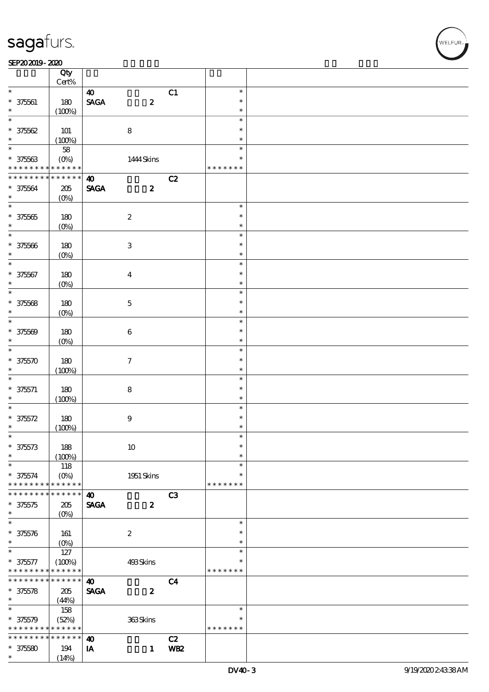#### SEP202019-2020

|                          | Qty<br>$Cert\%$   |                                |                           |                 |               |  |
|--------------------------|-------------------|--------------------------------|---------------------------|-----------------|---------------|--|
| $\ast$                   |                   | $\boldsymbol{\omega}$          |                           |                 | $\ast$        |  |
|                          |                   |                                |                           | C1              | $\ast$        |  |
| $* 375601$               | 180               | $\operatorname{\mathsf{SAGA}}$ | $\pmb{2}$                 |                 |               |  |
| $\ast$                   | (100%)            |                                |                           |                 | $\ast$        |  |
| $\ast$                   |                   |                                |                           |                 | $\ast$        |  |
| $* 37562$                | 101               |                                | $\bf 8$                   |                 | $\ast$        |  |
| $\ast$                   | (100%)            |                                |                           |                 | $\ast$        |  |
| $\overline{\phantom{0}}$ | 58                |                                |                           |                 | $\ast$        |  |
| $* 37563$                | $(O\%)$           |                                | 1444 Skins                |                 | ∗             |  |
| * * * * * * * *          | * * * * * *       |                                |                           |                 | * * * * * * * |  |
| * * * * * * * *          | * * * * * *       | $\boldsymbol{\omega}$          |                           | C2              |               |  |
|                          | 205               | <b>SAGA</b>                    | $\boldsymbol{z}$          |                 |               |  |
| $* 37564$<br>$\ast$      |                   |                                |                           |                 |               |  |
|                          | $(O\%)$           |                                |                           |                 |               |  |
|                          |                   |                                |                           |                 | $\ast$        |  |
| $* 37565$                | 180               |                                | $\boldsymbol{2}$          |                 | $\ast$        |  |
| $\ast$                   | $(O\%)$           |                                |                           |                 | $\ast$        |  |
| $\overline{\phantom{0}}$ |                   |                                |                           |                 | $\ast$        |  |
| $* 37566$                | 180               |                                | $\ensuremath{\mathsf{3}}$ |                 | $\ast$        |  |
| $\ast$                   | $(O\%)$           |                                |                           |                 | $\ast$        |  |
| $\ast$                   |                   |                                |                           |                 | $\ast$        |  |
| $* 37567$                | 180               |                                | $\bf{4}$                  |                 | $\ast$        |  |
| $\ast$                   |                   |                                |                           |                 | $\ast$        |  |
| $\ast$                   | $(O\%)$           |                                |                           |                 | $\ast$        |  |
|                          |                   |                                |                           |                 |               |  |
| $* 37568$                | $180\,$           |                                | $\mathbf 5$               |                 | $\ast$        |  |
| $\ast$                   | $(O\%)$           |                                |                           |                 | $\ast$        |  |
| $\ast$                   |                   |                                |                           |                 | $\ast$        |  |
| $* 37560$                | 180               |                                | $\bf 6$                   |                 | $\ast$        |  |
| $\ast$                   | $(O\%)$           |                                |                           |                 | $\ast$        |  |
| $\ast$                   |                   |                                |                           |                 | $\ast$        |  |
| $* 375570$               | 180               |                                | $\boldsymbol{\tau}$       |                 | $\ast$        |  |
| $\ast$                   | (100%)            |                                |                           |                 | $\ast$        |  |
| $\ast$                   |                   |                                |                           |                 | $\ast$        |  |
|                          |                   |                                |                           |                 | $\ast$        |  |
| $* 375571$               | 180               |                                | $\bf8$                    |                 |               |  |
| $\ast$                   | (100%)            |                                |                           |                 | $\ast$        |  |
| $\ast$                   |                   |                                |                           |                 | $\ast$        |  |
| $* 375572$               | 180               |                                | $\boldsymbol{9}$          |                 | $\ast$        |  |
| $\ast$                   | (100%)            |                                |                           |                 | $\ast$        |  |
| $\ast$                   |                   |                                |                           |                 | $\ast$        |  |
| $* 375573$               | 188               |                                | $10\,$                    |                 | $\ast$        |  |
| $\ast$                   | (100%)            |                                |                           |                 | $\ast$        |  |
| $\ast$                   | 118               |                                |                           |                 | $\ast$        |  |
| $* 375574$               | $(O\%)$           |                                | 1951 Skins                |                 | $\ast$        |  |
| * * * * * * * *          | * * * * * *       |                                |                           |                 | * * * * * * * |  |
| * * * * * * *            | * * * * *         |                                |                           |                 |               |  |
|                          |                   | $\boldsymbol{\omega}$          |                           | C3              |               |  |
| $* 375575$               | 205               | <b>SAGA</b>                    | $\boldsymbol{z}$          |                 |               |  |
| $\ast$                   | $(O\%)$           |                                |                           |                 |               |  |
| $\ast$                   |                   |                                |                           |                 | $\ast$        |  |
| $* 375576$               | 161               |                                | $\boldsymbol{2}$          |                 | $\ast$        |  |
| $\ast$                   | (O <sub>0</sub> ) |                                |                           |                 | $\ast$        |  |
| $\ast$                   | 127               |                                |                           |                 | $\ast$        |  |
| $* 375577$               | (100%)            |                                | 493Skins                  |                 | $\ast$        |  |
| * * * * * * * *          | * * * * * *       |                                |                           |                 | * * * * * * * |  |
| * * * * * * * *          | * * * * * *       | $\boldsymbol{\omega}$          |                           | C <sub>4</sub>  |               |  |
| $* 375578$               |                   |                                |                           |                 |               |  |
| $\ast$                   | 205               | <b>SAGA</b>                    | $\boldsymbol{z}$          |                 |               |  |
|                          | (44%)             |                                |                           |                 |               |  |
| $\ast$                   | 158               |                                |                           |                 | $\ast$        |  |
| $* 375579$               | (52%)             |                                | 363Skins                  |                 | $\ast$        |  |
| * * * * * * * *          | * * * * * *       |                                |                           |                 | * * * * * * * |  |
| * * * * * * *            | * * * * * *       | $\boldsymbol{\omega}$          |                           | C2              |               |  |
| $* 375580$               | 194               | IA                             | $\mathbf{1}$              | WB <sub>2</sub> |               |  |
| $\ast$                   | (14%)             |                                |                           |                 |               |  |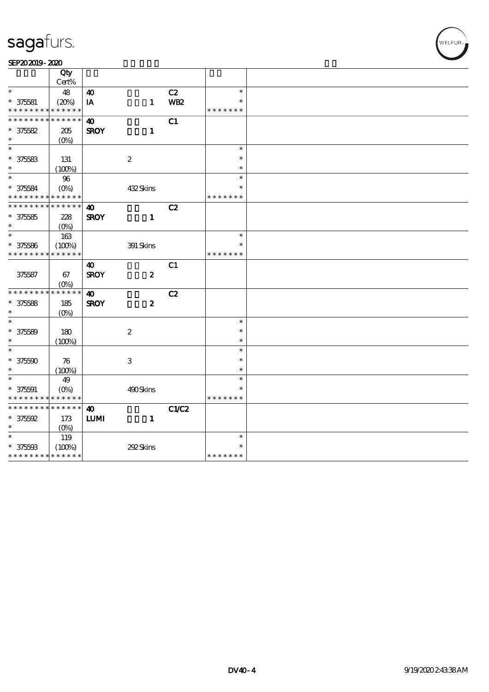#### SEP202019-2020

|                                            | Qty         |                       |                  |            |               |  |
|--------------------------------------------|-------------|-----------------------|------------------|------------|---------------|--|
|                                            | Cert%       |                       |                  |            |               |  |
| $\ast$                                     | 48          | $\boldsymbol{\omega}$ |                  | C2         | $\ast$        |  |
| $* 375581$                                 | (20%)       | IA                    | $\mathbf{1}$     | <b>WB2</b> | $\ast$        |  |
| * * * * * * * *                            | * * * * * * |                       |                  |            | * * * * * * * |  |
| * * * * * * * *                            | * * * * * * | $\boldsymbol{\omega}$ |                  | C1         |               |  |
| $* 375682$                                 | 205         | <b>SROY</b>           | $\mathbf{1}$     |            |               |  |
| $\ast$                                     | $(O\%)$     |                       |                  |            |               |  |
| $\ast$                                     |             |                       |                  |            | $\ast$        |  |
| $* 375683$                                 | 131         |                       | $\boldsymbol{2}$ |            | $\ast$        |  |
| $\ast$                                     | (100%)      |                       |                  |            | $\ast$        |  |
| $\ast$                                     | 96          |                       |                  |            | $\ast$        |  |
| $* 375584$                                 | $(O\%)$     |                       | 432Skins         |            |               |  |
| * * * * * * * *                            | * * * * * * |                       |                  |            | * * * * * * * |  |
| * * * * * * *                              | * * * * * * | 40                    |                  | C2         |               |  |
| $* 375585$                                 | 228         | <b>SROY</b>           | $\mathbf{1}$     |            |               |  |
| $\ast$                                     | $(O\%)$     |                       |                  |            |               |  |
| $\ast$                                     | 163         |                       |                  |            | $\ast$        |  |
| $* 375586$                                 | (100%)      |                       | 391 Skins        |            | $\ast$        |  |
| * * * * * * * *                            | * * * * * * |                       |                  |            | * * * * * * * |  |
|                                            |             | 40                    |                  | C1         |               |  |
| 375587                                     | 67          | <b>SROY</b>           | $\boldsymbol{z}$ |            |               |  |
|                                            | $(O\%)$     |                       |                  |            |               |  |
| * * * * * * * *                            | * * * * * * | 40                    |                  | C2         |               |  |
| $* 375588$                                 | 185         | <b>SROY</b>           | $\boldsymbol{z}$ |            |               |  |
| $\ast$                                     | $(O\%)$     |                       |                  |            |               |  |
| $\ast$                                     |             |                       |                  |            | $\ast$        |  |
| $* 375589$                                 | 180         |                       | $\boldsymbol{2}$ |            | $\ast$        |  |
| $\ast$                                     | (100%)      |                       |                  |            | $\ast$        |  |
| $\overline{\phantom{0}}$                   |             |                       |                  |            | $\ast$        |  |
| $* 37500$                                  | 76          |                       | $\,3$            |            | $\ast$        |  |
| $\ast$                                     | (100%)      |                       |                  |            | $\ast$        |  |
| $\ast$                                     | 49          |                       |                  |            | $\ast$        |  |
| $* 375001$                                 | $(O\%)$     |                       | 490Skins         |            |               |  |
| * * * * * * * *                            | * * * * * * |                       |                  |            | * * * * * * * |  |
| * * * * * * * *                            | * * * * * * | $\boldsymbol{\omega}$ |                  | C1/C2      |               |  |
| $* 375592$                                 | 173         | $\textbf{LUM}$        | $\mathbf{1}$     |            |               |  |
| $\ast$                                     | $(O\%)$     |                       |                  |            |               |  |
| $\ast$                                     | 119         |                       |                  |            | $\ast$        |  |
| $* 375603$                                 | (100%)      |                       | 292Skins         |            |               |  |
| * * * * * * * * <mark>* * * * * * *</mark> |             |                       |                  |            | * * * * * * * |  |
|                                            |             |                       |                  |            |               |  |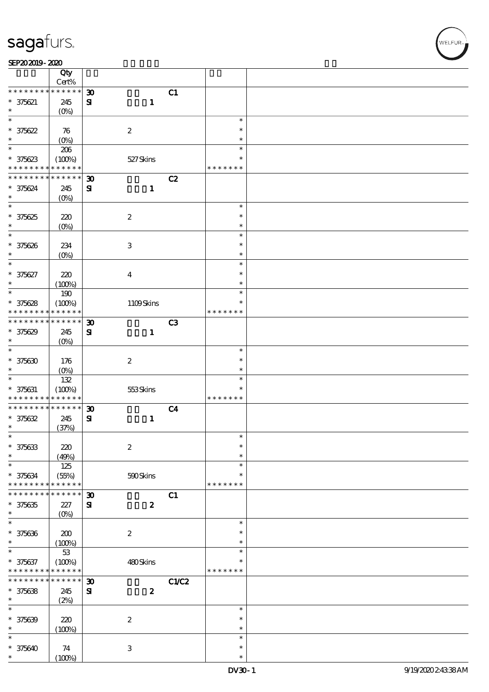#### SEP202019-2020

|                   | Qty<br>Cert%         |                             |                           |                |               |  |
|-------------------|----------------------|-----------------------------|---------------------------|----------------|---------------|--|
| * * * * * * * *   | * * * * * *          | $\boldsymbol{\mathfrak{D}}$ |                           | C1             |               |  |
|                   |                      |                             |                           |                |               |  |
| $* 375621$        | 245                  | ${\bf S}$                   | $\mathbf{1}$              |                |               |  |
| *                 | (O <sub>0</sub> )    |                             |                           |                |               |  |
| $\ast$            |                      |                             |                           |                | $\ast$        |  |
| $* 375622$        | 76                   |                             | $\boldsymbol{2}$          |                | $\ast$        |  |
| $\ast$            | (O <sub>0</sub> )    |                             |                           |                | $\ast$        |  |
| $\overline{\ast}$ | 206                  |                             |                           |                | $\ast$        |  |
| $* 375623$        | (100%)               |                             |                           |                | $\ast$        |  |
| * * * * * * * *   | * * * * * *          |                             | 527Skins                  |                | * * * * * * * |  |
|                   |                      |                             |                           |                |               |  |
| * * * * * * * *   | * * * * * *          | $\boldsymbol{\mathfrak{D}}$ |                           | C2             |               |  |
| * 375624          | 245                  | ${\bf s}$                   | $\mathbf{1}$              |                |               |  |
| $\ast$            | (O <sub>0</sub> )    |                             |                           |                |               |  |
| $\ast$            |                      |                             |                           |                | $\ast$        |  |
| $* 375625$        | 220                  |                             | $\boldsymbol{2}$          |                | $\ast$        |  |
| $\ast$            | $(O\%)$              |                             |                           |                | $\ast$        |  |
| $\ast$            |                      |                             |                           |                | $\ast$        |  |
|                   |                      |                             |                           |                | $\ast$        |  |
| * 375626          | 234                  |                             | $\ensuremath{\mathsf{3}}$ |                |               |  |
| $\ast$            | (O <sub>0</sub> )    |                             |                           |                | $\ast$        |  |
| $\ast$            |                      |                             |                           |                | $\ast$        |  |
| * 375627          | $220$                |                             | $\boldsymbol{4}$          |                | $\ast$        |  |
| $\ast$            | (100%)               |                             |                           |                | $\ast$        |  |
| $\ast$            | 190                  |                             |                           |                | $\ast$        |  |
| $* 375628$        | (100%)               |                             | 1109Skins                 |                | $\ast$        |  |
| * * * * * * * *   | * * * * * *          |                             |                           |                | * * * * * * * |  |
| * * * * * * * *   | * * * * * *          |                             |                           |                |               |  |
|                   |                      | $\boldsymbol{\mathfrak{D}}$ |                           | C3             |               |  |
| $* 375629$        | 245                  | ${\bf s}$                   | $\mathbf{1}$              |                |               |  |
| $\ast$            | (O <sub>0</sub> )    |                             |                           |                |               |  |
| $\ast$            |                      |                             |                           |                | $\ast$        |  |
| $* 375630$        | 176                  |                             | $\boldsymbol{2}$          |                | $\ast$        |  |
| $\ast$            | $(O\%)$              |                             |                           |                | $\ast$        |  |
| $\ast$            | 132                  |                             |                           |                | $\ast$        |  |
|                   | (100%)               |                             |                           |                | $\ast$        |  |
| $* 375631$        | * * * * * *          |                             | 553Skins                  |                | * * * * * * * |  |
| * * * * * * * *   |                      |                             |                           |                |               |  |
| * * * * * * * *   | $******$             | $\boldsymbol{\mathfrak{D}}$ |                           | C <sub>4</sub> |               |  |
| $* 375632$        | 245                  | ${\bf s}$                   | $\mathbf{1}$              |                |               |  |
| $\ast$            | (37%)                |                             |                           |                |               |  |
| $\ast$            |                      |                             |                           |                | $\ast$        |  |
| $* 375633$        | $220$                |                             | $\boldsymbol{2}$          |                | $\ast$        |  |
| *                 | (49%)                |                             |                           |                | $\ast$        |  |
| $\ast$            | 125                  |                             |                           |                | $\ast$        |  |
| $* 375634$        |                      |                             | 590Skins                  |                | $\ast$        |  |
| * * * * * * * *   | (55%)<br>* * * * * * |                             |                           |                | * * * * * * * |  |
|                   |                      |                             |                           |                |               |  |
| * * * * * * *     | * * * * *            | $\boldsymbol{\mathfrak{D}}$ |                           | C1             |               |  |
| $* 375635$        | 227                  | ${\bf s}$                   | $\boldsymbol{2}$          |                |               |  |
| $\ast$            | $(0\%)$              |                             |                           |                |               |  |
| $\ast$            |                      |                             |                           |                | $\ast$        |  |
| $* 375636$        | $200$                |                             | $\boldsymbol{2}$          |                | $\ast$        |  |
| $\ast$            | (100%)               |                             |                           |                | $\ast$        |  |
| *                 | $5\!3$               |                             |                           |                | $\ast$        |  |
| $* 375637$        | (100%)               |                             | 480Skins                  |                | $\ast$        |  |
| * * * * * * * *   | * * * * * *          |                             |                           |                | * * * * * * * |  |
| * * * * * * *     |                      |                             |                           |                |               |  |
|                   | * * * * * *          | $\boldsymbol{\mathfrak{D}}$ |                           | C1/C2          |               |  |
| $* 375638$        | 245                  | ${\bf s}$                   | $\boldsymbol{2}$          |                |               |  |
| $\ast$            | (2%)                 |                             |                           |                |               |  |
| $\ast$            |                      |                             |                           |                | $\ast$        |  |
| $* 375639$        | 220                  |                             | $\boldsymbol{2}$          |                | $\ast$        |  |
| $\ast$            | (100%)               |                             |                           |                | $\ast$        |  |
| $\ast$            |                      |                             |                           |                | $\ast$        |  |
|                   |                      |                             |                           |                | $\ast$        |  |
| $* 375640$        | 74                   |                             | 3                         |                |               |  |
| *                 | (100%)               |                             |                           |                | $\ast$        |  |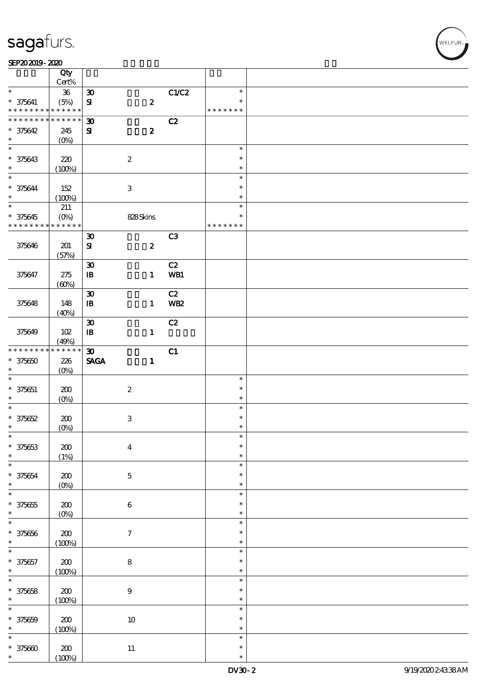#### $SEP202019 - 2020$

|                                            | Qty<br>Cert%    |                             |                           |    |                |               |  |
|--------------------------------------------|-----------------|-----------------------------|---------------------------|----|----------------|---------------|--|
| $\ast$                                     | ${\bf 36}$      | $\boldsymbol{\mathfrak{D}}$ |                           |    | C1/C2          | $\ast$        |  |
| * 375641                                   |                 |                             |                           |    |                | $\ast$        |  |
| * * * * * * * * <mark>* * * * * * *</mark> | (5%)            | $\mathbf{S}$                | $\boldsymbol{z}$          |    |                | * * * * * * * |  |
| * * * * * * * *                            | $* * * * * * *$ |                             |                           |    |                |               |  |
|                                            |                 | $\boldsymbol{\mathfrak{D}}$ |                           |    | C2             |               |  |
| $* 375642$                                 | 245             | ${\bf s}$                   | $\boldsymbol{2}$          |    |                |               |  |
| $\ast$                                     | $(0\%)$         |                             |                           |    |                |               |  |
| $\overline{\ast}$                          |                 |                             |                           |    |                | $\ast$        |  |
| * 375643                                   | 220             |                             | $\boldsymbol{2}$          |    |                | $\ast$        |  |
| $\ast$                                     | (100%)          |                             |                           |    |                | $\ast$        |  |
| $\ast$                                     |                 |                             |                           |    |                | $\ast$        |  |
| * 375644                                   | 152             |                             | $\,3$                     |    |                | $\ast$        |  |
| $\ast$                                     | (100%)          |                             |                           |    |                | $\ast$        |  |
| $\overline{\ast}$                          |                 |                             |                           |    |                | $\ast$        |  |
|                                            | 211             |                             |                           |    |                |               |  |
| $* 375645$                                 | $(O\%)$         |                             | 828Skins                  |    |                | $\ast$        |  |
| * * * * * * * *                            | * * * * * *     |                             |                           |    |                | * * * * * * * |  |
|                                            |                 | $\boldsymbol{\mathfrak{D}}$ |                           |    | C <sub>3</sub> |               |  |
| 375646                                     | 201             | ${\bf s}$                   | $\boldsymbol{z}$          |    |                |               |  |
|                                            | (57%)           |                             |                           |    |                |               |  |
|                                            |                 | $\boldsymbol{\mathfrak{D}}$ |                           |    | C2             |               |  |
| 375647                                     | 275             | $\, {\bf I} \! {\bf B} \,$  | $\mathbf{1}$              |    | WB1            |               |  |
|                                            | (60%)           |                             |                           |    |                |               |  |
|                                            |                 | $\boldsymbol{\mathfrak{D}}$ |                           |    | C2             |               |  |
|                                            |                 |                             |                           |    |                |               |  |
| 375648                                     | 148             | $\, {\bf I} \! {\bf B} \,$  | $\mathbf{1}$              |    | <b>WB2</b>     |               |  |
|                                            | (40%)           |                             |                           |    |                |               |  |
|                                            |                 | $\boldsymbol{\mathfrak{D}}$ |                           |    | C2             |               |  |
| 375649                                     | 102             | $\, {\bf I} \! {\bf B} \,$  | $\mathbf{1}$              |    |                |               |  |
|                                            | (49%)           |                             |                           |    |                |               |  |
| * * * * * * * *                            | $******$        | $\boldsymbol{\mathfrak{D}}$ |                           | C1 |                |               |  |
| $* 375650$                                 | 226             | <b>SAGA</b>                 | $\mathbf{1}$              |    |                |               |  |
| $\ast$                                     | $(O\%)$         |                             |                           |    |                |               |  |
| $\ast$                                     |                 |                             |                           |    |                | $\ast$        |  |
|                                            |                 |                             |                           |    |                | $\ast$        |  |
| $* 375651$                                 | 200             |                             | $\boldsymbol{2}$          |    |                |               |  |
| $\ast$                                     | $(O\%)$         |                             |                           |    |                | $\ast$        |  |
| $\ast$                                     |                 |                             |                           |    |                | $\ast$        |  |
| $* 375652$                                 | 200             |                             | $\ensuremath{\mathbf{3}}$ |    |                | $\ast$        |  |
| $\ast$                                     | $(O\%)$         |                             |                           |    |                | $\ast$        |  |
| $\ast$                                     |                 |                             |                           |    |                | $\ast$        |  |
| $* 375653$                                 | $\pmb{30}$      |                             | $\boldsymbol{4}$          |    |                | $\ast$        |  |
| $\ast$                                     | (1%)            |                             |                           |    |                | $\ast$        |  |
| ¥                                          |                 |                             |                           |    |                | $\ast$        |  |
| $* 375654$                                 |                 |                             |                           |    |                | $\ast$        |  |
| $\ast$                                     | 200             |                             | $\mathbf 5$               |    |                | $\ast$        |  |
| $\ast$                                     | $(0\%)$         |                             |                           |    |                |               |  |
|                                            |                 |                             |                           |    |                | $\ast$        |  |
| $* 375655$                                 | 200             |                             | $\bf 6$                   |    |                | $\ast$        |  |
| $\ast$                                     | $(0\%)$         |                             |                           |    |                | $\ast$        |  |
| $\ast$                                     |                 |                             |                           |    |                | $\ast$        |  |
| $* 375656$                                 | $200\,$         |                             | $\boldsymbol{7}$          |    |                | $\ast$        |  |
| $\ast$                                     | (100%)          |                             |                           |    |                | $\ast$        |  |
| $\ast$                                     |                 |                             |                           |    |                | $\ast$        |  |
| $* 375657$                                 | $200\,$         |                             | $\bf 8$                   |    |                | $\ast$        |  |
| $\ast$                                     |                 |                             |                           |    |                | $\ast$        |  |
| $\overline{\ast}$                          | (100%)          |                             |                           |    |                | $\ast$        |  |
|                                            |                 |                             |                           |    |                |               |  |
| $* 375658$                                 | $200$           |                             | $\boldsymbol{9}$          |    |                | $\ast$        |  |
| $\ast$                                     | (100%)          |                             |                           |    |                | $\ast$        |  |
| $\ast$                                     |                 |                             |                           |    |                | $\ast$        |  |
| $* 375659$                                 | $200$           |                             | $10\,$                    |    |                | $\ast$        |  |
| $\ast$                                     | (100%)          |                             |                           |    |                | $\ast$        |  |
| $\ast$                                     |                 |                             |                           |    |                | $\ast$        |  |
| $* 375600$                                 | 200             |                             | $11\,$                    |    |                | $\ast$        |  |
| $\ast$                                     | (100%)          |                             |                           |    |                | $\ast$        |  |
|                                            |                 |                             |                           |    |                |               |  |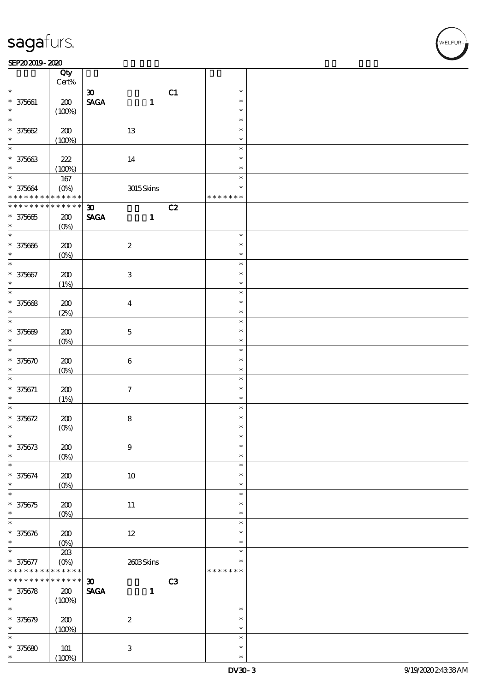#### SEP202019-2020

|                                            | Qty<br>Cert%              |                                                             |                           |    |                  |  |
|--------------------------------------------|---------------------------|-------------------------------------------------------------|---------------------------|----|------------------|--|
|                                            |                           |                                                             |                           |    |                  |  |
| $\ast$<br>$* 375661$                       | 200                       | $\boldsymbol{\mathfrak{D}}$<br>$\ensuremath{\mathsf{SAGA}}$ | $\mathbf{1}$              | C1 | $\ast$<br>$\ast$ |  |
| $\ast$                                     | (100%)                    |                                                             |                           |    | $\ast$           |  |
| $\ast$                                     |                           |                                                             |                           |    | $\ast$           |  |
| $* 375662$                                 | 200                       |                                                             | 13                        |    | $\ast$           |  |
| $\ast$                                     | (100%)                    |                                                             |                           |    | $\ast$           |  |
| $\ast$                                     |                           |                                                             |                           |    | $\ast$<br>$\ast$ |  |
| $* 375663$<br>$\ast$                       | $222\,$                   |                                                             | 14                        |    | $\ast$           |  |
| $*$                                        | (100%)<br>167             |                                                             |                           |    | $\ast$           |  |
| $* 375664$                                 | $(O\!\!\!\!\!\!\!/\,\!o)$ |                                                             | 3015Skins                 |    | $\ast$           |  |
| * * * * * * * * <mark>* * * * * * *</mark> |                           |                                                             |                           |    | * * * * * * *    |  |
| * * * * * * * *                            | $* * * * * * *$           | $\boldsymbol{\mathfrak{D}}$                                 |                           | C2 |                  |  |
| $* 375665$                                 | 200                       | <b>SAGA</b>                                                 | $\mathbf{1}$              |    |                  |  |
| $\ast$                                     | $(O\%)$                   |                                                             |                           |    |                  |  |
| $\ast$                                     |                           |                                                             |                           |    | $\ast$           |  |
| $* 375666$                                 | 200                       |                                                             | $\boldsymbol{2}$          |    | $\ast$           |  |
| $\ast$<br>$\ast$                           | $(0\%)$                   |                                                             |                           |    | $\ast$<br>$\ast$ |  |
| $* 375667$                                 | 200                       |                                                             | $\ensuremath{\mathbf{3}}$ |    | $\ast$           |  |
| $\ast$                                     | (1%)                      |                                                             |                           |    | $\ast$           |  |
| $\overline{\ast}$                          |                           |                                                             |                           |    | $\ast$           |  |
| $* 375668$                                 | $200$                     |                                                             | $\boldsymbol{4}$          |    | $\ast$           |  |
| $\ast$                                     | (2%)                      |                                                             |                           |    | $\ast$           |  |
| $\ast$                                     |                           |                                                             |                           |    | $\ast$           |  |
| $* 375609$                                 | 200                       |                                                             | $\bf 5$                   |    | $\ast$           |  |
| $\ast$<br>$\ast$                           | $(O\%)$                   |                                                             |                           |    | $\ast$           |  |
|                                            |                           |                                                             |                           |    | $\ast$<br>$\ast$ |  |
| $* 375670$<br>$\ast$                       | 200<br>$(O\%)$            |                                                             | $\bf 6$                   |    | $\ast$           |  |
| $\ast$                                     |                           |                                                             |                           |    | $\ast$           |  |
| $* 375671$                                 | 200                       |                                                             | $\boldsymbol{\tau}$       |    | $\ast$           |  |
| $\ast$                                     | (1%)                      |                                                             |                           |    | $\ast$           |  |
| $\ast$                                     |                           |                                                             |                           |    | $\ast$           |  |
| $* 375672$                                 | 200                       |                                                             | ${\bf 8}$                 |    | $\ast$           |  |
| $\ast$                                     | $(0\%)$                   |                                                             |                           |    | $\ast$<br>ж      |  |
| $* 375673$                                 | 200                       |                                                             | $9$                       |    | $\ast$           |  |
| $\ast$                                     | $(O\%)$                   |                                                             |                           |    | $\ast$           |  |
| $\ast$                                     |                           |                                                             |                           |    | $\ast$           |  |
| * 375674                                   | $200$                     |                                                             | $10\,$                    |    | $\ast$           |  |
| $\ast$                                     | $(0\%)$                   |                                                             |                           |    | $\ast$           |  |
| $\ast$                                     |                           |                                                             |                           |    | $\ast$           |  |
| $* 375675$<br>$\ast$                       | 200                       |                                                             | $11\,$                    |    | $\ast$<br>$\ast$ |  |
| $\ast$                                     | $(O\%)$                   |                                                             |                           |    | $\ast$           |  |
| $* 375676$                                 | $200$                     |                                                             | $12\,$                    |    | $\ast$           |  |
| $\ast$                                     | $(O\%)$                   |                                                             |                           |    | $\ast$           |  |
| $\ast$                                     | $203\,$                   |                                                             |                           |    | $\ast$           |  |
| * 375677                                   | $(O\%)$                   |                                                             | 2608Skins                 |    | *                |  |
| * * * * * * *                              | * * * * * *               |                                                             |                           |    | * * * * * * *    |  |
| * * * * * * *                              | * * * * * *               | $\boldsymbol{\mathfrak{D}}$                                 |                           | C3 |                  |  |
| $* 375678$<br>$\ast$                       | ${\bf Z0}$                | <b>SAGA</b>                                                 | $\mathbf{1}$              |    |                  |  |
| $\ast$                                     | (100%)                    |                                                             |                           |    | $\ast$           |  |
| $* 375679$                                 | $200$                     |                                                             | $\boldsymbol{2}$          |    | $\ast$           |  |
| $\ast$                                     | (100%)                    |                                                             |                           |    | $\ast$           |  |
| $\ast$                                     |                           |                                                             |                           |    | $\ast$           |  |
| $* 375680$                                 | $101$                     |                                                             | $\,3\,$                   |    | $\ast$           |  |
| *                                          | (100%)                    |                                                             |                           |    | $\ast$           |  |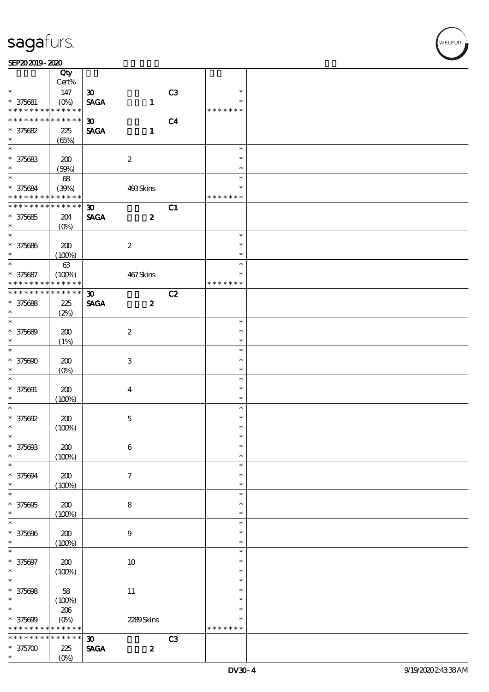$\top$ 

#### $SEP202019 - 2020$

|                                            | Qty<br>Cert%      |                             |                  |                |               |  |
|--------------------------------------------|-------------------|-----------------------------|------------------|----------------|---------------|--|
| $\ast$                                     |                   |                             |                  |                | $\ast$        |  |
|                                            | 147               | $\boldsymbol{\mathfrak{D}}$ |                  | C3             | $\ast$        |  |
| $* 375681$                                 |                   | <b>SAGA</b>                 | $\mathbf{1}$     |                |               |  |
| * * * * * * * *                            | * * * * * *       |                             |                  |                | * * * * * * * |  |
| * * * * * * * *                            | $* * * * * * *$   | $\boldsymbol{\mathfrak{D}}$ |                  | C <sub>4</sub> |               |  |
| $* 375682$                                 | 225               | <b>SAGA</b>                 | $\mathbf{1}$     |                |               |  |
| $\ast$                                     | (65%)             |                             |                  |                |               |  |
| $\overline{\ast}$                          |                   |                             |                  |                | $\ast$        |  |
| * 375683                                   | 200               |                             | $\boldsymbol{2}$ |                | $\ast$        |  |
| $\ast$                                     | (50%)             |                             |                  |                | $\ast$        |  |
| $\overline{\phantom{0}}$                   | 68                |                             |                  |                | $\ast$        |  |
| * 375684                                   | (39%)             |                             | 493Skins         |                | $\ast$        |  |
| * * * * * * * * <mark>* * * * * * *</mark> |                   |                             |                  |                | * * * * * * * |  |
| * * * * * * * *                            | $* * * * * * *$   | $\boldsymbol{\mathfrak{D}}$ |                  | C1             |               |  |
| $* 375685$                                 | 204               | <b>SAGA</b>                 | $\boldsymbol{z}$ |                |               |  |
| $\ast$                                     |                   |                             |                  |                |               |  |
| $\overline{\ast}$                          | $(O\%)$           |                             |                  |                | $\ast$        |  |
|                                            |                   |                             |                  |                |               |  |
| * 375686                                   | 200               |                             | $\boldsymbol{2}$ |                | $\ast$        |  |
| $\ast$                                     | (100%)            |                             |                  |                | $\ast$        |  |
| $\overline{\ast}$                          | $63\,$            |                             |                  |                | $\ast$        |  |
| $* 375687$                                 | (100%)            |                             | 467Skins         |                | $\ast$        |  |
| * * * * * * * *                            | * * * * * *       |                             |                  |                | * * * * * * * |  |
| * * * * * * * *                            | $* * * * * * *$   | $\boldsymbol{\mathfrak{D}}$ |                  | C2             |               |  |
| $* 375688$                                 | 225               | <b>SAGA</b>                 | $\boldsymbol{z}$ |                |               |  |
| $\ast$                                     | (2%)              |                             |                  |                |               |  |
| $\ast$                                     |                   |                             |                  |                | $\ast$        |  |
| $* 375689$                                 | 200               |                             | $\boldsymbol{2}$ |                | $\ast$        |  |
| $\ast$                                     | (1%)              |                             |                  |                | $\ast$        |  |
| $\overline{\ast}$                          |                   |                             |                  |                | $\ast$        |  |
| $* 375600$                                 | 200               |                             | 3                |                | $\ast$        |  |
| $\ast$                                     | $(O\%)$           |                             |                  |                | $\ast$        |  |
| $\ast$                                     |                   |                             |                  |                | $\ast$        |  |
|                                            |                   |                             |                  |                | $\ast$        |  |
| $* 375691$                                 | 200               |                             | $\boldsymbol{4}$ |                | $\ast$        |  |
| $\ast$<br>$\ast$                           | (100%)            |                             |                  |                |               |  |
|                                            |                   |                             |                  |                | $\ast$        |  |
| $* 375692$                                 | 200               |                             | $\mathbf 5$      |                | $\ast$        |  |
| $\ast$                                     | (100%)            |                             |                  |                | $\ast$        |  |
| $\ast$                                     |                   |                             |                  |                | $\ast$        |  |
| * 375698                                   | ${\bf Z0}$        |                             | $\boldsymbol{6}$ |                | $\ast$        |  |
| $\ast$                                     | (100%)            |                             |                  |                | $\ast$        |  |
| $\ast$                                     |                   |                             |                  |                | $\ast$        |  |
| $* 375694$                                 | 200               |                             | $\tau$           |                | $\ast$        |  |
| $\ast$                                     | (100%)            |                             |                  |                | $\ast$        |  |
| $\ast$                                     |                   |                             |                  |                | $\ast$        |  |
| $* 375695$                                 | 200               |                             | 8                |                | $\ast$        |  |
| $\ast$                                     | (100%)            |                             |                  |                | $\ast$        |  |
| $\ast$                                     |                   |                             |                  |                | $\ast$        |  |
| $* 375696$                                 | ${\bf Z0}$        |                             | $\boldsymbol{9}$ |                | $\ast$        |  |
| $\ast$                                     | (100%)            |                             |                  |                | $\ast$        |  |
| $\ast$                                     |                   |                             |                  |                | $\ast$        |  |
| * 375697                                   | ${\bf Z0}$        |                             | 10               |                | $\ast$        |  |
| $\ast$                                     |                   |                             |                  |                | $\ast$        |  |
| $\ast$                                     | (100%)            |                             |                  |                | $\ast$        |  |
|                                            |                   |                             |                  |                |               |  |
| $* 375608$                                 | 58                |                             | $11\,$           |                | $\ast$        |  |
| $\ast$                                     | (100%)            |                             |                  |                | $\ast$        |  |
| $\ast$                                     | 206               |                             |                  |                | $\ast$        |  |
| $* 375609$                                 | $(O\!/\!o)$       |                             | 2289Skins        |                | *             |  |
| * * * * * * * *                            | * * * * * *       |                             |                  |                | * * * * * * * |  |
| * * * * * *                                | * * * * * *       | $\boldsymbol{\mathfrak{D}}$ |                  | C3             |               |  |
| $* 375700$                                 | 225               | <b>SAGA</b>                 | $\boldsymbol{z}$ |                |               |  |
| $\ast$                                     | (O <sub>0</sub> ) |                             |                  |                |               |  |

 $\overline{\mathbf{r}}$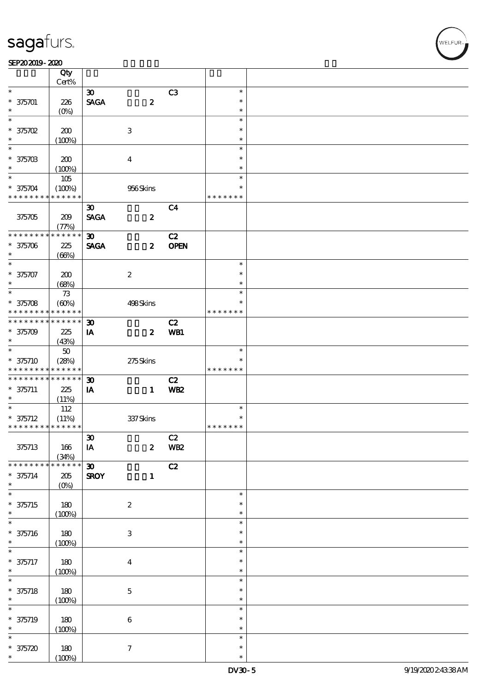#### $SEP202019 - 2020$

|                             | Qty                  |                             |                           |                 |                  |  |
|-----------------------------|----------------------|-----------------------------|---------------------------|-----------------|------------------|--|
| $\ast$                      | Cert%                |                             |                           |                 |                  |  |
|                             |                      | $\boldsymbol{\mathfrak{D}}$ |                           | C3              | $\ast$           |  |
| $* 375701$                  | 226                  | <b>SAGA</b>                 | $\pmb{2}$                 |                 | $\ast$           |  |
| $\ast$                      | $(O\%)$              |                             |                           |                 | $\ast$           |  |
| $\ast$                      |                      |                             |                           |                 | $\ast$           |  |
| $*375702$                   | 200                  |                             | 3                         |                 | $\ast$           |  |
| $\ast$                      | (100%)               |                             |                           |                 | $\ast$           |  |
| $\overline{\phantom{0}}$    |                      |                             |                           |                 | $\ast$           |  |
| $* 37570B$                  | 200                  |                             | $\overline{\mathbf{4}}$   |                 | $\ast$           |  |
| $\ast$                      | (100%)               |                             |                           |                 | $\ast$           |  |
| $\overline{\phantom{0}}$    | 105                  |                             |                           |                 | $\ast$           |  |
| $* 375704$                  | (100%)               |                             | 956Skins                  |                 | $\ast$           |  |
| * * * * * * * *             | * * * * * *          |                             |                           |                 | * * * * * * *    |  |
|                             |                      | $\boldsymbol{\mathfrak{D}}$ |                           | C <sub>4</sub>  |                  |  |
|                             |                      |                             |                           |                 |                  |  |
| 375705                      | 209                  | <b>SAGA</b>                 | $\boldsymbol{2}$          |                 |                  |  |
|                             | (77%)<br>* * * * * * |                             |                           |                 |                  |  |
| * * * * * * * *             |                      | 30 <sub>o</sub>             |                           | C2              |                  |  |
| $* 375706$                  | 225                  | <b>SAGA</b>                 | $\boldsymbol{z}$          | <b>OPEN</b>     |                  |  |
| $\ast$                      | (66%)                |                             |                           |                 |                  |  |
| $\ast$                      |                      |                             |                           |                 | $\ast$           |  |
| $* 375707$                  | 200                  |                             | $\boldsymbol{2}$          |                 | $\ast$           |  |
| $\ast$                      | (68%)                |                             |                           |                 | $\ast$           |  |
| $\ast$                      | 73                   |                             |                           |                 | $\ast$           |  |
| $* 375708$                  | (60%)                |                             | 498Skins                  |                 | $\ast$           |  |
| * * * * * * * *             | * * * * * *          |                             |                           |                 | * * * * * * *    |  |
| * * * * * * * *             | * * * * * *          | $\boldsymbol{\mathfrak{D}}$ |                           | C2              |                  |  |
| $* 375709$                  | 225                  | IA                          | $\boldsymbol{z}$          | WB1             |                  |  |
| $\ast$                      |                      |                             |                           |                 |                  |  |
|                             | (43%)                |                             |                           |                 | $\ast$           |  |
|                             | $50\,$               |                             |                           |                 |                  |  |
| $* 375710$                  | (28%)                |                             | 275Skins                  |                 | $\ast$           |  |
| * * * * * * * *             | * * * * * *          |                             |                           |                 | * * * * * * *    |  |
| * * * * * * * *             | $* * * * * * *$      | $\boldsymbol{\mathfrak{D}}$ |                           | C2              |                  |  |
| $* 375711$                  | 225                  | IA                          | $\mathbf{1}$              | <b>WB2</b>      |                  |  |
| $\ast$                      | (11%)                |                             |                           |                 |                  |  |
| $\overline{\phantom{0}}$    | 112                  |                             |                           |                 | $\ast$           |  |
| $* 375712$                  | (11%)                |                             | 337Skins                  |                 | $\ast$           |  |
| * * * * * * * * * * * * * * |                      |                             |                           |                 | * * * * * * *    |  |
|                             |                      | $\pmb{\mathfrak{D}}$        |                           | C2              |                  |  |
| 375713                      | 166                  | $I\!\!A$                    | $\boldsymbol{z}$          | WB <sub>2</sub> |                  |  |
|                             | (34%)                |                             |                           |                 |                  |  |
| * * * * * * * *             | * * * * * *          | $\boldsymbol{\mathfrak{D}}$ |                           | C2              |                  |  |
| $* 375714$                  | 205                  | <b>SROY</b>                 | $\mathbf{1}$              |                 |                  |  |
| $\ast$                      | $(O\%)$              |                             |                           |                 |                  |  |
| $\overline{\ast}$           |                      |                             |                           |                 | $\ast$           |  |
| $* 375715$                  |                      |                             |                           |                 | $\ast$           |  |
| $\ast$                      | 180                  |                             | $\boldsymbol{2}$          |                 |                  |  |
| $\ast$                      | (100%)               |                             |                           |                 | $\ast$<br>$\ast$ |  |
|                             |                      |                             |                           |                 |                  |  |
| $* 375716$                  | 180                  |                             | $\ensuremath{\mathsf{3}}$ |                 | $\ast$           |  |
| $\ast$                      | (100%)               |                             |                           |                 | $\ast$           |  |
| $\ast$                      |                      |                             |                           |                 | $\ast$           |  |
| $* 375717$                  | 180                  |                             | $\boldsymbol{4}$          |                 | $\ast$           |  |
| $\ast$                      | (100%)               |                             |                           |                 | $\ast$           |  |
| $\overline{\ast}$           |                      |                             |                           |                 | $\ast$           |  |
| $* 375718$                  | 180                  |                             | $\mathbf 5$               |                 | $\ast$           |  |
| $\ast$                      | (100%)               |                             |                           |                 | $\ast$           |  |
| $\ast$                      |                      |                             |                           |                 | $\ast$           |  |
| $* 375719$                  | 180                  |                             | $\bf 6$                   |                 | $\ast$           |  |
| $\ast$                      | (100%)               |                             |                           |                 | $\ast$           |  |
| $\ast$                      |                      |                             |                           |                 | $\ast$           |  |
|                             |                      |                             |                           |                 | $\ast$           |  |
| $* 375720$                  | 180                  |                             | $\boldsymbol{7}$          |                 |                  |  |
| $\ast$                      | (100%)               |                             |                           |                 | $\ast$           |  |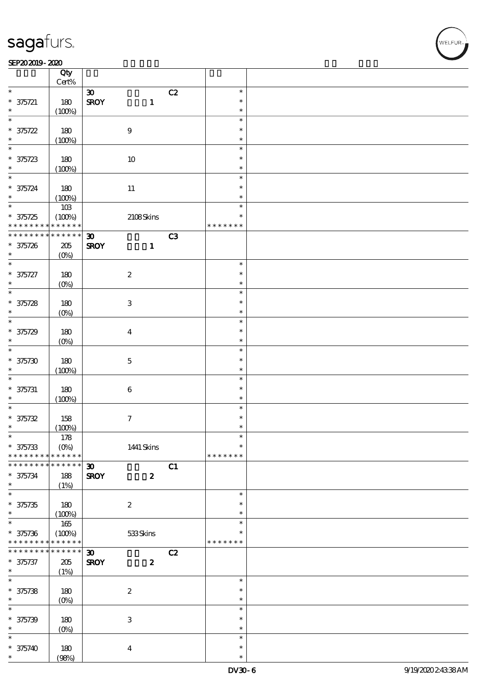┯

#### SEP202019-2020  $\overline{\phantom{a}}$

|                                | Qty<br>$\mbox{Cert}\%$ |                             |                           |    |               |  |
|--------------------------------|------------------------|-----------------------------|---------------------------|----|---------------|--|
| $\ast$                         |                        |                             |                           | C2 | $\ast$        |  |
|                                |                        | $\boldsymbol{\mathfrak{D}}$ |                           |    |               |  |
| $* 375721$                     | 180                    | <b>SROY</b>                 | $\mathbf{1}$              |    | $\ast$        |  |
| $\ast$                         | (100%)                 |                             |                           |    | $\ast$        |  |
| $\ast$                         |                        |                             |                           |    | $\ast$        |  |
| $* 375722$                     | 180                    |                             | $\boldsymbol{9}$          |    | $\ast$        |  |
|                                |                        |                             |                           |    |               |  |
| $\ast$                         | (100%)                 |                             |                           |    | $\ast$        |  |
| $\overline{\ast}$              |                        |                             |                           |    | $\ast$        |  |
| $* 375723$                     | 180                    |                             | $10\,$                    |    | $\ast$        |  |
| $\ast$                         |                        |                             |                           |    | $\ast$        |  |
|                                | (100%)                 |                             |                           |    |               |  |
| $\ast$                         |                        |                             |                           |    | $\ast$        |  |
| $* 375724$                     | 180                    |                             | $11\,$                    |    | $\ast$        |  |
| $\ast$                         | (100%)                 |                             |                           |    | $\ast$        |  |
| $\overline{\ast}$              |                        |                             |                           |    | $\ast$        |  |
|                                | $10B$                  |                             |                           |    |               |  |
| $* 375725$                     | (100%)                 |                             | 2108Skins                 |    | $\ast$        |  |
| * * * * * * * * <mark>*</mark> | * * * * * *            |                             |                           |    | * * * * * * * |  |
| * * * * * * * *                | $******$               | $\boldsymbol{\mathfrak{D}}$ |                           | C3 |               |  |
|                                |                        |                             |                           |    |               |  |
| $* 375726$                     | $205\,$                | <b>SROY</b>                 | $\mathbf{1}$              |    |               |  |
| $\ast$                         | $(O\%)$                |                             |                           |    |               |  |
| $\ast$                         |                        |                             |                           |    | $\ast$        |  |
| * 375727                       | 180                    |                             | $\boldsymbol{2}$          |    | $\ast$        |  |
| $\ast$                         | $(O\%)$                |                             |                           |    | $\ast$        |  |
| $\overline{\ast}$              |                        |                             |                           |    |               |  |
|                                |                        |                             |                           |    | $\ast$        |  |
| $* 375728$                     | 180                    |                             | $\ensuremath{\mathbf{3}}$ |    | $\ast$        |  |
| $\ast$                         | $(O\%)$                |                             |                           |    | $\ast$        |  |
| $\overline{\ast}$              |                        |                             |                           |    | $\ast$        |  |
|                                |                        |                             |                           |    |               |  |
| $* 375729$                     | 180                    |                             | $\boldsymbol{4}$          |    | $\ast$        |  |
| $\ast$                         | (O <sub>0</sub> )      |                             |                           |    | $\ast$        |  |
| $\ast$                         |                        |                             |                           |    | $\ast$        |  |
|                                |                        |                             |                           |    | $\ast$        |  |
| $* 375730$                     | 180                    |                             | $\mathbf 5$               |    |               |  |
| $\ast$                         | (100%)                 |                             |                           |    | $\ast$        |  |
| $\ast$                         |                        |                             |                           |    | $\ast$        |  |
| $* 375731$                     | 180                    |                             | $\bf 6$                   |    | $\ast$        |  |
| $\ast$                         |                        |                             |                           |    | $\ast$        |  |
|                                | (100%)                 |                             |                           |    |               |  |
| $\ast$                         |                        |                             |                           |    | $\ast$        |  |
| $* 375732$                     | 158                    |                             | $\boldsymbol{7}$          |    | $\ast$        |  |
| $\ast$                         | (100%)                 |                             |                           |    | $\ast$        |  |
| *                              | $178$                  |                             |                           |    | $\ast$        |  |
|                                |                        |                             |                           |    |               |  |
| $* 375733$                     | $(O\%)$                |                             | 1441 Skins                |    | $\ast$        |  |
| * * * * * * * *                | * * * * * *            |                             |                           |    | * * * * * * * |  |
| * * * * * * *                  | * * * * * *            | $\boldsymbol{\mathfrak{D}}$ |                           | C1 |               |  |
| $* 375734$                     |                        |                             | $\boldsymbol{z}$          |    |               |  |
|                                | 188                    | <b>SROY</b>                 |                           |    |               |  |
| $\ast$                         | (1%)                   |                             |                           |    |               |  |
| $\overline{\ast}$              |                        |                             |                           |    | $\ast$        |  |
| $* 375735$                     | 180                    |                             | $\boldsymbol{2}$          |    | $\ast$        |  |
| $\ast$                         | (100%)                 |                             |                           |    | $\ast$        |  |
| $\overline{\ast}$              |                        |                             |                           |    |               |  |
|                                | $165\,$                |                             |                           |    | $\ast$        |  |
| $* 375736$                     | (100%)                 |                             | 533Skins                  |    | *             |  |
| * * * * * * * *                | * * * * * *            |                             |                           |    | * * * * * * * |  |
| * * * * * * * *                | $******$               | $\boldsymbol{\mathfrak{D}}$ |                           | C2 |               |  |
|                                |                        |                             |                           |    |               |  |
| $* 375737$                     | $205\,$                | <b>SROY</b>                 | $\boldsymbol{z}$          |    |               |  |
| $\ast$                         | (1%)                   |                             |                           |    |               |  |
| $\overline{\ast}$              |                        |                             |                           |    | $\ast$        |  |
| $* 375738$                     | 180                    |                             | $\boldsymbol{2}$          |    | $\ast$        |  |
|                                |                        |                             |                           |    | $\ast$        |  |
| $\ast$                         | $(O\!/\!o)$            |                             |                           |    |               |  |
| $\ast$                         |                        |                             |                           |    | $\ast$        |  |
| $* 375739$                     | 180                    |                             | $\ensuremath{\mathbf{3}}$ |    | $\ast$        |  |
| $\ast$                         | $(0\%)$                |                             |                           |    | $\ast$        |  |
| $\ast$                         |                        |                             |                           |    |               |  |
|                                |                        |                             |                           |    | $\ast$        |  |
| $* 375740$                     | 180                    |                             | $\boldsymbol{4}$          |    | $\ast$        |  |
| $\ast$                         | (98%)                  |                             |                           |    | $\ast$        |  |

 $\overline{\mathsf{T}}$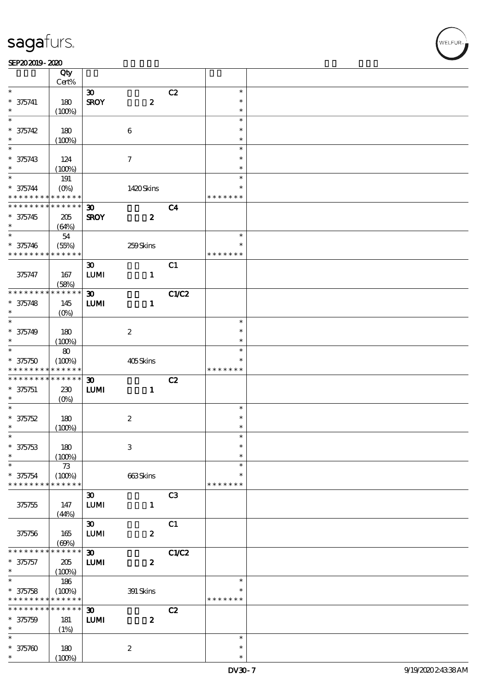$\overline{\mathsf{T}}$ 

#### SEP202019-2020  $\overline{\phantom{a}}$

|                               | Qty<br>Cert%           |                             |                           |                |               |  |
|-------------------------------|------------------------|-----------------------------|---------------------------|----------------|---------------|--|
| $\ast$                        |                        |                             |                           |                | $\ast$        |  |
|                               |                        | $\boldsymbol{\mathfrak{D}}$ |                           | C2             |               |  |
| $* 375741$                    | 180                    | <b>SROY</b>                 | $\boldsymbol{z}$          |                | $\ast$        |  |
| $\ast$                        | (100%)                 |                             |                           |                | $\ast$        |  |
| $\ast$                        |                        |                             |                           |                | $\ast$        |  |
| $* 375742$                    | 180                    |                             | $\boldsymbol{6}$          |                | $\ast$        |  |
| $\ast$                        | (100%)                 |                             |                           |                | $\ast$        |  |
| $\ast$                        |                        |                             |                           |                | $\ast$        |  |
| $* 375743$                    | 124                    |                             | $\tau$                    |                | $\ast$        |  |
| $\ast$                        | (100%)                 |                             |                           |                | $\ast$        |  |
| $\ast$                        | 191                    |                             |                           |                | $\ast$        |  |
|                               |                        |                             |                           |                | $\ast$        |  |
| $* 375744$<br>* * * * * * * * | $(O\%)$<br>* * * * * * |                             | 1420Skins                 |                |               |  |
|                               |                        |                             |                           |                | * * * * * * * |  |
| * * * * * * * *               | $* * * * * * *$        | $\boldsymbol{\mathfrak{D}}$ |                           | C <sub>4</sub> |               |  |
| $* 375745$                    | 205                    | <b>SROY</b>                 | $\boldsymbol{z}$          |                |               |  |
| $\ast$                        | (64%)                  |                             |                           |                |               |  |
| $\ast$                        | ${\bf 54}$             |                             |                           |                | $\ast$        |  |
| $* 375746$                    | (55%)                  |                             | 259Skins                  |                | $\ast$        |  |
| * * * * * * * *               | * * * * * *            |                             |                           |                | * * * * * * * |  |
|                               |                        | $\boldsymbol{\mathfrak{D}}$ |                           | C1             |               |  |
| 375747                        | 167                    | <b>LUMI</b>                 | $\mathbf{1}$              |                |               |  |
|                               |                        |                             |                           |                |               |  |
| * * * * * * * *               | (58%)<br>* * * * * *   |                             |                           |                |               |  |
|                               |                        | $\boldsymbol{\mathfrak{D}}$ |                           | C1/C2          |               |  |
| $* 375748$                    | 145                    | <b>LUMI</b>                 | $\mathbf{1}$              |                |               |  |
| $\ast$                        | (O <sub>0</sub> )      |                             |                           |                |               |  |
| $\ast$                        |                        |                             |                           |                | $\ast$        |  |
| $* 375749$                    | 180                    |                             | $\boldsymbol{2}$          |                | $\ast$        |  |
| $\ast$                        | (100%)                 |                             |                           |                | $\ast$        |  |
| $\ast$                        | $\bf{80}$              |                             |                           |                | $\ast$        |  |
| $* 375750$                    | (100%)                 |                             | 405Skins                  |                |               |  |
| * * * * * * * *               | * * * * * *            |                             |                           |                | * * * * *     |  |
| * * * * * * * *               | * * * * * *            | $\boldsymbol{\mathfrak{D}}$ |                           | C2             |               |  |
|                               |                        |                             |                           |                |               |  |
| $* 375751$                    | 230                    | <b>LUMI</b>                 | $\mathbf{1}$              |                |               |  |
| $\ast$                        | $(O\%)$                |                             |                           |                |               |  |
| $\ast$                        |                        |                             |                           |                | $\ast$        |  |
| $* 375752$                    | 180                    |                             | $\boldsymbol{2}$          |                | $\ast$        |  |
| $\ast$                        | (100%)                 |                             |                           |                | $\ast$        |  |
| $\ast$                        |                        |                             |                           |                | $\ast$        |  |
| $* 375753$                    | 180                    |                             | $\ensuremath{\mathbf{3}}$ |                | $\ast$        |  |
| $\ast$                        | (100%)                 |                             |                           |                | $\ast$        |  |
| $\ast$                        | 73                     |                             |                           |                | $\ast$        |  |
| $* 375754$                    | (100%)                 |                             | 663Skins                  |                | $\ast$        |  |
| * * * * * * * *               | * * * * * *            |                             |                           |                | * * * * * * * |  |
|                               |                        | $\boldsymbol{\mathfrak{D}}$ |                           | C <sub>3</sub> |               |  |
| 375755                        | 147                    | <b>LUMI</b>                 | $\mathbf{1}$              |                |               |  |
|                               |                        |                             |                           |                |               |  |
|                               | (44%)                  |                             |                           |                |               |  |
|                               |                        | $\boldsymbol{\mathfrak{D}}$ |                           | C1             |               |  |
| 375756                        | 165                    | <b>LUMI</b>                 | $\pmb{2}$                 |                |               |  |
|                               | (60%)                  |                             |                           |                |               |  |
| * * * * * *                   | $* * * * * *$          | $\boldsymbol{\mathfrak{D}}$ |                           | C1/C2          |               |  |
| $* 375757$                    | 205                    | <b>LUMI</b>                 | $\pmb{2}$                 |                |               |  |
| $\ast$                        | (100%)                 |                             |                           |                |               |  |
| $\overline{\ast}$             | 186                    |                             |                           |                | $\ast$        |  |
| $* 375758$                    | (100%)                 |                             | 391 Skins                 |                |               |  |
| * * * * * * * *               | * * * * * *            |                             |                           |                | * * * * * * * |  |
| * * * * * * *                 | $* * * * * * *$        | $\boldsymbol{\mathfrak{D}}$ |                           | C2             |               |  |
| $* 375759$                    | 181                    | <b>LUMI</b>                 | $\boldsymbol{z}$          |                |               |  |
| $\ast$                        |                        |                             |                           |                |               |  |
| $\ast$                        | (1%)                   |                             |                           |                |               |  |
|                               |                        |                             |                           |                | $\ast$        |  |
| $* 375700$                    | 180                    |                             | $\boldsymbol{2}$          |                | $\ast$        |  |
| $\ast$                        | (100%)                 |                             |                           |                | $\ast$        |  |

 $\overline{\mathsf{T}}$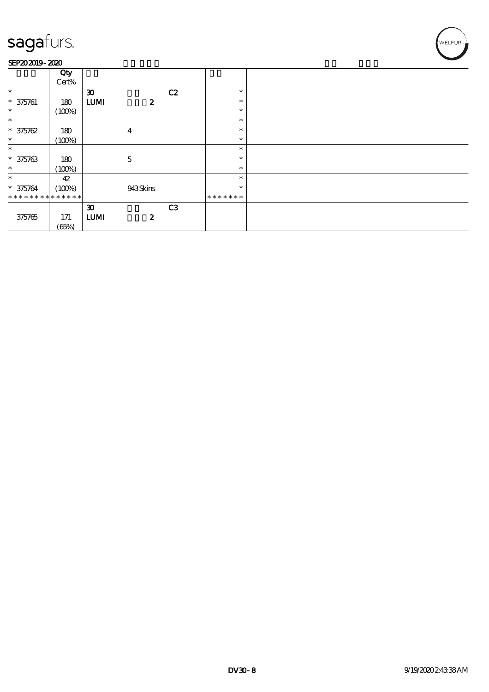#### SEP202019-2020

|                             | Qty<br>Cert% |                             |                  |                |               |  |
|-----------------------------|--------------|-----------------------------|------------------|----------------|---------------|--|
| $\ast$                      |              | $\boldsymbol{\mathfrak{D}}$ |                  | C2             | $\ast$        |  |
| $* 375761$                  | 180          | <b>LUMI</b>                 | $\boldsymbol{z}$ |                | $\ast$        |  |
| $\ast$                      | (100%)       |                             |                  |                | $\ast$        |  |
| $\ast$                      |              |                             |                  |                | $\ast$        |  |
| $* 375762$                  | 180          |                             | 4                |                | $\ast$        |  |
| $\ast$                      | (100%)       |                             |                  |                | $\ast$        |  |
| $\ast$                      |              |                             |                  |                | $\ast$        |  |
| $* 375763$                  | 180          |                             | $\overline{5}$   |                | $\ast$        |  |
| $\ast$                      | (100%)       |                             |                  |                | $\ast$        |  |
| $\ast$                      | 42           |                             |                  |                | $\ast$        |  |
| $* 375764$                  | (100%)       |                             | 943Skins         |                | $\ast$        |  |
| * * * * * * * * * * * * * * |              |                             |                  |                | * * * * * * * |  |
|                             |              | $\boldsymbol{\mathfrak{D}}$ |                  | C <sub>3</sub> |               |  |
| 375765                      | 171          | <b>LUMI</b>                 | $\boldsymbol{z}$ |                |               |  |
|                             | (65%)        |                             |                  |                |               |  |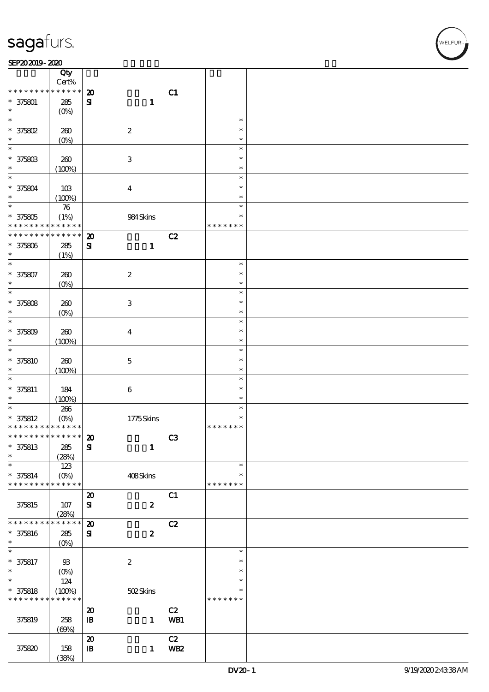#### SEP202019-2020

|                                            | Qty<br>Cert%      |                             |                           |            |               |  |
|--------------------------------------------|-------------------|-----------------------------|---------------------------|------------|---------------|--|
| * * * * * * * *                            | * * * * * *       | $\boldsymbol{\mathfrak{D}}$ |                           | C1         |               |  |
|                                            |                   |                             |                           |            |               |  |
| $* 375801$                                 | $285\,$           | ${\bf S}$                   | $\mathbf{1}$              |            |               |  |
|                                            | $(O\%)$           |                             |                           |            |               |  |
| $\ast$                                     |                   |                             |                           |            | $\ast$        |  |
| $*$ 375802                                 | 260               |                             | $\boldsymbol{2}$          |            | $\ast$        |  |
| $\ast$                                     |                   |                             |                           |            | $\ast$        |  |
|                                            | $(0\%)$           |                             |                           |            |               |  |
| $\ast$                                     |                   |                             |                           |            | $\ast$        |  |
| $* 37580B$                                 | 260               |                             | $\ensuremath{\mathbf{3}}$ |            | $\ast$        |  |
| $\ast$                                     | (100%)            |                             |                           |            | $\ast$        |  |
| $\ast$                                     |                   |                             |                           |            | $\ast$        |  |
|                                            |                   |                             |                           |            |               |  |
| $* 375804$                                 | 10B               |                             | $\boldsymbol{4}$          |            | $\ast$        |  |
| $\ast$                                     | (100%)            |                             |                           |            | $\ast$        |  |
| $\overline{\ast}$                          | ${\bf 76}$        |                             |                           |            | $\ast$        |  |
|                                            |                   |                             |                           |            | $\ast$        |  |
| $* 375805$                                 | (1%)              |                             | 984Skins                  |            |               |  |
| * * * * * * * *                            | * * * * * *       |                             |                           |            | * * * * * * * |  |
| * * * * * * * *                            | $******$          | $\boldsymbol{\mathsf{20}}$  |                           | C2         |               |  |
| $* 375806$                                 | 285               | ${\bf S}$                   | $\mathbf{1}$              |            |               |  |
| $\ast$                                     |                   |                             |                           |            |               |  |
|                                            | (1%)              |                             |                           |            |               |  |
| $\ast$                                     |                   |                             |                           |            | $\ast$        |  |
| $* 375807$                                 | $200$             |                             | $\boldsymbol{2}$          |            | $\ast$        |  |
| $\ast$                                     | (O <sub>0</sub> ) |                             |                           |            | $\ast$        |  |
| $\ast$                                     |                   |                             |                           |            | $\ast$        |  |
|                                            |                   |                             |                           |            |               |  |
| $* 375808$                                 | 260               |                             | $\ensuremath{\mathsf{3}}$ |            | $\ast$        |  |
| $\ast$                                     | $(O\%)$           |                             |                           |            | $\ast$        |  |
| $\ast$                                     |                   |                             |                           |            | $\ast$        |  |
|                                            |                   |                             |                           |            | $\ast$        |  |
| $* 375809$                                 | 260               |                             | $\boldsymbol{4}$          |            |               |  |
| $\ast$                                     | (100%)            |                             |                           |            | $\ast$        |  |
| $\ast$                                     |                   |                             |                           |            | $\ast$        |  |
| $* 375810$                                 | 260               |                             | $\mathbf 5$               |            | $\ast$        |  |
|                                            |                   |                             |                           |            |               |  |
| $\ast$                                     | (100%)            |                             |                           |            | $\ast$        |  |
| $\ast$                                     |                   |                             |                           |            | $\ast$        |  |
| $* 375811$                                 | 184               |                             | $\,6\,$                   |            | $\ast$        |  |
| $\ast$                                     | (100%)            |                             |                           |            | $\ast$        |  |
| $\overline{\ast}$                          |                   |                             |                           |            |               |  |
|                                            | $266\,$           |                             |                           |            | $\ast$        |  |
| $* 375812$                                 | $(O\%)$           |                             | 1775Skins                 |            | $\ast$        |  |
| * * * * * * * * <mark>* * * * * * *</mark> |                   |                             |                           |            | * * * * * * * |  |
| * * * * * * * * <mark>* * * * * * *</mark> |                   | $\boldsymbol{\mathfrak{D}}$ |                           | C3         |               |  |
|                                            |                   |                             |                           |            |               |  |
| $* 375813$                                 | 285               | ${\bf s}$                   | $\mathbf{1}$              |            |               |  |
| $\ast$                                     | (28%)             |                             |                           |            |               |  |
| $\ast$                                     | 123               |                             |                           |            | $\ast$        |  |
| $* 375814$                                 | $(O\%)$           |                             | 408Skins                  |            | $\ast$        |  |
| * * * * * * * *                            | * * * * * *       |                             |                           |            | * * * * * * * |  |
|                                            |                   |                             |                           |            |               |  |
|                                            |                   | $\boldsymbol{\mathsf{20}}$  |                           | C1         |               |  |
| 375815                                     | 107               | ${\bf s}$                   | $\boldsymbol{z}$          |            |               |  |
|                                            | (28%)             |                             |                           |            |               |  |
| * * * * * * *                              | * * * * * *       |                             |                           |            |               |  |
|                                            |                   | $\boldsymbol{\mathfrak{D}}$ |                           | C2         |               |  |
| * 375816                                   | ${\bf 285}$       | ${\bf s}$                   | $\boldsymbol{2}$          |            |               |  |
| $\ast$                                     | (O <sub>0</sub> ) |                             |                           |            |               |  |
| $\ast$                                     |                   |                             |                           |            | $\ast$        |  |
| $* 375817$                                 | $93$              |                             | $\boldsymbol{2}$          |            | $\ast$        |  |
|                                            |                   |                             |                           |            |               |  |
| $\ast$                                     | $(O\%)$           |                             |                           |            | $\ast$        |  |
| $\overline{\ast}$                          | 124               |                             |                           |            | $\ast$        |  |
| $* 375818$                                 | (100%)            |                             | 502Skins                  |            | $\ast$        |  |
| * * * * * * * *                            | * * * * * *       |                             |                           |            | * * * * * * * |  |
|                                            |                   |                             |                           |            |               |  |
|                                            |                   | $\boldsymbol{\mathsf{20}}$  |                           | C2         |               |  |
| 375819                                     | 258               | $\mathbf{B}$                | $\mathbf{1}$              | WB1        |               |  |
|                                            | (60%)             |                             |                           |            |               |  |
|                                            |                   | $\boldsymbol{\mathbf{z}}$   |                           | C2         |               |  |
|                                            |                   |                             |                           |            |               |  |
| 375820                                     | 158               | $\mathbf{B}$                | $\mathbf{1}$              | <b>WB2</b> |               |  |
|                                            | (38%)             |                             |                           |            |               |  |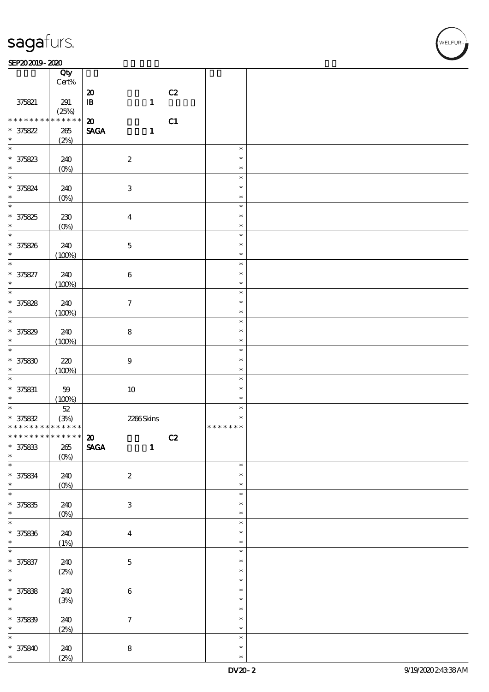#### $SEP202019 - 2020$

|                                            | Qty<br>$\mbox{Cert}\%$ |                                              |               |  |
|--------------------------------------------|------------------------|----------------------------------------------|---------------|--|
|                                            |                        |                                              |               |  |
|                                            |                        | C2<br>$\boldsymbol{\mathbf{z}}$              |               |  |
| 375821                                     | 291                    | $\, {\bf I} \! {\bf B} \,$<br>$\mathbf{1}$   |               |  |
|                                            |                        |                                              |               |  |
|                                            | (25%)                  |                                              |               |  |
| * * * * * * * *                            | $******$               | C1<br>$\boldsymbol{\mathbf{z}}$              |               |  |
| $* 375822$                                 | 265                    | $\ensuremath{\mathsf{SAGA}}$<br>$\mathbf{1}$ |               |  |
|                                            |                        |                                              |               |  |
| $\ast$                                     | (2%)                   |                                              |               |  |
|                                            |                        |                                              | $\ast$        |  |
|                                            |                        |                                              | $\ast$        |  |
| $* 375823$                                 | 240                    | $\boldsymbol{2}$                             |               |  |
| $\ast$                                     | $(0\%)$                |                                              | $\ast$        |  |
| $\overline{\ast}$                          |                        |                                              | $\ast$        |  |
|                                            |                        |                                              |               |  |
| * 375824                                   | 240                    | $\ensuremath{\mathbf{3}}$                    | $\ast$        |  |
| $\ast$                                     | $(0\%)$                |                                              | $\ast$        |  |
| $\ast$                                     |                        |                                              | $\ast$        |  |
|                                            |                        |                                              |               |  |
| $* 375825$                                 | $230\,$                | $\boldsymbol{4}$                             | $\ast$        |  |
| $\ast$                                     | $(0\%)$                |                                              | $\ast$        |  |
| $\ast$                                     |                        |                                              | $\ast$        |  |
|                                            |                        |                                              |               |  |
| * 375826                                   | 240                    | $\bf 5$                                      | $\ast$        |  |
| $\ast$                                     | (100%)                 |                                              | $\ast$        |  |
| $\ast$                                     |                        |                                              | $\ast$        |  |
|                                            |                        |                                              |               |  |
| $* 375827$                                 | 240                    | $\bf 6$                                      | $\ast$        |  |
| $\ast$                                     | (100%)                 |                                              | $\ast$        |  |
| $\overline{\ast}$                          |                        |                                              |               |  |
|                                            |                        |                                              | $\ast$        |  |
| $* 375828$                                 | 240                    | $\boldsymbol{7}$                             | $\ast$        |  |
|                                            |                        |                                              | $\ast$        |  |
|                                            | (100%)                 |                                              |               |  |
|                                            |                        |                                              | $\ast$        |  |
| $* 375829$                                 | 240                    | ${\bf 8}$                                    | $\ast$        |  |
| $\ast$                                     |                        |                                              | $\ast$        |  |
|                                            | (100%)                 |                                              |               |  |
| $\overline{\ast}$                          |                        |                                              | $\ast$        |  |
| $* 37580$                                  | 220                    | $\boldsymbol{9}$                             | $\ast$        |  |
| $\ast$                                     |                        |                                              | $\ast$        |  |
|                                            | (100%)                 |                                              |               |  |
| $\ast$                                     |                        |                                              | $\ast$        |  |
| $* 375831$                                 | 59                     | $10\,$                                       | $\ast$        |  |
| $\ast$                                     | (100%)                 |                                              | $\ast$        |  |
|                                            |                        |                                              |               |  |
| $\ast$                                     | $5\!2$                 |                                              | $\ast$        |  |
| $* 375832$                                 | (3%)                   | 2266Skins                                    | $\ast$        |  |
| * * * * * * * *                            | * * * * * *            |                                              | * * * * * * * |  |
|                                            |                        |                                              |               |  |
| * * * * * * * * <mark>* * * * * * *</mark> |                        | C2<br>$\boldsymbol{\mathbf{z}}$              |               |  |
| $* 375833$                                 | 265                    | <b>SAGA</b><br>$\mathbf{1}$                  |               |  |
| $\ast$                                     | $(O\%)$                |                                              |               |  |
| $\ast$                                     |                        |                                              |               |  |
|                                            |                        |                                              | $\ast$        |  |
|                                            | 240                    | $\boldsymbol{2}$                             | $\ast$        |  |
| * 375834                                   | $(0\%)$                |                                              | $\ast$        |  |
|                                            |                        |                                              |               |  |
| $\overline{\ast}$                          |                        |                                              | $\ast$        |  |
| $* 375835$                                 | 240                    | $\ensuremath{\mathbf{3}}$                    | $\ast$        |  |
| $\ast$                                     |                        |                                              | $\ast$        |  |
|                                            | $(0\%)$                |                                              |               |  |
| $\overline{\ast}$                          |                        |                                              | $\ast$        |  |
| $* 375836$                                 | 240                    | $\boldsymbol{4}$                             | $\ast$        |  |
| $\ast$                                     |                        |                                              | $\ast$        |  |
|                                            | (1%)                   |                                              |               |  |
| $\ast$                                     |                        |                                              | $\ast$        |  |
| $* 375837$                                 | 240                    | $\mathbf 5$                                  | $\ast$        |  |
| $\ast$                                     |                        |                                              | $\ast$        |  |
|                                            | (2%)                   |                                              |               |  |
| $\ast$                                     |                        |                                              | $\ast$        |  |
| $* 375838$                                 | 240                    | $\bf 6$                                      | $\ast$        |  |
| $\ast$                                     |                        |                                              | $\ast$        |  |
|                                            | (3%)                   |                                              |               |  |
| $\ast$                                     |                        |                                              | $\ast$        |  |
| $* 375839$                                 | 240                    | $\tau$                                       | $\ast$        |  |
| $\ast$                                     |                        |                                              | $\ast$        |  |
|                                            | (2%)                   |                                              |               |  |
| $\ast$                                     |                        |                                              | $\ast$        |  |
|                                            |                        |                                              |               |  |
|                                            |                        |                                              | $\ast$        |  |
| $* 375840$<br>$\ast$                       | 240<br>(2%)            | ${\bf 8}$                                    | $\ast$        |  |

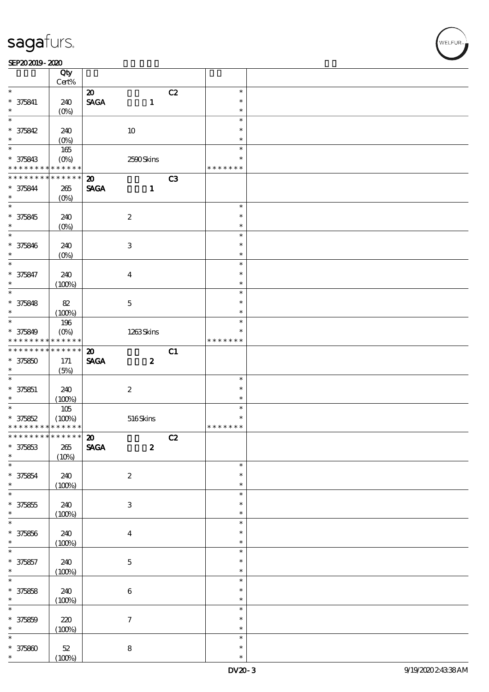#### SEP202019-2020

|                                            | Qty                |                                |                           |    |               |  |
|--------------------------------------------|--------------------|--------------------------------|---------------------------|----|---------------|--|
|                                            | Cert%              |                                |                           |    |               |  |
| $\ast$                                     |                    | $\boldsymbol{\mathfrak{D}}$    |                           | C2 | $\ast$        |  |
| $* 375841$                                 | 240                | $\operatorname{\mathsf{SAGA}}$ | $\mathbf{1}$              |    | $\ast$        |  |
| $\ast$                                     | $(O\%)$            |                                |                           |    | $\ast$        |  |
| $\ast$                                     |                    |                                |                           |    | $\ast$        |  |
| $* 375842$                                 | 240                |                                | $10\,$                    |    | $\ast$        |  |
| $\ast$                                     | $(O\%)$            |                                |                           |    | $\ast$        |  |
| $\overline{\ast}$                          | 165                |                                |                           |    | $\ast$        |  |
| * 375843                                   | $(O\!/\!o)$        |                                | 2500Skins                 |    | $\ast$        |  |
| * * * * * * * *                            | * * * * * *        |                                |                           |    | * * * * * * * |  |
| * * * * * * * *                            | $* * * * * * *$    | $\boldsymbol{\mathfrak{D}}$    |                           | C3 |               |  |
| $* 375844$                                 | $265\,$            | <b>SAGA</b>                    | $\mathbf{1}$              |    |               |  |
| $\ast$                                     | $(O\%)$            |                                |                           |    |               |  |
| $\overline{\ast}$                          |                    |                                |                           |    | $\ast$        |  |
| * 375845                                   | 240                |                                | $\boldsymbol{2}$          |    | $\ast$        |  |
| $\ast$                                     | $(O\%)$            |                                |                           |    | $\ast$        |  |
| $\ast$                                     |                    |                                |                           |    | $\ast$        |  |
| * 375846                                   | 240                |                                | $\ensuremath{\mathsf{3}}$ |    | $\ast$        |  |
| $\ast$                                     | $(O\!/\!\!\delta)$ |                                |                           |    | $\ast$        |  |
| $\ast$                                     |                    |                                |                           |    | $\ast$        |  |
| * 375847                                   | 240                |                                | $\boldsymbol{4}$          |    | $\ast$        |  |
| $\ast$                                     | (100%)             |                                |                           |    | $\ast$        |  |
| $\overline{\ast}$                          |                    |                                |                           |    | $\ast$        |  |
| * 375848                                   | 82                 |                                | $\mathbf 5$               |    | $\ast$        |  |
| $\ast$                                     | (100%)             |                                |                           |    | $\ast$        |  |
| $\overline{\ast}$                          | 196                |                                |                           |    | $\ast$        |  |
| * 375849                                   | $(O\%)$            |                                | 1263Skins                 |    | $\ast$        |  |
| * * * * * * * *                            | * * * * * *        |                                |                           |    | * * * * * * * |  |
| * * * * * * * *                            | $* * * * * * *$    | $\boldsymbol{\mathbf{z}}$      |                           | C1 |               |  |
| $* 375850$                                 | 171                | <b>SAGA</b>                    | $\boldsymbol{z}$          |    |               |  |
| $\ast$                                     | (5%)               |                                |                           |    |               |  |
| $\overline{\phantom{0}}$                   |                    |                                |                           |    | $\ast$        |  |
| $* 375851$                                 | 240                |                                | $\boldsymbol{2}$          |    | $\ast$        |  |
| $\ast$                                     | (100%)             |                                |                           |    | $\ast$        |  |
| $\overline{\ast}$                          | $105$              |                                |                           |    | $\ast$        |  |
| $* 375852$                                 | (100%)             |                                | 516Skins                  |    | $\ast$        |  |
| * * * * * * * * <mark>* * * * * * *</mark> |                    |                                |                           |    | * * * * * * * |  |
| ************** 20                          |                    |                                |                           | C2 |               |  |
| $* 375853$                                 | $265\,$            | <b>SAGA</b>                    | $\boldsymbol{z}$          |    |               |  |
| $\ast$                                     | (10%)              |                                |                           |    |               |  |
| $\ast$                                     |                    |                                |                           |    | $\ast$        |  |
| $* 375854$                                 | 240                |                                | $\boldsymbol{z}$          |    | $\ast$        |  |
| $\ast$                                     | (100%)             |                                |                           |    | $\ast$        |  |
| $\ast$                                     |                    |                                |                           |    | $\ast$        |  |
| $* 375855$                                 | 240                |                                | $\ensuremath{\mathsf{3}}$ |    | $\ast$        |  |
| $\ast$                                     | (100%)             |                                |                           |    | $\ast$        |  |
| $\ast$                                     |                    |                                |                           |    | $\ast$        |  |
| $* 375856$                                 | 240                |                                | $\boldsymbol{4}$          |    | $\ast$        |  |
| $\ast$                                     | (100%)             |                                |                           |    | $\ast$        |  |
| $\ast$                                     |                    |                                |                           |    | $\ast$        |  |
| $* 375857$                                 | 240                |                                | $\mathbf 5$               |    | $\ast$        |  |
| $\ast$                                     | (100%)             |                                |                           |    | $\ast$        |  |
| $\overline{\ast}$                          |                    |                                |                           |    | $\ast$        |  |
| $* 375858$                                 | 240                |                                | $\bf 6$                   |    | $\ast$        |  |
| $\ast$                                     | (100%)             |                                |                           |    | $\ast$        |  |
| $\ast$                                     |                    |                                |                           |    | $\ast$        |  |
| $* 375859$                                 | 220                |                                | $\tau$                    |    | $\ast$        |  |
| $\ast$                                     | (100%)             |                                |                           |    | $\ast$        |  |
| $\ast$                                     |                    |                                |                           |    | $\ast$        |  |
| $* 375800$                                 | 52                 |                                | ${\bf 8}$                 |    | $\ast$        |  |
|                                            | (100%)             |                                |                           |    | $\ast$        |  |

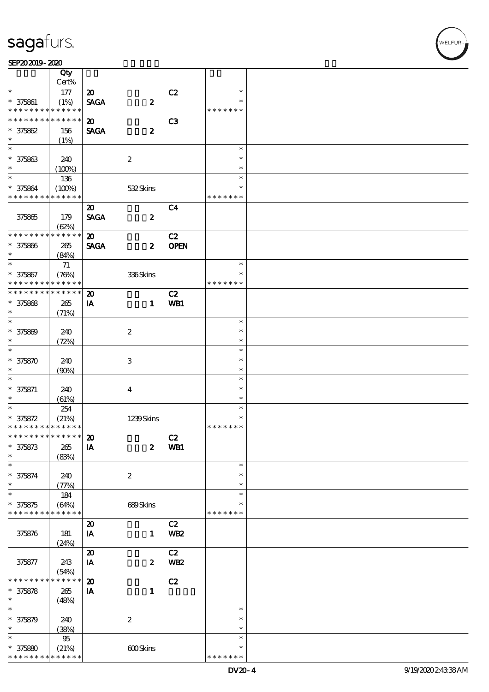#### $SEP202019 - 2020$

|                                            | Qty<br>Cert%        |                                         |                      |                 |               |  |
|--------------------------------------------|---------------------|-----------------------------------------|----------------------|-----------------|---------------|--|
| $\ast$                                     | 177                 | $\boldsymbol{\mathfrak{D}}$             |                      | C2              | $\ast$        |  |
| $* 375861$                                 |                     |                                         |                      |                 | $\ast$        |  |
| * * * * * * * *                            | (1%)<br>* * * * * * | <b>SAGA</b>                             | $\boldsymbol{2}$     |                 | * * * * * * * |  |
| * * * * * * * *                            | * * * * * *         |                                         |                      |                 |               |  |
|                                            |                     | $\boldsymbol{\mathfrak{D}}$             |                      | C <sub>3</sub>  |               |  |
| $* 375862$                                 | 156                 | <b>SAGA</b>                             | $\boldsymbol{2}$     |                 |               |  |
| $\ast$                                     | (1%)                |                                         |                      |                 |               |  |
|                                            |                     |                                         |                      |                 | $\ast$        |  |
| $* 375863$                                 | 240                 |                                         | $\boldsymbol{2}$     |                 | $\ast$        |  |
| $\ast$                                     | (100%)              |                                         |                      |                 | $\ast$        |  |
| $\ast$                                     | 136                 |                                         |                      |                 | $\ast$        |  |
| * 375864                                   | (100%)              |                                         | 532Skins             |                 | $\ast$        |  |
| * * * * * * * *                            | * * * * * *         |                                         |                      |                 | * * * * * * * |  |
|                                            |                     | $\boldsymbol{\mathsf{20}}$              |                      | C <sub>4</sub>  |               |  |
| 375865                                     | 179                 | <b>SAGA</b>                             | $\boldsymbol{z}$     |                 |               |  |
|                                            | (62%)               |                                         |                      |                 |               |  |
| * * * * * * * *                            | * * * * * *         | $\boldsymbol{\mathfrak{D}}$             |                      | C2              |               |  |
|                                            |                     |                                         |                      |                 |               |  |
| $* 375866$                                 | 265                 | <b>SAGA</b>                             | $\boldsymbol{z}$     | <b>OPEN</b>     |               |  |
| $\ast$                                     | (84%)               |                                         |                      |                 |               |  |
| $\ast$                                     | 71                  |                                         |                      |                 | $\ast$        |  |
| $* 375867$                                 | (78%)               |                                         | $336\mathrm{S}$ kins |                 | $\ast$        |  |
| * * * * * * * *                            | * * * * * *         |                                         |                      |                 | * * * * * * * |  |
| * * * * * * * *                            | ******              | $\boldsymbol{\mathbf{z}}$               |                      | C2              |               |  |
| $* 375868$                                 | 265                 | IA                                      | $\mathbf{1}$         | WB1             |               |  |
| $\ast$                                     | (71%)               |                                         |                      |                 |               |  |
| $\ast$                                     |                     |                                         |                      |                 | $\ast$        |  |
| $* 375809$                                 | 240                 |                                         | $\boldsymbol{2}$     |                 | $\ast$        |  |
| $\ast$                                     | (72%)               |                                         |                      |                 | $\ast$        |  |
| $\ast$                                     |                     |                                         |                      |                 | $\ast$        |  |
| $* 375870$                                 | 240                 |                                         | $\,3$                |                 | $\ast$        |  |
| $\ast$                                     |                     |                                         |                      |                 | $\ast$        |  |
| $\ast$                                     | (90%)               |                                         |                      |                 | $\ast$        |  |
|                                            |                     |                                         |                      |                 |               |  |
| $* 375871$                                 | 240                 |                                         | $\overline{4}$       |                 | $\ast$        |  |
| $\ast$                                     | (61%)               |                                         |                      |                 | $\ast$        |  |
| $\overline{\ast}$                          | 254                 |                                         |                      |                 | $\ast$        |  |
| $* 375872$                                 | (21%)               |                                         | 1239Skins            |                 | $\ast$        |  |
| * * * * * * * * <mark>* * * * * * *</mark> |                     |                                         |                      |                 | * * * * * * * |  |
| ************** 20                          |                     |                                         |                      | C2              |               |  |
| $* 375873$                                 | 265                 | ${\bf I} {\bf A}$                       | $\boldsymbol{z}$     | WB1             |               |  |
| *                                          | (83%)               |                                         |                      |                 |               |  |
| $\ast$                                     |                     |                                         |                      |                 | $\ast$        |  |
| $* 375874$                                 | 240                 |                                         | $\boldsymbol{2}$     |                 | $\ast$        |  |
| $\ast$                                     | (77%)               |                                         |                      |                 | $\ast$        |  |
| $\ast$                                     | 184                 |                                         |                      |                 | $\ast$        |  |
| $* 375875$                                 | (64%)               |                                         | 689Skins             |                 | *             |  |
| * * * * * * * *                            | * * * * * *         |                                         |                      |                 | * * * * * * * |  |
|                                            |                     | $\boldsymbol{\mathfrak{D}}$             |                      | C2              |               |  |
| 375876                                     |                     |                                         | $\mathbf{1}$         | WB <sub>2</sub> |               |  |
|                                            | 181                 | IA                                      |                      |                 |               |  |
|                                            | (24%)               |                                         |                      |                 |               |  |
|                                            |                     | $\boldsymbol{\boldsymbol{\mathrm{20}}}$ |                      | C2              |               |  |
| 375877                                     | 243                 | IA                                      | $\boldsymbol{z}$     | <b>WB2</b>      |               |  |
|                                            | (54%)               |                                         |                      |                 |               |  |
| * * * * * *                                | $***$ * * *<br>*    | $\boldsymbol{\mathfrak{D}}$             |                      | C2              |               |  |
| $* 375878$                                 | 265                 | IA                                      | $\mathbf{1}$         |                 |               |  |
| $\ast$                                     | (48%)               |                                         |                      |                 |               |  |
| $\ast$                                     |                     |                                         |                      |                 | $\ast$        |  |
| $* 375879$                                 | 240                 |                                         | $\boldsymbol{2}$     |                 | $\ast$        |  |
| $\ast$                                     | (38%)               |                                         |                      |                 | $\ast$        |  |
| $\ast$                                     | $9\!5$              |                                         |                      |                 | $\ast$        |  |
| $* 37580$                                  | (21%)               |                                         | 600Skins             |                 | $\ast$        |  |
| * * * * * * * *                            | * * * * * *         |                                         |                      |                 | * * * * * * * |  |
|                                            |                     |                                         |                      |                 |               |  |

T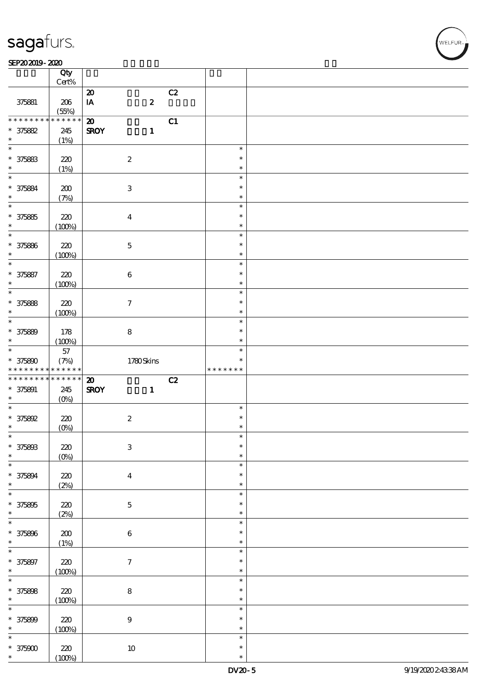#### $SEP202019 - 2020$

|                                                     | Qty<br>$Cert\%$  |                           |                  |    |               |  |
|-----------------------------------------------------|------------------|---------------------------|------------------|----|---------------|--|
|                                                     |                  | $\boldsymbol{\mathbf{z}}$ |                  | C2 |               |  |
| 375881                                              | $206\,$<br>(55%) | IA                        | $\boldsymbol{z}$ |    |               |  |
| * * * * * * * *                                     | $*******$        | $\boldsymbol{\mathbf{z}}$ |                  | C1 |               |  |
| $* 375882$                                          | 245              | <b>SROY</b>               | $\mathbf{1}$     |    |               |  |
| $\ast$                                              |                  |                           |                  |    |               |  |
|                                                     | (1%)             |                           |                  |    |               |  |
| $\overline{\ast}$                                   |                  |                           |                  |    | $\ast$        |  |
| $* 375883$                                          | 220              | $\boldsymbol{2}$          |                  |    | $\ast$        |  |
| $\ast$                                              | (1%)             |                           |                  |    | $\ast$        |  |
| $\overline{\ast}$                                   |                  |                           |                  |    | $\ast$        |  |
| $* 375884$                                          | 200              | $\ensuremath{\mathbf{3}}$ |                  |    | $\ast$        |  |
| $\ast$                                              | (7%)             |                           |                  |    | $\ast$        |  |
| $\overline{\ast}$                                   |                  |                           |                  |    | $\ast$        |  |
|                                                     |                  |                           |                  |    |               |  |
| $* 375865$                                          | 220              | $\boldsymbol{4}$          |                  |    | $\ast$        |  |
| $\ast$                                              | (100%)           |                           |                  |    | $\ast$        |  |
| $\ast$                                              |                  |                           |                  |    | $\ast$        |  |
| * 375886                                            | 220              | $\mathbf 5$               |                  |    | $\ast$        |  |
| $\ast$                                              | (100%)           |                           |                  |    | $\ast$        |  |
| $\ast$                                              |                  |                           |                  |    | $\ast$        |  |
| $* 375887$                                          | 220              | $\bf 6$                   |                  |    | $\ast$        |  |
| $\ast$                                              | (100%)           |                           |                  |    | $\ast$        |  |
| $\overline{\ast}$                                   |                  |                           |                  |    | $\ast$        |  |
|                                                     |                  |                           |                  |    | $\ast$        |  |
| $* 375888$                                          | 220              | $\tau$                    |                  |    |               |  |
| $\ast$                                              | (100%)           |                           |                  |    | $\ast$        |  |
| $\overline{\ast}$                                   |                  |                           |                  |    | $\ast$        |  |
| * 375889                                            | 178              | $\bf 8$                   |                  |    | $\ast$        |  |
| $\ast$                                              | (100%)           |                           |                  |    | $\ast$        |  |
| $\overline{\ast}$                                   | $57\,$           |                           |                  |    | $\ast$        |  |
| $* 375800$                                          | (7%)             |                           | 1780Skins        |    | $\ast$        |  |
|                                                     |                  |                           |                  |    | * * * * * * * |  |
| * * * * * * * *                                     | $******$         |                           |                  |    |               |  |
| * * * * * * * *                                     | $******$         |                           |                  |    |               |  |
|                                                     |                  | $\boldsymbol{\mathbf{z}}$ |                  | C2 |               |  |
| $* 375891$<br>$\ast$                                | 245              | <b>SROY</b>               | $\mathbf{1}$     |    |               |  |
| $\overline{\ast}$                                   | $(O\%)$          |                           |                  |    | $\ast$        |  |
|                                                     |                  |                           |                  |    | $\ast$        |  |
| $* 375892$                                          | 220              | $\boldsymbol{2}$          |                  |    |               |  |
| $\ast$                                              | $(0\%)$          |                           |                  |    | $\ast$        |  |
| $\ast$                                              |                  |                           |                  |    | $\ast$        |  |
| * 375893                                            | $220$            | $\ensuremath{\mathbf{3}}$ |                  |    | $\ast$        |  |
| $\ast$                                              | $(0\%)$          |                           |                  |    | $\ast$        |  |
| $\ast$                                              |                  |                           |                  |    | $\ast$        |  |
| * 375894                                            | 220              | $\overline{\mathbf{4}}$   |                  |    | $\ast$        |  |
| $\ast$                                              | (2%)             |                           |                  |    | $\ast$        |  |
| $\overline{\ast}$                                   |                  |                           |                  |    | $\ast$        |  |
| $* 375895$                                          | 220              | $\mathbf 5$               |                  |    | $\ast$        |  |
| $\ast$                                              |                  |                           |                  |    | $\ast$        |  |
| $\ast$                                              | (2%)             |                           |                  |    | $\ast$        |  |
|                                                     |                  |                           |                  |    | $\ast$        |  |
| * 375896                                            | $200\,$          | $\bf 6$                   |                  |    | $\ast$        |  |
| $\ast$                                              | (1%)             |                           |                  |    |               |  |
| $\ast$                                              |                  |                           |                  |    | $\ast$        |  |
|                                                     | $220$            | $\boldsymbol{7}$          |                  |    | $\ast$        |  |
| * 375897<br>$\ast$                                  | (100%)           |                           |                  |    | $\ast$        |  |
|                                                     |                  |                           |                  |    | $\ast$        |  |
|                                                     | $220$            | ${\bf 8}$                 |                  |    | $\ast$        |  |
|                                                     | (100%)           |                           |                  |    | $\ast$        |  |
|                                                     |                  |                           |                  |    | $\ast$        |  |
| $\overline{\ast}$<br>$* 375808$<br>$\ast$<br>$\ast$ | $220$            | $\boldsymbol{9}$          |                  |    | $\ast$        |  |
| $* 375809$<br>$\ast$                                |                  |                           |                  |    | $\ast$        |  |
| $\ast$                                              | (100%)           |                           |                  |    | $\ast$        |  |
| * 375000                                            | 220              | $10\,$                    |                  |    | $\ast$        |  |

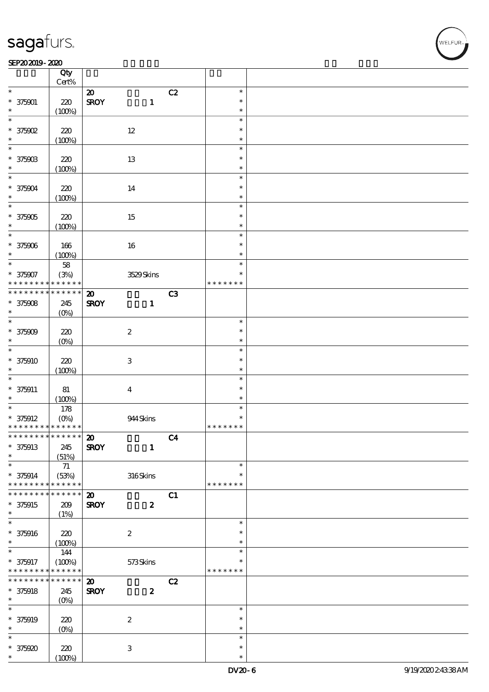#### SEP202019-2020

|                                            | Qty<br>Cert%         |                             |                           |                |                  |  |
|--------------------------------------------|----------------------|-----------------------------|---------------------------|----------------|------------------|--|
|                                            |                      |                             |                           |                |                  |  |
| $\ast$                                     |                      | $\boldsymbol{\mathsf{20}}$  |                           | C2             | $\ast$           |  |
| $* 375001$                                 | 220                  | <b>SROY</b>                 | $\mathbf{1}$              |                | $\ast$           |  |
| $\ast$                                     | (100%)               |                             |                           |                | $\ast$           |  |
| $\ast$                                     |                      |                             |                           |                | $\ast$           |  |
|                                            |                      |                             |                           |                |                  |  |
| $*$ 375002                                 | 220                  |                             | $12\,$                    |                | $\ast$           |  |
| $\ast$                                     | (100%)               |                             |                           |                | $\ast$           |  |
| $\ast$                                     |                      |                             |                           |                | $\ast$           |  |
|                                            |                      |                             |                           |                | $\ast$           |  |
| $* 37590B$                                 | 220                  |                             | 13                        |                |                  |  |
|                                            | (100%)               |                             |                           |                | $\ast$           |  |
| $\ast$                                     |                      |                             |                           |                | $\ast$           |  |
| $* 375004$                                 | 220                  |                             | 14                        |                | $\ast$           |  |
|                                            |                      |                             |                           |                |                  |  |
| $\ast$                                     | (100%)               |                             |                           |                | $\ast$           |  |
| $\ast$                                     |                      |                             |                           |                | $\ast$           |  |
| $* 375905$                                 | 220                  |                             | 15                        |                | $\ast$           |  |
|                                            |                      |                             |                           |                | $\ast$           |  |
|                                            | (100%)               |                             |                           |                |                  |  |
| $\ast$                                     |                      |                             |                           |                | $\ast$           |  |
| $* 375906$                                 | 166                  |                             | 16                        |                | $\ast$           |  |
| $\ast$                                     | (100%)               |                             |                           |                | $\ast$           |  |
| $\ast$                                     |                      |                             |                           |                | $\ast$           |  |
|                                            | ${\bf 58}$           |                             |                           |                |                  |  |
| * 375907                                   | (3%)                 |                             | 3529Skins                 |                | $\ast$           |  |
| * * * * * * * *                            | * * * * * *          |                             |                           |                | * * * * * * *    |  |
| * * * * * * * *                            | $* * * * * * *$      | $\boldsymbol{\mathfrak{D}}$ |                           | C3             |                  |  |
|                                            |                      |                             |                           |                |                  |  |
| $* 375008$                                 | 245                  | <b>SROY</b>                 | $\mathbf{1}$              |                |                  |  |
| $\ast$                                     | $(O\%)$              |                             |                           |                |                  |  |
| $\ast$                                     |                      |                             |                           |                | $\ast$           |  |
| $* 375009$                                 | 220                  |                             | $\boldsymbol{2}$          |                | $\ast$           |  |
| $\ast$                                     |                      |                             |                           |                | $\ast$           |  |
|                                            | $(O\%)$              |                             |                           |                |                  |  |
| $\ast$                                     |                      |                             |                           |                | $\ast$           |  |
| $* 375910$                                 | 220                  |                             | $\ensuremath{\mathbf{3}}$ |                | $\ast$           |  |
| $\ast$                                     | (100%)               |                             |                           |                | $\ast$           |  |
| $\ast$                                     |                      |                             |                           |                |                  |  |
|                                            |                      |                             |                           |                | $\ast$           |  |
| $* 375911$                                 | $8\!1$               |                             | $\boldsymbol{4}$          |                | $\ast$           |  |
| *                                          | (100%)               |                             |                           |                | $\ast$           |  |
| $\ast$                                     | 178                  |                             |                           |                | $\ast$           |  |
|                                            |                      |                             |                           |                |                  |  |
| $* 375912$                                 | $(O\%)$              |                             | 944 Skins                 |                | $\ast$           |  |
| * * * * * * * * <mark>* * * * * * *</mark> |                      |                             |                           |                | * * * * * * *    |  |
| * * * * * * * * <mark>* * * * * *</mark> * |                      | $\boldsymbol{\mathbf{v}}$   |                           | C <sub>4</sub> |                  |  |
| $* 375913$                                 | 245                  | <b>SROY</b>                 |                           |                |                  |  |
|                                            |                      |                             |                           |                |                  |  |
| $\ast$                                     |                      |                             | $\mathbf{1}$              |                |                  |  |
|                                            | (51%)                |                             |                           |                |                  |  |
| $\ast$                                     | $7\!1$               |                             |                           |                | $\ast$           |  |
|                                            |                      |                             |                           |                | $\ast$           |  |
| $* 375914$<br>* * * * * * * *              | (53%)<br>* * * * * * |                             | 316Skins                  |                |                  |  |
|                                            |                      |                             |                           |                | * * * * * * *    |  |
| * * * * * * * *                            | * * * * * *          | $\boldsymbol{\mathfrak{D}}$ |                           | C1             |                  |  |
| $* 375915$                                 | 209                  | <b>SROY</b>                 | $\pmb{2}$                 |                |                  |  |
| $\ast$                                     |                      |                             |                           |                |                  |  |
| $\ast$                                     | (1%)                 |                             |                           |                | $\ast$           |  |
|                                            |                      |                             |                           |                |                  |  |
| $* 375916$                                 | 220                  |                             | $\boldsymbol{2}$          |                | $\ast$           |  |
| $\ast$                                     | (100%)               |                             |                           |                | $\ast$           |  |
| $\ast$                                     |                      |                             |                           |                | $\ast$           |  |
|                                            | 144                  |                             |                           |                |                  |  |
| * 375917                                   | (100%)               |                             | 573Skins                  |                | *                |  |
| * * * * * * * *                            | * * * * * *          |                             |                           |                | * * * * * * *    |  |
| * * * * * * *                              | * * * * * *          | $\boldsymbol{\mathfrak{D}}$ |                           | C2             |                  |  |
|                                            |                      |                             |                           |                |                  |  |
| $* 375918$                                 | 245                  | <b>SROY</b>                 | $\boldsymbol{z}$          |                |                  |  |
| $\ast$                                     | $(O\%)$              |                             |                           |                |                  |  |
| $\ast$                                     |                      |                             |                           |                | $\ast$           |  |
| $* 375919$                                 | $220$                |                             | $\boldsymbol{2}$          |                | $\ast$           |  |
| $\ast$                                     |                      |                             |                           |                | $\ast$           |  |
|                                            | (O <sub>0</sub> )    |                             |                           |                |                  |  |
| $\ast$                                     |                      |                             |                           |                | $\ast$           |  |
| $*375920$<br>*                             | 220<br>(100%)        |                             | $\ensuremath{\mathbf{3}}$ |                | $\ast$<br>$\ast$ |  |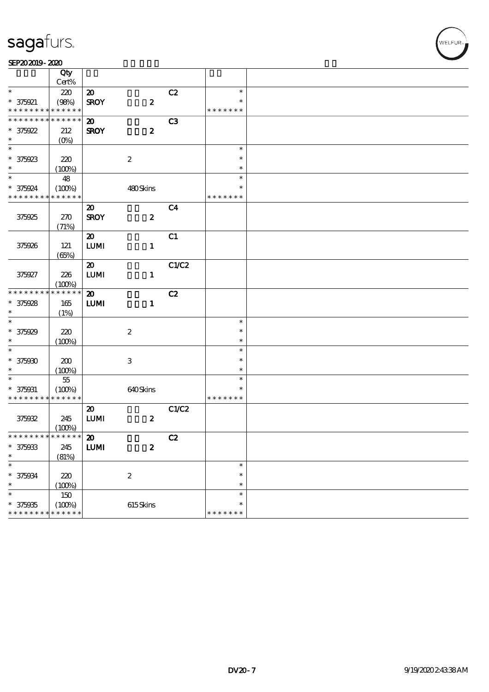#### SEP202019-2020

|                               | Qty                   |                             |                           |                |                  |  |
|-------------------------------|-----------------------|-----------------------------|---------------------------|----------------|------------------|--|
| $\ast$                        | Cert%                 |                             |                           |                | $\ast$           |  |
|                               | 220                   | $\boldsymbol{\mathfrak{D}}$ |                           | C2             | $\ast$           |  |
| * 375921<br>* * * * * * * *   | (98%)<br>* * * * * *  | <b>SROY</b>                 | $\pmb{2}$                 |                | * * * * * * *    |  |
| * * * * * * * *               | * * * * * *           | $\boldsymbol{\mathfrak{D}}$ |                           | C <sub>3</sub> |                  |  |
| $* 375922$                    | 212                   | <b>SROY</b>                 | $\boldsymbol{2}$          |                |                  |  |
| $\ast$                        | $(0\%)$               |                             |                           |                |                  |  |
| $\overline{\ast}$             |                       |                             |                           |                | $\ast$           |  |
| $* 375923$                    | 220                   |                             | $\boldsymbol{2}$          |                | $\ast$           |  |
| $\ast$                        | (100%)                |                             |                           |                | $\ast$           |  |
| $\ast$                        | 48                    |                             |                           |                | $\ast$           |  |
| * 375924                      | (100%)                |                             | 480Skins                  |                | $\ast$           |  |
| * * * * * * * *               | * * * * * *           |                             |                           |                | * * * * * * *    |  |
|                               |                       | $\boldsymbol{\mathfrak{D}}$ |                           | C <sub>4</sub> |                  |  |
| 375925                        | 270                   | <b>SROY</b>                 | $\boldsymbol{2}$          |                |                  |  |
|                               | (71%)                 |                             |                           |                |                  |  |
|                               |                       | $\boldsymbol{\mathfrak{D}}$ |                           | C1             |                  |  |
| 375926                        | 121                   | ${\bf LUM}$                 | $\mathbf{1}$              |                |                  |  |
|                               | (65%)                 |                             |                           |                |                  |  |
|                               |                       | $\boldsymbol{\mathfrak{D}}$ |                           | C1/C2          |                  |  |
| 375927                        | 226                   | $\textbf{LUM}$              | $\mathbf{1}$              |                |                  |  |
| * * * * * * * *               | (100%)<br>* * * * * * |                             |                           |                |                  |  |
|                               |                       | $\boldsymbol{\mathbf{z}}$   |                           | C2             |                  |  |
| $* 375928$<br>$\ast$          | 165                   | <b>LUMI</b>                 | $\mathbf{1}$              |                |                  |  |
| $\ast$                        | (1%)                  |                             |                           |                | $\ast$           |  |
| $* 375929$                    | 220                   |                             | $\boldsymbol{2}$          |                | $\ast$           |  |
| $\ast$                        | (100%)                |                             |                           |                | $\ast$           |  |
| $\ast$                        |                       |                             |                           |                | $\ast$           |  |
| $* 375000$                    | 200                   |                             | $\ensuremath{\mathbf{3}}$ |                | $\ast$           |  |
| $\ast$                        | (100%)                |                             |                           |                | $\ast$           |  |
| $\ast$                        | $5\!5$                |                             |                           |                | $\ast$           |  |
| $* 375031$                    | (100%)                |                             | 640Skins                  |                | $\ast$           |  |
| * * * * * * * *               | * * * * * *           |                             |                           |                | * * * * * * *    |  |
|                               |                       | $\boldsymbol{\mathbf{z}}$   |                           | C1/C2          |                  |  |
| 375932                        | 245                   | ${\bf LUM}$                 | $\pmb{2}$                 |                |                  |  |
|                               | (100%)                |                             |                           |                |                  |  |
| * * * * * * * * * * * * * * * |                       | $\boldsymbol{\mathfrak{D}}$ |                           | C2             |                  |  |
| $* 375933$                    | 245                   | <b>LUMI</b>                 | $\pmb{2}$                 |                |                  |  |
| $\ast$                        | (81%)                 |                             |                           |                |                  |  |
| $\ast$                        |                       |                             |                           |                | $\ast$           |  |
| $* 375034$                    | 220                   |                             | $\boldsymbol{2}$          |                | $\ast$           |  |
| $\ast$<br>$\ast$              | (100%)                |                             |                           |                | $\ast$<br>$\ast$ |  |
|                               | $150\,$               |                             | 615Skins                  |                | $\ast$           |  |
| $* 375935$<br>* * * * * * * * | (100%)<br>* * * * * * |                             |                           |                | * * * * * * *    |  |
|                               |                       |                             |                           |                |                  |  |

**VELFUR**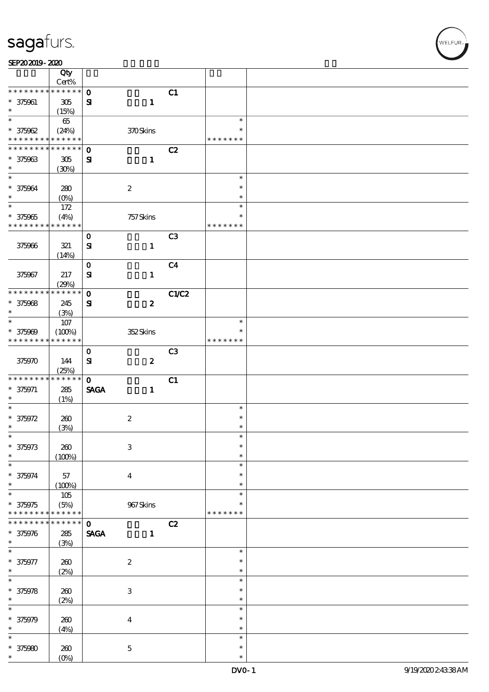SEP202019-2020

| )。 |  |  |  |
|----|--|--|--|
|    |  |  |  |
|    |  |  |  |

|                             | Qty                  |                              |                           |                |                  |  |
|-----------------------------|----------------------|------------------------------|---------------------------|----------------|------------------|--|
| * * * * * * * *             | Cert%<br>* * * * * * |                              |                           |                |                  |  |
| $* 375061$                  | $305\,$              | $\mathbf{o}$<br>$\mathbf{S}$ | $\mathbf{1}$              | C1             |                  |  |
| $\ast$                      | (15%)                |                              |                           |                |                  |  |
| $\overline{\ast}$           | 65                   |                              |                           |                | $\ast$           |  |
| $* 375962$                  | (24%)                |                              | 370Skins                  |                | $\ast$           |  |
| * * * * * * * *             | $******$             |                              |                           |                | * * * * * * *    |  |
| * * * * * * *               | * * * * * *          | $\mathbf{o}$                 |                           | C2             |                  |  |
| $* 375963$                  | $305\,$              | $\mathbf{S}$                 | $\mathbf{1}$              |                |                  |  |
| $\ast$<br>$\ast$            | (30%)                |                              |                           |                | $\ast$           |  |
| $* 375964$                  | 280                  |                              | $\boldsymbol{2}$          |                | $\ast$           |  |
| $\ast$                      | $(O_0)$              |                              |                           |                | $\ast$           |  |
| $\ast$                      | 172                  |                              |                           |                | $\ast$           |  |
| $* 375965$                  | (4%)                 |                              | 757 Skins                 |                | $\ast$           |  |
| * * * * * * * *             | * * * * * *          |                              |                           |                | * * * * * * *    |  |
|                             |                      | $\mathbf 0$                  |                           | C <sub>3</sub> |                  |  |
| 375966                      | 321                  | $\mathbf{S}$                 | $\mathbf{1}$              |                |                  |  |
|                             | (14%)                |                              |                           |                |                  |  |
| 375967                      | 217                  | $\mathbf O$<br>$\mathbf{S}$  | $\mathbf{1}$              | C <sub>4</sub> |                  |  |
|                             | (29%)                |                              |                           |                |                  |  |
| * * * * * * * *             | * * * * * *          | $\mathbf 0$                  |                           | C1/C2          |                  |  |
| $* 375968$                  | 245                  | ${\bf s}$                    | $\boldsymbol{z}$          |                |                  |  |
| $\ast$                      | (3%)                 |                              |                           |                |                  |  |
| $\ast$                      | $107$                |                              |                           |                | $\ast$           |  |
| $* 375909$                  | (100%)               |                              | 352Skins                  |                | $\ast$           |  |
| * * * * * * * *             | * * * * * *          |                              |                           |                | * * * * * * *    |  |
| 375970                      | 144                  | $\mathbf 0$<br>${\bf S}$     | $\boldsymbol{z}$          | C <sub>3</sub> |                  |  |
|                             | (25%)                |                              |                           |                |                  |  |
| * * * * * * * *             | * * * * * *          | $\mathbf{o}$                 |                           | C1             |                  |  |
| $* 375971$                  | 285                  | <b>SAGA</b>                  | $\mathbf{1}$              |                |                  |  |
| $\ast$                      | (1%)                 |                              |                           |                |                  |  |
| $\ast$                      |                      |                              |                           |                | $\ast$           |  |
| $* 375972$<br>$\ast$        | 260                  |                              | $\boldsymbol{2}$          |                | $\ast$<br>$\ast$ |  |
| ∗                           | (3%)                 |                              |                           |                |                  |  |
| $* 375973$                  | $200$                |                              | $\ensuremath{\mathbf{3}}$ |                | $\ast$           |  |
| $\ast$                      | (100%)               |                              |                           |                | $\ast$           |  |
| $\ast$                      |                      |                              |                           |                | $\ast$           |  |
| $* 375974$                  | 57                   |                              | $\boldsymbol{4}$          |                | $\ast$           |  |
| $\ast$                      | (100%)               |                              |                           |                | $\ast$           |  |
| $\ast$                      | $105$                |                              |                           |                | $\ast$<br>$\ast$ |  |
| $* 375975$<br>* * * * * * * | (5%)<br>* * * * * *  |                              | $967\mathrm{S}$ kins      |                | * * * * * * *    |  |
| * * * * * * *               | * * * * * *          | $\mathbf{o}$                 |                           | C2             |                  |  |
| $* 375976$                  | ${\bf 285}$          | <b>SAGA</b>                  | $\mathbf{1}$              |                |                  |  |
| $\ast$                      | (3%)                 |                              |                           |                |                  |  |
| $\ast$                      |                      |                              |                           |                | $\ast$           |  |
| $* 375977$                  | $200$                |                              | $\boldsymbol{2}$          |                | $\ast$           |  |
| $\ast$<br>$\ast$            | (2%)                 |                              |                           |                | $\ast$           |  |
|                             |                      |                              |                           |                | $\ast$<br>$\ast$ |  |
| $* 375978$<br>$\ast$        | $200$<br>(2%)        |                              | $\ensuremath{\mathbf{3}}$ |                | $\ast$           |  |
|                             |                      |                              |                           |                | $\ast$           |  |
| $* 375979$                  | $200$                |                              | $\boldsymbol{4}$          |                | $\ast$           |  |
| $\ast$                      | (4%)                 |                              |                           |                | $\ast$           |  |
|                             |                      |                              |                           |                | $\ast$           |  |
| $* 375980$                  | $200$                |                              | $\mathbf 5$               |                | $\ast$           |  |
| $\ast$                      | $(O\%)$              |                              |                           |                | $\ast$           |  |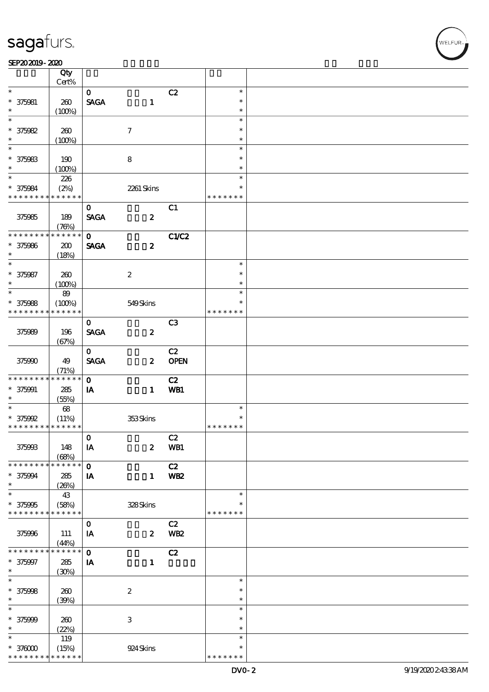#### $SEP202019 - 2020$

|                               | Qty                   |              |                           |                 |                         |  |
|-------------------------------|-----------------------|--------------|---------------------------|-----------------|-------------------------|--|
|                               | Cert%                 |              |                           |                 |                         |  |
| $\ast$                        |                       | $\mathbf{O}$ |                           | C2              | $\ast$<br>$\ast$        |  |
| $* 375081$<br>$\ast$          | 260                   | <b>SAGA</b>  | $\mathbf{1}$              |                 | $\ast$                  |  |
| $\ast$                        | (100%)                |              |                           |                 | $\ast$                  |  |
| $* 375082$                    | 260                   |              | $\tau$                    |                 | $\ast$                  |  |
| $\ast$                        | (100%)                |              |                           |                 | $\ast$                  |  |
| $\overline{\ast}$             |                       |              |                           |                 | $\ast$                  |  |
| $* 375983$                    | 190                   |              | $\bf 8$                   |                 | $\ast$                  |  |
| $\ast$                        | (100%)                |              |                           |                 | $\ast$                  |  |
| $\ast$                        | 226                   |              |                           |                 | $\ast$                  |  |
| $* 375084$                    | (2%)                  |              | 2261 Skins                |                 | $\ast$                  |  |
| * * * * * * * * * * * * * *   |                       |              |                           |                 | * * * * * * *           |  |
|                               |                       | $\mathbf{O}$ |                           | C1              |                         |  |
| 375985                        | 189                   | <b>SAGA</b>  | $\boldsymbol{z}$          |                 |                         |  |
|                               | (76%)                 |              |                           |                 |                         |  |
| * * * * * * * *               | * * * * * *           | $\mathbf{O}$ |                           | C1/C2           |                         |  |
| $* 375086$                    | 200                   | <b>SAGA</b>  | $\boldsymbol{z}$          |                 |                         |  |
| $\ast$                        | (18%)                 |              |                           |                 |                         |  |
| $\ast$                        |                       |              |                           |                 | $\ast$                  |  |
| $* 375987$                    | 260                   |              | $\boldsymbol{2}$          |                 | $\ast$                  |  |
| $\ast$                        | (100%)                |              |                           |                 | $\ast$                  |  |
| $\ast$                        | 89                    |              |                           |                 | $\ast$                  |  |
| $* 375988$<br>* * * * * * * * | (100%)<br>* * * * * * |              | 549Skins                  |                 | $\ast$<br>* * * * * * * |  |
|                               |                       |              |                           |                 |                         |  |
|                               |                       | $\mathbf{O}$ |                           | C <sub>3</sub>  |                         |  |
| 375989                        | 196<br>(67%)          | <b>SAGA</b>  | $\boldsymbol{z}$          |                 |                         |  |
|                               |                       | $\mathbf{O}$ |                           | C2              |                         |  |
| 375990                        | 49                    | <b>SAGA</b>  | $\boldsymbol{z}$          | <b>OPEN</b>     |                         |  |
|                               | (71%)                 |              |                           |                 |                         |  |
| * * * * * * * *               | * * * * * *           | $\mathbf{O}$ |                           | C2              |                         |  |
| $* 375001$                    | 285                   | IA           | $\mathbf{1}$              | WB1             |                         |  |
| $\ast$                        | (55%)                 |              |                           |                 |                         |  |
| $*$                           | 68                    |              |                           |                 | $\ast$                  |  |
| $* 375002$                    | (11%)                 |              | 353Skins                  |                 | ∗                       |  |
| * * * * * * * * * * * * * *   |                       |              |                           |                 | * * * * * * *           |  |
|                               |                       | $\mathbf O$  |                           | C2              |                         |  |
| 375993                        | 148                   | IA           | $\boldsymbol{z}$          | WB1             |                         |  |
|                               | (68%)                 |              |                           |                 |                         |  |
| * * * * * * * *               | * * * * * *           | $\mathbf{o}$ |                           | C2              |                         |  |
| $* 375004$<br>$\ast$          | 285                   | IA           | $\mathbf{1}$              | WB <sub>2</sub> |                         |  |
| $\ast$                        | (20%)                 |              |                           |                 | $\ast$                  |  |
| $* 375995$                    | 43<br>(58%)           |              | 328Skins                  |                 | ∗                       |  |
| * * * * * * * *               | * * * * * *           |              |                           |                 | * * * * * * *           |  |
|                               |                       | $\mathbf{o}$ |                           | C2              |                         |  |
| 375996                        | 111                   | IA           | $\boldsymbol{z}$          | WB <sub>2</sub> |                         |  |
|                               | (44%)                 |              |                           |                 |                         |  |
| * * * * * * *                 | * * * * * *           | $\mathbf{o}$ |                           | C2              |                         |  |
| $* 375997$                    | 285                   | IA           | $\mathbf{1}$              |                 |                         |  |
| $*$                           | (30%)                 |              |                           |                 |                         |  |
| $\overline{\ast}$             |                       |              |                           |                 | $\ast$                  |  |
| $* 375008$                    | 260                   |              | $\boldsymbol{2}$          |                 | $\ast$                  |  |
| $\ast$                        | (30%)                 |              |                           |                 | $\ast$                  |  |
| $\ast$                        |                       |              |                           |                 | $\ast$                  |  |
| $* 375999$                    | 260                   |              | $\ensuremath{\mathsf{3}}$ |                 | $\ast$                  |  |
| $\ast$                        | (22%)                 |              |                           |                 | $\ast$                  |  |
| $\ast$                        | 119                   |              |                           |                 | $\ast$                  |  |
| $*37000$                      | (15%)                 |              | 924 Skins                 |                 | ∗                       |  |
| * * * * * * * *               | * * * * * *           |              |                           |                 | * * * * * * *           |  |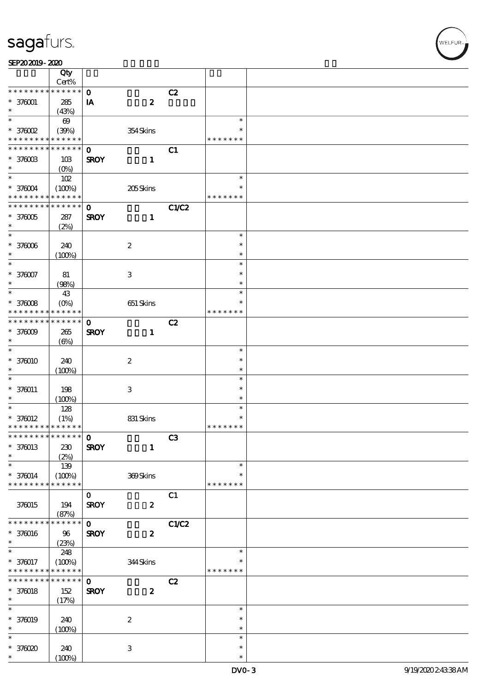|                                            | Qty                   |                   |                           |       |                  |  |
|--------------------------------------------|-----------------------|-------------------|---------------------------|-------|------------------|--|
| * * * * * * * *                            | $Cert\%$<br>******    |                   |                           |       |                  |  |
|                                            |                       | $\mathbf{o}$      |                           | C2    |                  |  |
| $* 370001$<br>$\ast$                       | $285\,$<br>(43%)      | ${\bf I} {\bf A}$ | $\boldsymbol{2}$          |       |                  |  |
| $\ast$                                     | $\boldsymbol{\omega}$ |                   |                           |       | $\ast$           |  |
| $*$ 376002                                 | (39%)                 |                   | 354Skins                  |       | $\ast$           |  |
| * * * * * * * *                            | * * * * * *           |                   |                           |       | * * * * * * *    |  |
| * * * * * * * *                            | $* * * * * * *$       | $\mathbf 0$       |                           | C1    |                  |  |
| $*$ 376003                                 | 10B                   | <b>SROY</b>       | $\mathbf{1}$              |       |                  |  |
| $\ast$                                     | $(O\%)$               |                   |                           |       |                  |  |
| $\overline{\ast}$                          | 102                   |                   |                           |       | $\ast$           |  |
| $* 370004$                                 | (100%)                |                   | 205Skins                  |       | ∗                |  |
| * * * * * * * *                            | * * * * * *           |                   |                           |       | * * * * * * *    |  |
| * * * * * * * *                            | * * * * * *           | $\mathbf 0$       |                           | C1/C2 |                  |  |
| $*$ 376005<br>$\ast$                       | 287                   | <b>SROY</b>       | $\mathbf{1}$              |       |                  |  |
| $\ast$                                     | (2%)                  |                   |                           |       | $\ast$           |  |
| $*370006$                                  | 240                   |                   | $\boldsymbol{2}$          |       | $\ast$           |  |
| $\ast$                                     | (100%)                |                   |                           |       | $\ast$           |  |
| $\ast$                                     |                       |                   |                           |       | $\ast$           |  |
| $* 376007$                                 | 81                    |                   | $\ensuremath{\mathsf{3}}$ |       | $\ast$           |  |
| *                                          | (98%)                 |                   |                           |       | $\ast$           |  |
| $\ast$                                     | 43                    |                   |                           |       | $\ast$           |  |
| $*37008$                                   | $(O\%)$               |                   | 651 Skins                 |       | $\ast$           |  |
| * * * * * * * *                            | * * * * * *           |                   |                           |       | * * * * * * *    |  |
| * * * * * * *                              | * * * * * *           | $\mathbf{o}$      |                           | C2    |                  |  |
| $*37009$                                   | 265                   | <b>SROY</b>       | $\mathbf{1}$              |       |                  |  |
| *                                          | $(\Theta)$            |                   |                           |       |                  |  |
| $\ast$                                     |                       |                   |                           |       | $\ast$           |  |
| $*370010$                                  | 240                   |                   | $\boldsymbol{2}$          |       | $\ast$           |  |
| *<br>$\ast$                                | (100%)                |                   |                           |       | $\ast$<br>$\ast$ |  |
|                                            |                       |                   |                           |       | $\ast$           |  |
| $* 370011$<br>$\ast$                       | 198<br>(100%)         |                   | 3                         |       | $\ast$           |  |
| $\ast$                                     | 128                   |                   |                           |       | $\ast$           |  |
| $* 370012$                                 | (1%)                  |                   | 831 Skins                 |       | $\ast$           |  |
| * * * * * * * * <mark>* * * * * * *</mark> |                       |                   |                           |       | * * * * * * *    |  |
| ****************** 0                       |                       |                   |                           | C3    |                  |  |
| $* 370013$                                 | 230                   | <b>SROY</b>       | $\mathbf{1}$              |       |                  |  |
| $\ast$                                     | (2%)                  |                   |                           |       |                  |  |
| $\ast$                                     | 139                   |                   |                           |       | $\ast$           |  |
| $* 370014$                                 | (100%)                |                   | 369Skins                  |       | $\ast$           |  |
| * * * * * * * *                            | * * * * * *           |                   |                           |       | * * * * * * *    |  |
|                                            |                       | $\mathbf{O}$      |                           | C1    |                  |  |
| 376015                                     | 194                   | <b>SROY</b>       | $\boldsymbol{z}$          |       |                  |  |
| * * * * * * * *                            | (87%)<br>* * * * * *  | $\mathbf{O}$      |                           |       |                  |  |
| $* 370016$                                 |                       | <b>SROY</b>       | $\boldsymbol{z}$          | C1/C2 |                  |  |
| $\ast$                                     | 96<br>(23%)           |                   |                           |       |                  |  |
| $\overline{\ast}$                          | 248                   |                   |                           |       | $\ast$           |  |
| $* 370017$                                 | (100%)                |                   | 344Skins                  |       |                  |  |
| * * * * * * * *                            | * * * * * *           |                   |                           |       | * * * * * * *    |  |
| * * * * * * * *                            | * * * * * *           | $\mathbf 0$       |                           | C2    |                  |  |
| $* 370018$                                 | 152                   | <b>SROY</b>       | $\boldsymbol{z}$          |       |                  |  |
| $\ast$                                     | (17%)                 |                   |                           |       |                  |  |
| $\ast$                                     |                       |                   |                           |       | $\ast$           |  |
| $* 370019$                                 | 240                   |                   | $\boldsymbol{2}$          |       | $\ast$           |  |
| $\ast$                                     | (100%)                |                   |                           |       | $\ast$           |  |
| $\ast$                                     |                       |                   |                           |       | $\ast$           |  |
| * 376020                                   | 240                   |                   | $\ensuremath{\mathbf{3}}$ |       | $\ast$           |  |
| $\ast$                                     | (100%)                |                   |                           |       | $\ast$           |  |

 $\overline{\mathsf{r}}$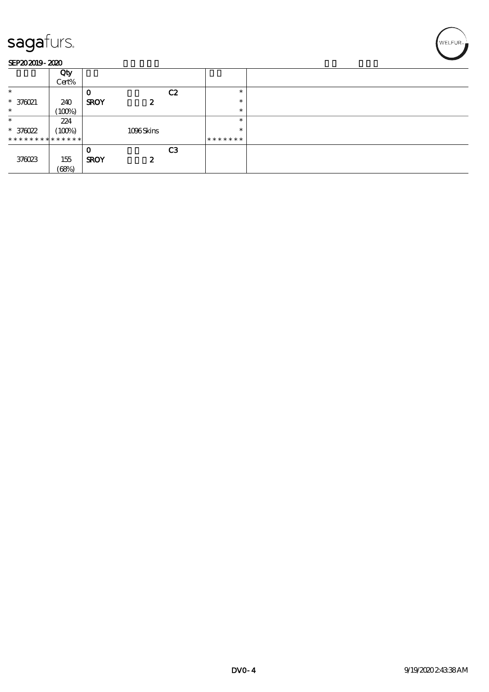#### SEP202019-2020

|                               | Qty<br>Cert% |             |           |                |         |  |
|-------------------------------|--------------|-------------|-----------|----------------|---------|--|
| $\ast$                        |              | О           |           | C2             | $\ast$  |  |
| * 376021                      | 240          | <b>SROY</b> | 2         |                | $\ast$  |  |
| $\ast$                        | (100%)       |             |           |                | $\ast$  |  |
| $\ast$                        | 224          |             |           |                | $\ast$  |  |
| $* 370022$                    | (100%)       |             | 1096Skins |                | $\ast$  |  |
| * * * * * * * * * * * * * * * |              |             |           |                | ******* |  |
|                               |              | 0           |           | C <sub>3</sub> |         |  |
| 376023                        | 155          | <b>SROY</b> | 2         |                |         |  |
|                               | (68%)        |             |           |                |         |  |

WELFUR<sub>T</sub>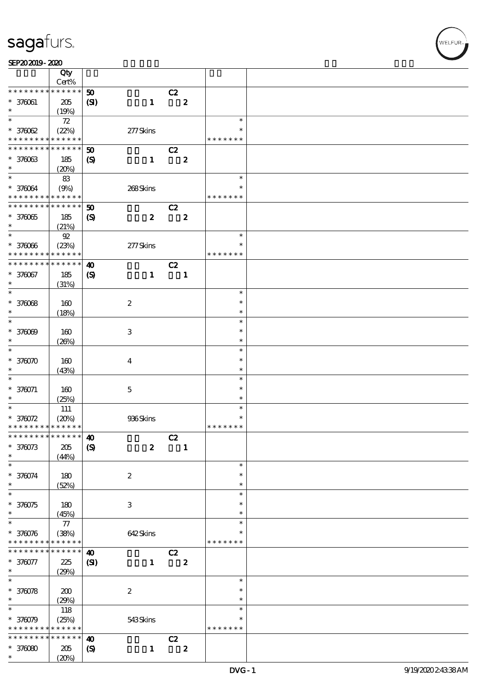#### SEP202019-2020

|                                            | Qty<br>Cert% |                             |                           |    |                  |                  |  |
|--------------------------------------------|--------------|-----------------------------|---------------------------|----|------------------|------------------|--|
| * * * * * * * *                            | $******$     |                             |                           |    |                  |                  |  |
| $* 370061$                                 | $205\,$      | 50<br>(S)                   | $\mathbf{1}$              | C2 | $\boldsymbol{z}$ |                  |  |
| $\ast$                                     | (19%)        |                             |                           |    |                  |                  |  |
| $\ast$<br>$*37002$                         | 72<br>(22%)  |                             | 277Skins                  |    |                  | $\ast$<br>$\ast$ |  |
| * * * * * * * *                            | * * * * * *  |                             |                           |    |                  | * * * * * * *    |  |
| * * * * * * *                              | * * * * * *  |                             |                           |    |                  |                  |  |
|                                            |              | 50                          |                           | C2 |                  |                  |  |
| * 376063                                   | 185          | $\boldsymbol{\mathcal{S}}$  | $\mathbf{1}$              |    | $\boldsymbol{z}$ |                  |  |
| $\ast$                                     | (20%)        |                             |                           |    |                  |                  |  |
| $\ast$                                     | 83           |                             |                           |    |                  | $\ast$           |  |
| * 376064                                   | (9%)         |                             | 268Skins                  |    |                  | $\ast$           |  |
| * * * * * * * *                            | * * * * * *  |                             |                           |    |                  | * * * * * * *    |  |
| * * * * * * * *                            | * * * * * *  | $\boldsymbol{\mathfrak{D}}$ |                           | C2 |                  |                  |  |
| $*37005$                                   | 185          | $\boldsymbol{\mathcal{S}}$  | $\boldsymbol{z}$          |    | $\boldsymbol{2}$ |                  |  |
| $\ast$                                     |              |                             |                           |    |                  |                  |  |
| $\ast$                                     | (21%)        |                             |                           |    |                  | $\ast$           |  |
|                                            | $92\,$       |                             |                           |    |                  |                  |  |
| $* 37006$                                  | (23%)        |                             | 277Skins                  |    |                  | $\ast$           |  |
| * * * * * * * *                            | * * * * * *  |                             |                           |    |                  | * * * * * * *    |  |
| * * * * * * *                              | * * * * * *  | $\boldsymbol{\omega}$       |                           | C2 |                  |                  |  |
| * 376067                                   | 185          | $\boldsymbol{\mathrm{(S)}}$ | $\mathbf{1}$              |    | $\mathbf{1}$     |                  |  |
| $\ast$                                     | (31%)        |                             |                           |    |                  |                  |  |
| $\ast$                                     |              |                             |                           |    |                  | $\ast$           |  |
| $* 37008$                                  | 160          |                             | $\boldsymbol{2}$          |    |                  | $\ast$           |  |
| $\ast$                                     |              |                             |                           |    |                  | $\ast$           |  |
| $\ast$                                     | (18%)        |                             |                           |    |                  |                  |  |
|                                            |              |                             |                           |    |                  | $\ast$           |  |
| $* 37000$                                  | 160          |                             | $\ensuremath{\mathbf{3}}$ |    |                  | $\ast$           |  |
| $\ast$                                     | (20%)        |                             |                           |    |                  | $\ast$           |  |
| $\ast$                                     |              |                             |                           |    |                  | $\ast$           |  |
| $*370070$                                  | 160          |                             | $\boldsymbol{4}$          |    |                  | $\ast$           |  |
| $\ast$                                     | (43%)        |                             |                           |    |                  | $\ast$           |  |
| $\ast$                                     |              |                             |                           |    |                  | $\ast$           |  |
| $* 370071$                                 |              |                             |                           |    |                  | $\ast$           |  |
|                                            | 160          |                             | $\mathbf 5$               |    |                  | $\ast$           |  |
| $\ast$<br>$\overline{\ast}$                | (25%)        |                             |                           |    |                  |                  |  |
|                                            | $111\,$      |                             |                           |    |                  | $\ast$           |  |
| $*370072$                                  | (20%)        |                             | 936Skins                  |    |                  | $\ast$           |  |
| * * * * * * * * <mark>* * * * * * *</mark> |              |                             |                           |    |                  | * * * * * * *    |  |
| ************** 10                          |              |                             |                           | C2 |                  |                  |  |
| $* 376073$                                 | $205\,$      | $\boldsymbol{\mathrm{(S)}}$ | $\boldsymbol{z}$          |    | $\mathbf{1}$     |                  |  |
| *                                          | (44%)        |                             |                           |    |                  |                  |  |
| $\ast$                                     |              |                             |                           |    |                  | $\ast$           |  |
| * 376074                                   |              |                             |                           |    |                  | $\ast$           |  |
| $\ast$                                     | 180          |                             | $\boldsymbol{2}$          |    |                  | $\ast$           |  |
| $\ast$                                     | (52%)        |                             |                           |    |                  |                  |  |
|                                            |              |                             |                           |    |                  | $\ast$           |  |
| * 370075                                   | 180          |                             | $\,3\,$                   |    |                  | ∗                |  |
| $\ast$                                     | (45%)        |                             |                           |    |                  | ∗                |  |
| $\ast$                                     | $77\,$       |                             |                           |    |                  | $\ast$           |  |
| * 370076                                   | (38%)        |                             | 642Skins                  |    |                  | $\ast$           |  |
| * * * * * * * *                            | $******$     |                             |                           |    |                  | * * * * * * *    |  |
| * * * * * * * *                            | * * * * * *  | $\boldsymbol{\omega}$       |                           | C2 |                  |                  |  |
| * 376077                                   | 225          | $\mathbf{C}$                | $\mathbf{1}$              |    | $\boldsymbol{z}$ |                  |  |
| $\ast$                                     |              |                             |                           |    |                  |                  |  |
| $\overline{\ast}$                          | (29%)        |                             |                           |    |                  |                  |  |
|                                            |              |                             |                           |    |                  | $\ast$           |  |
| * 370078                                   | 200          |                             | $\boldsymbol{2}$          |    |                  | $\ast$           |  |
| $\ast$                                     | (29%)        |                             |                           |    |                  | $\ast$           |  |
| $\ast$                                     | 118          |                             |                           |    |                  | $\ast$           |  |
| * 376079                                   | (25%)        |                             | 543Skins                  |    |                  | $\ast$           |  |
| * * * * * * * *                            | * * * * * *  |                             |                           |    |                  | * * * * * * *    |  |
| * * * * * * *                              | * * * * * *  | $\boldsymbol{\omega}$       |                           | C2 |                  |                  |  |
|                                            |              |                             |                           |    |                  |                  |  |
| $*37000$                                   | 205          | $\boldsymbol{\mathcal{S}}$  | $\mathbf{1}$              |    | $\boldsymbol{z}$ |                  |  |
| $\ast$                                     | (20%)        |                             |                           |    |                  |                  |  |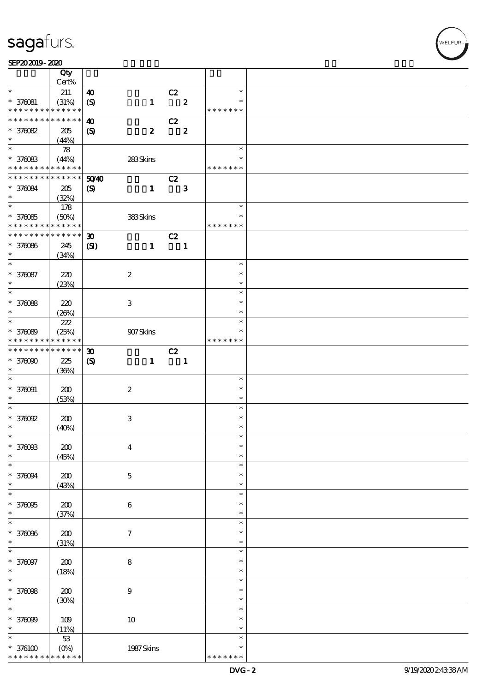#### $SEP202019 - 2020$

|                                                         | Qty                        |                             |                           |                          |                  |               |  |
|---------------------------------------------------------|----------------------------|-----------------------------|---------------------------|--------------------------|------------------|---------------|--|
|                                                         | Cert%                      |                             |                           |                          |                  |               |  |
| $\ast$                                                  | 211                        | $\boldsymbol{\omega}$       |                           | C2                       |                  | $\ast$        |  |
| $* 376081$                                              | (31%)                      | $\boldsymbol{\mathrm{(S)}}$ | $\mathbf{1}$              |                          | $\mathbf{2}$     | $\ast$        |  |
| * * * * * * * * <mark>* * * * * * *</mark>              |                            |                             |                           |                          |                  | * * * * * * * |  |
| * * * * * * * *                                         | $\ast\ast\ast\ast\ast\ast$ | 40                          |                           | C2                       |                  |               |  |
| * 370082                                                | 205                        | $\boldsymbol{S}$            | $\boldsymbol{z}$          |                          | $\boldsymbol{z}$ |               |  |
| $\ast$                                                  | (44%)                      |                             |                           |                          |                  |               |  |
|                                                         | 78                         |                             |                           |                          |                  | $\ast$        |  |
| * 370083                                                | (44%)                      |                             | 283Skins                  |                          |                  | $\ast$        |  |
| * * * * * * * * <mark>* * * * * * *</mark>              |                            |                             |                           |                          |                  | * * * * * * * |  |
| * * * * * * * *                                         | $\ast\ast\ast\ast\ast\ast$ | 50 <sup>2</sup> 40          |                           | C2                       |                  |               |  |
| * 376084                                                | $205\,$                    | $\boldsymbol{\mathrm{(S)}}$ | $\mathbf{1}$              |                          | $\mathbf{3}$     |               |  |
| $\ast$                                                  | (32%)                      |                             |                           |                          |                  |               |  |
|                                                         | 178                        |                             |                           |                          |                  | $\ast$        |  |
|                                                         |                            |                             |                           |                          |                  | $\ast$        |  |
| $* 37005$<br>* * * * * * * * <mark>* * * * * * *</mark> | (50%)                      |                             | 383Skins                  |                          |                  | * * * * * * * |  |
| ********                                                | $* * * * * * *$            |                             |                           |                          |                  |               |  |
|                                                         |                            | $\boldsymbol{\mathfrak{D}}$ |                           | C2                       |                  |               |  |
| * 376086                                                | 245                        | $\mathbf{C}$                | $\mathbf{1}$              |                          | $\blacksquare$   |               |  |
| $\ast$                                                  | (34%)                      |                             |                           |                          |                  |               |  |
| $\ast$                                                  |                            |                             |                           |                          |                  | $\ast$        |  |
| * 376087                                                | 220                        |                             | $\boldsymbol{2}$          |                          |                  | $\ast$        |  |
| $\ast$                                                  | (23%)                      |                             |                           |                          |                  | $\ast$        |  |
| $\ast$                                                  |                            |                             |                           |                          |                  | $\ast$        |  |
| $* 370088$                                              | 220                        |                             | 3                         |                          |                  | $\ast$        |  |
| $\ast$                                                  | (20%)                      |                             |                           |                          |                  | $\ast$        |  |
| $\overline{\phantom{0}}$                                | $222\,$                    |                             |                           |                          |                  | $\ast$        |  |
| * 376089                                                | (25%)                      |                             | 907Skins                  |                          |                  | *             |  |
| * * * * * * * *                                         | * * * * * *                |                             |                           |                          |                  | * * * * * * * |  |
| * * * * * * * *                                         | $* * * * * * *$            | $\boldsymbol{\mathfrak{D}}$ |                           | C2                       |                  |               |  |
| $*37000$                                                | 225                        |                             | $\mathbf{1}$              |                          |                  |               |  |
| $\ast$                                                  |                            | $\boldsymbol{\mathrm{(S)}}$ |                           | $\overline{\phantom{a}}$ |                  |               |  |
| $\ast$                                                  | (36%)                      |                             |                           |                          |                  | $\ast$        |  |
|                                                         |                            |                             |                           |                          |                  |               |  |
| $* 370001$                                              | 200                        |                             | $\boldsymbol{2}$          |                          |                  | $\ast$        |  |
| $\ast$                                                  | (53%)                      |                             |                           |                          |                  | $\ast$        |  |
| $\ast$                                                  |                            |                             |                           |                          |                  | $\ast$        |  |
| $*$ 376092                                              | 200                        |                             | $\ensuremath{\mathbf{3}}$ |                          |                  | $\ast$        |  |
| $\ast$                                                  | (40%)                      |                             |                           |                          |                  | $\ast$        |  |
| $\ast$                                                  |                            |                             |                           |                          |                  | $\ast$        |  |
| * 376093                                                | 200                        |                             | $\boldsymbol{4}$          |                          |                  | $\ast$        |  |
| $\ast$                                                  | (45%)                      |                             |                           |                          |                  | $\ast$        |  |
| $\ast$                                                  |                            |                             |                           |                          |                  | $\ast$        |  |
| * 376094                                                | 200                        |                             | $\mathbf 5$               |                          |                  | $\ast$        |  |
| $\ast$                                                  | (43%)                      |                             |                           |                          |                  | $\ast$        |  |
| $\ast$                                                  |                            |                             |                           |                          |                  | $\ast$        |  |
| * 376095                                                | 200                        |                             | $\boldsymbol{6}$          |                          |                  | $\ast$        |  |
| $\ast$                                                  | (37%)                      |                             |                           |                          |                  | $\ast$        |  |
| $\ast$                                                  |                            |                             |                           |                          |                  | $\ast$        |  |
| * 376096                                                | $200$                      |                             | $\boldsymbol{7}$          |                          |                  | $\ast$        |  |
| $\ast$                                                  | (31%)                      |                             |                           |                          |                  | $\ast$        |  |
| $\ast$                                                  |                            |                             |                           |                          |                  | $\ast$        |  |
|                                                         |                            |                             |                           |                          |                  | $\ast$        |  |
| * 376097                                                | $200$                      |                             | $\bf8$                    |                          |                  |               |  |
| $\ast$<br>$\overline{\ast}$                             | (18%)                      |                             |                           |                          |                  | $\ast$        |  |
|                                                         |                            |                             |                           |                          |                  | $\ast$        |  |
| * 376098                                                | 200                        |                             | $9$                       |                          |                  | $\ast$        |  |
| $\ast$                                                  | (30%)                      |                             |                           |                          |                  | $\ast$        |  |
| $\ast$                                                  |                            |                             |                           |                          |                  | $\ast$        |  |
| $* 37009$                                               | 109                        |                             | $10\,$                    |                          |                  | $\ast$        |  |
|                                                         | (11%)                      |                             |                           |                          |                  | $\ast$        |  |
| $\ast$                                                  | $53\,$                     |                             |                           |                          |                  | $\ast$        |  |
| $*$ 376100                                              | $(O\%)$                    |                             | 1987 Skins                |                          |                  | $\ast$        |  |
| * * * * * * * *                                         | * * * * * *                |                             |                           |                          |                  | * * * * * * * |  |

WELFUR<br>
WELFUR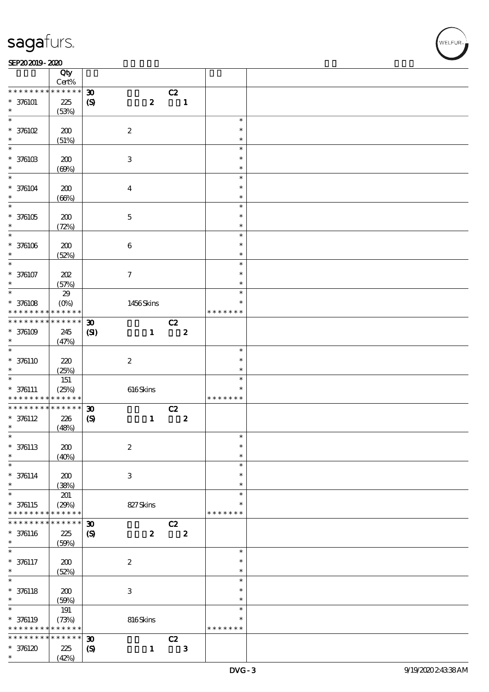#### SEP202019-2020  $\overline{\sim}$

|                               | Qty<br>Cert%           |                             |                           |                         |                  |                         |  |
|-------------------------------|------------------------|-----------------------------|---------------------------|-------------------------|------------------|-------------------------|--|
| * * * * * * * *               | * * * * * *            | $\boldsymbol{\mathfrak{D}}$ |                           | C2                      |                  |                         |  |
| $* 376101$<br>$\ast$          | 225<br>(53%)           | $\pmb{\mathcal{S}}$         | $\boldsymbol{2}$          |                         | $\mathbf{1}$     |                         |  |
| $\ast$                        |                        |                             |                           |                         |                  | $\ast$                  |  |
| $*$ 376102<br>$\ast$          | 200<br>(51%)           |                             | $\boldsymbol{2}$          |                         |                  | $\ast$<br>$\ast$        |  |
| $\overline{\ast}$             |                        |                             |                           |                         |                  | $\ast$                  |  |
| $*$ 376103<br>$\ast$          | 200<br>(60%)           |                             | $\ensuremath{\mathbf{3}}$ |                         |                  | $\ast$<br>$\ast$        |  |
| $\ast$                        |                        |                             |                           |                         |                  | $\ast$                  |  |
| $* 376104$<br>$\ast$          | 200<br>(66%)           |                             | $\boldsymbol{4}$          |                         |                  | $\ast$<br>$\ast$        |  |
| $\overline{\ast}$             |                        |                             |                           |                         |                  | $\ast$                  |  |
| $*376105$<br>$\ast$           | 200<br>(72%)           |                             | $\mathbf 5$               |                         |                  | $\ast$<br>$\ast$        |  |
| $\ast$                        |                        |                             |                           |                         |                  | $\ast$                  |  |
| $* 376106$<br>$\ast$          | 200<br>(52%)           |                             | $\bf 6$                   |                         |                  | $\ast$<br>$\ast$        |  |
| $\ast$                        |                        |                             |                           |                         |                  | $\ast$                  |  |
| $* 376107$<br>$\ast$          | 202<br>(57%)           |                             | $\boldsymbol{\tau}$       |                         |                  | $\ast$<br>$\ast$        |  |
| $\overline{\ast}$             | 29                     |                             |                           |                         |                  | $\ast$                  |  |
| $*$ 376108<br>* * * * * * * * | $(O\%)$<br>* * * * * * |                             | 1456Skins                 |                         |                  | $\ast$<br>* * * * * * * |  |
| * * * * * * * *               | $******$               | $\boldsymbol{\mathfrak{D}}$ |                           | C2                      |                  |                         |  |
| $*376109$<br>$\ast$           | 245<br>(47%)           | $\mathbf{C}$                | $\mathbf{1}$              | $\overline{\mathbf{2}}$ |                  |                         |  |
| $\overline{\ast}$             |                        |                             |                           |                         |                  | $\ast$                  |  |
| $* 376110$<br>$\ast$          | 220<br>(25%)           |                             | $\boldsymbol{2}$          |                         |                  | $\ast$<br>$\ast$        |  |
| $\ast$                        | 151                    |                             |                           |                         |                  | $\ast$                  |  |
| $* 376111$                    | (25%)                  |                             | $616$ Skins               |                         |                  | $\ast$                  |  |
| * * * * * * * *               | * * * * * *            |                             |                           |                         |                  | * * * * * * *           |  |
| * * * * * * * *               | $******$               | $\boldsymbol{\mathfrak{D}}$ |                           | C2                      |                  |                         |  |
| $* 376112$                    | 226                    | $\boldsymbol{\mathrm{(S)}}$ | $\mathbf{1}$              |                         | $\boldsymbol{z}$ |                         |  |
| $\ast$                        | (48%)                  |                             |                           |                         |                  |                         |  |
| $\ast$                        |                        |                             |                           |                         |                  | $\ast$                  |  |
| $* 376113$                    | 200                    |                             | $\boldsymbol{2}$          |                         |                  | $\ast$                  |  |
| $\ast$                        | (40%)                  |                             |                           |                         |                  | $\ast$                  |  |
| $\ast$                        |                        |                             |                           |                         |                  | $\ast$                  |  |
| $* 376114$                    | 200                    |                             | $\ensuremath{\mathsf{3}}$ |                         |                  | $\ast$                  |  |
| $\ast$                        | (38%)                  |                             |                           |                         |                  | $\ast$                  |  |
| $\ast$                        | 201                    |                             |                           |                         |                  | $\ast$                  |  |
| $* 376115$                    | (29%)                  |                             | 827Skins                  |                         |                  | ∗                       |  |
| * * * * * * * *               | * * * * * *            |                             |                           |                         |                  | * * * * * * *           |  |
| * * * * * * * *               | * * * * * *            | $\boldsymbol{\mathfrak{D}}$ |                           | C2                      |                  |                         |  |
| $* 376116$                    | $225\,$                | $\boldsymbol{\mathrm{(S)}}$ | $\boldsymbol{z}$          |                         | $\boldsymbol{z}$ |                         |  |
| $\ast$                        | (50%)                  |                             |                           |                         |                  |                         |  |
| $\ast$                        |                        |                             |                           |                         |                  | $\ast$                  |  |
| $* 376117$                    | 200                    |                             | $\boldsymbol{2}$          |                         |                  | $\ast$                  |  |
| $\ast$                        | (52%)                  |                             |                           |                         |                  | $\ast$                  |  |
| $\ast$                        |                        |                             |                           |                         |                  | $\ast$                  |  |
| $* 376118$                    | 200                    |                             | $\ensuremath{\mathsf{3}}$ |                         |                  | $\ast$                  |  |
| $\ast$                        | (50%)                  |                             |                           |                         |                  | $\ast$                  |  |
| $\ast$                        | 191                    |                             |                           |                         |                  | $\ast$                  |  |
| $* 376119$                    | (73%)                  |                             | 816Skins                  |                         |                  | $\ast$                  |  |
| * * * * * * * *               | * * * * * *            |                             |                           |                         |                  | * * * * * * *           |  |
| * * * * * * *                 | * * * * * *            | $\boldsymbol{\mathfrak{D}}$ |                           | C2                      |                  |                         |  |
| $*376120$                     | 225                    | $\boldsymbol{\mathcal{S}}$  | $\mathbf{1}$              |                         | $\mathbf{3}$     |                         |  |
| $\ast$                        | (42%)                  |                             |                           |                         |                  |                         |  |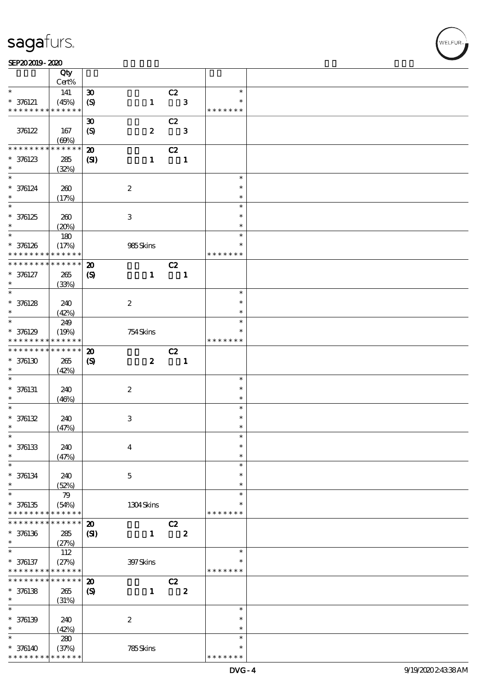#### $SEP202019 - 2020$

|                               | Qty<br>Cert% |                             |                           |    |                  |               |  |
|-------------------------------|--------------|-----------------------------|---------------------------|----|------------------|---------------|--|
| $\ast$                        |              |                             |                           |    |                  | $\ast$        |  |
|                               | 141          | $\boldsymbol{\mathfrak{D}}$ |                           | C2 |                  | $\ast$        |  |
| $* 376121$<br>* * * * * * * * | (45%)        | $\boldsymbol{\mathrm{(S)}}$ | $\mathbf{1}$              |    | $\mathbf{3}$     |               |  |
|                               | * * * * * *  |                             |                           |    |                  | * * * * * * * |  |
|                               |              | $\boldsymbol{\mathfrak{D}}$ |                           | C2 |                  |               |  |
| 376122                        | 167          | $\boldsymbol{S}$            | $\boldsymbol{z}$          |    | $\mathbf{3}$     |               |  |
|                               | (60%)        |                             |                           |    |                  |               |  |
| * * * * * * * *               | * * * * * *  | $\boldsymbol{\mathbf{z}}$   |                           | C2 |                  |               |  |
| $* 376123$                    | 285          | (S)                         | $\mathbf{1}$              |    | $\blacksquare$   |               |  |
| $\ast$                        | (32%)        |                             |                           |    |                  |               |  |
| $\ast$                        |              |                             |                           |    |                  | $\ast$        |  |
| $* 376124$                    | 260          |                             | $\boldsymbol{2}$          |    |                  | $\ast$        |  |
| $\ast$                        | (17%)        |                             |                           |    |                  | $\ast$        |  |
| $\overline{\ast}$             |              |                             |                           |    |                  | $\ast$        |  |
| $* 376125$                    |              |                             |                           |    |                  | $\ast$        |  |
| $\ast$                        | 260          |                             | $\ensuremath{\mathbf{3}}$ |    |                  | $\ast$        |  |
| $\ast$                        | (20%)        |                             |                           |    |                  |               |  |
|                               | $180\,$      |                             |                           |    |                  | $\ast$        |  |
| * 376126                      | (17%)        |                             | 985Skins                  |    |                  | $\ast$        |  |
| * * * * * * * *               | * * * * * *  |                             |                           |    |                  | * * * * * * * |  |
| * * * * * * * *               | * * * * * *  | $\boldsymbol{\mathfrak{D}}$ |                           | C2 |                  |               |  |
| $* 376127$                    | 265          | $\boldsymbol{\mathrm{(S)}}$ | $\mathbf{1}$              |    | $\mathbf{1}$     |               |  |
| $\ast$                        | (33%)        |                             |                           |    |                  |               |  |
| $\ast$                        |              |                             |                           |    |                  | $\ast$        |  |
| $* 376128$                    | 240          |                             | $\boldsymbol{2}$          |    |                  | $\ast$        |  |
| $\ast$                        | (42%)        |                             |                           |    |                  | $\ast$        |  |
| $\overline{\phantom{0}}$      | 249          |                             |                           |    |                  | $\ast$        |  |
| $* 376129$                    | (19%)        |                             | 754Skins                  |    |                  | *             |  |
| * * * * * * * *               | * * * * * *  |                             |                           |    |                  | * * * * * * * |  |
| * * * * * * * *               | * * * * * *  |                             |                           |    |                  |               |  |
|                               |              | $\boldsymbol{\mathfrak{D}}$ |                           | C2 |                  |               |  |
| $*376130$                     | $265\,$      | $\boldsymbol{\mathrm{(S)}}$ | $\boldsymbol{z}$          |    | $\blacksquare$   |               |  |
| $\ast$                        | (42%)        |                             |                           |    |                  |               |  |
| $\ast$                        |              |                             |                           |    |                  | $\ast$        |  |
| $* 376131$                    | 240          |                             | $\boldsymbol{2}$          |    |                  | $\ast$        |  |
| $\ast$                        | (46%)        |                             |                           |    |                  | $\ast$        |  |
| $\ast$                        |              |                             |                           |    |                  | $\ast$        |  |
| $* 376132$                    | 240          |                             | $\ensuremath{\mathbf{3}}$ |    |                  | $\ast$        |  |
| $\ast$                        | (47%)        |                             |                           |    |                  | $\ast$        |  |
| $\ast$                        |              |                             |                           |    |                  | $\ast$        |  |
| $*376133$                     | 240          |                             | $\boldsymbol{4}$          |    |                  | $\ast$        |  |
| *                             | (47%)        |                             |                           |    |                  | $\ast$        |  |
| $\ast$                        |              |                             |                           |    |                  | $\ast$        |  |
| $* 376134$                    | 240          |                             | $\mathbf 5$               |    |                  | $\ast$        |  |
| $\ast$                        | (52%)        |                             |                           |    |                  | $\ast$        |  |
| $\ast$                        |              |                             |                           |    |                  | $\ast$        |  |
|                               | 79           |                             |                           |    |                  |               |  |
| $*376135$                     | (54%)        |                             | 1304Skins                 |    |                  | * * * * * * * |  |
| * * * * * * * *               | * * * * * *  |                             |                           |    |                  |               |  |
| * * * * * * *                 | * * * * * *  | $\boldsymbol{\mathfrak{D}}$ |                           | C2 |                  |               |  |
| * 376136                      | 285          | $\mathbf{S}$                | $\mathbf{1}$              |    | $\boldsymbol{z}$ |               |  |
| $\ast$                        | (27%)        |                             |                           |    |                  |               |  |
| $\ast$                        | 112          |                             |                           |    |                  | $\ast$        |  |
| $* 376137$                    | (27%)        |                             | 397 Skins                 |    |                  | $\ast$        |  |
| * * * * * * * *               | * * * * * *  |                             |                           |    |                  | * * * * * * * |  |
| * * * * * * * *               | * * * * * *  | $\boldsymbol{\mathbf{z}}$   |                           | C2 |                  |               |  |
| $* 376138$                    | 265          | $\boldsymbol{S}$            | $\mathbf{1}$              |    | $\boldsymbol{2}$ |               |  |
| $\ast$                        | (31%)        |                             |                           |    |                  |               |  |
| $\ast$                        |              |                             |                           |    |                  | $\ast$        |  |
| $* 376139$                    | 240          |                             | $\boldsymbol{2}$          |    |                  | $\ast$        |  |
| *                             | (42%)        |                             |                           |    |                  | $\ast$        |  |
| $\ast$                        |              |                             |                           |    |                  | $\ast$        |  |
|                               | 280          |                             |                           |    |                  | $\ast$        |  |
| $* 376140$                    | (37%)        |                             | 785Skins                  |    |                  |               |  |
| * * * * * * * *               | * * * * * *  |                             |                           |    |                  | * * * * * * * |  |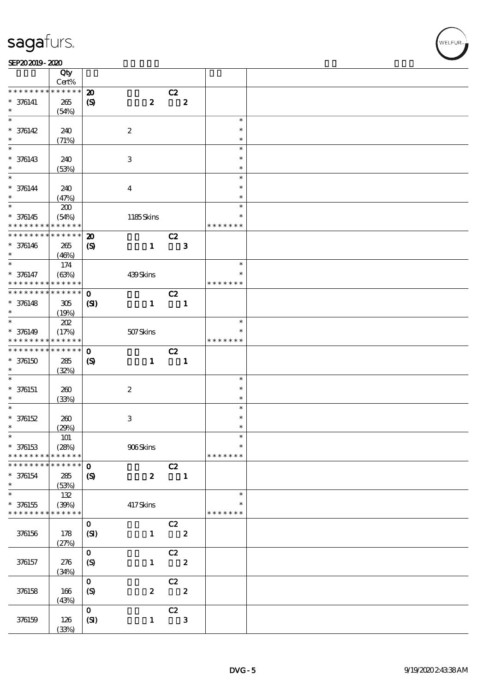#### SEP202019-2020

|                                            | Qty<br>Cert%         |                             |                           |                |                  |               |  |
|--------------------------------------------|----------------------|-----------------------------|---------------------------|----------------|------------------|---------------|--|
| * * * * * * * *                            | * * * * * *          | $\boldsymbol{\mathbf{z}}$   |                           | C2             |                  |               |  |
| $* 376141$                                 | 265                  | $\boldsymbol{S}$            | $\boldsymbol{z}$          |                | $\boldsymbol{z}$ |               |  |
| $\ast$                                     | (54%)                |                             |                           |                |                  |               |  |
| $\overline{\ast}$                          |                      |                             |                           |                |                  | $\ast$        |  |
|                                            |                      |                             |                           |                |                  | $\ast$        |  |
| $* 376142$                                 | 240                  |                             | $\boldsymbol{2}$          |                |                  |               |  |
| $\ast$                                     | (71%)                |                             |                           |                |                  | $\ast$        |  |
| $\overline{\ast}$                          |                      |                             |                           |                |                  | $\ast$        |  |
| $* 376143$                                 | 240                  |                             | $\ensuremath{\mathbf{3}}$ |                |                  | $\ast$        |  |
| $\ast$                                     | (53%)                |                             |                           |                |                  | $\ast$        |  |
| $\overline{\phantom{0}}$                   |                      |                             |                           |                |                  | $\ast$        |  |
| $* 376144$                                 | 240                  |                             | $\boldsymbol{4}$          |                |                  | $\ast$        |  |
| $\ast$                                     | (47%)                |                             |                           |                |                  | $\ast$        |  |
|                                            | $200\,$              |                             |                           |                |                  | $\ast$        |  |
|                                            |                      |                             |                           |                |                  | $\ast$        |  |
| $* 376145$<br>* * * * * * * *              | (54%)<br>* * * * * * |                             | 1185Skins                 |                |                  |               |  |
|                                            |                      |                             |                           |                |                  | * * * * * * * |  |
| * * * * * * * *                            | $******$             | $\boldsymbol{\mathbf{z}}$   |                           | C2             |                  |               |  |
| $* 376146$                                 | 265                  | $\boldsymbol{\mathcal{S}}$  | $\mathbf{1}$              |                | $\mathbf{3}$     |               |  |
| $\ast$                                     | (46%)                |                             |                           |                |                  |               |  |
| $\ast$                                     | 174                  |                             |                           |                |                  | $\ast$        |  |
| $* 376147$                                 | (63%)                |                             | 439Skins                  |                |                  | $\ast$        |  |
| * * * * * * * *                            | * * * * * *          |                             |                           |                |                  | * * * * * * * |  |
| * * * * * * * * <mark>* * * * * * *</mark> |                      | $\mathbf{O}$                |                           | C2             |                  |               |  |
|                                            |                      |                             |                           |                |                  |               |  |
| $* 376148$                                 | 305                  | (SI)                        | $\mathbf{1}$              |                | $\mathbf{1}$     |               |  |
| $\ast$<br>$*$                              | (19%)                |                             |                           |                |                  |               |  |
|                                            | 202                  |                             |                           |                |                  | $\ast$        |  |
| $* 376149$                                 | (17%)                |                             | 507Skins                  |                |                  |               |  |
| * * * * * * * * <mark>* * * * * * *</mark> |                      |                             |                           |                |                  | * * * * * * * |  |
| * * * * * * * *                            | $* * * * * * *$      | $\mathbf 0$                 |                           | C2             |                  |               |  |
| $*376150$                                  | 285                  | $\boldsymbol{\mathrm{(S)}}$ | $\mathbf{1}$              | $\blacksquare$ |                  |               |  |
| $\ast$                                     | (32%)                |                             |                           |                |                  |               |  |
| $\ast$                                     |                      |                             |                           |                |                  | $\ast$        |  |
| $* 376151$                                 | 260                  |                             | $\boldsymbol{2}$          |                |                  | $\ast$        |  |
| $\ast$                                     |                      |                             |                           |                |                  | $\ast$        |  |
| $\ast$                                     | (33%)                |                             |                           |                |                  | $\ast$        |  |
|                                            |                      |                             |                           |                |                  |               |  |
| $* 376152$                                 | $200\,$              |                             | $\ensuremath{\mathbf{3}}$ |                |                  | $\ast$        |  |
| $\ast$                                     | (29%)                |                             |                           |                |                  | $\ast$        |  |
| $\ast$                                     | 101                  |                             |                           |                |                  | $\ast$        |  |
| $* 376153$                                 | (28%)                |                             | 906Skins                  |                |                  | $\ast$        |  |
| * * * * * * * *                            | * * * * * *          |                             |                           |                |                  | * * * * * * * |  |
| * * * * * * * *                            | ******               | $\mathbf{o}$                |                           | C2             |                  |               |  |
| * 376154                                   | 285                  | $\boldsymbol{\mathcal{S}}$  | $\boldsymbol{z}$          |                | $\blacksquare$   |               |  |
| $\ast$                                     | (53%)                |                             |                           |                |                  |               |  |
| $\overline{\ast}$                          | 132                  |                             |                           |                |                  | $\ast$        |  |
| $* 376155$                                 |                      |                             |                           |                |                  |               |  |
| * * * * * * * *                            | (30%)<br>* * * * * * |                             | 417Skins                  |                |                  | * * * * * * * |  |
|                                            |                      |                             |                           |                |                  |               |  |
|                                            |                      | $\mathbf{O}$                |                           | C2             |                  |               |  |
| 376156                                     | 178                  | (SI)                        | $\mathbf{1}$              |                | $\boldsymbol{z}$ |               |  |
|                                            | (27%)                |                             |                           |                |                  |               |  |
|                                            |                      | $\mathbf{o}$                |                           | C2             |                  |               |  |
| 376157                                     | 276                  | $\boldsymbol{S}$            | $\mathbf{1}$              |                | $\boldsymbol{z}$ |               |  |
|                                            | (34%)                |                             |                           |                |                  |               |  |
|                                            |                      | $\mathbf{O}$                |                           | C2             |                  |               |  |
| 376158                                     | 166                  | (S)                         | $\boldsymbol{2}$          |                | $\boldsymbol{z}$ |               |  |
|                                            |                      |                             |                           |                |                  |               |  |
|                                            | (43%)                |                             |                           |                |                  |               |  |
|                                            |                      | $\mathbf{O}$                |                           | C2             |                  |               |  |
| 376159                                     | 126                  | (SI)                        | $\mathbf{1}$              |                | $\mathbf{3}$     |               |  |
|                                            | (33%)                |                             |                           |                |                  |               |  |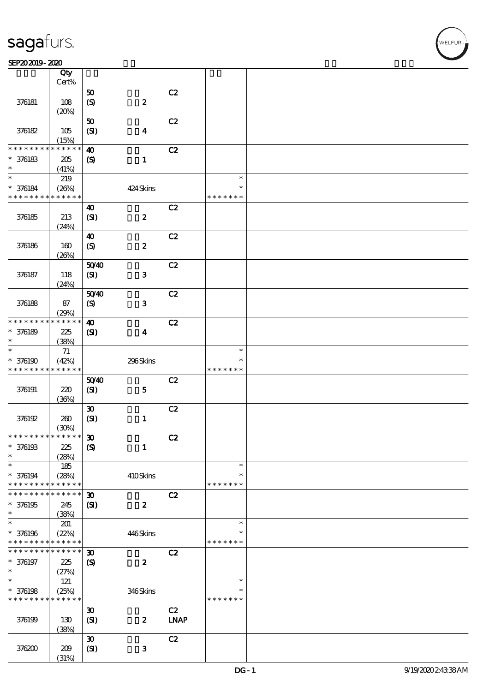#### SEP202019-2020 DECEMBER 2020 DECEMBER 2020 DECEMBER 2020 DECEMBER 2020 DECEMBER 2020 DECEMBER 2020 DECEMBER 20<br>DECEMBER 2020 DECEMBER 2020 DECEMBER 2020 DECEMBER 2020 DECEMBER 2020 DECEMBER 2020 DECEMBER 2020 DECEMBER 202

|                                            | Qty<br>Cert% |                             |                  |                              |               |  |
|--------------------------------------------|--------------|-----------------------------|------------------|------------------------------|---------------|--|
|                                            |              |                             |                  | C2                           |               |  |
|                                            |              | ${\bf 50}$                  |                  |                              |               |  |
| 376181                                     | 108          | $\pmb{\text{(S)}}$          | $\boldsymbol{2}$ |                              |               |  |
|                                            | (20%)        |                             |                  |                              |               |  |
|                                            |              | ${\bf 50}$                  |                  | C2                           |               |  |
| 376182                                     | 105          | (SI)                        | $\boldsymbol{4}$ |                              |               |  |
|                                            | (15%)        |                             |                  |                              |               |  |
| * * *                                      | * * * * *    | $\boldsymbol{\omega}$       |                  | C2                           |               |  |
| $* 376183$                                 | 205          | $\boldsymbol{\mathcal{S}}$  | $\mathbf{1}$     |                              |               |  |
| $\ast$                                     | (41%)        |                             |                  |                              |               |  |
| $\ast$                                     | 219          |                             |                  |                              | $\ast$        |  |
| $* 376184$                                 | (20%)        |                             | 424 Skins        |                              | $\ast$        |  |
| * * * * * * * *                            | * * * * * *  |                             |                  |                              | * * * * * * * |  |
|                                            |              | $\boldsymbol{\omega}$       |                  | C2                           |               |  |
| 376185                                     | 213          | (SI)                        | $\pmb{2}$        |                              |               |  |
|                                            | (24%)        |                             |                  |                              |               |  |
|                                            |              | $\boldsymbol{\omega}$       |                  | C2                           |               |  |
| 376186                                     | 160          |                             | $\pmb{2}$        |                              |               |  |
|                                            |              | $\boldsymbol{\mathrm{(S)}}$ |                  |                              |               |  |
|                                            | (20%)        |                             |                  |                              |               |  |
|                                            |              | 5040                        |                  | C2                           |               |  |
| 376187                                     | 118          | (SI)                        | ${\bf 3}$        |                              |               |  |
|                                            | (24%)        |                             |                  |                              |               |  |
|                                            |              | 5040                        |                  | C2                           |               |  |
| 376188                                     | 87           | $\boldsymbol{S}$            | ${\bf 3}$        |                              |               |  |
|                                            | (29%)        |                             |                  |                              |               |  |
| * * * * * * * *                            | * * * * * *  | $\boldsymbol{\omega}$       |                  | C2                           |               |  |
| $* 376189$                                 | 225          | $\mathbf{C}$                | $\boldsymbol{4}$ |                              |               |  |
| $\ast$                                     | (38%)        |                             |                  |                              |               |  |
| $\ast$                                     | $71\,$       |                             |                  |                              | $\ast$        |  |
| * 376190                                   | (42%)        |                             | 296Skins         |                              | *             |  |
| * * * * * * * *                            | * * * * * *  |                             |                  |                              | * * * * * * * |  |
|                                            |              | 5040                        |                  | C2                           |               |  |
| 376191                                     | 220          | (SI)                        | ${\bf 5}$        |                              |               |  |
|                                            | (36%)        |                             |                  |                              |               |  |
|                                            |              | $\pmb{\mathfrak{D}}$        |                  | C2                           |               |  |
| 376192                                     | 260          | (SI)                        | $\mathbf{1}$     |                              |               |  |
|                                            | (30%)        |                             |                  |                              |               |  |
| * * * * * * * * <mark>* * * * * * *</mark> |              | $\boldsymbol{\mathfrak{D}}$ |                  | C2                           |               |  |
|                                            |              |                             |                  |                              |               |  |
| $* 376193$                                 | 225          | $\boldsymbol{S}$            | $\mathbf{1}$     |                              |               |  |
| $\ast$                                     | (28%)        |                             |                  |                              |               |  |
| $\ast$                                     | 185          |                             |                  |                              | $\ast$        |  |
| $* 376194$                                 | (28%)        |                             | 410Skins         |                              | $\ast$        |  |
| * * * * * * * *                            | * * * * * *  |                             |                  |                              | * * * * * * * |  |
| * * * * * * *                              | * * * * * *  | $\boldsymbol{\mathfrak{D}}$ |                  | C2                           |               |  |
| $* 376195$                                 | 245          | (S)                         | $\boldsymbol{z}$ |                              |               |  |
| $\ast$                                     | (38%)        |                             |                  |                              |               |  |
| $\ast$                                     | 201          |                             |                  |                              | $\ast$        |  |
| * 376196                                   | (22%)        |                             | 446Skins         |                              | *             |  |
| * * * * * * * *                            | * * * * * *  |                             |                  |                              | * * * * * * * |  |
| * * * * * * * *                            | * * * * * *  | $\boldsymbol{\mathfrak{D}}$ |                  | C2                           |               |  |
| $* 376197$                                 | 225          | $\boldsymbol{\mathcal{S}}$  | $\boldsymbol{z}$ |                              |               |  |
| $\ast$                                     | (27%)        |                             |                  |                              |               |  |
| $\ast$                                     | 121          |                             |                  |                              | $\ast$        |  |
| $*$ 376198                                 | (25%)        |                             | 346Skins         |                              | *             |  |
| * * * * * * * *                            | * * * * * *  |                             |                  |                              | * * * * * * * |  |
|                                            |              | $\boldsymbol{\mathfrak{D}}$ |                  | C2                           |               |  |
| 376199                                     | 130          | (SI)                        | $\boldsymbol{z}$ | $\ensuremath{\mathbf{INAP}}$ |               |  |
|                                            | (38%)        |                             |                  |                              |               |  |
|                                            |              | $\boldsymbol{\mathfrak{D}}$ |                  | C2                           |               |  |
| 376200                                     | 209          |                             | ${\bf 3}$        |                              |               |  |
|                                            |              | (SI)                        |                  |                              |               |  |
|                                            | (31%)        |                             |                  |                              |               |  |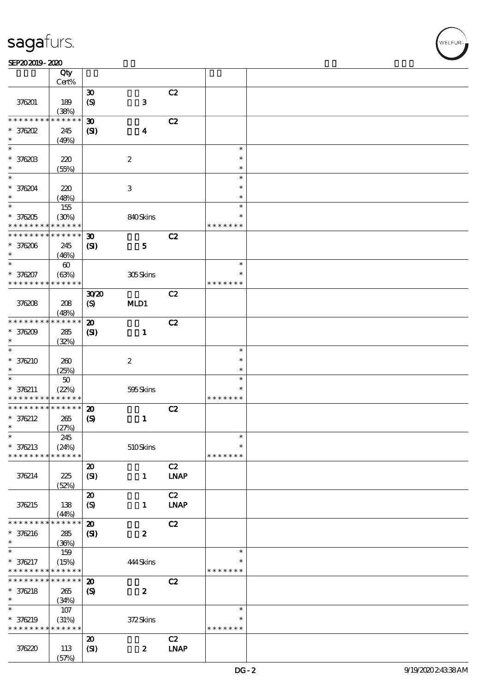#### SEP202019-2020

|                 | Qty<br>Cert%          |                                                            |                           |                              |               |  |
|-----------------|-----------------------|------------------------------------------------------------|---------------------------|------------------------------|---------------|--|
|                 |                       |                                                            |                           |                              |               |  |
| 376201          | 189                   | $\boldsymbol{\mathfrak{D}}$<br>$\boldsymbol{\mathrm{(S)}}$ | $\mathbf{3}$              | C2                           |               |  |
|                 | (38%)                 |                                                            |                           |                              |               |  |
| * * * * *       | $* * * * * *$<br>*    | $\boldsymbol{\mathfrak{D}}$                                |                           | C2                           |               |  |
| $*$ 376202      | 245                   | (S)                                                        | $\boldsymbol{4}$          |                              |               |  |
| $\ast$          | (49%)                 |                                                            |                           |                              |               |  |
| $\ast$          |                       |                                                            |                           |                              | $\ast$        |  |
| * 376203        | 220                   |                                                            | $\boldsymbol{2}$          |                              | $\ast$        |  |
|                 |                       |                                                            |                           |                              | $\ast$        |  |
| $\ast$          | (55%)                 |                                                            |                           |                              | $\ast$        |  |
|                 |                       |                                                            |                           |                              |               |  |
| * 376204        | 220                   |                                                            | $\ensuremath{\mathbf{3}}$ |                              | $\ast$        |  |
| $\ast$          | (48%)                 |                                                            |                           |                              | $\ast$        |  |
| $\ast$          | 155                   |                                                            |                           |                              | $\ast$        |  |
| $*376205$       | (30%)                 |                                                            | 840Skins                  |                              | $\ast$        |  |
| * * * * * * * * | * * * * * *           |                                                            |                           |                              | * * * * * * * |  |
| * * * * * * *   | * * * * * *           | $\boldsymbol{\mathfrak{D}}$                                |                           | C2                           |               |  |
| * 376206        |                       |                                                            |                           |                              |               |  |
| $\ast$          | 245                   | (S)                                                        | $\mathbf{5}$              |                              |               |  |
|                 | (46%)                 |                                                            |                           |                              |               |  |
| $\ast$          | $\boldsymbol{\omega}$ |                                                            |                           |                              | $\ast$        |  |
| * 376207        | (63%)                 |                                                            | 305Skins                  |                              | $\ast$        |  |
| * * * * * * * * | * * * * * *           |                                                            |                           |                              | * * * * * * * |  |
|                 |                       | 3020                                                       |                           | C2                           |               |  |
| 376208          | 208                   | $\boldsymbol{\mathrm{(S)}}$                                | MD1                       |                              |               |  |
|                 | (48%)                 |                                                            |                           |                              |               |  |
| * * * * * * * * | * * * * * *           | $\boldsymbol{\mathbf{z}}$                                  |                           | C2                           |               |  |
|                 |                       |                                                            |                           |                              |               |  |
| $*376209$       | 285                   | $\mathbf{C}$                                               | $\mathbf{1}$              |                              |               |  |
| $\ast$          | (32%)                 |                                                            |                           |                              |               |  |
| $\ast$          |                       |                                                            |                           |                              | $\ast$        |  |
| $*376210$       | 260                   |                                                            | $\boldsymbol{2}$          |                              | $\ast$        |  |
| *               | (25%)                 |                                                            |                           |                              | $\ast$        |  |
| $\ast$          | 50                    |                                                            |                           |                              | $\ast$        |  |
| $* 376211$      | (22%)                 |                                                            | 595Skins                  |                              | $\ast$        |  |
| * * * * * * * * | * * * * * *           |                                                            |                           |                              | * * * * * * * |  |
| * * * * * * * * | * * * * * *           |                                                            |                           |                              |               |  |
|                 |                       | $\boldsymbol{\mathfrak{D}}$                                |                           | C2                           |               |  |
| $* 376212$      | 265                   | $\boldsymbol{\mathrm{(S)}}$                                | $\mathbf{1}$              |                              |               |  |
| $\ast$          | (27%)                 |                                                            |                           |                              |               |  |
| $\ast$          | 245                   |                                                            |                           |                              | ж             |  |
| $* 376213$      | (24%)                 |                                                            | 510Skins                  |                              | $\ast$        |  |
| * * * * * * * * | * * * * * *           |                                                            |                           |                              | * * * * * * * |  |
|                 |                       | $\boldsymbol{\mathfrak{D}}$                                |                           | C2                           |               |  |
| 376214          | 225                   | (SI)                                                       | $\mathbf{1}$              | $\ensuremath{\mathbf{INAP}}$ |               |  |
|                 | (52%)                 |                                                            |                           |                              |               |  |
|                 |                       |                                                            |                           | C2                           |               |  |
|                 |                       | $\boldsymbol{\mathsf{20}}$                                 |                           |                              |               |  |
| 376215          | 138                   | (S)                                                        | $\mathbf{1}$              | <b>LNAP</b>                  |               |  |
|                 | (44%)                 |                                                            |                           |                              |               |  |
| * * * * * * *   | * * * * * *           | $\boldsymbol{\mathfrak{D}}$                                |                           | C2                           |               |  |
| $* 376216$      | 285                   | $\mathbf{C}$                                               | $\boldsymbol{2}$          |                              |               |  |
| $\ast$          | (36%)                 |                                                            |                           |                              |               |  |
| $\ast$          | 159                   |                                                            |                           |                              | $\ast$        |  |
| * 376217        | (15%)                 |                                                            | 444Skins                  |                              | *             |  |
| * * * * * * * * | * * * * * *           |                                                            |                           |                              | * * * * * * * |  |
| * * * * * * *   | * * * * * *           | $\boldsymbol{\mathfrak{D}}$                                |                           | C2                           |               |  |
|                 |                       |                                                            |                           |                              |               |  |
| $* 376218$      | 265                   | $\boldsymbol{\mathrm{(S)}}$                                | $\boldsymbol{z}$          |                              |               |  |
| $\ast$          | (34%)                 |                                                            |                           |                              |               |  |
| $\ast$          | $107$                 |                                                            |                           |                              | $\ast$        |  |
| * 376219        | (31%)                 |                                                            | 372Skins                  |                              | *             |  |
| * * * * * * * * | * * * * * *           |                                                            |                           |                              | * * * * * * * |  |
|                 |                       | $\boldsymbol{\mathfrak{D}}$                                |                           | C2                           |               |  |
| 376220          | 113                   | (SI)                                                       | $\boldsymbol{z}$          | $\ensuremath{\mathbf{INAP}}$ |               |  |
|                 | (57%)                 |                                                            |                           |                              |               |  |
|                 |                       |                                                            |                           |                              |               |  |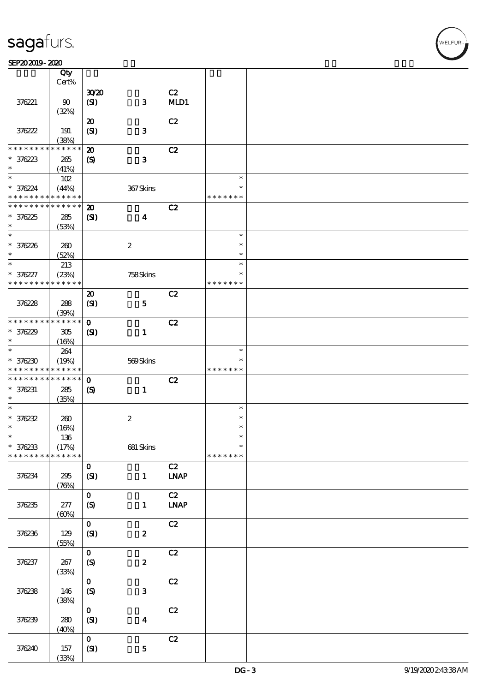$\top$ 

#### SEP202019-2020 DECEMBER 2020 DECEMBER 2020 DECEMBER 2020 DECEMBER 2020 DECEMBER 2020 DECEMBER 2020 DECEMBER 20<br>DECEMBER 2020 DECEMBER 2020 DECEMBER 2020 DECEMBER 2020 DECEMBER 2020 DECEMBER 2020 DECEMBER 2020 DECEMBER 202

|                                         | Qty<br>Cert%         |                                                         |                         |                              |                         |  |
|-----------------------------------------|----------------------|---------------------------------------------------------|-------------------------|------------------------------|-------------------------|--|
|                                         |                      |                                                         |                         |                              |                         |  |
| 376221                                  | $90\,$               | 3020<br>(SI)                                            | $\mathbf{3}$            | C2<br>MLD1                   |                         |  |
|                                         | (32%)                |                                                         |                         |                              |                         |  |
| 376222                                  | 191<br>(38%)         | $\boldsymbol{\mathfrak{D}}$<br>(SI)                     | $\mathbf{3}$            | C2                           |                         |  |
| * * * * * * *                           | * * * * * *          |                                                         |                         |                              |                         |  |
| $* 376223$<br>$\ast$                    | 265<br>(41%)         | $\boldsymbol{\mathbf{z}}$<br>$\boldsymbol{\mathcal{S}}$ | $\mathbf{3}$            | C2                           |                         |  |
| $\ast$                                  |                      |                                                         |                         |                              | $\ast$                  |  |
| * 376224<br>* * * * * * * * * * * * * * | 102<br>(44%)         |                                                         | 367Skins                |                              | $\ast$<br>* * * * * * * |  |
| * * * * * * * *                         | * * * * * *          |                                                         |                         |                              |                         |  |
| $*376225$<br>$\ast$                     | 285<br>(53%)         | $\boldsymbol{\mathbf{z}}$<br>$\mathbf{C}$               | $\overline{\mathbf{4}}$ | C2                           |                         |  |
| $*$                                     |                      |                                                         |                         |                              | $\ast$                  |  |
| $* 376226$<br>$\ast$                    | 260<br>(52%)         |                                                         | $\boldsymbol{2}$        |                              | $\ast$<br>$\ast$        |  |
| $\ast$                                  | 213                  |                                                         |                         |                              | $\ast$                  |  |
| $* 376227$<br>* * * * * * * *           | (23%)<br>* * * * * * |                                                         | 758Skins                |                              | $\ast$<br>* * * * * * * |  |
|                                         |                      | $\boldsymbol{\mathfrak{D}}$                             |                         | C2                           |                         |  |
| 376228                                  | 288<br>(30%)         | (SI)                                                    | $\mathbf{5}$            |                              |                         |  |
| * * * * * * * *                         | * * * * * *          | $\mathbf{o}$                                            |                         | C2                           |                         |  |
| $*376229$<br>$\ast$                     | 305<br>(16%)         | $\mathbf{C}$                                            | $\mathbf{1}$            |                              |                         |  |
| $\ast$                                  | 264                  |                                                         |                         |                              | $\ast$                  |  |
| $*376230$<br>* * * * * * * *            | (19%)<br>* * * * * * |                                                         | 569Skins                |                              | $\ast$<br>* * * * * * * |  |
| * * * * * * * *                         | * * * * * *          | $\mathbf 0$                                             |                         | C2                           |                         |  |
| $* 376231$<br>$\ast$                    | 285<br>(35%)         | $\boldsymbol{\mathcal{S}}$                              | $\mathbf{1}$            |                              |                         |  |
| $\ast$                                  |                      |                                                         |                         |                              | $\ast$                  |  |
| $* 376232$                              |                      |                                                         |                         |                              | $\ast$                  |  |
|                                         | 260                  |                                                         | $\boldsymbol{2}$        |                              |                         |  |
| $\ast$                                  | (16%)                |                                                         |                         |                              | $\ast$                  |  |
| $\ast$                                  | $136\,$              |                                                         |                         |                              | $\ast$                  |  |
| $* 376233$<br>* * * * * * * *           | (17%)<br>* * * * * * |                                                         | $681$ Skins             |                              | $\ast$<br>* * * * * * * |  |
|                                         |                      | $\mathbf{O}$                                            |                         | C2                           |                         |  |
| 376234                                  | 295<br>(76%)         | (SI)                                                    | $\mathbf{1}$            | $\ensuremath{\text{INAP}}$   |                         |  |
|                                         |                      | $\mathbf 0$                                             |                         | C2                           |                         |  |
| 376235                                  | 277<br>(60%)         | (S)                                                     | $\mathbf{1}$            | $\ensuremath{\mathbf{INAP}}$ |                         |  |
|                                         |                      | $\mathbf{o}$                                            |                         | C2                           |                         |  |
| 376236                                  | 129<br>(55%)         | (SI)                                                    | $\boldsymbol{2}$        |                              |                         |  |
|                                         |                      | $\mathbf{o}$                                            |                         | C2                           |                         |  |
| 376237                                  | 267<br>(33%)         | $\boldsymbol{S}$                                        | $\pmb{2}$               |                              |                         |  |
|                                         |                      | $\mathbf{o}$                                            |                         | $\mathbf{C2}$                |                         |  |
| 376238                                  | 146<br>(38%)         | $\boldsymbol{S}$                                        | 3                       |                              |                         |  |
|                                         |                      | $\mathbf{o}$                                            |                         | C2                           |                         |  |
| 376239                                  | 280<br>(40%)         | (SI)                                                    | $\boldsymbol{4}$        |                              |                         |  |
|                                         |                      | $\mathbf{o}$                                            |                         | C2                           |                         |  |
| 376240                                  | 157<br>(33%)         | $\pmb{\text{(S)}}$                                      | ${\bf 5}$               |                              |                         |  |
|                                         |                      |                                                         |                         |                              |                         |  |

 $\overline{\mathbf{r}}$ 

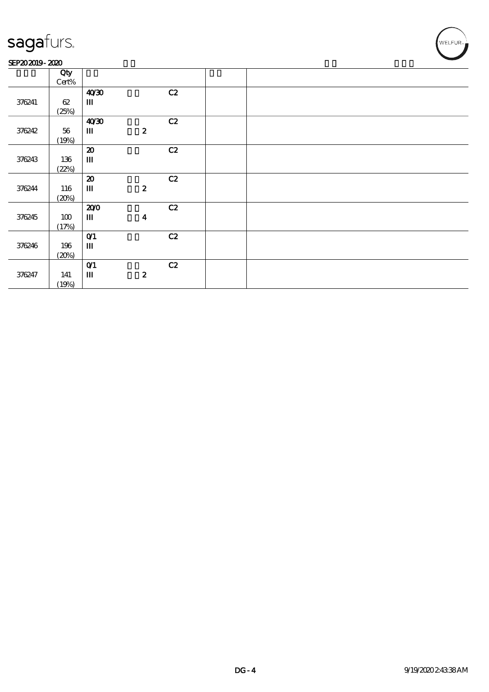#### SEP202019-2020

|        | Qty   |                                       |                  |    |  |
|--------|-------|---------------------------------------|------------------|----|--|
|        | Cert% |                                       |                  |    |  |
|        |       | 40'30                                 |                  | C2 |  |
| 376241 | 62    | Ш                                     |                  |    |  |
|        | (25%) |                                       |                  |    |  |
|        |       | 40'30                                 |                  | C2 |  |
| 376242 | 56    | $\mathbf{m}$                          | $\boldsymbol{z}$ |    |  |
|        | (19%) |                                       |                  |    |  |
|        |       | $\boldsymbol{\mathfrak{D}}$           |                  | C2 |  |
| 376243 | 136   | $\rm I\hspace{-.1em}I\hspace{-.1em}I$ |                  |    |  |
|        | (22%) |                                       |                  |    |  |
|        |       | $\boldsymbol{\mathbf{z}}$             |                  | C2 |  |
| 376244 | 116   | Ш                                     | $\boldsymbol{z}$ |    |  |
|        | (20%) |                                       |                  |    |  |
|        |       | 200                                   |                  | C2 |  |
| 376245 | 100   | Ш                                     | $\boldsymbol{4}$ |    |  |
|        | (17%) |                                       |                  |    |  |
|        |       | O(1)                                  |                  | C2 |  |
| 376246 | 196   | Ш                                     |                  |    |  |
|        | (20%) |                                       |                  |    |  |
|        |       | O(1)                                  |                  | C2 |  |
| 376247 | 141   | $\mathbf{m}$                          | $\boldsymbol{z}$ |    |  |
|        | (19%) |                                       |                  |    |  |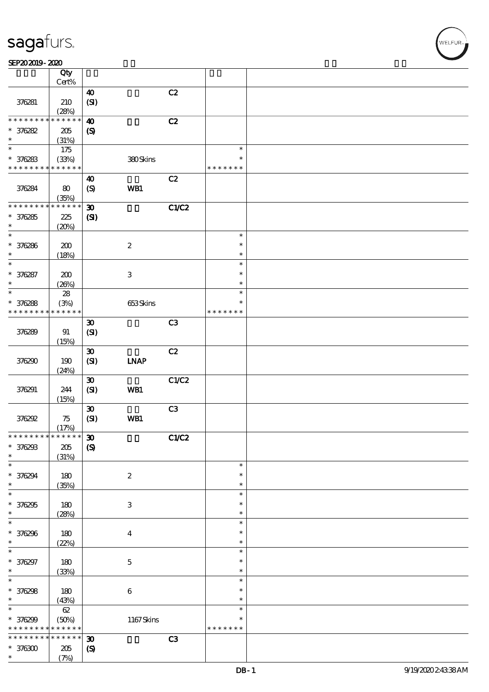$\overline{\mathsf{T}}$ 

|                                            | Qty<br>Cert% |                               |                           |       |               |  |
|--------------------------------------------|--------------|-------------------------------|---------------------------|-------|---------------|--|
|                                            |              |                               |                           |       |               |  |
| 376281                                     | 210          | $\boldsymbol{\omega}$<br>(SI) |                           | C2    |               |  |
|                                            | (28%)        |                               |                           |       |               |  |
| * * * * * * * *                            | * * * * * *  | $\boldsymbol{\omega}$         |                           | C2    |               |  |
| $*376282$                                  | 205          | $\boldsymbol{\mathcal{S}}$    |                           |       |               |  |
| $\ast$                                     | (31%)        |                               |                           |       |               |  |
| $\overline{\ast}$                          |              |                               |                           |       | $\ast$        |  |
|                                            | 175          |                               |                           |       |               |  |
| $* 376283$                                 | (33%)        |                               | 380Skins                  |       | $\ast$        |  |
| * * * * * * * *                            | * * * * * *  |                               |                           |       | * * * * * * * |  |
|                                            |              | 40                            |                           | C2    |               |  |
|                                            |              |                               |                           |       |               |  |
| 376284                                     | 80           | $\boldsymbol{\mathrm{(S)}}$   | WB1                       |       |               |  |
|                                            | (35%)        |                               |                           |       |               |  |
| * * * * * * * *                            | * * * * * *  | $\boldsymbol{\mathfrak{D}}$   |                           | C1/C2 |               |  |
| $*376285$                                  | 225          | (SI)                          |                           |       |               |  |
| $\ast$                                     | (20%)        |                               |                           |       |               |  |
| $\ast$                                     |              |                               |                           |       |               |  |
|                                            |              |                               |                           |       | $\ast$        |  |
| * 376286                                   | 200          |                               | $\boldsymbol{2}$          |       | $\ast$        |  |
| $\ast$                                     | (18%)        |                               |                           |       | $\ast$        |  |
| $\ast$                                     |              |                               |                           |       | $\ast$        |  |
|                                            |              |                               |                           |       | $\ast$        |  |
| * 376287                                   | 200          |                               | $\ensuremath{\mathbf{3}}$ |       |               |  |
| $\ast$                                     | (20%)        |                               |                           |       | $\ast$        |  |
| $\ast$                                     | ${\bf 28}$   |                               |                           |       | $\ast$        |  |
| * 376288                                   | (3%)         |                               | 653Skins                  |       | $\ast$        |  |
| * * * * * * * *                            |              |                               |                           |       |               |  |
|                                            | * * * * * *  |                               |                           |       | * * * * * * * |  |
|                                            |              | $\boldsymbol{\mathfrak{D}}$   |                           | C3    |               |  |
| 376289                                     | 91           | (SI)                          |                           |       |               |  |
|                                            | (15%)        |                               |                           |       |               |  |
|                                            |              |                               |                           |       |               |  |
|                                            |              | $\boldsymbol{\mathfrak{D}}$   |                           | C2    |               |  |
| 376290                                     | 190          | (SI)                          | <b>INAP</b>               |       |               |  |
|                                            | (24%)        |                               |                           |       |               |  |
|                                            |              | $\boldsymbol{\mathfrak{D}}$   |                           | C1/C2 |               |  |
|                                            |              |                               |                           |       |               |  |
| 376291                                     | 244          | (SI)                          | WB1                       |       |               |  |
|                                            | (15%)        |                               |                           |       |               |  |
|                                            |              | $\pmb{\mathfrak{D}}$          |                           | C3    |               |  |
| 376292                                     | 75           | (SI)                          | WB1                       |       |               |  |
|                                            |              |                               |                           |       |               |  |
|                                            | (17%)        |                               |                           |       |               |  |
| * * * * * * * * <mark>* * * * * * *</mark> |              | $\pmb{\mathfrak{D}}$          |                           | C1/C2 |               |  |
| $* 376293$                                 | $205\,$      | $\boldsymbol{\mathrm{(S)}}$   |                           |       |               |  |
| $\ast$                                     | (31%)        |                               |                           |       |               |  |
| $\ast$                                     |              |                               |                           |       | $\ast$        |  |
|                                            |              |                               |                           |       |               |  |
| * 376294                                   | 180          |                               | $\boldsymbol{2}$          |       | $\ast$        |  |
| $\ast$                                     | (35%)        |                               |                           |       | $\ast$        |  |
| $\overline{\ast}$                          |              |                               |                           |       | $\ast$        |  |
| * 376295                                   | 180          |                               | $\,3$                     |       | $\ast$        |  |
| $\ast$                                     |              |                               |                           |       | $\ast$        |  |
|                                            | (28%)        |                               |                           |       |               |  |
| $\ast$                                     |              |                               |                           |       | $\ast$        |  |
| * 376296                                   | $180\,$      |                               | $\boldsymbol{4}$          |       | $\ast$        |  |
| $\ast$                                     | (22%)        |                               |                           |       | $\ast$        |  |
| $\ast$                                     |              |                               |                           |       | $\ast$        |  |
|                                            |              |                               |                           |       |               |  |
| * 376297                                   | 180          |                               | $\bf 5$                   |       | $\ast$        |  |
| $\ast$                                     | (33%)        |                               |                           |       | $\ast$        |  |
| $\overline{\ast}$                          |              |                               |                           |       | $\ast$        |  |
| $* 376298$                                 |              |                               |                           |       | $\ast$        |  |
|                                            | 180          |                               | $\bf 6$                   |       |               |  |
| $\ast$                                     | (43%)        |                               |                           |       | $\ast$        |  |
| $\ast$                                     | $62\,$       |                               |                           |       | $\ast$        |  |
| $* 376299$                                 | (50%)        |                               | 1167Skins                 |       | $\ast$        |  |
| * * * * * * * *                            | * * * * * *  |                               |                           |       | * * * * * * * |  |
|                                            |              |                               |                           |       |               |  |
| * * * * * * * *                            | * * * * * *  | $\boldsymbol{\mathfrak{D}}$   |                           | C3    |               |  |
| $*376300$                                  | 205          | $\boldsymbol{S}$              |                           |       |               |  |
| $\ast$                                     | (7%)         |                               |                           |       |               |  |

 $\top$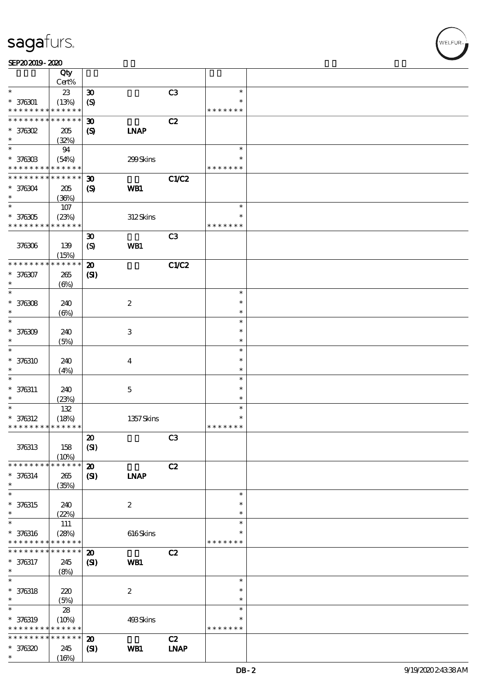|                                          | Qty                  |                             |                  |                              |                  |  |
|------------------------------------------|----------------------|-----------------------------|------------------|------------------------------|------------------|--|
|                                          | Cert%                |                             |                  |                              |                  |  |
| $\ast$                                   | $23\,$               | $\boldsymbol{\mathfrak{D}}$ |                  | C <sub>3</sub>               | $\ast$<br>$\ast$ |  |
| $* 376301$<br>* * * * * * * *            | (13%)<br>* * * * * * | $\boldsymbol{S}$            |                  |                              | * * * * * * *    |  |
| * * * * * * * *                          | * * * * * *          | $\boldsymbol{\mathfrak{D}}$ |                  | C2                           |                  |  |
| $*$ 376302                               | 205                  | $\boldsymbol{\mathrm{(S)}}$ | <b>INAP</b>      |                              |                  |  |
| $\ast$                                   | (32%)                |                             |                  |                              |                  |  |
| $\ast$                                   | 94                   |                             |                  |                              | $\ast$           |  |
| $* 37630B$                               | (54%)                |                             | 299Skins         |                              | $\ast$           |  |
| * * * * * * * *                          | * * * * * *          |                             |                  |                              | * * * * * * *    |  |
| * * * * * * * *                          | * * * * * *          | $\boldsymbol{\mathfrak{D}}$ |                  | <b>C1/C2</b>                 |                  |  |
| $* 376304$                               | 205                  | $\boldsymbol{\mathrm{(S)}}$ | <b>WB1</b>       |                              |                  |  |
| $\ast$                                   | (36%)                |                             |                  |                              |                  |  |
| $\ast$                                   | 107                  |                             |                  |                              | $\ast$           |  |
| $* 376305$                               | (23%)                |                             | 312Skins         |                              | $\ast$           |  |
| * * * * * * * *                          | * * * * * *          |                             |                  |                              | * * * * * * *    |  |
|                                          |                      | $\boldsymbol{\mathfrak{D}}$ |                  | C3                           |                  |  |
| 376306                                   | 139                  | $\boldsymbol{\mathrm{(S)}}$ | WB1              |                              |                  |  |
|                                          | (15%)                |                             |                  |                              |                  |  |
| * * * * * * * *                          | * * * * * *          | $\boldsymbol{\mathfrak{D}}$ |                  | <b>C1/C2</b>                 |                  |  |
| $* 376307$                               | 265                  | (S)                         |                  |                              |                  |  |
| $\ast$                                   | $(\Theta\% )$        |                             |                  |                              |                  |  |
| $\ast$                                   |                      |                             |                  |                              | $\ast$           |  |
| $* 376308$                               | 240                  |                             | $\boldsymbol{2}$ |                              | $\ast$           |  |
| $\ast$                                   | $(\Theta)$           |                             |                  |                              | $\ast$           |  |
| $\ast$                                   |                      |                             |                  |                              | $\ast$           |  |
| $* 376309$<br>$\ast$                     | 240                  |                             | $\,3$            |                              | $\ast$<br>$\ast$ |  |
| $\ast$                                   | (5%)                 |                             |                  |                              | $\ast$           |  |
| $* 376310$                               |                      |                             |                  |                              | $\ast$           |  |
| $\ast$                                   | 240                  |                             | $\bf{4}$         |                              | $\ast$           |  |
| $\ast$                                   | (4%)                 |                             |                  |                              | $\ast$           |  |
| $* 376311$                               | 240                  |                             | $\mathbf 5$      |                              | $\ast$           |  |
| $\ast$                                   | (23%)                |                             |                  |                              | $\ast$           |  |
| $\ast$                                   | $132$                |                             |                  |                              | $\ast$           |  |
| $* 376312$                               | (18%)                |                             | 1357Skins        |                              | $\ast$           |  |
| * * * * * * * * * * * * * *              |                      |                             |                  |                              | * * * * * * *    |  |
|                                          |                      | $\boldsymbol{\mathfrak{D}}$ |                  | C <sub>3</sub>               |                  |  |
| 376313                                   | 158                  | (SI)                        |                  |                              |                  |  |
|                                          | (10%)                |                             |                  |                              |                  |  |
| * * * * * * * *                          | * * * * * *          | $\boldsymbol{\mathbf{z}}$   |                  | C2                           |                  |  |
| $* 376314$                               | 265                  | $\mathbf{C}$                | <b>INAP</b>      |                              |                  |  |
| $\ast$                                   | (35%)                |                             |                  |                              |                  |  |
| $\ast$                                   |                      |                             |                  |                              | $\ast$           |  |
| $* 376315$                               | 240                  |                             | $\boldsymbol{2}$ |                              | $\ast$           |  |
| $\ast$<br>$\ast$                         | (22%)                |                             |                  |                              | $\ast$<br>$\ast$ |  |
|                                          | 111                  |                             |                  |                              | $\ast$           |  |
| $* 376316$<br>* * * * * * * *            | (28%)<br>* * * * * * |                             | $616$ Skins      |                              | * * * * * * *    |  |
| * * * * * * * *                          | * * * * * *          | $\boldsymbol{\mathbf{z}}$   |                  | C2                           |                  |  |
| $* 376317$                               | 245                  | $\mathbf{C}$                | WB1              |                              |                  |  |
| $\ast$                                   | (8%)                 |                             |                  |                              |                  |  |
| $\ast$                                   |                      |                             |                  |                              | $\ast$           |  |
| $* 376318$                               | 220                  |                             | $\boldsymbol{2}$ |                              | $\ast$           |  |
| $\ast$                                   | (5%)                 |                             |                  |                              | $\ast$           |  |
| $\ast$                                   | 28                   |                             |                  |                              | $\ast$           |  |
| $* 376319$                               | (10%)                |                             | 493Skins         |                              | $\ast$           |  |
| * * * * * * * * <mark>* * * * * *</mark> |                      |                             |                  |                              | * * * * * * *    |  |
| * * * * * * * *                          | * * * * * *          | $\boldsymbol{\mathbf{z}}$   |                  | C2                           |                  |  |
| $* 376320$                               | 245                  | $\mathbf{C}$                | WB1              | $\ensuremath{\mathbf{INAP}}$ |                  |  |
| $\ast$                                   | (16%)                |                             |                  |                              |                  |  |

.<br>WELFUR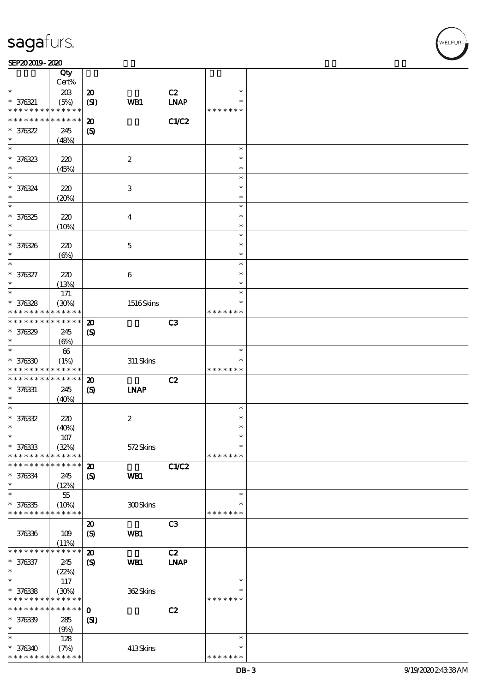#### SEP202019-2020 DEEP202019-2020 DEEP202019-2020 DEEP202019-2020 DEEP202019-2020 DEEP20

|                                            | Qty<br>Cert%         |                                     |                  |                   |               |  |
|--------------------------------------------|----------------------|-------------------------------------|------------------|-------------------|---------------|--|
| $\ast$                                     |                      |                                     |                  |                   | $\ast$        |  |
| $* 376321$                                 | 203<br>(5%)          | $\boldsymbol{\mathfrak{D}}$<br>(SI) | WB1              | C2<br><b>LNAP</b> | $\ast$        |  |
| * * * * * * * * <mark>* * * * * *</mark>   |                      |                                     |                  |                   | * * * * * * * |  |
| * * * * * * * *                            | * * * * * *          | $\boldsymbol{\mathbf{z}}$           |                  | C1/C2             |               |  |
| $*376322$                                  | 245                  | $\boldsymbol{\mathrm{(S)}}$         |                  |                   |               |  |
| $\ast$                                     | (48%)                |                                     |                  |                   |               |  |
| $\ast$                                     |                      |                                     |                  |                   | $\ast$        |  |
| $* 376323$                                 | 220                  |                                     | $\boldsymbol{2}$ |                   | $\ast$        |  |
| $\ast$                                     | (45%)                |                                     |                  |                   | $\ast$        |  |
| $\ast$                                     |                      |                                     |                  |                   | $\ast$        |  |
| $* 376324$                                 | 220                  |                                     | 3                |                   | $\ast$        |  |
| $\ast$                                     | (20%)                |                                     |                  |                   | $\ast$        |  |
| $\ast$                                     |                      |                                     |                  |                   | $\ast$        |  |
| $* 376325$                                 | 220                  |                                     | $\overline{4}$   |                   | $\ast$        |  |
| $\ast$                                     | (10%)                |                                     |                  |                   | $\ast$        |  |
| $\ast$                                     |                      |                                     |                  |                   | $\ast$        |  |
| * 376326                                   | 220                  |                                     | $\mathbf 5$      |                   | $\ast$        |  |
| $\ast$                                     | $(\Theta)$           |                                     |                  |                   | $\ast$        |  |
| $\ast$                                     |                      |                                     |                  |                   | $\ast$        |  |
| * 376327                                   | 220                  |                                     | $\boldsymbol{6}$ |                   | $\ast$        |  |
| $\ast$<br>$\ast$                           | (13%)                |                                     |                  |                   | $\ast$        |  |
|                                            | 171                  |                                     |                  |                   | $\ast$        |  |
| $* 376328$                                 | (30%)<br>* * * * * * |                                     | 1516Skins        |                   | $\ast$        |  |
| * * * * * * * *<br>* * * * * * * *         | * * * * * *          |                                     |                  |                   | * * * * * * * |  |
|                                            |                      | $\boldsymbol{\mathbf{z}}$           |                  | C3                |               |  |
| $* 376329$<br>$\ast$                       | 245                  | $\boldsymbol{\mathcal{S}}$          |                  |                   |               |  |
| $\ast$                                     | $(\Theta)$           |                                     |                  |                   | $\ast$        |  |
| $* 376330$                                 | $66\,$<br>(1%)       |                                     |                  |                   |               |  |
| * * * * * * * * <mark>* * * * * * *</mark> |                      |                                     | $311$ Skins      |                   | * * * * * * * |  |
| * * * * * * * *                            | * * * * * *          | $\boldsymbol{\mathbf{z}}$           |                  | C2                |               |  |
| $* 376331$                                 | 245                  | $\boldsymbol{\mathrm{(S)}}$         | <b>INAP</b>      |                   |               |  |
| $\ast$                                     | (40%)                |                                     |                  |                   |               |  |
| $\ast$                                     |                      |                                     |                  |                   | $\ast$        |  |
| $* 376332$                                 | 220                  |                                     | $\boldsymbol{2}$ |                   | $\ast$        |  |
| $\ast$                                     | (40%)                |                                     |                  |                   | $\ast$        |  |
| $\ast$                                     | $107\,$              |                                     |                  |                   | $\ast$        |  |
| $* 376333$                                 | (32%)                |                                     | 572Skins         |                   | $\ast$        |  |
| * * * * * * * *                            | * * * * * *          |                                     |                  |                   | * * * * * * * |  |
| * * * * * * * *                            | * * * * * *          | $\boldsymbol{\mathbf{z}}$           |                  | C1/C2             |               |  |
| * 376334                                   | 245                  | $\boldsymbol{\mathrm{(S)}}$         | WB1              |                   |               |  |
| $\ast$<br>$\ast$                           | (12%)                |                                     |                  |                   | $\ast$        |  |
| $* 376335$                                 | $55\,$               |                                     |                  |                   |               |  |
| * * * * * * * *                            | (10%)<br>* * * * * * |                                     | 300Skins         |                   | * * * * * * * |  |
|                                            |                      | $\boldsymbol{\mathfrak{D}}$         |                  | C3                |               |  |
| 376336                                     | 109                  | $\boldsymbol{S}$                    | WB1              |                   |               |  |
|                                            | (11%)                |                                     |                  |                   |               |  |
| * * * * * * * *                            | * * * * *            | $\boldsymbol{\mathfrak{D}}$         |                  | C2                |               |  |
| $* 376337$                                 | 245                  | $\boldsymbol{\mathrm{(S)}}$         | WB1              | <b>INAP</b>       |               |  |
| $\ast$                                     | (22%)                |                                     |                  |                   |               |  |
| $\ast$                                     | 117                  |                                     |                  |                   | $\ast$        |  |
| $* 376338$                                 | (30%)                |                                     | 362Skins         |                   | $\ast$        |  |
| * * * * * * * *                            | * * * * * *          |                                     |                  |                   | * * * * * * * |  |
| * * * * * * * *                            | $* * * * * * *$      | $\mathbf 0$                         |                  | C2                |               |  |
| $* 376339$                                 | 285                  | $\mathbf{C}$                        |                  |                   |               |  |
| $\ast$                                     | (9%)                 |                                     |                  |                   |               |  |
| $\ast$                                     | 128                  |                                     |                  |                   | $\ast$        |  |
| $* 376340$                                 | (7%)                 |                                     | 413Skins         |                   | $\ast$        |  |
| * * * * * * * *                            | * * * * * *          |                                     |                  |                   | * * * * * * * |  |

 $\overline{\mathbf{r}}$ 

WELFUR<sub>1</sub>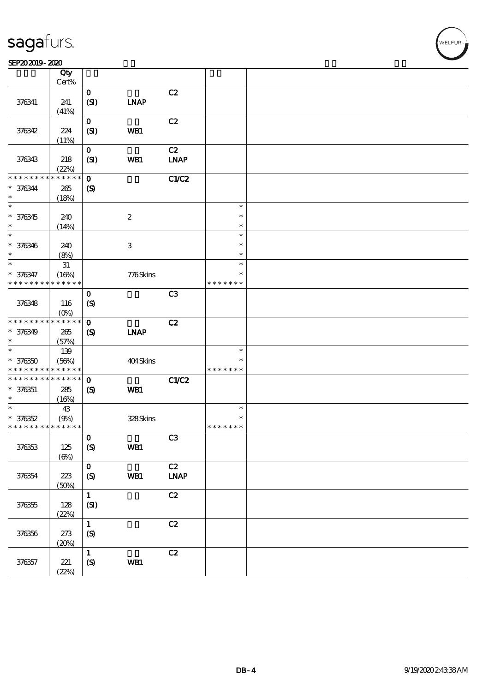|                                          | Qty<br>$Cert\%$        |                            |                           |                |               |  |
|------------------------------------------|------------------------|----------------------------|---------------------------|----------------|---------------|--|
|                                          |                        | $\mathbf{o}$               |                           | C2             |               |  |
| 376341                                   | 241                    | (SI)                       | <b>INAP</b>               |                |               |  |
|                                          | (41%)                  |                            |                           |                |               |  |
|                                          |                        | $\mathbf{O}$               |                           | C2             |               |  |
| 376342                                   | 224                    | (SI)                       | WB1                       |                |               |  |
|                                          | (11%)                  |                            |                           |                |               |  |
|                                          |                        | $\mathbf{O}$               |                           | C2             |               |  |
| 376343                                   | 218                    | (SI)                       | WB1                       | <b>LNAP</b>    |               |  |
|                                          | (22%)                  |                            |                           |                |               |  |
| * * * * * * * *                          | $******$               | $\mathbf{o}$               |                           | C1/C2          |               |  |
| $* 376344$                               | $265\,$                | $\boldsymbol{S}$           |                           |                |               |  |
| $\ast$                                   | (18%)                  |                            |                           |                |               |  |
| $\ast$                                   |                        |                            |                           |                | $\ast$        |  |
| $* 376345$                               | 240                    |                            | $\boldsymbol{2}$          |                | $\ast$        |  |
| $\ast$                                   | (14%)                  |                            |                           |                | $\ast$        |  |
| $\ast$                                   |                        |                            |                           |                | $\ast$        |  |
| $* 376346$                               | 240                    |                            | $\ensuremath{\mathsf{3}}$ |                | $\ast$        |  |
| $\ast$                                   | (8%)                   |                            |                           |                | $\ast$        |  |
| $\ast$                                   | $3\!1$                 |                            |                           |                | $\ast$        |  |
| $* 376347$                               | (16%)<br>* * * * * *   |                            | 776Skins                  |                | $\ast$        |  |
| * * * * * * * *                          |                        |                            |                           |                | * * * * * * * |  |
|                                          |                        | $\mathbf 0$                |                           | C <sub>3</sub> |               |  |
| 376348                                   | 116                    | $\boldsymbol{S}$           |                           |                |               |  |
| * * * * * * * *                          | $(0\%)$<br>* * * * * * | $\mathbf{o}$               |                           | C2             |               |  |
| $* 376349$                               | 265                    |                            | <b>INAP</b>               |                |               |  |
| $\ast$                                   | (57%)                  | $\boldsymbol{\mathcal{S}}$ |                           |                |               |  |
| $\ast$                                   | 139                    |                            |                           |                | $\ast$        |  |
| $* 376350$                               | (56%)                  |                            | 404Skins                  |                | $\ast$        |  |
| * * * * * * * * <mark>* * * * * *</mark> |                        |                            |                           |                | * * * * * * * |  |
| * * * * * * * *                          | * * * * * *            | $\mathbf{o}$               |                           | <b>C1/C2</b>   |               |  |
| $* 376351$                               | 285                    | $\boldsymbol{S}$           | WB1                       |                |               |  |
| $\ast$                                   | (16%)                  |                            |                           |                |               |  |
| $\ast$                                   | 43                     |                            |                           |                | $\ast$        |  |
| $* 376352$                               | (9%)                   |                            | 328Skins                  |                | $\ast$        |  |
| * * * * * * * * * * * * * *              |                        |                            |                           |                | * * * * * * * |  |
|                                          |                        | $\mathbf O$                |                           | C <sub>3</sub> |               |  |
| 376353                                   | $125\,$                | $\boldsymbol{S}$           | WB1                       |                |               |  |
|                                          | $(\Theta)$             |                            |                           |                |               |  |
|                                          |                        | $\mathbf O$                |                           | C2             |               |  |
| 376354                                   | $223\,$                | (S)                        | WB1                       | INAP           |               |  |
|                                          | (50%)                  |                            |                           |                |               |  |
|                                          |                        | $\mathbf{1}$               |                           | C2             |               |  |
| 376355                                   | 128                    | (SI)                       |                           |                |               |  |
|                                          | (22%)                  | $\mathbf{1}$               |                           | C2             |               |  |
| 376356                                   | 273                    | $\mathcal{S}$              |                           |                |               |  |
|                                          | (20%)                  |                            |                           |                |               |  |
|                                          |                        | $\mathbf 1$                |                           | C2             |               |  |
| 376357                                   | $221$                  | $\pmb{\text{(S)}}$         | WB1                       |                |               |  |
|                                          | (22%)                  |                            |                           |                |               |  |
|                                          |                        |                            |                           |                |               |  |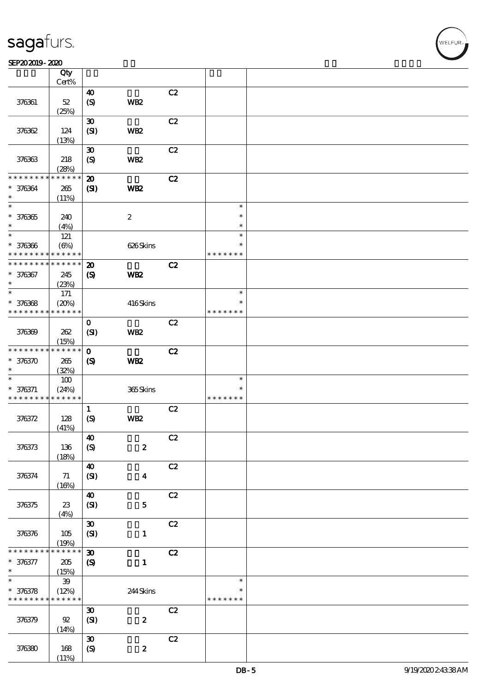#### SEP202019-2020

|                   | Qty<br>Cert%         |                             |                  |    |               |  |
|-------------------|----------------------|-----------------------------|------------------|----|---------------|--|
|                   |                      |                             |                  |    |               |  |
| 376361            | $52\,$               | 40<br>$\boldsymbol{S}$      | WB <sub>2</sub>  | C2 |               |  |
|                   | (25%)                |                             |                  |    |               |  |
|                   |                      | $\boldsymbol{\mathfrak{D}}$ |                  | C2 |               |  |
| 376362            | 124<br>(13%)         | (SI)                        | WB <sub>2</sub>  |    |               |  |
|                   |                      |                             |                  |    |               |  |
|                   |                      | $\boldsymbol{\mathfrak{D}}$ |                  | C2 |               |  |
| 376363            | 218<br>(28%)         | $\boldsymbol{S}$            | <b>WB2</b>       |    |               |  |
| * * * * * * *     | $* * * * * * *$      | $\boldsymbol{\mathfrak{D}}$ |                  | C2 |               |  |
|                   |                      |                             |                  |    |               |  |
| * 376364          | $265\,$              | $\mathbf{S}$                | WB <sub>2</sub>  |    |               |  |
| $\ast$            | (11%)                |                             |                  |    |               |  |
| $\ast$            |                      |                             |                  |    | $\ast$        |  |
| $* 376365$        | 240                  |                             | $\boldsymbol{2}$ |    | $\ast$        |  |
| $\ast$            | (4%)                 |                             |                  |    | $\ast$        |  |
| $\ast$            | 121                  |                             |                  |    | $\ast$        |  |
| $* 376366$        | $(\Theta\%)$         |                             | 626Skins         |    | $\ast$        |  |
| * * * * * * * *   | * * * * * *          |                             |                  |    | * * * * * * * |  |
| * * * * * * * *   | * * * * * *          | $\boldsymbol{\mathfrak{D}}$ |                  | C2 |               |  |
|                   |                      |                             |                  |    |               |  |
| $* 376367$        | 245                  | $\boldsymbol{\mathrm{(S)}}$ | WB <sub>2</sub>  |    |               |  |
| $\ast$            | (23%)                |                             |                  |    |               |  |
| $\ast$            | 171                  |                             |                  |    | $\ast$        |  |
| $* 376368$        | (20%)                |                             | 416Skins         |    | $\ast$        |  |
| * * * * * * * *   | * * * * * *          |                             |                  |    | * * * * * * * |  |
|                   |                      | $\mathbf 0$                 |                  | C2 |               |  |
| 376369            | 262                  | (SI)                        | WB <sub>2</sub>  |    |               |  |
|                   |                      |                             |                  |    |               |  |
| * * * * * * * *   | (15%)<br>* * * * * * |                             |                  |    |               |  |
|                   |                      | $\mathbf 0$                 |                  | C2 |               |  |
| $*376370$         | 265                  | $\boldsymbol{\mathcal{S}}$  | WB <sub>2</sub>  |    |               |  |
| $\ast$            | (32%)                |                             |                  |    |               |  |
| $\ast$            | 100                  |                             |                  |    | $\ast$        |  |
| $* 376371$        | (24%)                |                             | 365Skins         |    | $\ast$        |  |
| * * * * * * * *   | * * * * * *          |                             |                  |    | * * * * * * * |  |
|                   |                      | $\mathbf{1}$                |                  | C2 |               |  |
| 376372            | 128                  | $\boldsymbol{S}$            | WB <sub>2</sub>  |    |               |  |
|                   | (41%)                |                             |                  |    |               |  |
|                   |                      | $\boldsymbol{40}$           |                  | C2 |               |  |
| 376373            | 136                  | $\boldsymbol{S}$            | $\pmb{2}$        |    |               |  |
|                   | (18%)                |                             |                  |    |               |  |
|                   |                      | $\boldsymbol{\Lambda}$      |                  | C2 |               |  |
|                   |                      |                             |                  |    |               |  |
| 376374            | 71                   | (SI)                        | $\boldsymbol{4}$ |    |               |  |
|                   | (16%)                |                             |                  |    |               |  |
|                   |                      | $\boldsymbol{\Lambda}$      |                  | C2 |               |  |
| 376375            | $23\,$               | (SI)                        | ${\bf 5}$        |    |               |  |
|                   | (4%)                 |                             |                  |    |               |  |
|                   |                      | $\pmb{\mathfrak{D}}$        |                  | C2 |               |  |
| 376376            | 105                  | (SI)                        | $\mathbf{1}$     |    |               |  |
|                   | (19%)                |                             |                  |    |               |  |
| * * * * *         | * * * * *            | $\boldsymbol{\mathfrak{D}}$ |                  | C2 |               |  |
|                   |                      |                             |                  |    |               |  |
| $* 376377$        | $205\,$              | $\pmb{\mathcal{S}}$         | $\mathbf{1}$     |    |               |  |
| $\ast$            | (15%)                |                             |                  |    |               |  |
| $\overline{\ast}$ | $39\,$               |                             |                  |    | $\ast$        |  |
| $* 376378$        | (12%)                |                             | 244Skins         |    | $\ast$        |  |
| * * * * * * * *   | * * * * * *          |                             |                  |    | * * * * * * * |  |
|                   |                      | $\boldsymbol{\mathfrak{D}}$ |                  | C2 |               |  |
| 376379            | $92\,$               | (SI)                        | $\boldsymbol{2}$ |    |               |  |
|                   | (14%)                |                             |                  |    |               |  |
|                   |                      | $\boldsymbol{\mathfrak{D}}$ |                  | C2 |               |  |
| 376380            | 168                  | $\boldsymbol{S}$            | $\pmb{2}$        |    |               |  |
|                   | (11%)                |                             |                  |    |               |  |
|                   |                      |                             |                  |    |               |  |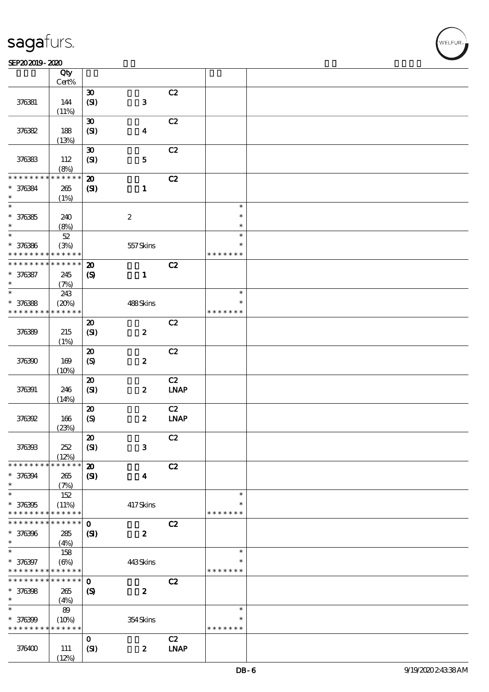#### SEP202019-2020

|                                         | Qty                                    |                                                           |                      |                                    |                                   |  |
|-----------------------------------------|----------------------------------------|-----------------------------------------------------------|----------------------|------------------------------------|-----------------------------------|--|
|                                         | Cert%                                  |                                                           |                      | C2                                 |                                   |  |
| 376381                                  | 144<br>(11%)                           | $\boldsymbol{\mathfrak{D}}$<br>(SI)                       | ${\bf 3}$            |                                    |                                   |  |
| 376382                                  | 188                                    | $\boldsymbol{\mathfrak{D}}$<br>(SI)                       | $\boldsymbol{4}$     | C2                                 |                                   |  |
|                                         | (13%)                                  |                                                           |                      |                                    |                                   |  |
| 376383                                  | 112<br>(8%)                            | $\boldsymbol{\mathfrak{D}}$<br>(SI)                       | ${\bf 5}$            | C2                                 |                                   |  |
| * * * * * * *                           | * * * * * *                            | $\boldsymbol{\mathbf{z}}$                                 |                      | C2                                 |                                   |  |
| * 376384<br>$\ast$                      | 265<br>(1%)                            | (S)                                                       | $\mathbf{1}$         |                                    |                                   |  |
| $\ast$                                  |                                        |                                                           |                      |                                    | $\ast$                            |  |
| $* 376385$<br>$\ast$                    | 240<br>(8%)                            |                                                           | $\boldsymbol{2}$     |                                    | $\ast$<br>$\ast$                  |  |
| $\ast$                                  | $52\,$                                 |                                                           |                      |                                    | $\ast$                            |  |
| $* 376386$<br>* * * * * * * *           | (3%)<br>* * * * * *                    |                                                           | 557Skins             |                                    | $\ast$<br>* * * * * * *           |  |
| * * * * * * * *                         | * * * * * *                            | $\boldsymbol{\mathfrak{D}}$                               |                      | C2                                 |                                   |  |
| * 376387<br>$\ast$                      | 245<br>(7%)                            | $\boldsymbol{\mathrm{(S)}}$                               | $\mathbf{1}$         |                                    |                                   |  |
| $\ast$                                  | 243                                    |                                                           |                      |                                    | $\ast$                            |  |
| $* 376388$<br>* * * * * * * *           | (20%)<br>* * * * * *                   |                                                           | 488Skins             |                                    | $\ast$<br>* * * * * * *           |  |
| 376389                                  | 215<br>(1%)                            | $\boldsymbol{\mathbf{z}}$<br>(SI)                         | $\pmb{2}$            | C2                                 |                                   |  |
| 376390                                  | 169<br>(10%)                           | $\boldsymbol{\mathsf{20}}$<br>$\boldsymbol{\mathrm{(S)}}$ | $\boldsymbol{2}$     | C2                                 |                                   |  |
| 376391                                  | 246<br>(14%)                           | $\boldsymbol{\mathbf{z}}$<br>(SI)                         | $\boldsymbol{z}$     | C2<br>$\ensuremath{\text{INAP}}$   |                                   |  |
| 376392                                  | 166<br>(23%)                           | $\pmb{\mathcal{D}}$<br>$\boldsymbol{\mathrm{(S)}}$        | $\boldsymbol{z}$     | C2<br>$INAP$                       |                                   |  |
| 376393                                  | 252<br>(12%)                           | $\boldsymbol{\mathfrak{D}}$<br>(SI)                       | $\mathbf{3}$         | C2                                 |                                   |  |
| * * * * * * *<br>* 376394<br>$\ast$     | * * * * * *<br>265<br>(7%)             | $\boldsymbol{\mathbf{z}}$<br>$\mathbf{C}$                 | $\blacktriangleleft$ | C2                                 |                                   |  |
| $\ast$<br>$* 376395$<br>* * * * * * * * | 152<br>(11%)<br>* * * * * *            |                                                           | 417Skins             |                                    | $\ast$<br>$\ast$<br>* * * * * * * |  |
| * * * * * * *<br>* 376396<br>$\ast$     | * * * * * *<br>285<br>(4%)             | $\mathbf 0$<br>$\mathbf{C}$                               | $\boldsymbol{z}$     | C2                                 |                                   |  |
| $\ast$<br>* 376397<br>* * * * * * * *   | 158<br>$(\Theta)$<br>* * * * * *       |                                                           | 443Skins             |                                    | $\ast$<br>*<br>* * * * * * *      |  |
| * * * * * * *<br>$* 376398$<br>$\ast$   | * * * * * *  <br>265<br>(4%)           | $\mathbf 0$<br>$\boldsymbol{S}$                           | $\boldsymbol{z}$     | C2                                 |                                   |  |
| $\ast$<br>$* 376399$<br>* * * * * * * * | $8\hskip-2pt9$<br>(10%)<br>* * * * * * |                                                           | 354Skins             |                                    | $\ast$<br>*<br>* * * * * * *      |  |
| 376400                                  | 111<br>(12%)                           | $\mathbf 0$<br>(SI)                                       | $\boldsymbol{z}$     | C2<br>$\ensuremath{\mathbf{INAP}}$ |                                   |  |

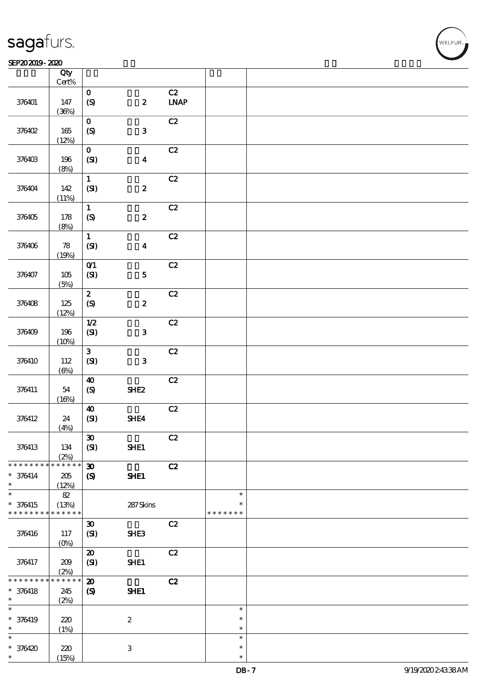| <b>saga</b> furs. |
|-------------------|
|-------------------|

#### SEP202019-2020  $\sqrt{a^2 + 4ac}$

|                                         | Qty                            |                                                              |                  |                   |                                   |  |
|-----------------------------------------|--------------------------------|--------------------------------------------------------------|------------------|-------------------|-----------------------------------|--|
|                                         | Cert%                          |                                                              |                  |                   |                                   |  |
| 376401                                  | 147<br>(36%)                   | $\mathbf O$<br>(S)                                           | $\boldsymbol{2}$ | C2<br><b>INAP</b> |                                   |  |
| 376402                                  | $165$                          | $\mathbf 0$<br>$\boldsymbol{S}$                              | $\mathbf{3}$     | C2                |                                   |  |
|                                         | (12%)                          |                                                              |                  |                   |                                   |  |
| 376403                                  | 196<br>(8%)                    | $\mathbf{o}$<br>(SI)                                         | $\boldsymbol{4}$ | C2                |                                   |  |
| 376404                                  | 142<br>(11%)                   | $\mathbf 1$<br>(SI)                                          | $\pmb{2}$        | C2                |                                   |  |
| 376405                                  | 178<br>(8%)                    | $\mathbf{1}$<br>$\boldsymbol{S}$                             | $\pmb{2}$        | C2                |                                   |  |
| 376406                                  | ${\bf 78}$<br>(19%)            | $\mathbf{1}$<br>(SI)                                         | $\boldsymbol{4}$ | C2                |                                   |  |
| 376407                                  | 105<br>(5%)                    | O(1)<br>(SI)                                                 | ${\bf 5}$        | C2                |                                   |  |
| 376408                                  | 125                            | $\boldsymbol{z}$<br>$\boldsymbol{\mathrm{(S)}}$              | $\pmb{2}$        | C2                |                                   |  |
|                                         | (12%)                          | 1/2                                                          |                  | C2                |                                   |  |
| 376409                                  | 196<br>(10%)                   | $\pmb{\text{(S\hskip-.03in\llbracket\mathbf{3}\rrbracket)}}$ | $\mathbf 3$      |                   |                                   |  |
| 376410                                  | 112<br>$(\Theta)$              | $\mathbf{3}$<br>(SI)                                         | ${\bf 3}$        | C2                |                                   |  |
| 376411                                  | 54<br>(16%)                    | $\boldsymbol{\Lambda}$<br>$\boldsymbol{\mathrm{(S)}}$        | SHE <sub>2</sub> | C2                |                                   |  |
| 376412                                  | 24<br>(4%)                     | $\boldsymbol{\Lambda}$<br>(S)                                | SHE4             | $\mathbf{C2}$     |                                   |  |
| 376413                                  | 134<br>(2%)                    | $\pmb{\mathfrak{D}}$<br>(SI)                                 | SHE1             | C2                |                                   |  |
| * * * * * * *<br>$* 376414$             | ******<br>$205\,$              | $\boldsymbol{\mathfrak{D}}$<br>$\boldsymbol{\mathcal{S}}$    | SHE1             | C2                |                                   |  |
| $\ast$                                  | (12%)                          |                                                              |                  |                   |                                   |  |
| $\ast$<br>$* 376415$<br>* * * * * * * * | $8\!2$<br>(13%)<br>* * * * * * |                                                              | 287Skins         |                   | $\ast$<br>$\ast$<br>* * * * * * * |  |
| 376416                                  | 117<br>$(0\%)$                 | $\boldsymbol{\mathfrak{D}}$<br>(SI)                          | SHE3             | C2                |                                   |  |
| 376417                                  | 209<br>(2%)                    | $\boldsymbol{\mathbf{z}}$<br>(SI)                            | SHE1             | C2                |                                   |  |
| * * * * * * *                           | $***$ * * *<br>$\ast$          | $\boldsymbol{\mathfrak{D}}$                                  |                  | C2                |                                   |  |
| $* 376418$<br>$\ast$                    | 245<br>(2%)                    | $\boldsymbol{\mathrm{(S)}}$                                  | SHE1             |                   |                                   |  |
| $\ast$                                  |                                |                                                              |                  |                   | $\ast$                            |  |
| * 376419<br>$\ast$                      | 220<br>(1%)                    |                                                              | $\boldsymbol{2}$ |                   | $\ast$<br>$\ast$                  |  |
| $\ast$<br>$*376420$                     | 220                            |                                                              | $\,3$            |                   | $\ast$<br>$\ast$                  |  |
| *                                       | (15%)                          |                                                              |                  |                   | $\ast$                            |  |

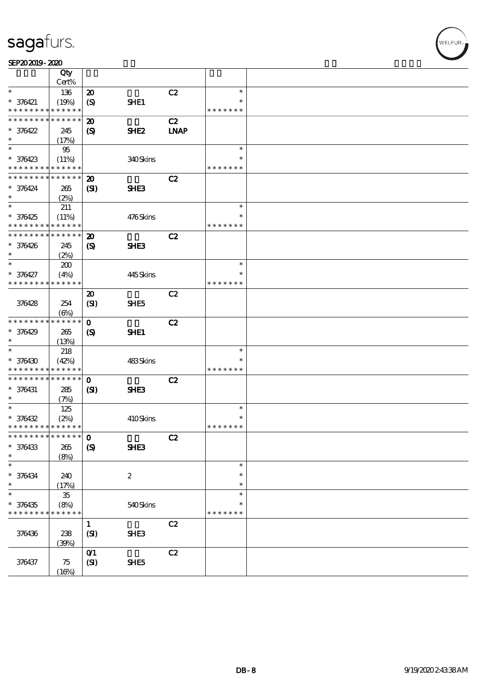|                                            | Qty                 |                             |                  |             |               |  |
|--------------------------------------------|---------------------|-----------------------------|------------------|-------------|---------------|--|
| $\ast$                                     | Cert%               |                             |                  |             | $\ast$        |  |
|                                            | 136                 | $\boldsymbol{\mathsf{20}}$  |                  | C2          | $\ast$        |  |
| $* 376421$<br>* * * * * * * * * * * * * *  | (19%)               | (S)                         | SHE1             |             | * * * * * * * |  |
| * * * * * * * * * * * * * *                |                     |                             |                  |             |               |  |
|                                            |                     | $\boldsymbol{\mathbf{z}}$   |                  | C2          |               |  |
| $* 376422$<br>$\ast$                       | 245                 | $\boldsymbol{\mathcal{S}}$  | SHE <sub>2</sub> | <b>LNAP</b> |               |  |
| $\ast$                                     | (17%)               |                             |                  |             | $\ast$        |  |
|                                            | 95                  |                             |                  |             | ∗             |  |
| $* 376423$<br>* * * * * * * * * * * * * *  | (11%)               |                             | 340Skins         |             | * * * * * * * |  |
|                                            |                     |                             |                  |             |               |  |
| * * * * * * * * <mark>* * * * * *</mark> * |                     | $\boldsymbol{\mathfrak{D}}$ |                  | C2          |               |  |
| $* 376424$<br>$\ast$                       | 265                 | (S)                         | SHE <sub>3</sub> |             |               |  |
| $\overline{\ast}$                          | (2%)                |                             |                  |             | $\ast$        |  |
|                                            | 211                 |                             |                  |             |               |  |
| $* 376425$                                 | (11%)               |                             | 476Skins         |             | $\ast$        |  |
| * * * * * * * * * * * * * *                |                     |                             |                  |             | * * * * * * * |  |
| * * * * * * * * * * * * * *                |                     | $\boldsymbol{\mathbf{z}}$   |                  | C2          |               |  |
| $* 376426$                                 | 245                 | $\boldsymbol{\mathcal{S}}$  | SHE3             |             |               |  |
| $\ast$                                     | (2%)                |                             |                  |             |               |  |
| $\ast$                                     | 200                 |                             |                  |             | $\ast$        |  |
| $* 376427$                                 | (4%)                |                             | 445Skins         |             | $\ast$        |  |
| * * * * * * * * * * * * * *                |                     |                             |                  |             | * * * * * * * |  |
|                                            |                     | $\boldsymbol{\mathfrak{D}}$ |                  | C2          |               |  |
| 376428                                     | 254                 | (SI)                        | SHE <sub>5</sub> |             |               |  |
|                                            | $(\Theta)$          |                             |                  |             |               |  |
| * * * * * * * *                            | * * * * * *         | $\mathbf 0$                 |                  | C2          |               |  |
| $* 376429$                                 | 265                 | $\boldsymbol{\mathcal{S}}$  | SHE1             |             |               |  |
| $\ast$                                     | (13%)               |                             |                  |             |               |  |
| $\ast$                                     | 218                 |                             |                  |             | $\ast$        |  |
| $* 376430$                                 | (42%)               |                             | 483Skins         |             | $\ast$        |  |
| * * * * * * * * * * * * * *                |                     |                             |                  |             | * * * * * * * |  |
| * * * * * * * * * * * * * *                |                     | $\mathbf 0$                 |                  | C2          |               |  |
| $* 376431$                                 | 285                 | (S)                         | SHE <sub>3</sub> |             |               |  |
| $\ast$                                     | (7%)                |                             |                  |             |               |  |
| $\ast$                                     | 125                 |                             |                  |             | $\ast$        |  |
| $* 376432$                                 | (2%)                |                             | 410Skins         |             | $\ast$        |  |
| * * * * * * * * * * * * * *                |                     |                             |                  |             | * * * * * * * |  |
| *************** 0                          |                     |                             |                  | C2          |               |  |
| $* 376433$                                 | 265                 | $\boldsymbol{\mathrm{(S)}}$ | <b>SHE3</b>      |             |               |  |
| $\ast$                                     | (8%)                |                             |                  |             |               |  |
| $\ast$                                     |                     |                             |                  |             | $\ast$        |  |
| $* 376434$                                 | 240                 |                             | $\boldsymbol{2}$ |             | $\ast$        |  |
| $\ast$                                     | (17%)               |                             |                  |             | $\ast$        |  |
| $\ast$                                     | ${\bf 35}$          |                             |                  |             | $\ast$        |  |
| $* 376435$                                 | (8%)<br>* * * * * * |                             | 540Skins         |             | ∗             |  |
| * * * * * * * *                            |                     |                             |                  |             | * * * * * * * |  |
|                                            |                     | $\mathbf{1}$                |                  | C2          |               |  |
| 376436                                     | 238                 | (SI)                        | <b>SHE3</b>      |             |               |  |
|                                            | (30%)               |                             |                  |             |               |  |
|                                            |                     | $O$ $1$                     |                  | C2          |               |  |
| 376437                                     | 75                  | (SI)                        | SHE5             |             |               |  |
|                                            | (16%)               |                             |                  |             |               |  |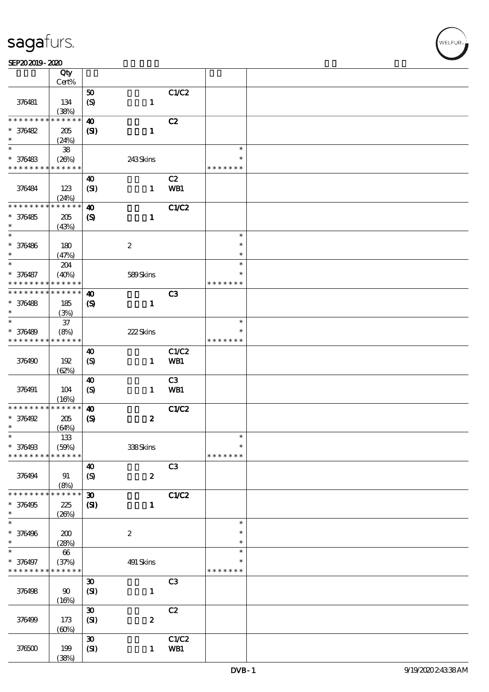|                                           | Qty                        |                                          |                  |                |                         |  |
|-------------------------------------------|----------------------------|------------------------------------------|------------------|----------------|-------------------------|--|
|                                           | Cert%                      |                                          |                  |                |                         |  |
| 376481                                    | 134                        | $\pmb{\mathfrak{D}}$<br>$\boldsymbol{S}$ | $\mathbf{1}$     | C1/C2          |                         |  |
|                                           | (38%)                      |                                          |                  |                |                         |  |
| * * * * * * * *                           | * * * * * *                | $\boldsymbol{\omega}$                    |                  | C2             |                         |  |
| $* 376482$                                | 205                        | (S)                                      | $\mathbf{I}$     |                |                         |  |
| $\ast$                                    | (24%)                      |                                          |                  |                |                         |  |
| $\ast$                                    | ${\bf 38}$                 |                                          |                  |                | $\ast$                  |  |
| $* 376483$<br>* * * * * * * * * * * * * * | (26%)                      |                                          | 243Skins         |                | $\ast$<br>* * * * * * * |  |
|                                           |                            |                                          |                  | C2             |                         |  |
| 376484                                    | 123                        | 40<br>(SI)                               | $\mathbf{1}$     | <b>WB1</b>     |                         |  |
|                                           | (24%)                      |                                          |                  |                |                         |  |
| * * * * * * * *                           | * * * * * *                | $\boldsymbol{\omega}$                    |                  | C1/C2          |                         |  |
| $* 376485$                                | 205                        | $\boldsymbol{\mathrm{(S)}}$              | $\mathbf{1}$     |                |                         |  |
| $\ast$                                    | (43%)                      |                                          |                  |                |                         |  |
| $\ast$                                    |                            |                                          |                  |                | $\ast$                  |  |
| $* 376486$                                | 180                        |                                          | $\boldsymbol{2}$ |                | $\ast$                  |  |
| $\ast$                                    | (47%)                      |                                          |                  |                | $\ast$                  |  |
| $\ast$                                    | 204                        |                                          |                  |                | $\ast$                  |  |
| $* 376487$                                | (40%)                      |                                          | 589Skins         |                | $\ast$                  |  |
| * * * * * * * *<br>* * * * * * * *        | * * * * * *<br>* * * * * * |                                          |                  |                | * * * * * * *           |  |
|                                           |                            | $\boldsymbol{\omega}$                    |                  | C <sub>3</sub> |                         |  |
| $* 376488$<br>$\ast$                      | 185<br>(3%)                | $\boldsymbol{\mathrm{(S)}}$              | $\mathbf{1}$     |                |                         |  |
| $\ast$                                    | $37\,$                     |                                          |                  |                | $\ast$                  |  |
| $* 376489$                                | (8%)                       |                                          | 222Skins         |                |                         |  |
| * * * * * * * * * * * * * *               |                            |                                          |                  |                | * * * * * * *           |  |
|                                           |                            | $\boldsymbol{\omega}$                    |                  | C1/C2          |                         |  |
| 376490                                    | 192                        | $\boldsymbol{\mathrm{(S)}}$              | $\mathbf{1}$     | WB1            |                         |  |
|                                           | (62%)                      |                                          |                  |                |                         |  |
|                                           |                            | $\boldsymbol{\omega}$                    |                  | C3             |                         |  |
| 376491                                    | 104                        | $\boldsymbol{\mathrm{(S)}}$              | $\mathbf{1}$     | WB1            |                         |  |
|                                           | (16%)<br>* * * * * *       |                                          |                  |                |                         |  |
| * * * * * * * *<br>$* 376492$             | 205                        | $\boldsymbol{\omega}$                    | $\boldsymbol{z}$ | <b>C1/C2</b>   |                         |  |
| $\ast$                                    | (64%)                      | $\boldsymbol{\mathrm{(S)}}$              |                  |                |                         |  |
| $\ast$                                    | 133                        |                                          |                  |                | $\ast$                  |  |
| * 376498                                  | (50%)                      |                                          | 338Skins         |                | $\ast$                  |  |
| * * * * * * * *                           | * * * * * *                |                                          |                  |                | * * * * * * *           |  |
|                                           |                            | $\boldsymbol{\omega}$                    |                  | C3             |                         |  |
| 376494                                    | 91                         | $\boldsymbol{S}$                         | $\boldsymbol{z}$ |                |                         |  |
|                                           | (8%)                       |                                          |                  |                |                         |  |
| * * * * * * * *                           | * * * * * *                | $\boldsymbol{\mathfrak{D}}$              |                  | <b>C1/C2</b>   |                         |  |
| $* 376495$                                | 225                        | $\mathbf{S}$                             | $\mathbf{1}$     |                |                         |  |
| $\ast$<br>$\ast$                          | (20%)                      |                                          |                  |                | $\ast$                  |  |
|                                           |                            |                                          |                  |                | $\ast$                  |  |
| $* 376496$<br>$\ast$                      | 200<br>(28%)               |                                          | $\boldsymbol{2}$ |                | $\ast$                  |  |
| $\ast$                                    | $66\,$                     |                                          |                  |                | $\ast$                  |  |
| * 376497                                  | (37%)                      |                                          | $491$ Skins      |                | $\ast$                  |  |
| * * * * * * * *                           | * * * * * *                |                                          |                  |                | * * * * * * *           |  |
|                                           |                            | $\boldsymbol{\mathfrak{D}}$              |                  | C <sub>3</sub> |                         |  |
| 376498                                    | $\boldsymbol{\omega}$      | (SI)                                     | $\mathbf 1$      |                |                         |  |
|                                           | (16%)                      |                                          |                  |                |                         |  |
|                                           |                            | $\boldsymbol{\mathfrak{D}}$              |                  | C2             |                         |  |
| 376499                                    | 173                        | (SI)                                     | $\boldsymbol{z}$ |                |                         |  |
|                                           | (60%)                      |                                          |                  |                |                         |  |
| 376500                                    | 199                        | $\boldsymbol{\mathfrak{D}}$              | $\mathbf{1}$     | C1/C2<br>WB1   |                         |  |
|                                           | (38%)                      | (SI)                                     |                  |                |                         |  |
|                                           |                            |                                          |                  |                |                         |  |

**NELFUR**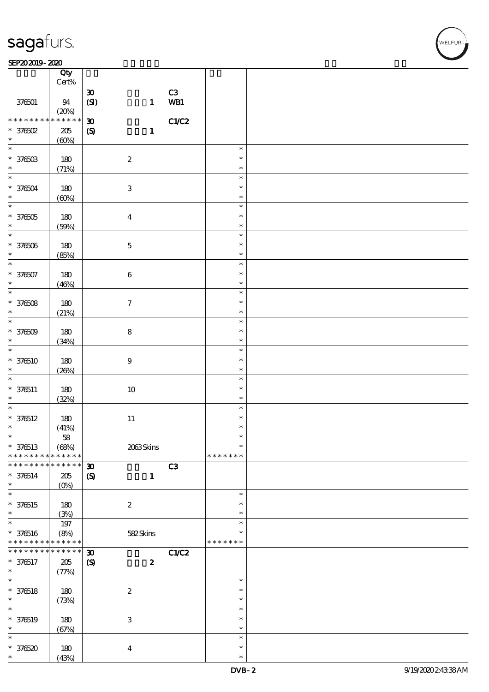#### $SEP202019 - 2020$

|                   | Qty<br>$\mbox{Cert}\%$ |                                                           |               |  |
|-------------------|------------------------|-----------------------------------------------------------|---------------|--|
|                   |                        |                                                           |               |  |
| 376501            | 94                     | C3<br>$\pmb{\mathfrak{D}}$<br>WB1<br>(SI)<br>$\mathbf{1}$ |               |  |
|                   | (20%)                  |                                                           |               |  |
| * * * * * * *     | $******$               | CLC2<br>$\boldsymbol{\mathfrak{D}}$                       |               |  |
| $*$ 376502        | $205\,$                | $\mathbf{1}$<br>$\boldsymbol{S}$                          |               |  |
| $\ast$            | (60%)                  |                                                           |               |  |
| $\ast$            |                        |                                                           |               |  |
|                   |                        |                                                           | $\ast$        |  |
| $* 37650B$        | 180                    | $\boldsymbol{2}$                                          | $\ast$        |  |
| $\ast$            | (71%)                  |                                                           | $\ast$        |  |
| $\ast$            |                        |                                                           |               |  |
|                   |                        |                                                           | $\ast$        |  |
| $* 376504$        | 180                    | $\ensuremath{\mathbf{3}}$                                 | $\ast$        |  |
| $\ast$            | (60%)                  |                                                           | $\ast$        |  |
| $\ast$            |                        |                                                           | $\ast$        |  |
|                   |                        |                                                           |               |  |
| $*376505$         | 180                    | $\boldsymbol{4}$                                          | $\ast$        |  |
| $\ast$            | (50%)                  |                                                           | $\ast$        |  |
| $\ast$            |                        |                                                           | $\ast$        |  |
|                   |                        |                                                           | $\ast$        |  |
| $* 376506$        | 180                    | $\mathbf 5$                                               |               |  |
| $\ast$            | (85%)                  |                                                           | $\ast$        |  |
| $\ast$            |                        |                                                           | $\ast$        |  |
| * 376507          | 180                    | $\bf 6$                                                   | $\ast$        |  |
| $\ast$            |                        |                                                           |               |  |
|                   | (46%)                  |                                                           | $\ast$        |  |
| $\overline{\ast}$ |                        |                                                           | $\ast$        |  |
| $* 376508$        | 180                    | $\boldsymbol{7}$                                          | $\ast$        |  |
| $\ast$            |                        |                                                           | $\ast$        |  |
| $\overline{\ast}$ | (21%)                  |                                                           |               |  |
|                   |                        |                                                           | $\ast$        |  |
| $* 376509$        | 180                    | $\bf 8$                                                   | $\ast$        |  |
| $\ast$            | (34%)                  |                                                           | $\ast$        |  |
| $\ast$            |                        |                                                           | $\ast$        |  |
|                   |                        |                                                           |               |  |
| $* 376510$        | 180                    | $\boldsymbol{9}$                                          | $\ast$        |  |
| $\ast$            | (20%)                  |                                                           | $\ast$        |  |
| $\ast$            |                        |                                                           | $\ast$        |  |
| $* 376511$        | 180                    | $10\,$                                                    | $\ast$        |  |
|                   |                        |                                                           |               |  |
| $\ast$            | (32%)                  |                                                           | $\ast$        |  |
| $\ast$            |                        |                                                           | $\ast$        |  |
| $* 376512$        | 180                    | $11\,$                                                    | $\ast$        |  |
| $\ast$            | (41%)                  |                                                           | *             |  |
| $\ast$            |                        |                                                           |               |  |
|                   | 58                     |                                                           |               |  |
| $* 376513$        | (68%)                  | 2063Skins                                                 | $\ast$        |  |
| * * * * * * * *   | * * * * * *            |                                                           | * * * * * * * |  |
| * * * * * * * *   | $* * * * * * *$        | C3<br>$\boldsymbol{\mathfrak{D}}$                         |               |  |
|                   |                        |                                                           |               |  |
| $* 376514$        | $205\,$                | $\boldsymbol{\mathcal{S}}$<br>$\mathbf 1$                 |               |  |
| $\ast$            | $(O\%)$                |                                                           |               |  |
| $\ast$            |                        |                                                           | $\ast$        |  |
| $* 376515$        | 180                    | $\boldsymbol{2}$                                          | $\ast$        |  |
| $\ast$            |                        |                                                           | $\ast$        |  |
|                   | (3%)                   |                                                           |               |  |
| $\ast$            | 197                    |                                                           | $\ast$        |  |
| $* 376516$        | (8%)                   | 582Skins                                                  | $\ast$        |  |
| * * * * * * * *   | * * * * * *            |                                                           | * * * * * * * |  |
| * * * * * * * *   | $* * * * * * *$        |                                                           |               |  |
|                   |                        | $\boldsymbol{\mathfrak{D}}$<br>C1/C2                      |               |  |
| $* 376517$        | 205                    | $\boldsymbol{2}$<br>$\boldsymbol{\mathcal{S}}$            |               |  |
| $\ast$            | (77%)                  |                                                           |               |  |
| $\ast$            |                        |                                                           | $\ast$        |  |
|                   |                        |                                                           | $\ast$        |  |
| $* 376518$        | 180                    | $\boldsymbol{2}$                                          |               |  |
| $\ast$            | (73%)                  |                                                           | $\ast$        |  |
| $\ast$            |                        |                                                           | $\ast$        |  |
| $* 376519$        | 180                    | $\ensuremath{\mathbf{3}}$                                 | $\ast$        |  |
| $\ast$            |                        |                                                           | $\ast$        |  |
|                   | (67%)                  |                                                           |               |  |
| $\ast$            |                        |                                                           | $\ast$        |  |
| $*376520$         | $180\,$                | $\boldsymbol{4}$                                          | $\ast$        |  |
| $\ast$            | (43%)                  |                                                           | $\ast$        |  |

**NELFUR**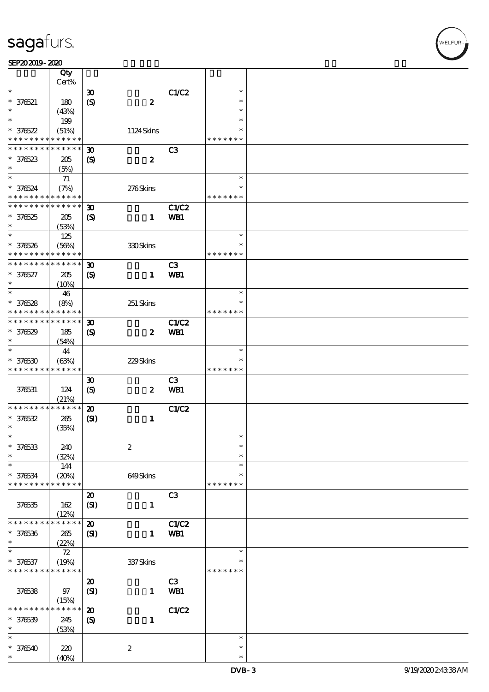|                                                       |                                                                                                                                                                                                                                                                                                                                                                                                                       |                                                                                                                                                                                                                                                                                                                                                                                                                                                                                                                                                                                                                                                         |                                                                                                                                                                                                                                                       | * * * * * * *                                                                                                                                 |                                                                                                                                      |
|-------------------------------------------------------|-----------------------------------------------------------------------------------------------------------------------------------------------------------------------------------------------------------------------------------------------------------------------------------------------------------------------------------------------------------------------------------------------------------------------|---------------------------------------------------------------------------------------------------------------------------------------------------------------------------------------------------------------------------------------------------------------------------------------------------------------------------------------------------------------------------------------------------------------------------------------------------------------------------------------------------------------------------------------------------------------------------------------------------------------------------------------------------------|-------------------------------------------------------------------------------------------------------------------------------------------------------------------------------------------------------------------------------------------------------|-----------------------------------------------------------------------------------------------------------------------------------------------|--------------------------------------------------------------------------------------------------------------------------------------|
|                                                       |                                                                                                                                                                                                                                                                                                                                                                                                                       |                                                                                                                                                                                                                                                                                                                                                                                                                                                                                                                                                                                                                                                         |                                                                                                                                                                                                                                                       |                                                                                                                                               |                                                                                                                                      |
| 205                                                   |                                                                                                                                                                                                                                                                                                                                                                                                                       | $\boldsymbol{z}$                                                                                                                                                                                                                                                                                                                                                                                                                                                                                                                                                                                                                                        |                                                                                                                                                                                                                                                       |                                                                                                                                               |                                                                                                                                      |
| (5%)                                                  |                                                                                                                                                                                                                                                                                                                                                                                                                       |                                                                                                                                                                                                                                                                                                                                                                                                                                                                                                                                                                                                                                                         |                                                                                                                                                                                                                                                       |                                                                                                                                               |                                                                                                                                      |
|                                                       |                                                                                                                                                                                                                                                                                                                                                                                                                       |                                                                                                                                                                                                                                                                                                                                                                                                                                                                                                                                                                                                                                                         |                                                                                                                                                                                                                                                       | $\ast$                                                                                                                                        |                                                                                                                                      |
|                                                       |                                                                                                                                                                                                                                                                                                                                                                                                                       |                                                                                                                                                                                                                                                                                                                                                                                                                                                                                                                                                                                                                                                         |                                                                                                                                                                                                                                                       | *                                                                                                                                             |                                                                                                                                      |
| * * * * * * * * <mark>* * * * * *</mark>              |                                                                                                                                                                                                                                                                                                                                                                                                                       |                                                                                                                                                                                                                                                                                                                                                                                                                                                                                                                                                                                                                                                         |                                                                                                                                                                                                                                                       | * * * * * * *                                                                                                                                 |                                                                                                                                      |
| * * * * * *<br>* * * * * * * *                        |                                                                                                                                                                                                                                                                                                                                                                                                                       |                                                                                                                                                                                                                                                                                                                                                                                                                                                                                                                                                                                                                                                         |                                                                                                                                                                                                                                                       |                                                                                                                                               |                                                                                                                                      |
|                                                       |                                                                                                                                                                                                                                                                                                                                                                                                                       |                                                                                                                                                                                                                                                                                                                                                                                                                                                                                                                                                                                                                                                         |                                                                                                                                                                                                                                                       |                                                                                                                                               |                                                                                                                                      |
|                                                       |                                                                                                                                                                                                                                                                                                                                                                                                                       |                                                                                                                                                                                                                                                                                                                                                                                                                                                                                                                                                                                                                                                         |                                                                                                                                                                                                                                                       |                                                                                                                                               |                                                                                                                                      |
|                                                       |                                                                                                                                                                                                                                                                                                                                                                                                                       |                                                                                                                                                                                                                                                                                                                                                                                                                                                                                                                                                                                                                                                         |                                                                                                                                                                                                                                                       |                                                                                                                                               |                                                                                                                                      |
|                                                       |                                                                                                                                                                                                                                                                                                                                                                                                                       |                                                                                                                                                                                                                                                                                                                                                                                                                                                                                                                                                                                                                                                         |                                                                                                                                                                                                                                                       |                                                                                                                                               |                                                                                                                                      |
|                                                       |                                                                                                                                                                                                                                                                                                                                                                                                                       |                                                                                                                                                                                                                                                                                                                                                                                                                                                                                                                                                                                                                                                         |                                                                                                                                                                                                                                                       |                                                                                                                                               |                                                                                                                                      |
|                                                       |                                                                                                                                                                                                                                                                                                                                                                                                                       |                                                                                                                                                                                                                                                                                                                                                                                                                                                                                                                                                                                                                                                         |                                                                                                                                                                                                                                                       |                                                                                                                                               |                                                                                                                                      |
|                                                       |                                                                                                                                                                                                                                                                                                                                                                                                                       |                                                                                                                                                                                                                                                                                                                                                                                                                                                                                                                                                                                                                                                         |                                                                                                                                                                                                                                                       |                                                                                                                                               |                                                                                                                                      |
|                                                       |                                                                                                                                                                                                                                                                                                                                                                                                                       |                                                                                                                                                                                                                                                                                                                                                                                                                                                                                                                                                                                                                                                         |                                                                                                                                                                                                                                                       |                                                                                                                                               |                                                                                                                                      |
|                                                       |                                                                                                                                                                                                                                                                                                                                                                                                                       |                                                                                                                                                                                                                                                                                                                                                                                                                                                                                                                                                                                                                                                         |                                                                                                                                                                                                                                                       |                                                                                                                                               |                                                                                                                                      |
| 46                                                    |                                                                                                                                                                                                                                                                                                                                                                                                                       |                                                                                                                                                                                                                                                                                                                                                                                                                                                                                                                                                                                                                                                         |                                                                                                                                                                                                                                                       | $\ast$                                                                                                                                        |                                                                                                                                      |
| (8%)                                                  |                                                                                                                                                                                                                                                                                                                                                                                                                       | 251 Skins                                                                                                                                                                                                                                                                                                                                                                                                                                                                                                                                                                                                                                               |                                                                                                                                                                                                                                                       | $\ast$                                                                                                                                        |                                                                                                                                      |
| * * * * * * * *                                       |                                                                                                                                                                                                                                                                                                                                                                                                                       |                                                                                                                                                                                                                                                                                                                                                                                                                                                                                                                                                                                                                                                         |                                                                                                                                                                                                                                                       | * * * * * * *                                                                                                                                 |                                                                                                                                      |
| * * * * * * * *                                       |                                                                                                                                                                                                                                                                                                                                                                                                                       |                                                                                                                                                                                                                                                                                                                                                                                                                                                                                                                                                                                                                                                         |                                                                                                                                                                                                                                                       |                                                                                                                                               |                                                                                                                                      |
|                                                       |                                                                                                                                                                                                                                                                                                                                                                                                                       |                                                                                                                                                                                                                                                                                                                                                                                                                                                                                                                                                                                                                                                         |                                                                                                                                                                                                                                                       |                                                                                                                                               |                                                                                                                                      |
|                                                       |                                                                                                                                                                                                                                                                                                                                                                                                                       |                                                                                                                                                                                                                                                                                                                                                                                                                                                                                                                                                                                                                                                         |                                                                                                                                                                                                                                                       |                                                                                                                                               |                                                                                                                                      |
|                                                       |                                                                                                                                                                                                                                                                                                                                                                                                                       |                                                                                                                                                                                                                                                                                                                                                                                                                                                                                                                                                                                                                                                         |                                                                                                                                                                                                                                                       | $\ast$                                                                                                                                        |                                                                                                                                      |
|                                                       |                                                                                                                                                                                                                                                                                                                                                                                                                       |                                                                                                                                                                                                                                                                                                                                                                                                                                                                                                                                                                                                                                                         |                                                                                                                                                                                                                                                       | $\ast$                                                                                                                                        |                                                                                                                                      |
|                                                       |                                                                                                                                                                                                                                                                                                                                                                                                                       |                                                                                                                                                                                                                                                                                                                                                                                                                                                                                                                                                                                                                                                         |                                                                                                                                                                                                                                                       |                                                                                                                                               |                                                                                                                                      |
|                                                       |                                                                                                                                                                                                                                                                                                                                                                                                                       |                                                                                                                                                                                                                                                                                                                                                                                                                                                                                                                                                                                                                                                         |                                                                                                                                                                                                                                                       |                                                                                                                                               |                                                                                                                                      |
|                                                       |                                                                                                                                                                                                                                                                                                                                                                                                                       |                                                                                                                                                                                                                                                                                                                                                                                                                                                                                                                                                                                                                                                         |                                                                                                                                                                                                                                                       |                                                                                                                                               |                                                                                                                                      |
|                                                       |                                                                                                                                                                                                                                                                                                                                                                                                                       |                                                                                                                                                                                                                                                                                                                                                                                                                                                                                                                                                                                                                                                         |                                                                                                                                                                                                                                                       |                                                                                                                                               |                                                                                                                                      |
|                                                       |                                                                                                                                                                                                                                                                                                                                                                                                                       |                                                                                                                                                                                                                                                                                                                                                                                                                                                                                                                                                                                                                                                         |                                                                                                                                                                                                                                                       |                                                                                                                                               |                                                                                                                                      |
|                                                       |                                                                                                                                                                                                                                                                                                                                                                                                                       |                                                                                                                                                                                                                                                                                                                                                                                                                                                                                                                                                                                                                                                         |                                                                                                                                                                                                                                                       |                                                                                                                                               |                                                                                                                                      |
|                                                       |                                                                                                                                                                                                                                                                                                                                                                                                                       |                                                                                                                                                                                                                                                                                                                                                                                                                                                                                                                                                                                                                                                         |                                                                                                                                                                                                                                                       |                                                                                                                                               |                                                                                                                                      |
|                                                       |                                                                                                                                                                                                                                                                                                                                                                                                                       |                                                                                                                                                                                                                                                                                                                                                                                                                                                                                                                                                                                                                                                         |                                                                                                                                                                                                                                                       |                                                                                                                                               |                                                                                                                                      |
|                                                       |                                                                                                                                                                                                                                                                                                                                                                                                                       |                                                                                                                                                                                                                                                                                                                                                                                                                                                                                                                                                                                                                                                         |                                                                                                                                                                                                                                                       | ∗                                                                                                                                             |                                                                                                                                      |
|                                                       |                                                                                                                                                                                                                                                                                                                                                                                                                       |                                                                                                                                                                                                                                                                                                                                                                                                                                                                                                                                                                                                                                                         |                                                                                                                                                                                                                                                       | $\ast$                                                                                                                                        |                                                                                                                                      |
|                                                       |                                                                                                                                                                                                                                                                                                                                                                                                                       |                                                                                                                                                                                                                                                                                                                                                                                                                                                                                                                                                                                                                                                         |                                                                                                                                                                                                                                                       | $\ast$                                                                                                                                        |                                                                                                                                      |
| 144                                                   |                                                                                                                                                                                                                                                                                                                                                                                                                       |                                                                                                                                                                                                                                                                                                                                                                                                                                                                                                                                                                                                                                                         |                                                                                                                                                                                                                                                       | $\ast$                                                                                                                                        |                                                                                                                                      |
|                                                       |                                                                                                                                                                                                                                                                                                                                                                                                                       |                                                                                                                                                                                                                                                                                                                                                                                                                                                                                                                                                                                                                                                         |                                                                                                                                                                                                                                                       | $\ast$                                                                                                                                        |                                                                                                                                      |
| * * * * * * * *<br>* * * * *                          |                                                                                                                                                                                                                                                                                                                                                                                                                       |                                                                                                                                                                                                                                                                                                                                                                                                                                                                                                                                                                                                                                                         |                                                                                                                                                                                                                                                       | * * * * * * *                                                                                                                                 |                                                                                                                                      |
|                                                       |                                                                                                                                                                                                                                                                                                                                                                                                                       |                                                                                                                                                                                                                                                                                                                                                                                                                                                                                                                                                                                                                                                         |                                                                                                                                                                                                                                                       |                                                                                                                                               |                                                                                                                                      |
|                                                       |                                                                                                                                                                                                                                                                                                                                                                                                                       |                                                                                                                                                                                                                                                                                                                                                                                                                                                                                                                                                                                                                                                         |                                                                                                                                                                                                                                                       |                                                                                                                                               |                                                                                                                                      |
|                                                       |                                                                                                                                                                                                                                                                                                                                                                                                                       |                                                                                                                                                                                                                                                                                                                                                                                                                                                                                                                                                                                                                                                         |                                                                                                                                                                                                                                                       |                                                                                                                                               |                                                                                                                                      |
| * * * * *<br>* * * * * * *<br>*                       |                                                                                                                                                                                                                                                                                                                                                                                                                       |                                                                                                                                                                                                                                                                                                                                                                                                                                                                                                                                                                                                                                                         |                                                                                                                                                                                                                                                       |                                                                                                                                               |                                                                                                                                      |
|                                                       |                                                                                                                                                                                                                                                                                                                                                                                                                       |                                                                                                                                                                                                                                                                                                                                                                                                                                                                                                                                                                                                                                                         |                                                                                                                                                                                                                                                       |                                                                                                                                               |                                                                                                                                      |
|                                                       |                                                                                                                                                                                                                                                                                                                                                                                                                       |                                                                                                                                                                                                                                                                                                                                                                                                                                                                                                                                                                                                                                                         |                                                                                                                                                                                                                                                       |                                                                                                                                               |                                                                                                                                      |
|                                                       |                                                                                                                                                                                                                                                                                                                                                                                                                       |                                                                                                                                                                                                                                                                                                                                                                                                                                                                                                                                                                                                                                                         |                                                                                                                                                                                                                                                       |                                                                                                                                               |                                                                                                                                      |
|                                                       |                                                                                                                                                                                                                                                                                                                                                                                                                       |                                                                                                                                                                                                                                                                                                                                                                                                                                                                                                                                                                                                                                                         |                                                                                                                                                                                                                                                       |                                                                                                                                               |                                                                                                                                      |
|                                                       |                                                                                                                                                                                                                                                                                                                                                                                                                       |                                                                                                                                                                                                                                                                                                                                                                                                                                                                                                                                                                                                                                                         |                                                                                                                                                                                                                                                       |                                                                                                                                               |                                                                                                                                      |
|                                                       |                                                                                                                                                                                                                                                                                                                                                                                                                       |                                                                                                                                                                                                                                                                                                                                                                                                                                                                                                                                                                                                                                                         |                                                                                                                                                                                                                                                       |                                                                                                                                               |                                                                                                                                      |
|                                                       |                                                                                                                                                                                                                                                                                                                                                                                                                       |                                                                                                                                                                                                                                                                                                                                                                                                                                                                                                                                                                                                                                                         |                                                                                                                                                                                                                                                       |                                                                                                                                               |                                                                                                                                      |
|                                                       |                                                                                                                                                                                                                                                                                                                                                                                                                       |                                                                                                                                                                                                                                                                                                                                                                                                                                                                                                                                                                                                                                                         |                                                                                                                                                                                                                                                       |                                                                                                                                               |                                                                                                                                      |
|                                                       |                                                                                                                                                                                                                                                                                                                                                                                                                       |                                                                                                                                                                                                                                                                                                                                                                                                                                                                                                                                                                                                                                                         |                                                                                                                                                                                                                                                       |                                                                                                                                               |                                                                                                                                      |
|                                                       |                                                                                                                                                                                                                                                                                                                                                                                                                       |                                                                                                                                                                                                                                                                                                                                                                                                                                                                                                                                                                                                                                                         |                                                                                                                                                                                                                                                       |                                                                                                                                               |                                                                                                                                      |
| 245                                                   | $\boldsymbol{\mathrm{(S)}}$                                                                                                                                                                                                                                                                                                                                                                                           | $\mathbf{1}$                                                                                                                                                                                                                                                                                                                                                                                                                                                                                                                                                                                                                                            |                                                                                                                                                                                                                                                       |                                                                                                                                               |                                                                                                                                      |
| (53%)                                                 |                                                                                                                                                                                                                                                                                                                                                                                                                       |                                                                                                                                                                                                                                                                                                                                                                                                                                                                                                                                                                                                                                                         |                                                                                                                                                                                                                                                       |                                                                                                                                               |                                                                                                                                      |
|                                                       |                                                                                                                                                                                                                                                                                                                                                                                                                       |                                                                                                                                                                                                                                                                                                                                                                                                                                                                                                                                                                                                                                                         |                                                                                                                                                                                                                                                       | $\ast$                                                                                                                                        |                                                                                                                                      |
|                                                       |                                                                                                                                                                                                                                                                                                                                                                                                                       |                                                                                                                                                                                                                                                                                                                                                                                                                                                                                                                                                                                                                                                         |                                                                                                                                                                                                                                                       |                                                                                                                                               |                                                                                                                                      |
| 220                                                   |                                                                                                                                                                                                                                                                                                                                                                                                                       | $\boldsymbol{2}$                                                                                                                                                                                                                                                                                                                                                                                                                                                                                                                                                                                                                                        |                                                                                                                                                                                                                                                       | $\ast$                                                                                                                                        |                                                                                                                                      |
| * * * * * * * *<br>* * * * * * * *<br>* * * * * * * * | Qty<br>Cert%<br>180<br>(43%)<br>199<br>(51%)<br>* * * * * * * *<br>* * * * * *<br>71<br>(7%)<br>205<br>(53%)<br>125<br>(56%)<br>* * * * * * * *<br>* * * * * *<br>* * * * * * * *<br>* * * * * *<br>205<br>(10%)<br>185<br>(54%)<br>44<br>(63%)<br>* * * * * * * *<br>124<br>(21%)<br>* * * * * *<br>265<br>(35%)<br>240<br>(32%)<br>(20%)<br>162<br>(12%)<br>265<br>(22%)<br>72<br>(19%)<br>97<br>(15%)<br>* * * * * | $\boldsymbol{\mathfrak{D}}$<br>$\boldsymbol{\mathrm{(S)}}$<br>* * * * * *<br>$\boldsymbol{\mathfrak{D}}$<br>$\boldsymbol{\mathcal{S}}$<br>$\boldsymbol{\mathfrak{D}}$<br>$\boldsymbol{\mathrm{(S)}}$<br>$\boldsymbol{\mathfrak{D}}$<br>$\boldsymbol{\mathrm{(S)}}$<br>* * * * * *<br>* * * * * *<br>$\boldsymbol{\mathfrak{D}}$<br>$\boldsymbol{\mathrm{(S)}}$<br>* * * * * *<br>$\boldsymbol{\mathfrak{D}}$<br>$\boldsymbol{\mathrm{(S)}}$<br>$\boldsymbol{\mathfrak{D}}$<br>$\mathbf{S}$<br>$\pmb{\mathcal{Z}}$<br>(SI)<br>$\boldsymbol{\mathbf{z}}$<br>$\mathbf{C}$<br>* * * * * *<br>$\boldsymbol{\mathbf{z}}$<br>(SI)<br>$\boldsymbol{\mathbf{z}}$ | $\boldsymbol{z}$<br>1124Skins<br>276Skins<br>$\mathbf{1}$<br>330Skins<br>$\mathbf{1}$<br>$\boldsymbol{z}$<br>229Skins<br>$\boldsymbol{z}$<br>$\mathbf{1}$<br>$\boldsymbol{2}$<br>649Skins<br>$\mathbf{1}$<br>$\mathbf{1}$<br>337Skins<br>$\mathbf{1}$ | C1/C2<br>C3<br>C1/C2<br>WB1<br>C3<br>WB1<br>C1/C2<br><b>WB1</b><br>C <sub>3</sub><br>WB1<br>C1/C2<br>C3<br>C1/C2<br>WB1<br>C3<br>WB1<br>C1/C2 | $\ast$<br>$\ast$<br>$\ast$<br>$\ast$<br>$\ast$<br>$\ast$<br>$\ast$<br>* * * * * * *<br>* * * * * * *<br>$\ast$<br>*<br>* * * * * * * |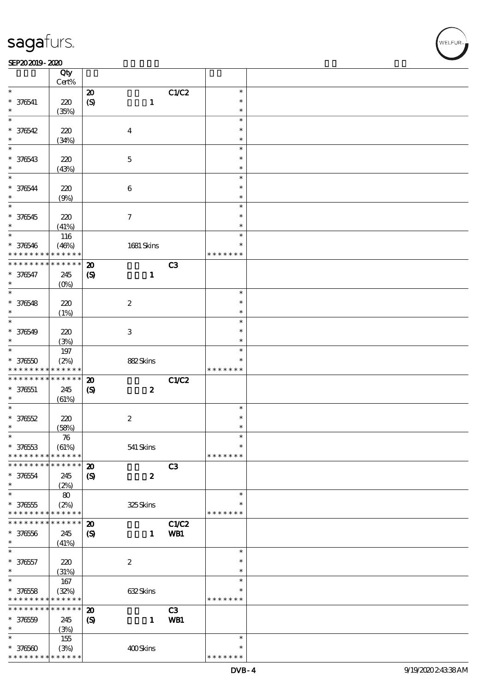#### $SEP202019 - 2020$  $\frac{\text{SP}202019 - 2020}{\text{C} \text{tv}}$

|                   | Qty<br>Cert%      |                             |                           |       |               |  |
|-------------------|-------------------|-----------------------------|---------------------------|-------|---------------|--|
| $\ast$            |                   |                             |                           |       | $\ast$        |  |
|                   |                   | $\boldsymbol{\mathbf{z}}$   |                           | C1/C2 |               |  |
| $* 376541$        | 220               | $\boldsymbol{\mathrm{(S)}}$ | $\mathbf{1}$              |       | $\ast$        |  |
|                   | (35%)             |                             |                           |       | $\ast$        |  |
| $\ast$            |                   |                             |                           |       | $\ast$        |  |
| $* 376542$        | 220               |                             | $\boldsymbol{4}$          |       | $\ast$        |  |
| $\ast$            | (34%)             |                             |                           |       | $\ast$        |  |
| $\ast$            |                   |                             |                           |       | $\ast$        |  |
| * 376543          | 220               |                             | $\mathbf 5$               |       | $\ast$        |  |
| $\ast$            | (43%)             |                             |                           |       | $\ast$        |  |
| $\ast$            |                   |                             |                           |       | $\ast$        |  |
| $* 376544$        | 220               |                             | $\bf 6$                   |       | $\ast$        |  |
| $\ast$            | (9%)              |                             |                           |       | $\ast$        |  |
| $\ast$            |                   |                             |                           |       | $\ast$        |  |
| $* 376545$        |                   |                             | $\tau$                    |       | $\ast$        |  |
| $\ast$            | 220               |                             |                           |       | $\ast$        |  |
| $\ast$            | (41%)             |                             |                           |       | $\ast$        |  |
|                   | 116               |                             |                           |       |               |  |
| $* 376546$        | (46%)             |                             | 1681 Skins                |       | $\ast$        |  |
| * * * * * * * *   | * * * * * *       |                             |                           |       | * * * * * * * |  |
| * * * * * * * *   | * * * * * *       | $\boldsymbol{\mathbf{z}}$   |                           | C3    |               |  |
| $* 376547$        | 245               | $\boldsymbol{\mathrm{(S)}}$ | $\mathbf{1}$              |       |               |  |
| $\ast$            | (O <sub>0</sub> ) |                             |                           |       |               |  |
| $\ast$            |                   |                             |                           |       | $\ast$        |  |
| $* 376548$        | 220               |                             | $\boldsymbol{2}$          |       | $\ast$        |  |
| $\ast$            | (1%)              |                             |                           |       | $\ast$        |  |
| $\ast$            |                   |                             |                           |       | $\ast$        |  |
| $* 376549$        | 220               |                             | $\ensuremath{\mathbf{3}}$ |       | $\ast$        |  |
| $\ast$            | (3%)              |                             |                           |       | $\ast$        |  |
| $\overline{\ast}$ | $197$             |                             |                           |       | $\ast$        |  |
| $*37650$          | (2%)              |                             | 882Skins                  |       | $\ast$        |  |
| * * * * * * * *   | * * * * * *       |                             |                           |       | * * * * * * * |  |
| * * * * * * * *   | $* * * * * * *$   | $\boldsymbol{\mathbf{z}}$   |                           | C1/C2 |               |  |
| $* 376551$        | 245               |                             | $\boldsymbol{2}$          |       |               |  |
| $\ast$            |                   | $\boldsymbol{\mathrm{(S)}}$ |                           |       |               |  |
| $\ast$            | (61%)             |                             |                           |       | $\ast$        |  |
|                   |                   |                             |                           |       | $\ast$        |  |
| $* 37652$         | 220               |                             | $\boldsymbol{2}$          |       |               |  |
| $\ast$            | (58%)             |                             |                           |       | $\ast$        |  |
| $\ast$            | ${\bf 76}$        |                             |                           |       | $\ast$        |  |
| $* 37653$         | (61%)             |                             | 541 Skins                 |       | $\ast$        |  |
| * * * * * * * *   | * * * * * *       |                             |                           |       | * * * * * * * |  |
| * * * * * * * *   | * * * * * *       | $\boldsymbol{\mathbf{z}}$   |                           | C3    |               |  |
| $* 376554$        | 245               | $\boldsymbol{\mathcal{S}}$  | $\boldsymbol{z}$          |       |               |  |
| $\ast$            | (2%)              |                             |                           |       |               |  |
| $\ast$            | 80                |                             |                           |       | $\ast$        |  |
| $* 37655$         | (2%)              |                             | 325Skins                  |       | *             |  |
| * * * * * * * *   | * * * * * *       |                             |                           |       | * * * * * * * |  |
| * * * * * * * *   | * * * * * *       | $\boldsymbol{\mathfrak{D}}$ |                           | C1/C2 |               |  |
| $* 37656$         | 245               | $\boldsymbol{\mathrm{(S)}}$ | $\mathbf{1}$              | WB1   |               |  |
| $\ast$            | (41%)             |                             |                           |       |               |  |
| $\ast$            |                   |                             |                           |       | $\ast$        |  |
| $* 376557$        | 220               |                             | $\boldsymbol{2}$          |       | $\ast$        |  |
| $\ast$            | (31%)             |                             |                           |       | $\ast$        |  |
| $\overline{\ast}$ | 167               |                             |                           |       | $\ast$        |  |
| $* 37658$         | (32%)             |                             | 632Skins                  |       | $\ast$        |  |
| * * * * * * * *   | * * * * * *       |                             |                           |       | * * * * * * * |  |
| * * * * * * * *   | $* * * * * * *$   |                             |                           |       |               |  |
|                   |                   | $\boldsymbol{\mathfrak{D}}$ |                           | C3    |               |  |
| $* 37650$         | 245               | $\boldsymbol{S}$            | $\mathbf{1}$              | WB1   |               |  |
| $\ast$            | (3%)              |                             |                           |       |               |  |
| $\ast$            | 155               |                             |                           |       | $\ast$        |  |
| $*37660$          | (3%)              |                             | 400Skins                  |       | $\ast$        |  |
| * * * * * * * *   | * * * * * *       |                             |                           |       | * * * * * * * |  |

,<br>WELFUR: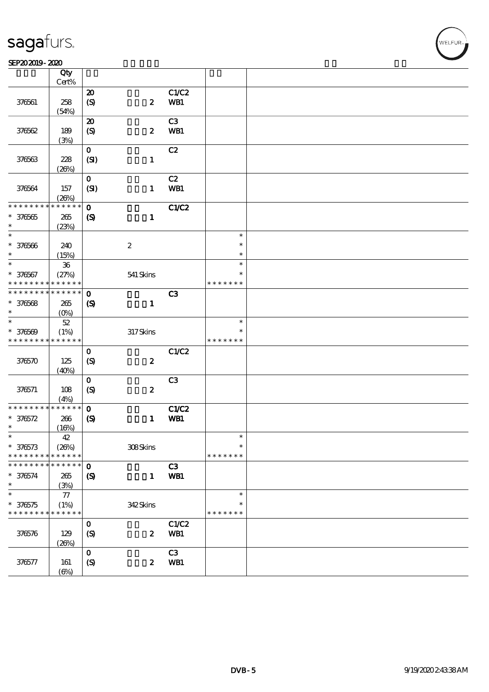#### SEP202019-2020

|                               | Qty<br>Cert%        |                             |                  |              |               |  |
|-------------------------------|---------------------|-----------------------------|------------------|--------------|---------------|--|
|                               |                     | $\boldsymbol{\mathbf{z}}$   |                  | C1/C2        |               |  |
|                               |                     |                             |                  |              |               |  |
| 376561                        | 258                 | $\pmb{\in}$                 | $\boldsymbol{z}$ | WB1          |               |  |
|                               | (54%)               |                             |                  |              |               |  |
|                               |                     | $\boldsymbol{\mathfrak{D}}$ |                  | C3           |               |  |
| 376562                        | 189                 | $\boldsymbol{S}$            | $\boldsymbol{z}$ | WB1          |               |  |
|                               | (3%)                |                             |                  |              |               |  |
|                               |                     | $\mathbf O$                 |                  | C2           |               |  |
| 376563                        | 228                 | (SI)                        | $\mathbf{1}$     |              |               |  |
|                               |                     |                             |                  |              |               |  |
|                               | (20%)               |                             |                  |              |               |  |
|                               |                     | $\mathbf{o}$                |                  | C2           |               |  |
| 376564                        | 157                 | (SI)                        | $\mathbf{1}$     | WB1          |               |  |
|                               | (20%)               |                             |                  |              |               |  |
| * * * * * * * *               | * * * * * *         | $\mathbf{o}$                |                  | <b>C1/C2</b> |               |  |
| $* 376665$                    | 265                 | $\boldsymbol{\mathcal{S}}$  | $\mathbf{1}$     |              |               |  |
| $\ast$                        | (23%)               |                             |                  |              |               |  |
| $\ast$                        |                     |                             |                  |              | $\ast$        |  |
|                               |                     |                             |                  |              |               |  |
| $* 376566$                    | 240                 |                             | $\boldsymbol{2}$ |              | $\ast$        |  |
| $\ast$                        | (15%)               |                             |                  |              | $\ast$        |  |
| $\ast$                        | ${\bf 36}$          |                             |                  |              | $\ast$        |  |
| $* 376567$                    | (27%)               |                             | 541 Skins        |              | $\ast$        |  |
| * * * * * * * *               | * * * * * *         |                             |                  |              | * * * * * * * |  |
| * * * * * * * *               | * * * * * *         | $\mathbf 0$                 |                  | C3           |               |  |
|                               |                     |                             |                  |              |               |  |
| $* 376568$                    | 265                 | $\boldsymbol{\mathcal{S}}$  | $\mathbf{1}$     |              |               |  |
| $\ast$                        | (O <sub>0</sub> )   |                             |                  |              |               |  |
| $\ast$                        | $52\,$              |                             |                  |              | $\ast$        |  |
| $* 376569$                    | (1%)                |                             | $317$ Skins      |              | ∗             |  |
| * * * * * * * *               | * * * * * *         |                             |                  |              | * * * * * * * |  |
|                               |                     | $\mathbf 0$                 |                  | C1/C2        |               |  |
| 376570                        | 125                 | $\boldsymbol{S}$            | $\pmb{2}$        |              |               |  |
|                               | (40%)               |                             |                  |              |               |  |
|                               |                     | $\mathbf{o}$                |                  | C3           |               |  |
|                               |                     |                             |                  |              |               |  |
| 376571                        | 108                 | $\boldsymbol{\mathrm{(S)}}$ | $\boldsymbol{2}$ |              |               |  |
|                               | (4%)                |                             |                  |              |               |  |
| * * * * * * * *               | * * * * * *         | $\mathbf 0$                 |                  | <b>C1/C2</b> |               |  |
| $* 376572$                    | 266                 | $\boldsymbol{\mathrm{(S)}}$ | $\mathbf{1}$     | WB1          |               |  |
| $\ast$                        | (16%)               |                             |                  |              |               |  |
| $\ast$                        | 42                  |                             |                  |              | $\ast$        |  |
| $* 376573$                    | (20%)               |                             | 308Skins         |              | $\ast$        |  |
| * * * * * * * *               | * * * * * *         |                             |                  |              | * * * * * * * |  |
|                               |                     |                             |                  |              |               |  |
| * * * * * *                   | * * * * * *         | $\mathbf 0$                 |                  | C3           |               |  |
| $* 376574$                    | 265                 | $\boldsymbol{\mathcal{S}}$  | $\mathbf{1}$     | WB1          |               |  |
| $\ast$                        |                     |                             |                  |              |               |  |
|                               | (3%)                |                             |                  |              |               |  |
| $\ast$                        | $77\,$              |                             |                  |              | $\ast$        |  |
|                               |                     |                             |                  |              | ∗             |  |
| $* 376575$<br>* * * * * * * * | (1%)<br>* * * * * * |                             | 342Skins         |              | * * * * * * * |  |
|                               |                     |                             |                  |              |               |  |
|                               |                     | $\mathbf 0$                 |                  | C1/C2        |               |  |
| 376576                        | 129                 | $\boldsymbol{S}$            | $\boldsymbol{z}$ | WB1          |               |  |
|                               | (20%)               |                             |                  |              |               |  |
|                               |                     | $\mathbf{o}$                |                  | C3           |               |  |
| 376577                        | 161                 | $\boldsymbol{S}$            | $\boldsymbol{z}$ | WB1          |               |  |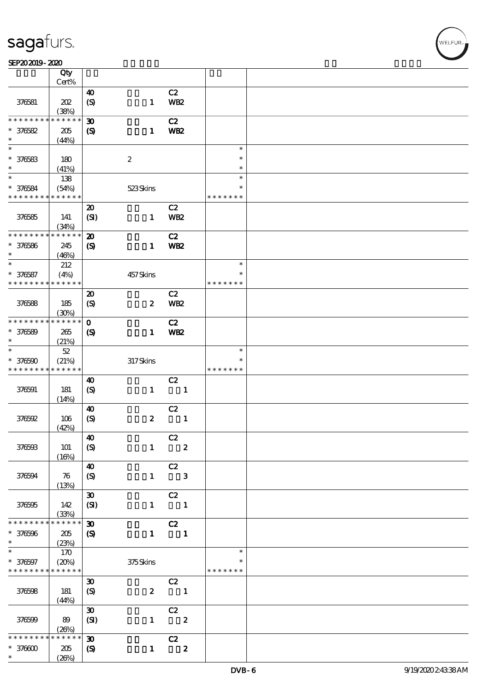#### SEP202019-2020

|                             | Qty                  |                             |                  |                                               |              |                         |  |
|-----------------------------|----------------------|-----------------------------|------------------|-----------------------------------------------|--------------|-------------------------|--|
|                             | Cert%                |                             |                  |                                               |              |                         |  |
|                             |                      | $\boldsymbol{\omega}$       |                  | C2                                            |              |                         |  |
| 376581                      | 202                  | $\boldsymbol{S}$            | $\mathbf{1}$     | WB <sub>2</sub>                               |              |                         |  |
|                             | (38%)                |                             |                  |                                               |              |                         |  |
| * * * * * * * *             | * * * * * *          | $\boldsymbol{\mathfrak{D}}$ |                  | C2                                            |              |                         |  |
| $* 376582$                  | 205                  | $\boldsymbol{S}$            | $\mathbf{1}$     | <b>WB2</b>                                    |              |                         |  |
| $\ast$<br>$\overline{\ast}$ | (44%)                |                             |                  |                                               |              |                         |  |
|                             |                      |                             |                  |                                               |              | $\ast$                  |  |
| $* 376583$                  | 180                  |                             | $\boldsymbol{2}$ |                                               |              | $\ast$                  |  |
| $\ast$<br>$\overline{\ast}$ | (41%)                |                             |                  |                                               |              | $\ast$                  |  |
|                             | 138                  |                             |                  |                                               |              | $\ast$                  |  |
| $* 376584$                  | (54%)                |                             | 523Skins         |                                               |              | $\ast$                  |  |
| * * * * * * * *             | * * * * * *          |                             |                  |                                               |              | * * * * * * *           |  |
|                             |                      | $\boldsymbol{\mathfrak{D}}$ |                  | C2                                            |              |                         |  |
| 376585                      | 141                  | (SI)                        | $\mathbf{1}$     | <b>WB2</b>                                    |              |                         |  |
|                             | (34%)                |                             |                  |                                               |              |                         |  |
| * * * * * * * *             | * * * * * *          | $\boldsymbol{\mathbf{z}}$   |                  | C2                                            |              |                         |  |
| $* 376586$                  | 245                  | $\boldsymbol{\mathcal{S}}$  | $\mathbf{1}$     | <b>WB2</b>                                    |              |                         |  |
| $\ast$                      | (46%)                |                             |                  |                                               |              |                         |  |
| $\ast$                      | 212                  |                             |                  |                                               |              | $\ast$                  |  |
| $* 376587$                  | (4%)                 |                             | 457Skins         |                                               |              | $\ast$<br>* * * * * * * |  |
| * * * * * * * *             | * * * * * *          |                             |                  |                                               |              |                         |  |
|                             |                      | $\boldsymbol{\mathfrak{D}}$ |                  | C2                                            |              |                         |  |
| 376588                      | 185                  | $\boldsymbol{S}$            | $\boldsymbol{z}$ | <b>WB2</b>                                    |              |                         |  |
|                             | (30%)                |                             |                  |                                               |              |                         |  |
| * * * * * * * *             | * * * * * *          | $\mathbf{o}$                |                  | C2                                            |              |                         |  |
| $* 376589$                  | 265                  | $\boldsymbol{\mathsf{S}}$   | $\mathbf{1}$     | WB <sub>2</sub>                               |              |                         |  |
| $\ast$                      | (21%)                |                             |                  |                                               |              |                         |  |
| $\ast$                      | $52\,$               |                             |                  |                                               |              | $\ast$                  |  |
| $* 376590$                  | (21%)                |                             | 317Skins         |                                               |              | *                       |  |
| * * * * * * * *             | * * * * * *          |                             |                  |                                               |              | * * * * * * *           |  |
|                             |                      | 40                          |                  | C2                                            |              |                         |  |
| 376591                      | 181                  | $\boldsymbol{\mathrm{(S)}}$ | $\mathbf{1}$     | $\blacksquare$                                |              |                         |  |
|                             | (14%)                |                             |                  |                                               |              |                         |  |
|                             |                      | $\boldsymbol{\omega}$       |                  | C2                                            |              |                         |  |
| 376592                      | 106                  | $\boldsymbol{S}$            | $\boldsymbol{2}$ |                                               | $\mathbf{1}$ |                         |  |
|                             | (42%)                |                             |                  |                                               |              |                         |  |
|                             |                      | $\boldsymbol{\omega}$       |                  | C2                                            |              |                         |  |
| 376593                      | 101                  | $\boldsymbol{S}$            | $\mathbf{1}$     | $\overline{\mathbf{2}}$                       |              |                         |  |
|                             | (16%)                |                             |                  |                                               |              |                         |  |
|                             |                      | $\boldsymbol{\omega}$       |                  | C2                                            |              |                         |  |
| 376594                      | 76                   | (S)                         | $\mathbf{1}$     | $\overline{\phantom{a}}$ 3                    |              |                         |  |
|                             | (13%)                |                             |                  |                                               |              |                         |  |
|                             |                      | $\pmb{\mathfrak{D}}$        |                  | C2                                            |              |                         |  |
| 376595                      | 142                  | (SI)                        | $\mathbf{1}$     | $\blacksquare$                                |              |                         |  |
| * * * * * * * *             | (33%)<br>* * * * * * |                             |                  |                                               |              |                         |  |
|                             |                      | $\boldsymbol{\mathfrak{D}}$ |                  | C2                                            |              |                         |  |
| * 376596<br>$\ast$          | 205                  | $\boldsymbol{S}$            | $\mathbf{1}$     | $\blacksquare$                                |              |                         |  |
| $\ast$                      | (23%)<br>170         |                             |                  |                                               |              | $\ast$                  |  |
|                             | (20%)                |                             |                  |                                               |              | $\ast$                  |  |
| * 376597<br>* * * * * * * * | * * * * * *          |                             | 375Skins         |                                               |              | * * * * * * *           |  |
|                             |                      |                             |                  |                                               |              |                         |  |
|                             |                      | $\boldsymbol{\mathfrak{D}}$ | $\boldsymbol{z}$ | C2<br>$\overline{\phantom{a}}$                |              |                         |  |
| 376598                      | 181                  | $\boldsymbol{S}$            |                  |                                               |              |                         |  |
|                             | (44%)                | $\boldsymbol{\mathfrak{D}}$ |                  |                                               |              |                         |  |
|                             |                      |                             | $\mathbf{1}$     | $\overline{c}z$<br>$\overline{\phantom{a}}$ 2 |              |                         |  |
| 376599                      | 89<br>(20%)          | (SI)                        |                  |                                               |              |                         |  |
| * * * * * *                 | * * * * * *          | $\boldsymbol{\mathfrak{D}}$ |                  | $\overline{c}z$                               |              |                         |  |
| $* 37000$                   | 205                  |                             | $\mathbf{1}$     | $\overline{\mathbf{2}}$                       |              |                         |  |
| $\ast$                      | (20%)                | $\boldsymbol{\mathcal{S}}$  |                  |                                               |              |                         |  |
|                             |                      |                             |                  |                                               |              |                         |  |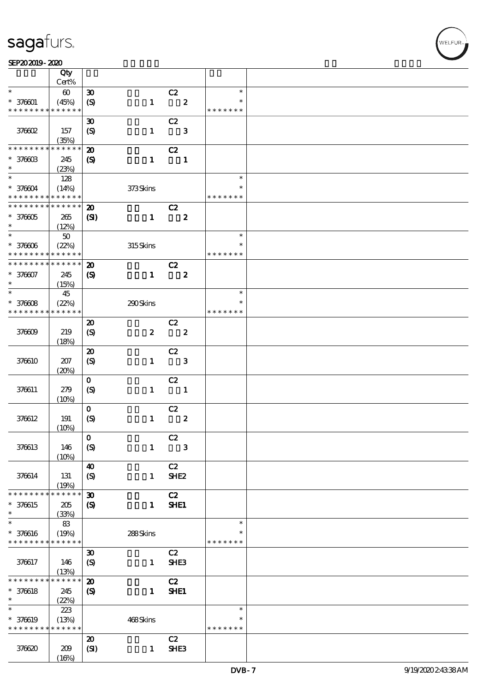#### SEP202019-2020

|                               | Qty                   |                             |                  |                          |                  |               |  |
|-------------------------------|-----------------------|-----------------------------|------------------|--------------------------|------------------|---------------|--|
| $\ast$                        | Cert%                 |                             |                  |                          |                  | $\ast$        |  |
|                               | $\boldsymbol{\omega}$ | $\boldsymbol{\mathfrak{D}}$ |                  | C2                       |                  |               |  |
| $* 376001$<br>* * * * * * * * | (45%)<br>* * * * * *  | $\boldsymbol{\mathrm{(S)}}$ | $\mathbf{1}$     |                          | $\boldsymbol{z}$ | * * * * * * * |  |
|                               |                       |                             |                  |                          |                  |               |  |
|                               |                       | $\boldsymbol{\mathfrak{D}}$ |                  | C2                       |                  |               |  |
| 376602                        | 157                   | (S)                         | $\mathbf{1}$     |                          | $\mathbf{3}$     |               |  |
|                               | (35%)                 |                             |                  |                          |                  |               |  |
| * * * * * * * *               | * * * * * *           | $\boldsymbol{\mathbf{z}}$   |                  | C2                       |                  |               |  |
| $*37660B$                     | 245                   | $\boldsymbol{\mathcal{S}}$  | $\mathbf{1}$     | $\overline{\phantom{a}}$ |                  |               |  |
| $\ast$                        | (23%)                 |                             |                  |                          |                  |               |  |
| $\ast$                        | 128                   |                             |                  |                          |                  | $\ast$        |  |
| $* 376604$                    | (14%)                 |                             | 373Skins         |                          |                  | $\ast$        |  |
| * * * * * * * * * * * * * *   |                       |                             |                  |                          |                  | * * * * * * * |  |
| * * * * * * * * * * * * * * * |                       | $\boldsymbol{\mathbf{z}}$   |                  | C2                       |                  |               |  |
| $*376605$                     | 265                   | $\mathbf{S}$                | $\mathbf{1}$     |                          | $\boldsymbol{2}$ |               |  |
| $\ast$                        | (12%)                 |                             |                  |                          |                  |               |  |
| $\ast$                        | $50\,$                |                             |                  |                          |                  | $\ast$        |  |
| $* 376006$                    | (22%)                 |                             | 315Skins         |                          |                  |               |  |
| * * * * * * * *               | * * * * * *           |                             |                  |                          |                  | * * * * * * * |  |
| * * * * * * * *               | * * * * * *           | $\boldsymbol{\mathfrak{D}}$ |                  | C2                       |                  |               |  |
| $* 376607$                    | 245                   | $\boldsymbol{\mathrm{(S)}}$ | $\mathbf{1}$     |                          | $\boldsymbol{z}$ |               |  |
| $\ast$                        | (15%)                 |                             |                  |                          |                  |               |  |
| $\ast$                        | 45                    |                             |                  |                          |                  | $\ast$        |  |
| $* 376608$                    | (22%)                 |                             | 290Skins         |                          |                  | $\ast$        |  |
| * * * * * * * *               | * * * * * *           |                             |                  |                          |                  | * * * * * * * |  |
|                               |                       | $\boldsymbol{\mathbf{z}}$   |                  | C2                       |                  |               |  |
| 376609                        | 219                   | $\boldsymbol{S}$            | $\boldsymbol{z}$ |                          | $\boldsymbol{z}$ |               |  |
|                               | (18%)                 |                             |                  |                          |                  |               |  |
|                               |                       | $\boldsymbol{\mathsf{20}}$  |                  | C2                       |                  |               |  |
| 376610                        | 207                   | $\boldsymbol{\mathrm{(S)}}$ | $\mathbf{1}$     |                          | $\mathbf{3}$     |               |  |
|                               | (20%)                 |                             |                  |                          |                  |               |  |
|                               |                       | $\mathbf 0$                 |                  | C2                       |                  |               |  |
| 376611                        | 279                   | $\boldsymbol{S}$            | $\mathbf{1}$     | $\overline{\phantom{a}}$ |                  |               |  |
|                               | (10%)                 |                             |                  |                          |                  |               |  |
|                               |                       | $\mathbf 0$                 |                  | C2                       |                  |               |  |
| 376612                        | 191                   | $\boldsymbol{S}$            | $\mathbf{1}$     |                          | $\boldsymbol{z}$ |               |  |
|                               | (10%)                 |                             |                  |                          |                  |               |  |
|                               |                       | $\overline{0}$              |                  | C2                       |                  |               |  |
| 376613                        | 146                   | (S)                         | $\mathbf{1}$     |                          | $\mathbf{3}$     |               |  |
|                               | (10%)                 |                             |                  |                          |                  |               |  |
|                               |                       | $\boldsymbol{\omega}$       |                  | C2                       |                  |               |  |
| 376614                        | 131                   | $\boldsymbol{S}$            | $\mathbf{1}$     | SHE <sub>2</sub>         |                  |               |  |
|                               | (19%)                 |                             |                  |                          |                  |               |  |
| * * * * * * * *               | * * * * * *           | $\boldsymbol{\mathfrak{D}}$ |                  | C2                       |                  |               |  |
| * 376615                      | 205                   | $\boldsymbol{\mathrm{(S)}}$ | $\mathbf{1}$     | SHE1                     |                  |               |  |
| $\ast$                        | (33%)                 |                             |                  |                          |                  |               |  |
| $\ast$                        | 83                    |                             |                  |                          |                  | $\ast$        |  |
| * 376616                      | (19%)                 |                             | 288Skins         |                          |                  | $\ast$        |  |
| * * * * * * * *               | * * * * * *           |                             |                  |                          |                  | * * * * * * * |  |
|                               |                       | $\boldsymbol{\mathfrak{D}}$ |                  | C2                       |                  |               |  |
| 376617                        | 146                   | $\boldsymbol{\mathrm{(S)}}$ | $\mathbf{1}$     | SHE <sub>3</sub>         |                  |               |  |
|                               | (13%)                 |                             |                  |                          |                  |               |  |
| * * * * * * * *               | $* * * * * * *$       | $\boldsymbol{\mathbf{z}}$   |                  | C2                       |                  |               |  |
| $* 376618$                    | 245                   | $\boldsymbol{\mathsf{(S)}}$ | $\mathbf{1}$     | <b>SHE1</b>              |                  |               |  |
| $\ast$                        | (22%)                 |                             |                  |                          |                  |               |  |
| $\ast$                        | 223                   |                             |                  |                          |                  | $\ast$        |  |
| * 376619                      | (13%)                 |                             | 468Skins         |                          |                  | $\ast$        |  |
| * * * * * * * *               | * * * * * *           |                             |                  |                          |                  | * * * * * * * |  |
|                               |                       | $\boldsymbol{\mathbf{z}}$   |                  | C2                       |                  |               |  |
| 376620                        | 209                   | (SI)                        | $\mathbf{1}$     | SHE3                     |                  |               |  |
|                               | (16%)                 |                             |                  |                          |                  |               |  |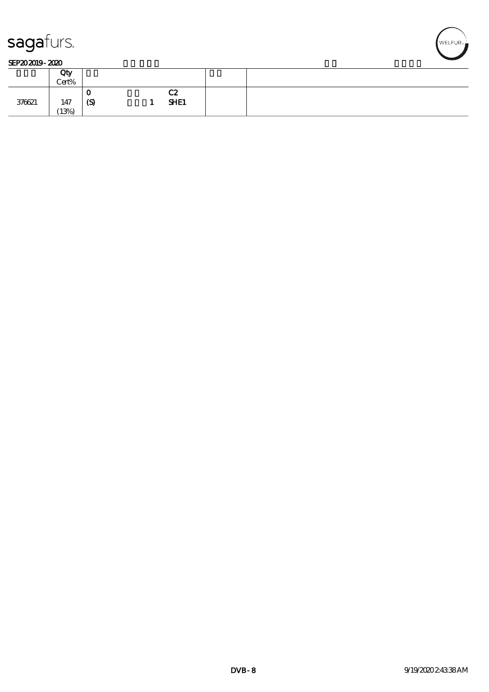

#### SEP202019-2020

|        | Qty<br>Cert% |          |   |            |  |
|--------|--------------|----------|---|------------|--|
| 376621 | 147<br>(13%) | ν<br>(S) | - | C2<br>SHE1 |  |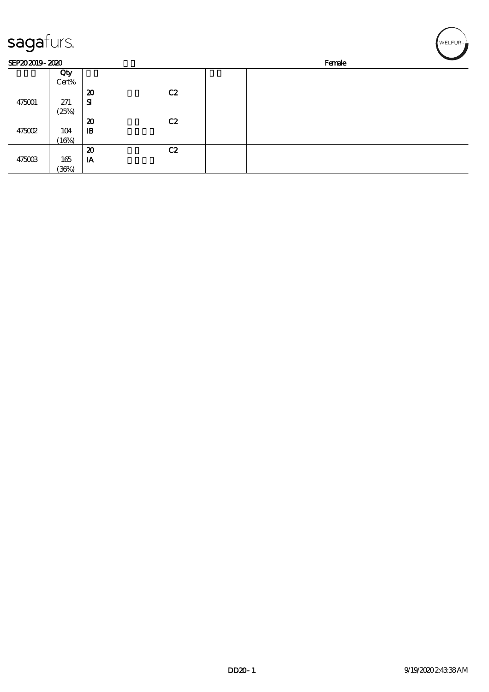| sagafurs.      |       |                             |    |  |        | WELFUR <sub>™</sub> |
|----------------|-------|-----------------------------|----|--|--------|---------------------|
| SEP202019-2020 |       |                             |    |  | Female |                     |
|                | Qty   |                             |    |  |        |                     |
|                | Cert% |                             |    |  |        |                     |
|                |       | $\boldsymbol{\mathbf{z}}$   | C2 |  |        |                     |
| 475001         | 271   | ${\bf s}$                   |    |  |        |                     |
|                | (25%) |                             |    |  |        |                     |
|                |       | $\boldsymbol{\mathfrak{D}}$ | C2 |  |        |                     |
| 475002         | 104   | $\mathbf{B}$                |    |  |        |                     |
|                | (16%) |                             |    |  |        |                     |
|                |       | $\boldsymbol{\mathfrak{D}}$ | C2 |  |        |                     |
| 475003         | 165   | IA                          |    |  |        |                     |
|                | (36%) |                             |    |  |        |                     |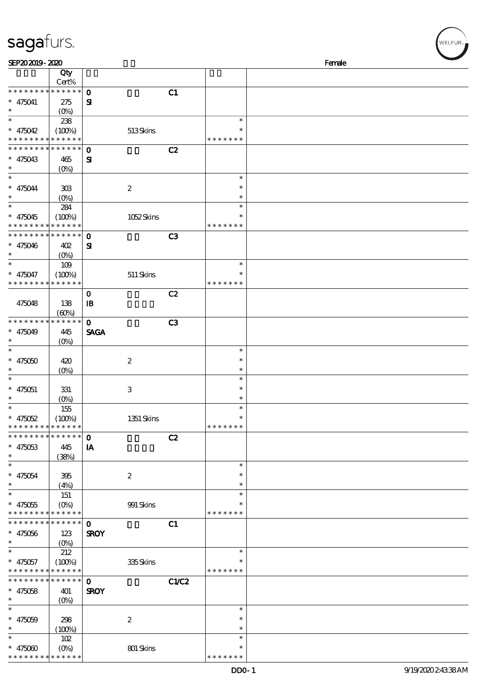| SEP202019-2020                                      |                                   |                              |       |                                   | Female |
|-----------------------------------------------------|-----------------------------------|------------------------------|-------|-----------------------------------|--------|
|                                                     | Qty<br>$Cert\%$                   |                              |       |                                   |        |
| * * * * * * * *<br>$* 475041$                       | * * * * * *<br>275                | $\mathbf{o}$<br>${\bf s}$    | C1    |                                   |        |
| $\ast$<br>$\ast$<br>$* 475042$                      | $(0\%)$<br>238<br>(100%)          | 513Skins                     |       | $\ast$                            |        |
| * * * * * * * *<br>* * * * * * * *                  | * * * * * *<br>* * * * * *        | $\mathbf 0$                  | C2    | * * * * * * *                     |        |
| $* 475043$<br>$\ast$                                | 465<br>$(O\%)$                    | $\mathbf{S}$                 |       |                                   |        |
| $\ast$<br>$* 475044$<br>$\ast$                      | 308<br>$(O\%)$                    | $\boldsymbol{2}$             |       | $\ast$<br>$\ast$<br>$\ast$        |        |
| $\ast$<br>$* 475045$                                | 284<br>(100%)<br>* * * * * *      | 1052Skins                    |       | $\ast$<br>*<br>* * * * * * *      |        |
| * * * * *<br>* * * * * * * *<br>$* 475046$          | * * * * * *<br>402                | $\mathbf{o}$<br>${\bf s}$    | C3    |                                   |        |
| $\ast$<br>$\ast$<br>$* 475047$                      | $(O\%)$<br>109<br>(100%)          | $511$ Skins                  |       | $\ast$<br>∗                       |        |
| * * * * * * * *                                     | * * * * * *                       | $\mathbf 0$                  | C2    | * * * * * * *                     |        |
| 475048<br>* * * * * * * *                           | 138<br>(60%)<br>* * * * * *       | $\mathbf{B}$<br>$\mathbf{o}$ | C3    |                                   |        |
| $* 475049$<br>$\ast$                                | 445<br>$(O\%)$                    | <b>SAGA</b>                  |       |                                   |        |
| $\ast$<br>$* 475050$<br>$\ast$                      | 420<br>$(0\%)$                    | $\boldsymbol{2}$             |       | $\ast$<br>$\ast$<br>$\ast$        |        |
| $\ast$<br>$* 475051$<br>$\ast$                      | 331<br>$(0\%)$                    | 3                            |       | $\ast$<br>$\ast$<br>$\ast$        |        |
| $\ast$<br>$* 475052$<br>* * * * * * * * * * * * * * | 155<br>(100%)                     | 1351 Skins                   |       | $\ast$<br>$\ast$<br>* * * * * * * |        |
| * * * * * * * * * * * * * *                         |                                   | $\mathbf 0$                  | C2    |                                   |        |
| $* 475053$<br>$\ast$<br>$\ast$                      | 445<br>(38%)                      | IA                           |       |                                   |        |
| $* 475054$<br>$\ast$                                | 395<br>(4%)                       | $\boldsymbol{2}$             |       | $\ast$<br>$\ast$<br>$\ast$        |        |
| $\ast$<br>$* 475055$<br>* * * * * * * *             | 151<br>$(O\!/\!o)$<br>* * * * * * | $991$ Skins                  |       | $\ast$<br>$\ast$<br>* * * * * * * |        |
| * * * * * * *<br>$* 475056$                         | * * * * * *<br>123                | $\mathbf 0$<br><b>SROY</b>   | C1    |                                   |        |
| $\ast$<br>$\ast$                                    | $(O\% )$<br>212                   |                              |       | $\ast$                            |        |
| $* 475057$<br>* * * * * * *                         | (100%)<br>* * * * * *             | 335Skins                     |       | $\ast$<br>* * * * * * *           |        |
| * * * * * * *<br>$* 475058$<br>$\ast$               | * * * * * *<br>401<br>$(O\%)$     | $\mathbf 0$<br><b>SROY</b>   | C1/C2 |                                   |        |
| $\ast$<br>$* 475059$                                | 298                               | $\boldsymbol{2}$             |       | $\ast$<br>$\ast$                  |        |
| $\ast$<br>$\ast$<br>$* 475060$                      | (100%)<br>102<br>$(O\%)$          | 801 Skins                    |       | $\ast$<br>$\ast$<br>*             |        |
| * * * * * * * *                                     | * * * * * *                       |                              |       | * * * * *                         |        |

,<br>WELFUR⊶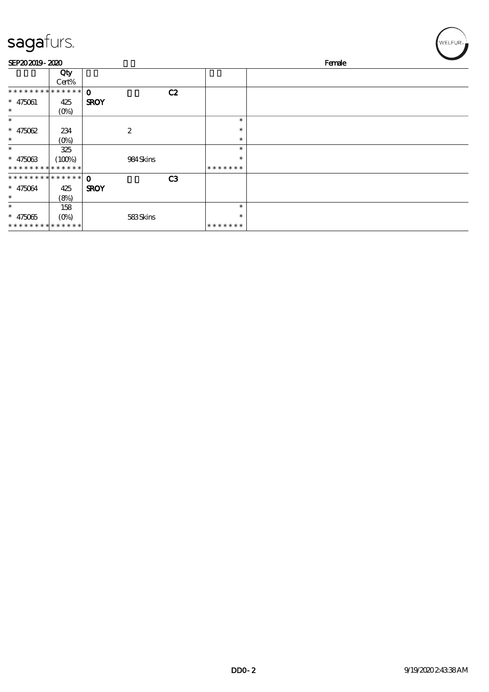| sagafurs.                     |         |                  |    |               | WELFUR <sub>™</sub> |
|-------------------------------|---------|------------------|----|---------------|---------------------|
| SEP202019-2020                |         |                  |    |               | Female              |
|                               | Qty     |                  |    |               |                     |
|                               | Cert%   |                  |    |               |                     |
| * * * * * * * * * * * * * *   |         | $\Omega$         | C2 |               |                     |
| $* 475061$                    | 425     | <b>SROY</b>      |    |               |                     |
| $\ast$                        | $(O\%)$ |                  |    |               |                     |
| $\ast$                        |         |                  |    | $\ast$        |                     |
| $* 475062$                    | 234     | $\boldsymbol{2}$ |    | $\ast$        |                     |
| $\ast$                        | $(O\%)$ |                  |    | $\ast$        |                     |
| $\ast$                        | 325     |                  |    | $\ast$        |                     |
| $* 475063$                    | (100%)  | 984Skins         |    | ∗             |                     |
| * * * * * * * * * * * * * *   |         |                  |    | *******       |                     |
| * * * * * * * * * * * * * * * |         | $\Omega$         | C3 |               |                     |
| $* 475064$                    | 425     | <b>SROY</b>      |    |               |                     |
| $\ast$                        | (8%)    |                  |    |               |                     |
| $\ast$                        | 158     |                  |    | $\ast$        |                     |
| $* 475065$                    | $(0\%)$ | 583Skins         |    | $\ast$        |                     |
| * * * * * * * * * * * * * *   |         |                  |    | * * * * * * * |                     |

╭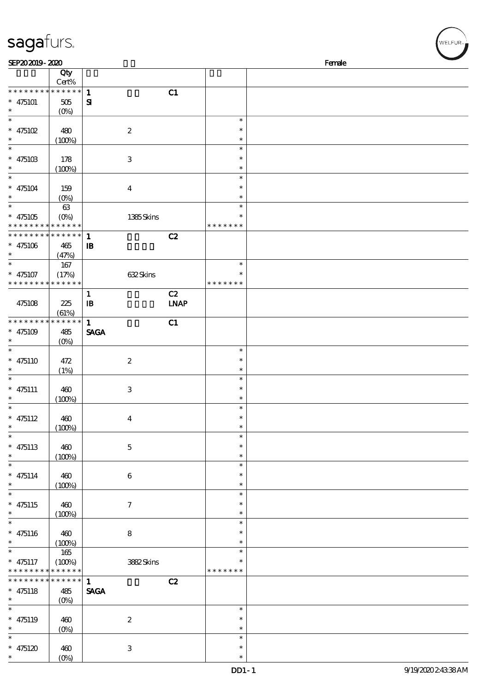| sagafurs.                                                          |                                   |                              |                   |                              | WELFUR <sub>*</sub> |
|--------------------------------------------------------------------|-----------------------------------|------------------------------|-------------------|------------------------------|---------------------|
| SEP202019-2020                                                     |                                   |                              |                   |                              | Female              |
|                                                                    | Qty<br>Cert%                      |                              |                   |                              |                     |
| * * * * * * * *<br>$* 475101$<br>$\ast$                            | * * * * * *<br>$505\,$<br>$(O\%)$ | $\mathbf{1}$<br>$\mathbf{S}$ | C1                |                              |                     |
| $\ast$<br>* $475102$<br>$\ast$                                     | 480<br>(100%)                     | $\boldsymbol{2}$             |                   | $\ast$<br>$\ast$<br>$\ast$   |                     |
| $\ast$<br>* $475103$<br>$\ast$                                     | 178<br>(100%)                     | $\,3$                        |                   | $\ast$<br>$\ast$<br>$\ast$   |                     |
| $\ast$<br>$* 475104$<br>$\ast$                                     | 159<br>$(O\%)$                    | $\boldsymbol{4}$             |                   | $\ast$<br>$\ast$<br>$\ast$   |                     |
| $\ast$<br>$* 475105$<br>* * * * * * * *                            | 63<br>$(O\%)$<br>* * * * * *      | 1385Skins                    |                   | $\ast$<br>*<br>* * * * * * * |                     |
| * * * * * * * *<br>$* 475106$<br>$\ast$                            | * * * * * *<br>465<br>(47%)       | $\mathbf{1}$<br>${\bf I\!B}$ | C2                |                              |                     |
| $\ast$<br>$* 475107$<br>* * * * * * * * <mark>* * * * * * *</mark> | 167<br>(17%)                      | 632Skins                     |                   | $\ast$<br>* * * * * * *      |                     |
| 475108                                                             | 225<br>(61%)                      | $\mathbf{1}$<br>$\mathbf{B}$ | C2<br><b>LNAP</b> |                              |                     |
| * * * * * * * *<br>* $475109$<br>$\ast$                            | $******$<br>485<br>$(O\%)$        | $\mathbf{1}$<br><b>SAGA</b>  | C1                |                              |                     |
| $\ast$<br>$* 475110$<br>$\ast$                                     | 472<br>(1%)                       | $\boldsymbol{2}$             |                   | $\ast$<br>$\ast$<br>$\ast$   |                     |
| $\ast$<br>$* 475111$<br>$\ast$                                     | 460<br>(100%)                     | $\,3$                        |                   | $\ast$<br>$\ast$<br>$\ast$   |                     |
| $\ast$<br>$* 475112$<br>$\ast$                                     | 460<br>(100%)                     | $\boldsymbol{4}$             |                   | $\ast$<br>∗<br>$\ast$        |                     |
| $* 475113$<br>$\ast$                                               | 460<br>(100%)                     | $\mathbf 5$                  |                   | $\ast$<br>$\ast$<br>$\ast$   |                     |
| $\ast$<br>$* 475114$<br>$\ast$                                     | 460<br>(100%)                     | $\,6\,$                      |                   | $\ast$<br>$\ast$<br>$\ast$   |                     |
| $\ast$<br>$* 475115$<br>*                                          | 460<br>(100%)                     | $\boldsymbol{7}$             |                   | $\ast$<br>$\ast$<br>$\ast$   |                     |
| $\ast$<br>$* 475116$                                               | 460<br>(100%)                     | $\bf 8$                      |                   | $\ast$<br>$\ast$<br>$\ast$   |                     |
| $\ast$<br>$* 475117$<br>* * * * * * *                              | 165<br>(100%)<br>$***$ * * *      | 3882Skins                    |                   | $\ast$<br>*<br>* * * * * * * |                     |
| * * * * * * *<br>$* 475118$<br>$\ast$                              | * * * * * *<br>485<br>$(O\%)$     | $\mathbf{1}$<br><b>SAGA</b>  | C2                |                              |                     |
| $* 475119$<br>*                                                    | 460<br>$(0\%)$                    | $\boldsymbol{2}$             |                   | $\ast$<br>$\ast$<br>$\ast$   |                     |
| $\ast$                                                             |                                   |                              |                   | $\ast$                       |                     |

\*

 $*$  475120 460

 $\frac{400}{(0\%)}$ 

3

\*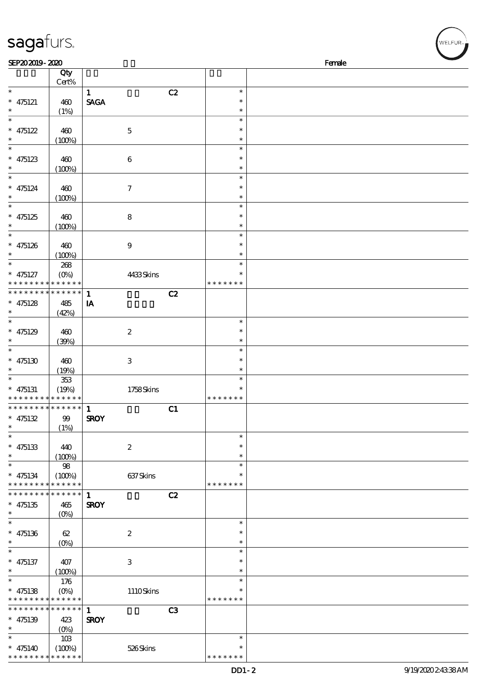| sagafurs.                                                               |                        |                             |    |                  | .<br>WELFUR <sub>™I</sub> |
|-------------------------------------------------------------------------|------------------------|-----------------------------|----|------------------|---------------------------|
| SEP202019-2020                                                          |                        |                             |    |                  | Female                    |
|                                                                         | Qty<br>Cert%           |                             |    |                  |                           |
| $\ast$                                                                  |                        | $\mathbf{1}$                | C2 | $\ast$           |                           |
| $* 475121$                                                              | 460                    | <b>SAGA</b>                 |    | $\ast$           |                           |
| $\ast$                                                                  | (1%)                   |                             |    | $\ast$           |                           |
| $\ast$<br>* $475122$                                                    |                        |                             |    | $\ast$<br>$\ast$ |                           |
|                                                                         | 460<br>(100%)          | $\mathbf 5$                 |    | $\ast$           |                           |
| $\ast$                                                                  |                        |                             |    | $\ast$           |                           |
| $* 475123$                                                              | 460                    | $\boldsymbol{6}$            |    | $\ast$           |                           |
| $\ast$<br>$\ast$                                                        | (100%)                 |                             |    | $\ast$<br>$\ast$ |                           |
| $* 475124$                                                              | 460                    | $\boldsymbol{\tau}$         |    | $\ast$           |                           |
| $\ast$                                                                  | (100%)                 |                             |    | $\ast$           |                           |
| $\ast$                                                                  |                        |                             |    | $\ast$           |                           |
| $* 475125$                                                              | 460                    | 8                           |    | $\ast$           |                           |
| $\ast$<br>$\ast$                                                        | (100%)                 |                             |    | $\ast$<br>$\ast$ |                           |
| $* 475126$                                                              | 460                    | $\boldsymbol{9}$            |    | *                |                           |
| $\ast$                                                                  | (100%)                 |                             |    | $\ast$           |                           |
|                                                                         | 268                    |                             |    | $\ast$           |                           |
| $* 475127$                                                              | $(O\%)$                | 4433Skins                   |    |                  |                           |
| * * * * * * * * <mark>* * * * * *</mark><br>* * * * * * * * * * * * * * |                        |                             |    | * * * * * * *    |                           |
| $* 475128$                                                              | 485                    | $\mathbf{1}$<br>IA          | C2 |                  |                           |
| $\ast$                                                                  | (42%)                  |                             |    |                  |                           |
| $\ast$                                                                  |                        |                             |    | $\ast$           |                           |
| $* 475129$                                                              | 460                    | $\boldsymbol{2}$            |    | $\ast$           |                           |
| $\ast$<br>$\ast$                                                        | (30%)                  |                             |    | $\ast$<br>$\ast$ |                           |
| $* 475130$                                                              | 460                    | $\,3$                       |    | $\ast$           |                           |
| $\ast$                                                                  | (19%)                  |                             |    | $\ast$           |                           |
| $\ast$                                                                  | 353                    |                             |    | $\ast$           |                           |
| $* 475131$<br>* * * * * * * * <mark>* * * * * * *</mark>                | (19%)                  | 1758Skins                   |    | *<br>* * *       |                           |
| * * * * * * * * * * * * * * *                                           |                        | $\mathbf{1}$                | C1 |                  |                           |
| $* 475132$                                                              | $99$                   | <b>SROY</b>                 |    |                  |                           |
| $\ast$                                                                  | (1%)                   |                             |    |                  |                           |
|                                                                         |                        |                             |    | $\ast$           |                           |
| $* 475133$<br>$\ast$                                                    | 440<br>(100%)          | $\boldsymbol{2}$            |    | $\ast$<br>$\ast$ |                           |
| $\ast$                                                                  | $98\,$                 |                             |    | $\ast$           |                           |
| $* 475134$                                                              | (100%)                 | 637Skins                    |    | $\ast$           |                           |
| * * * * * * * * * * * * * *                                             |                        |                             |    | * * * * * * *    |                           |
| * * * * * * * *<br>$* 475135$                                           | $* * * * * * *$<br>465 | $\mathbf{1}$<br><b>SROY</b> | C2 |                  |                           |
| $\ast$                                                                  | (O <sub>0</sub> )      |                             |    |                  |                           |
| $\ast$                                                                  |                        |                             |    | $\ast$           |                           |
| $* 475136$                                                              | 62                     | $\boldsymbol{2}$            |    | $\ast$           |                           |
| $\ast$<br>$\ast$                                                        | $(0\%)$                |                             |    | $\ast$           |                           |
| $* 475137$                                                              | 407                    | $\,3$                       |    | $\ast$<br>$\ast$ |                           |
| $\ast$                                                                  | (100%)                 |                             |    | $\ast$           |                           |
| $\ast$                                                                  | 176                    |                             |    | $\ast$           |                           |
| $* 475138$                                                              | $(O\%)$                | 1110Skins                   |    | $\ast$           |                           |
| * * * * * * * *<br>* * * * * * * * * * * * * *                          | * * * * * *            |                             |    | * * * * * * *    |                           |
| $* 475139$                                                              | 423                    | $\mathbf{1}$<br><b>SROY</b> | C3 |                  |                           |
| $\ast$                                                                  | (O <sub>0</sub> )      |                             |    |                  |                           |
| $\ast$                                                                  | 10B                    |                             |    | $\ast$           |                           |
| $* 475140$                                                              | (100%)                 | 526Skins                    |    | $\ast$           |                           |

\* \* \* \* \* \* \*

\* \* \* \* \* \* \* \* <mark>\* \* \* \* \* \* \*</mark>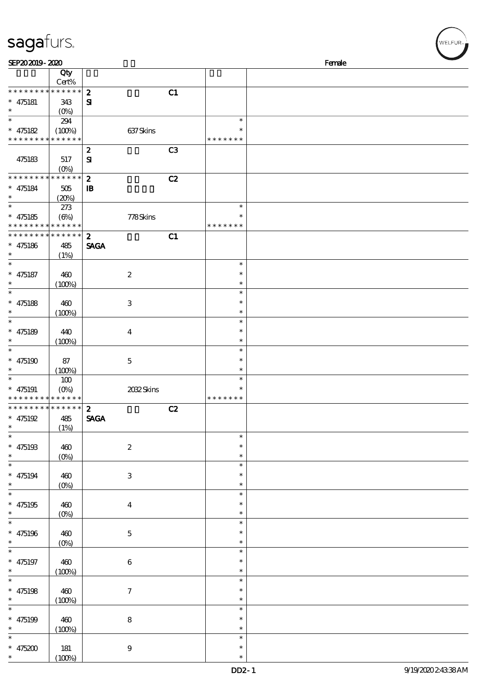| sagafurs. |
|-----------|
|-----------|

| SEP202019-2020                                                                    |                                   |                                                    |                                      | Female |
|-----------------------------------------------------------------------------------|-----------------------------------|----------------------------------------------------|--------------------------------------|--------|
|                                                                                   | Qty<br>Cert%                      |                                                    |                                      |        |
| * * * * * * * *<br>$* 475181$<br>$\ast$                                           | * * * * * *<br>343<br>$(O\% )$    | $\boldsymbol{z}$<br>C1<br>${\bf s}$                |                                      |        |
| $\overline{\ast}$<br>$* 475182$<br>* * * * * * * * * * * * * *                    | 294<br>(100%)                     | 637Skins                                           | $\ast$<br>* * * * * * *              |        |
| 475183                                                                            | 517<br>$(O\%)$                    | C <sub>3</sub><br>$\boldsymbol{z}$<br>$\mathbf{S}$ |                                      |        |
| * * * * * * * *<br>$* 475184$<br>$\ast$                                           | * * * * * *<br>505<br>(20%)       | C2<br>$\boldsymbol{z}$<br>$\mathbf{B}$             |                                      |        |
| $\ast$<br>$* 475185$<br>* * * * * * * * * * * * * *                               | 273<br>$(\Theta)$                 | 778Skins                                           | $\ast$<br>$\ast$<br>* * * * * * *    |        |
| * * * * * * * *<br>$* 475186$<br>$\ast$                                           | $* * * * * * *$<br>485<br>(1%)    | C1<br>$\boldsymbol{z}$<br><b>SAGA</b>              |                                      |        |
| $\ast$<br>$* 475187$<br>$\ast$                                                    | 460<br>(100%)                     | $\boldsymbol{2}$                                   | $\ast$<br>$\ast$<br>$\ast$           |        |
| $\ast$<br>$* 475188$<br>$\ast$                                                    | 460<br>(100%)                     | $\,3$                                              | $\ast$<br>$\ast$<br>$\ast$           |        |
| $\ast$<br>$* 475189$<br>$\ast$                                                    | 440<br>(100%)                     | $\boldsymbol{4}$                                   | $\ast$<br>$\ast$<br>$\ast$           |        |
| $\ast$<br>$* 475190$<br>$\ast$                                                    | 87<br>(100%)                      | $\mathbf 5$                                        | $\ast$<br>$\ast$<br>$\ast$           |        |
| $\ast$<br>$* 475191$<br>* * * * * * * *                                           | 100<br>$(O\!/\!o)$<br>* * * * * * | 2032Skins                                          | $\ast$<br>$\ast$<br>* * * * * * *    |        |
| * * * * * * * * * * * * * *<br>$* 475192$<br>$\ast$<br>$\overline{\phantom{a}^*}$ | 485<br>(1%)                       | C2<br>$\boldsymbol{z}$<br><b>SAGA</b>              |                                      |        |
| $* 475193$<br>$\ast$<br>$\overline{\phantom{0}}$                                  | 460<br>$(0\%)$                    | $\boldsymbol{2}$                                   | $\ast$<br>$\ast$<br>$\ast$           |        |
| $* 475194$<br>$\ast$<br>$\overline{\ast}$                                         | 460<br>(0%)                       | $\ensuremath{\mathbf{3}}$                          | $\ast$<br>$\ast$<br>$\ast$<br>$\ast$ |        |
| $* 475195$<br>$\ast$<br>$\overline{\ast}$                                         | 460<br>$(0\%)$                    | $\boldsymbol{4}$                                   | $\ast$<br>$\ast$                     |        |
| $* 475196$<br>$\ast$<br>$\overline{\ast}$                                         | 460<br>(0%)                       | $\mathbf 5$                                        | $\ast$<br>$\ast$<br>$\ast$           |        |
| $* 475197$<br>$\ast$<br>$\overline{\ast}$                                         | 460<br>(100%)                     | $\bf 6$                                            | $\ast$<br>$\ast$<br>$\ast$           |        |
| $* 475198$<br>$\ast$                                                              | 460<br>(100%)                     | $\boldsymbol{7}$                                   | $\ast$<br>$\ast$<br>$\ast$           |        |
| $\ast$<br>* $475199$<br>$\ast$                                                    | 460<br>(100%)                     | $\bf 8$                                            | $\ast$<br>$\ast$<br>$\ast$           |        |
| $\ast$<br>$* 475200$<br>$\ast$                                                    | $181$<br>(100%)                   | $\boldsymbol{9}$                                   | $\ast$<br>$\ast$<br>$\ast$           |        |

、<br>WELFUR<sub>™</sub>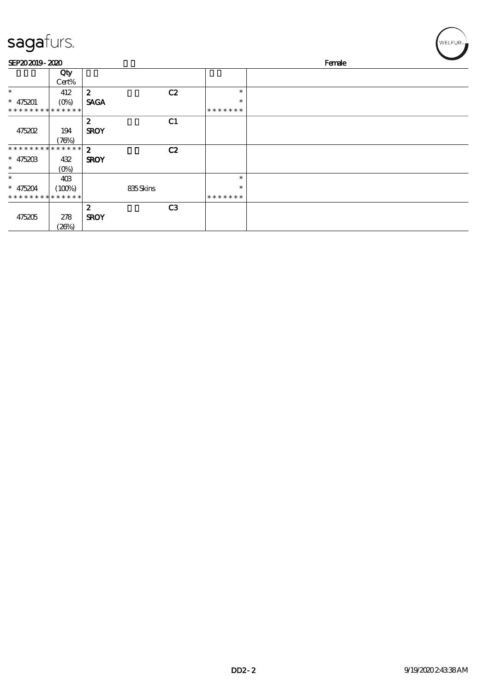| sagafurs.                   |                           |                  |          |                |               |  |        | WELFUR <sub>™</sub> |
|-----------------------------|---------------------------|------------------|----------|----------------|---------------|--|--------|---------------------|
| SEP202019-2020              |                           |                  |          |                |               |  | Female |                     |
|                             | Qty<br>Cert%              |                  |          |                |               |  |        |                     |
| $\ast$                      | 412                       | $\boldsymbol{z}$ |          | C2             | $\ast$        |  |        |                     |
| $* 475201$                  | $(O\!\!\!\!\!\!\!/\,\!o)$ | <b>SAGA</b>      |          |                | $\ast$        |  |        |                     |
| * * * * * * * * * * * * * * |                           |                  |          |                | * * * * * * * |  |        |                     |
|                             |                           | $\boldsymbol{z}$ |          | C1             |               |  |        |                     |
| 475202                      | 194                       | <b>SROY</b>      |          |                |               |  |        |                     |
|                             | (76%)                     |                  |          |                |               |  |        |                     |
| *******                     | * * * * * *               | $\boldsymbol{2}$ |          | C2             |               |  |        |                     |
| $* 475203$                  | 432                       | <b>SROY</b>      |          |                |               |  |        |                     |
| $\ast$                      | $(0\%)$                   |                  |          |                |               |  |        |                     |
| $\ast$                      | 40 <sup>3</sup>           |                  |          |                | $\ast$        |  |        |                     |
| $* 475204$                  | (100%)                    |                  | 835Skins |                | $\ast$        |  |        |                     |
| * * * * * * * *             | * * * * * *               |                  |          |                | * * * * * * * |  |        |                     |
|                             |                           | $\boldsymbol{z}$ |          | C <sub>3</sub> |               |  |        |                     |
| 475205                      | 278                       | <b>SROY</b>      |          |                |               |  |        |                     |

(26%)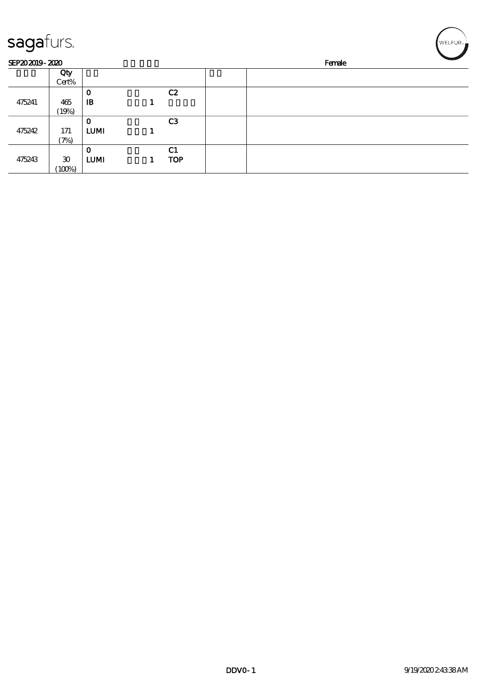| sagafurs.      |                                       |                            |                              |        | WELFUR <sub>™</sub> |
|----------------|---------------------------------------|----------------------------|------------------------------|--------|---------------------|
| SEP202019-2020 |                                       |                            |                              | Female |                     |
|                | Qty<br>Cert%                          |                            |                              |        |                     |
|                |                                       | $\mathbf 0$                | C2                           |        |                     |
| 475241         | 465                                   | $\mathbf{B}$               |                              |        |                     |
|                | (19%)                                 |                            |                              |        |                     |
| 475242         | 171<br>(7%)                           | $\bf{0}$<br><b>LUMI</b>    | C <sub>3</sub>               |        |                     |
| 475243         | $\boldsymbol{\mathfrak{D}}$<br>(100%) | $\mathbf 0$<br><b>LUMI</b> | C <sub>1</sub><br><b>TOP</b> |        |                     |

╭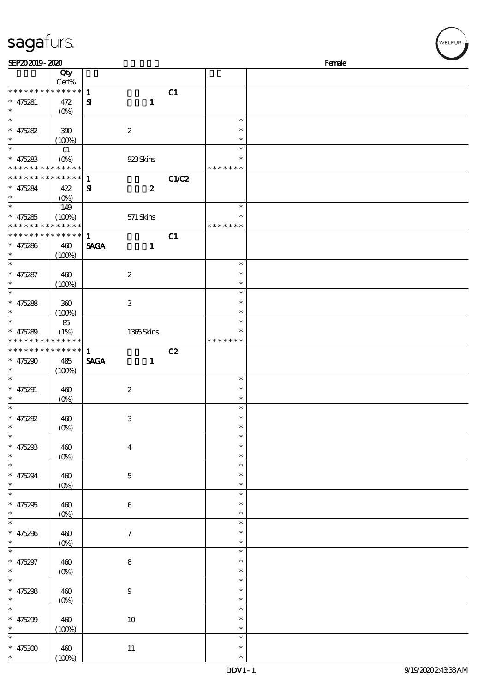| SEP202019-2020              |                     |                                  |       |               | Female |
|-----------------------------|---------------------|----------------------------------|-------|---------------|--------|
|                             | Qty                 |                                  |       |               |        |
|                             | Cert%               |                                  |       |               |        |
| * * * * * * * *             | $******$            | $\mathbf{1}$                     | C1    |               |        |
|                             |                     |                                  |       |               |        |
| $* 475281$                  | 472                 | $\mathbf{1}$<br>$\mathbf{S}$     |       |               |        |
| $\ast$                      | $(O\%)$             |                                  |       |               |        |
| $\ast$                      |                     |                                  |       | $\ast$        |        |
| $* 475282$                  | 390                 | $\boldsymbol{2}$                 |       | $\ast$        |        |
| $\ast$                      |                     |                                  |       | $\ast$        |        |
|                             | (100%)              |                                  |       |               |        |
| $\ast$                      | 61                  |                                  |       | $\ast$        |        |
| $* 475283$                  | $(0\%)$             | 923Skins                         |       |               |        |
| * * * * * * * * * * * * * * |                     |                                  |       | * * * * * * * |        |
| * * * * * * * *             | $* * * * * * *$     | $\mathbf{1}$                     | C1/C2 |               |        |
|                             |                     |                                  |       |               |        |
| $* 475284$                  | 422                 | $\boldsymbol{z}$<br>$\mathbf{S}$ |       |               |        |
| $\ast$                      | $(O\!/\!o)$         |                                  |       |               |        |
| $\ast$                      | 149                 |                                  |       | $\ast$        |        |
| $* 475285$                  | (100%)              | $571$ Skins                      |       | $\ast$        |        |
| * * * * * * * *             | * * * * * *         |                                  |       | * * * * * * * |        |
| * * * * * * * *             | $* * * * * * *$     | $\mathbf{1}$                     |       |               |        |
|                             |                     |                                  | C1    |               |        |
| $* 475286$                  | 460                 | <b>SAGA</b><br>$\mathbf{1}$      |       |               |        |
| $\ast$                      | (100%)              |                                  |       |               |        |
| $\ast$                      |                     |                                  |       | $\ast$        |        |
| $* 475287$                  | 460                 | $\boldsymbol{2}$                 |       | $\ast$        |        |
|                             |                     |                                  |       |               |        |
| $\ast$                      | (100%)              |                                  |       | $\ast$        |        |
| $\ast$                      |                     |                                  |       | $\ast$        |        |
| $* 475288$                  | 300                 | 3                                |       | $\ast$        |        |
| $\ast$                      | (100%)              |                                  |       | $\ast$        |        |
| $\ast$                      |                     |                                  |       | $\ast$        |        |
|                             | 85                  |                                  |       |               |        |
| $* 475289$                  | (1%)                | 1365Skins                        |       |               |        |
| * * * * * * * *             | * * * * * *         |                                  |       | * * * * * * * |        |
| * * * * * * * *             | * * * * * *         | $\mathbf{1}$                     | C2    |               |        |
| $* 475290$                  | 485                 | <b>SAGA</b><br>$\mathbf{1}$      |       |               |        |
| $\ast$                      |                     |                                  |       |               |        |
|                             | (100%)              |                                  |       |               |        |
| $\ast$                      |                     |                                  |       | $\ast$        |        |
| $* 475291$                  | 460                 | $\boldsymbol{2}$                 |       | $\ast$        |        |
| $\ast$                      | $(0\%)$             |                                  |       | $\ast$        |        |
| $\ast$                      |                     |                                  |       | $\ast$        |        |
|                             |                     |                                  |       | $\ast$        |        |
| $* 475292$                  | 460                 | 3                                |       |               |        |
| $*$                         | (0%)                |                                  |       | $\ast$        |        |
| $\ast$                      |                     |                                  |       | $\ast$        |        |
| $* 475293$                  | 460                 | $\overline{\mathbf{4}}$          |       | $\ast$        |        |
| $\ast$                      |                     |                                  |       | $\ast$        |        |
| $\overline{\phantom{0}}$    | $(0\%)$             |                                  |       | $\ast$        |        |
|                             |                     |                                  |       |               |        |
| $* 475294$                  | 460                 | $\mathbf{5}$                     |       | $\ast$        |        |
| $\ast$                      | $(0\%)$             |                                  |       | $\ast$        |        |
| $\overline{\ast}$           |                     |                                  |       | $\ast$        |        |
| $* 475295$                  | 460                 | $\boldsymbol{6}$                 |       | *             |        |
| $\ast$                      |                     |                                  |       | *             |        |
| $\overline{\phantom{0}}$    | $(0\%)$             |                                  |       |               |        |
|                             |                     |                                  |       | $\ast$        |        |
| $* 475296$                  | 460                 | $\tau$                           |       | ∗             |        |
| $\ast$                      | $(0\%)$             |                                  |       | $\ast$        |        |
| $\overline{\phantom{0}}$    |                     |                                  |       | $\ast$        |        |
|                             |                     |                                  |       |               |        |
| $* 475297$                  | 460                 | $\bf 8$                          |       | $\ast$        |        |
| $\ast$                      | $(0\%)$             |                                  |       | $\ast$        |        |
| $\ast$                      |                     |                                  |       | $\ast$        |        |
| $* 475298$                  | 460                 | $\mathbf 9$                      |       | $\ast$        |        |
| $\ast$                      |                     |                                  |       | $\ast$        |        |
|                             | $(\underline{O\%})$ |                                  |       |               |        |
| $\ast$                      |                     |                                  |       | $\ast$        |        |
| $* 475299$                  | 460                 | $10\,$                           |       | $\ast$        |        |
| $\ast$                      | (100%)              |                                  |       | $\ast$        |        |
| $\ast$                      |                     |                                  |       | $\ast$        |        |
|                             |                     |                                  |       |               |        |
| $* 475300$                  | 460                 | $11\,$                           |       | $\ast$        |        |
| $\ast$                      | (100%)              |                                  |       | $\ast$        |        |

VELFUR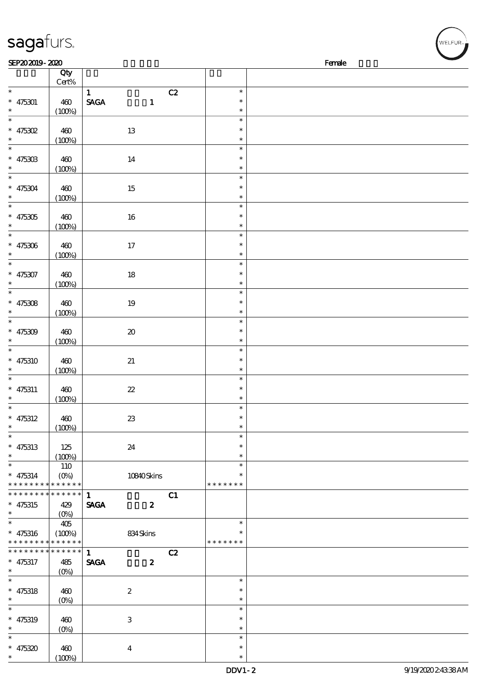| sagafurs.                                   |                           |                                                 |                  | $\sqrt{\text{WELFUR}_{n}}$ |
|---------------------------------------------|---------------------------|-------------------------------------------------|------------------|----------------------------|
| SEP202019-2020                              |                           |                                                 |                  | Female                     |
|                                             | Qty                       |                                                 |                  |                            |
| $\ast$                                      | $Cert\%$                  |                                                 | C2<br>$\ast$     |                            |
| $* 475301$                                  | 460                       | $\mathbf{1}$<br><b>SAGA</b><br>$\mathbf{1}$     | $\ast$           |                            |
| $\ast$                                      | (100%)                    |                                                 | $\ast$           |                            |
| $\overline{\phantom{a}}$                    |                           |                                                 | $\ast$           |                            |
| $* 475302$                                  | 460                       | 13                                              | $\ast$           |                            |
| $\ast$                                      | (100%)                    |                                                 | $\ast$<br>$\ast$ |                            |
| $* 47530B$                                  | 460                       | $14\,$                                          | $\ast$           |                            |
|                                             | (100%)                    |                                                 | $\ast$           |                            |
| $\ast$                                      |                           |                                                 | $\ast$           |                            |
| $* 475304$                                  | 460                       | $15\,$                                          | $\ast$           |                            |
| $\ast$<br>$\ast$                            | (100%)                    |                                                 | $\ast$<br>$\ast$ |                            |
| $* 475305$                                  | 460                       | 16                                              | $\ast$           |                            |
| $\ast$                                      | (100%)                    |                                                 | $\ast$           |                            |
| $\ast$                                      |                           |                                                 | $\ast$           |                            |
| $* 475306$                                  | 460                       | $17\,$                                          | $\ast$           |                            |
| $\ast$<br>$\ast$                            | (100%)                    |                                                 | *<br>$\ast$      |                            |
| $* 475307$                                  | 460                       | $18\,$                                          | $\ast$           |                            |
| $\ast$                                      | (100%)                    |                                                 | $\ast$           |                            |
| $\ast$                                      |                           |                                                 | $\ast$           |                            |
| $* 475308$                                  | 460                       | $19\,$                                          | $\ast$           |                            |
| $\ast$                                      | (100%)                    |                                                 | $\ast$           |                            |
| $\ast$                                      |                           |                                                 | $\ast$<br>$\ast$ |                            |
| $* 475309$                                  | 460<br>(100%)             | $\pmb{\mathcal{X}}$                             | $\ast$           |                            |
| $\ast$                                      |                           |                                                 | $\ast$           |                            |
| $* 475310$                                  | 460                       | $2\!1$                                          | $\ast$           |                            |
| $\ast$                                      | (100%)                    |                                                 | $\ast$           |                            |
| $\ast$                                      |                           |                                                 | $\ast$<br>$\ast$ |                            |
| $* 475311$<br>$\ast$                        | 460<br>(100%)             | $2\!2$                                          | $\ast$           |                            |
| $\ast$                                      |                           |                                                 | $\ast$           |                            |
| $* 475312$                                  | 460                       | $23\,$                                          | $\ast$           |                            |
| $\ast$<br>$\ast$                            | (100%)                    |                                                 | $\ast$           |                            |
|                                             |                           |                                                 | $\ast$<br>*      |                            |
| $* 475313$<br>$\ast$                        | 125<br>(100%)             | 24                                              | $\ast$           |                            |
| $\ast$                                      | 110                       |                                                 | $\ast$           |                            |
| $* 475314$                                  | $(O\!\!\!\!\!\!\!/\,\!o)$ | 10840Skins                                      |                  |                            |
| * * * * * * * * * * * * * *                 |                           |                                                 | * * * * * * *    |                            |
| * * * * * * * * * * * * * * *<br>$* 475315$ | 429                       | $\mathbf{1}$<br><b>SAGA</b><br>$\boldsymbol{z}$ | C1               |                            |
| $\ast$                                      | $(0\%)$                   |                                                 |                  |                            |
| $\ast$                                      | 405                       |                                                 | $\ast$           |                            |
| $* 475316$                                  | $(100\%)$                 | 834Skins                                        | $\ast$           |                            |
| * * * * * * * * * * * * * *                 |                           |                                                 | * * * * * * *    |                            |
| * * * * * * * *                             | * * * * * *               | $\mathbf{1}$                                    | C2               |                            |
| $* 475317$<br>$\ast$                        | 485<br>$(O_0)$            | <b>SAGA</b><br>$\boldsymbol{z}$                 |                  |                            |
| $\ast$                                      |                           |                                                 | $\ast$           |                            |
| $* 475318$                                  | 460                       | $\boldsymbol{2}$                                | $\ast$           |                            |
| $\ast$<br>$\overline{\phantom{0}}$          | $(0\%)$                   |                                                 | $\ast$           |                            |
|                                             |                           |                                                 | $\ast$<br>$\ast$ |                            |
| $* 475319$<br>$\ast$                        | 460<br>$(O\!/\!o)$        | $\,3$                                           | $\ast$           |                            |
|                                             |                           |                                                 | $\ast$           |                            |
| $* 475320$                                  | 460                       | $\boldsymbol{4}$                                | $\ast$           |                            |

 $(100%)$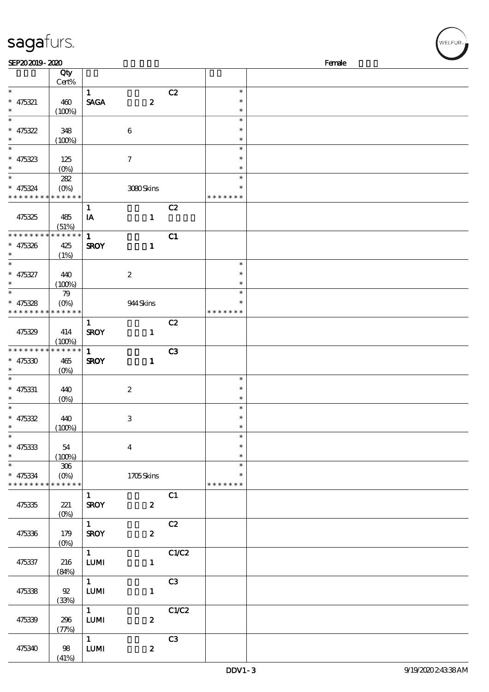| sagafurs.                   |                   |                   |                           |                |                    |        |
|-----------------------------|-------------------|-------------------|---------------------------|----------------|--------------------|--------|
| SEP202019-2020              | Qty               |                   |                           |                |                    | Female |
|                             | Cert%             |                   |                           |                |                    |        |
| $\ast$                      |                   | $\mathbf{1}$      |                           | C2             | $\ast$             |        |
| $* 475321$                  | 460               | <b>SAGA</b>       | $\pmb{2}$                 |                | $\ast$             |        |
| $\ast$                      | (100%)            |                   |                           |                | $\ast$             |        |
| $\ast$                      |                   |                   |                           |                | $\ast$             |        |
| $* 475322$                  | 348               |                   | 6                         |                | $\ast$             |        |
| $\ast$                      | (100%)            |                   |                           |                | $\ast$             |        |
| $\ast$                      |                   |                   |                           |                | $\ast$             |        |
| $* 475323$                  | 125               |                   | $\boldsymbol{7}$          |                | $\ast$             |        |
|                             | $(O\%)$           |                   |                           |                | $\ast$             |        |
| $\ast$                      | 282               |                   |                           |                | $\ast$             |        |
| $* 475324$                  | $(O\%)$           |                   | 3080Skins                 |                | $\ast$             |        |
| * * * * *                   | * * * * * *       |                   |                           |                | * * * * *<br>$* *$ |        |
|                             |                   | $\mathbf{1}$      |                           | C2             |                    |        |
| 475325                      | 485               | ${\bf I} {\bf A}$ | $\mathbf{1}$              |                |                    |        |
|                             | (51%)             |                   |                           |                |                    |        |
| * * * * * * * *             | * * * * * *       | $\mathbf 1$       |                           | C1             |                    |        |
| $* 475326$                  | 425               | <b>SROY</b>       | $\mathbf{1}$              |                |                    |        |
| $\ast$                      | (1%)              |                   |                           |                |                    |        |
| $\ast$                      |                   |                   |                           |                | $\ast$             |        |
| $* 475327$                  | 440               |                   | $\boldsymbol{2}$          |                | $\ast$             |        |
| $\ast$                      | (100%)            |                   |                           |                | $\ast$             |        |
| $\ast$                      | 79                |                   |                           |                | $\ast$             |        |
| $* 475328$                  | $(O\%)$           |                   | 944Skins                  |                |                    |        |
| * * * * * * * *             | * * * * * *       |                   |                           |                | * * * * * * *      |        |
|                             |                   | $\mathbf{1}$      |                           | C2             |                    |        |
| 475329                      | 414               | <b>SROY</b>       | $\mathbf{1}$              |                |                    |        |
|                             | (100%)            |                   |                           |                |                    |        |
| * * * * * * * *             | * * * * * *       | $\mathbf{1}$      |                           | C <sub>3</sub> |                    |        |
| $* 475330$                  | 465               | <b>SROY</b>       | $\mathbf{1}$              |                |                    |        |
|                             | (O <sub>0</sub> ) |                   |                           |                |                    |        |
|                             |                   |                   |                           |                | $\ast$             |        |
| $* 475331$                  | 440               |                   | $\boldsymbol{2}$          |                | $\ast$<br>$\ast$   |        |
| $\ast$<br>$\ast$            | (0%)              |                   |                           |                | $\ast$             |        |
|                             |                   |                   |                           |                | $\ast$             |        |
| $* 475332$<br>$\ast$        | 440               |                   | $\ensuremath{\mathbf{3}}$ |                | $\ast$             |        |
| $\ast$                      | (100%)            |                   |                           |                | $\ast$             |        |
|                             |                   |                   |                           |                | $\ast$             |        |
| $* 475333$<br>$\ast$        | 54                |                   | $\bf{4}$                  |                | $\ast$             |        |
| $\ast$                      | (100%)<br>$306\,$ |                   |                           |                | $\ast$             |        |
| $* 475334$                  | $(O\%)$           |                   |                           |                |                    |        |
| * * * * * * * * * * * * * * |                   |                   | 1705Skins                 |                | * * * * * * *      |        |
|                             |                   | $\mathbf{1}$      |                           | C1             |                    |        |
| 475335                      | $221$             | <b>SROY</b>       | $\boldsymbol{z}$          |                |                    |        |
|                             | $(O\%)$           |                   |                           |                |                    |        |
|                             |                   | $1 -$             |                           | C2             |                    |        |
| 475336                      | 179               | <b>SROY</b>       | $\boldsymbol{z}$          |                |                    |        |
|                             | (O <sub>0</sub> ) |                   |                           |                |                    |        |
|                             |                   | $1 \quad$         |                           | C1/C2          |                    |        |
| 475337                      | 216               | ${\bf LUM}$       | $\mathbf{1}$              |                |                    |        |
|                             | (84%)             |                   |                           |                |                    |        |
|                             |                   | $\mathbf{1}$      |                           | C3             |                    |        |
| 475338                      | ${\mathfrak{A}}$  | $LUM$             | $\mathbf{1}$              |                |                    |        |
|                             | (33%)             |                   |                           |                |                    |        |
|                             |                   | $1 -$             |                           | C1/C2          |                    |        |
| 475339                      | 296               | LUM               | $\pmb{2}$                 |                |                    |        |
|                             | (77%)             |                   |                           |                |                    |        |
|                             |                   | $\mathbf{1}$      |                           | C3             |                    |        |
| 475340                      | 98                | ${\bf LUM}$       | $\boldsymbol{2}$          |                |                    |        |
|                             |                   |                   |                           |                |                    |        |

(41%)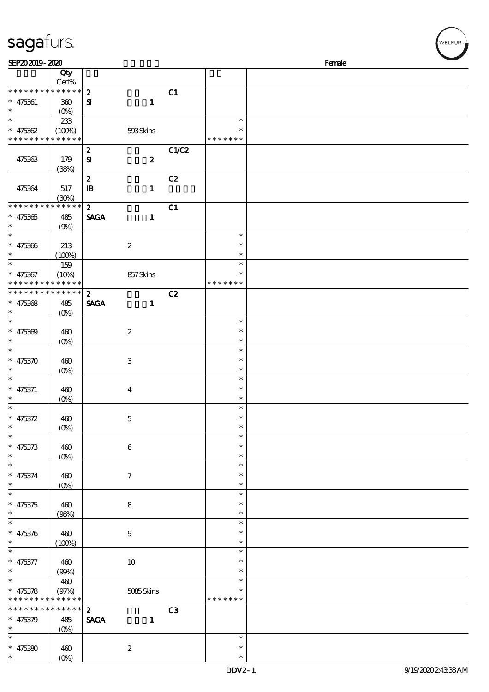| sagafurs.                          |                            |                                 |                         |       |                  | m<br>WELFUR <sub>™I</sub> |
|------------------------------------|----------------------------|---------------------------------|-------------------------|-------|------------------|---------------------------|
| SEP202019-2020                     |                            |                                 |                         |       |                  | Female                    |
|                                    | Qty                        |                                 |                         |       |                  |                           |
|                                    | $Cert\%$                   |                                 |                         |       |                  |                           |
| * * * * * * * *                    | * * * * * *                | $\boldsymbol{z}$                |                         | C1    |                  |                           |
| $* 475361$<br>$\ast$               | 300<br>$(O\%)$             | $\mathbf{S}$                    | $\mathbf{1}$            |       |                  |                           |
| $\ast$                             | 233                        |                                 |                         |       | $\ast$           |                           |
| $* 475362$                         | (100%)                     |                                 | 593Skins                |       |                  |                           |
| * * * * * * * *                    | * * * * * *                |                                 |                         |       | * * * * * * *    |                           |
|                                    |                            | $\boldsymbol{2}$                |                         | C1/C2 |                  |                           |
| 475363                             | 179                        | ${\bf s}$                       | $\boldsymbol{2}$        |       |                  |                           |
|                                    | (38%)                      |                                 |                         |       |                  |                           |
|                                    |                            | $\boldsymbol{2}$                |                         | C2    |                  |                           |
| 475364                             | 517                        | $\mathbf{B}$                    | $\mathbf{1}$            |       |                  |                           |
| * * * * * * * *                    | (30%)<br>* * * * * *       | $\boldsymbol{z}$                |                         | C1    |                  |                           |
| $* 475365$                         | 485                        | <b>SAGA</b>                     | $\mathbf{1}$            |       |                  |                           |
| $\ast$                             | (9%)                       |                                 |                         |       |                  |                           |
| $\ast$                             |                            |                                 |                         |       | $\ast$           |                           |
| $* 475366$                         | 213                        |                                 | $\boldsymbol{z}$        |       | $\ast$           |                           |
| $\ast$                             | (100%)                     |                                 |                         |       | $\ast$           |                           |
| $\ast$                             | 159                        |                                 |                         |       | $\ast$           |                           |
| $* 475367$                         | (10%)                      |                                 | 857Skins                |       | $\ast$           |                           |
| * * * * * * * *<br>* * * * * * * * | * * * * * *<br>* * * * * * |                                 |                         |       | * * * * * * *    |                           |
|                                    |                            | $\boldsymbol{z}$<br><b>SAGA</b> | $\mathbf{1}$            | C2    |                  |                           |
| $* 475368$<br>$\ast$               | 485<br>$(0\%)$             |                                 |                         |       |                  |                           |
| $\ast$                             |                            |                                 |                         |       | $\ast$           |                           |
| $* 475369$                         | 460                        |                                 | $\boldsymbol{2}$        |       | $\ast$           |                           |
|                                    | $(0\%)$                    |                                 |                         |       | $\ast$           |                           |
| $\ast$                             |                            |                                 |                         |       | $\ast$           |                           |
| $* 475370$                         | 460                        |                                 | 3                       |       | $\ast$           |                           |
|                                    | $(0\%)$                    |                                 |                         |       | $\ast$           |                           |
| $\ast$                             |                            |                                 |                         |       | $\ast$           |                           |
| $* 475371$<br>$\ast$               | 460                        |                                 | $\overline{\mathbf{4}}$ |       | $\ast$<br>$\ast$ |                           |
| $\ast$                             | (0%)                       |                                 |                         |       | $\ast$           |                           |
| $* 475372$                         | 460                        |                                 | $\mathbf 5$             |       | $\ast$           |                           |
| $\ast$                             | $(O\%)$                    |                                 |                         |       | $\ast$           |                           |
| $\ast$                             |                            |                                 |                         |       | $\ast$           |                           |
| $* 475373$                         | 460                        |                                 | $\boldsymbol{6}$        |       | ∗                |                           |
| $\ast$                             | $(0\%)$                    |                                 |                         |       | $\ast$           |                           |
| $\ast$                             |                            |                                 |                         |       | $\ast$           |                           |
| $* 475374$<br>$\ast$               | 460                        |                                 | $\tau$                  |       | $\ast$<br>$\ast$ |                           |
| $\ast$                             | $(O\%)$                    |                                 |                         |       | $\ast$           |                           |
| $* 475375$                         | 460                        |                                 | $\bf8$                  |       | $\ast$           |                           |
| $\ast$                             | (98%)                      |                                 |                         |       | $\ast$           |                           |
| $\ast$                             |                            |                                 |                         |       | $\ast$           |                           |
| $* 475376$                         | 460                        |                                 | $\boldsymbol{9}$        |       | $\ast$           |                           |
| $\ast$                             | (100%)                     |                                 |                         |       | $\ast$           |                           |
| $\ast$                             |                            |                                 |                         |       | $\ast$           |                           |
| $* 475377$                         | 460                        |                                 | $10\,$                  |       | $\ast$           |                           |
| $\ast$                             | (90%)                      |                                 |                         |       | $\ast$           |                           |
| $\ast$                             | 460                        |                                 |                         |       | $\ast$<br>*      |                           |
| $* 475378$<br>* * * *              | (97%)<br>* * * * * *       |                                 | 5085Skins               |       | * * * * * * *    |                           |
| * * * * * *                        | * * * * * *                | $\mathbf{2}$                    |                         | C3    |                  |                           |
| $* 475379$                         | 485                        | <b>SAGA</b>                     | $\mathbf{1}$            |       |                  |                           |
|                                    |                            |                                 |                         |       |                  |                           |

\* \*

\*

\*

\*

 $\overline{(\overline{0})}$ 

 $(0%)$ 

2

 $*$  475380 460

 $(w$ elfur<sub>m</sub>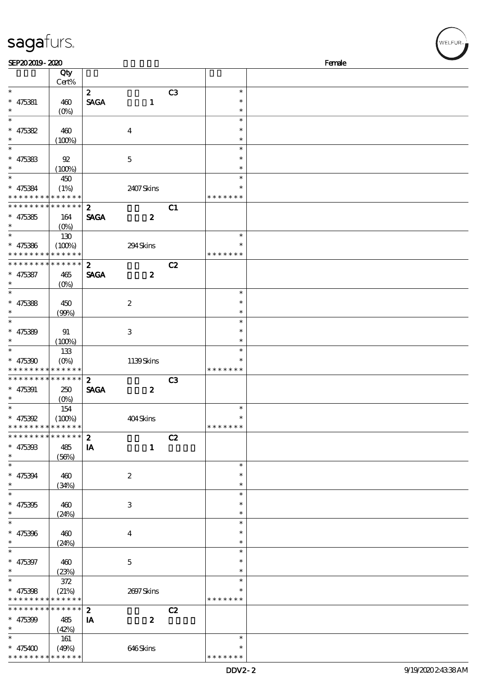| sagafurs.<br>SEP202019-2020                |                       |                  |                  |                |                         | Female |
|--------------------------------------------|-----------------------|------------------|------------------|----------------|-------------------------|--------|
|                                            | Qty                   |                  |                  |                |                         |        |
|                                            | Cert%                 |                  |                  |                |                         |        |
| $\ast$                                     |                       | $\boldsymbol{z}$ |                  | C3             | $\ast$                  |        |
| $* 475381$                                 | 460                   | <b>SAGA</b>      | $\mathbf{1}$     |                | $\ast$                  |        |
| $\ast$                                     | $(0\%)$               |                  |                  |                | $\ast$                  |        |
| $\ast$                                     |                       |                  |                  |                | $\ast$                  |        |
| $* 475382$                                 | 460                   |                  | $\boldsymbol{4}$ |                | $\ast$                  |        |
| $\ast$                                     | (100%)                |                  |                  |                | $\ast$                  |        |
| $\ast$                                     |                       |                  |                  |                | $\ast$                  |        |
| $* 475383$                                 | 92                    |                  | $\bf 5$          |                | $\ast$                  |        |
|                                            | (100%)                |                  |                  |                | $\ast$                  |        |
| $\ast$                                     | 450                   |                  |                  |                | $\ast$                  |        |
| $* 475384$<br>* * * * * * * * * * * * * *  | (1%)                  |                  | 2407Skins        |                | $\ast$<br>* * * * * * * |        |
| * * * * * * * * * * * * * *                |                       | $\boldsymbol{z}$ |                  |                |                         |        |
|                                            |                       | <b>SAGA</b>      | $\boldsymbol{2}$ | C1             |                         |        |
| $* 475385$<br>$\ast$                       | 164<br>$(O\%)$        |                  |                  |                |                         |        |
| $\ast$                                     | 130                   |                  |                  |                | $\ast$                  |        |
| $* 475386$                                 | (100%)                |                  | 294Skins         |                | $\ast$                  |        |
| * * * * *                                  | * * * * * *           |                  |                  |                | * * * * * * *           |        |
| * * * * * * * *                            | * * * * * *           | $\boldsymbol{z}$ |                  | C2             |                         |        |
| $* 475387$                                 | 465                   | <b>SAGA</b>      | $\boldsymbol{2}$ |                |                         |        |
| $\ast$                                     | $(O\%)$               |                  |                  |                |                         |        |
| $\ast$                                     |                       |                  |                  |                | $\ast$                  |        |
| $* 475388$                                 | 450                   |                  | $\boldsymbol{2}$ |                | $\ast$                  |        |
| $\ast$                                     | (90%)                 |                  |                  |                | $\ast$                  |        |
| $\ast$                                     |                       |                  |                  |                | $\ast$                  |        |
| $* 475389$                                 | 91                    |                  | $\,3$            |                | $\ast$                  |        |
|                                            | (100%)                |                  |                  |                | $\ast$                  |        |
| $\ast$                                     | 133                   |                  |                  |                | $\ast$                  |        |
| $* 475390$                                 | $(O\%)$               |                  | 1139Skins        |                | $\ast$                  |        |
|                                            | * * * * * * * * * * * |                  |                  |                | * * * * * * *           |        |
| * * * * * * * *                            | $* * * * * * *$       | $\boldsymbol{z}$ |                  | C <sub>3</sub> |                         |        |
| $* 475391$                                 | 250                   | <b>SAGA</b>      | $\boldsymbol{2}$ |                |                         |        |
| $\ast$<br>$\ast$                           | (0%)                  |                  |                  |                | $\ast$                  |        |
|                                            | 154                   |                  |                  |                | *                       |        |
| $* 475392$<br>* * * * * * * *              | (100%)<br>* * * * * * |                  | 404Skins         |                | * * * * * * *           |        |
| * * * * * * * *                            | * * * * * *           | $\boldsymbol{2}$ |                  | C2             |                         |        |
| $* 475393$                                 | 485                   | IA               | $\mathbf{1}$     |                |                         |        |
| $\ast$                                     | (56%)                 |                  |                  |                |                         |        |
| $\ast$                                     |                       |                  |                  |                | $\ast$                  |        |
| $* 475394$                                 | 460                   |                  | $\boldsymbol{z}$ |                | $\ast$                  |        |
| $\ast$                                     | (34%)                 |                  |                  |                | $\ast$                  |        |
| $\ast$                                     |                       |                  |                  |                | $\ast$                  |        |
| $* 475395$                                 | 460                   |                  | 3                |                | $\ast$                  |        |
| $\ast$                                     | (24%)                 |                  |                  |                | $\ast$                  |        |
| $\ast$                                     |                       |                  |                  |                | $\ast$                  |        |
| $* 475396$                                 | 460                   |                  | $\bf{4}$         |                | $\ast$                  |        |
| $\ast$                                     | (24%)                 |                  |                  |                | $\ast$                  |        |
| $\ast$                                     |                       |                  |                  |                | $\ast$                  |        |
| $* 475397$                                 | 460                   |                  | $\bf 5$          |                | $\ast$                  |        |
| $\ast$                                     | (23%)                 |                  |                  |                | $\ast$                  |        |
| $\ast$                                     | 372                   |                  |                  |                | $\ast$                  |        |
| $* 475398$                                 | (21%)                 |                  | 2697Skins        |                | $\ast$                  |        |
| * * * * * * * * <mark>* * * * * * *</mark> |                       |                  |                  |                | * * * * * * *           |        |
| * * * * * * * *                            | $* * * * * * *$       | $\boldsymbol{2}$ |                  | C2             |                         |        |
| $* 475399$                                 | 485                   | IA               | $\boldsymbol{z}$ |                |                         |        |
| $\ast$<br>$\ast$                           | (42%)                 |                  |                  |                |                         |        |
|                                            | 161                   |                  |                  |                | $\ast$                  |        |

\* \* \* \* \* \* \*

\* 475400

\* \* \* \* \* \* \* \* \* \* \*

(49%) 646 Skins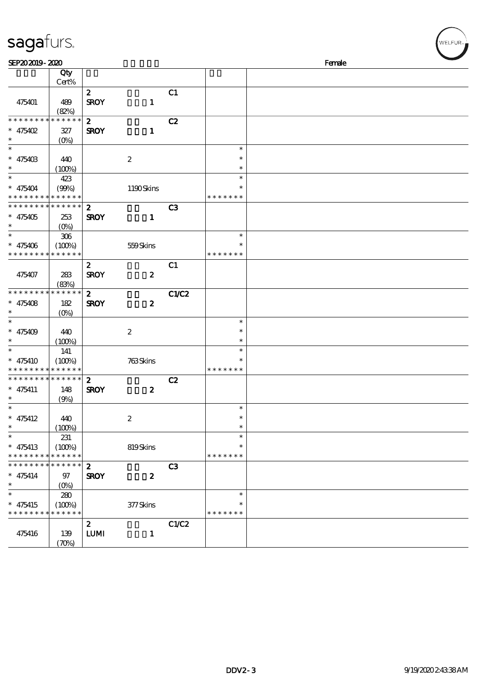| sagafurs.                                 |                                   |                                 |                  |                |                    | WELFUR <sub>74</sub> |
|-------------------------------------------|-----------------------------------|---------------------------------|------------------|----------------|--------------------|----------------------|
| SEP202019-2020                            |                                   |                                 |                  |                |                    | Female               |
|                                           | Qty                               |                                 |                  |                |                    |                      |
|                                           | Cert%                             |                                 |                  |                |                    |                      |
|                                           |                                   | $\boldsymbol{z}$                |                  | C1             |                    |                      |
| 475401                                    | 489                               | <b>SROY</b>                     | $\mathbf{1}$     |                |                    |                      |
| * * * * * * * * <mark>* * * * * *</mark>  | (82%)                             |                                 |                  |                |                    |                      |
| $* 475402$                                | $327\,$                           | $\boldsymbol{2}$<br><b>SROY</b> | $\mathbf{1}$     | C2             |                    |                      |
| $\ast$                                    | $(O\%)$                           |                                 |                  |                |                    |                      |
| $\ast$                                    |                                   |                                 |                  |                | $\ast$             |                      |
| $* 47540B$                                | 440                               |                                 | $\boldsymbol{2}$ |                | $\ast$             |                      |
| $\ast$                                    | (100%)                            |                                 |                  |                | $\ast$             |                      |
| $\ast$                                    | 423                               |                                 |                  |                | $\ast$             |                      |
| $* 475404$                                | (90%)                             |                                 | 1190Skins        |                | $\ast$             |                      |
| * * * * * * * * * * * * * *               |                                   |                                 |                  |                | * * * * * * *      |                      |
| * * * * * * * * * * * * * * *             |                                   | $\boldsymbol{z}$                |                  | C <sub>3</sub> |                    |                      |
| $* 475405$                                | 253                               | <b>SROY</b>                     | $\mathbf{1}$     |                |                    |                      |
| $\ast$                                    | $(O\%)$                           |                                 |                  |                |                    |                      |
| $\ast$                                    | $306\,$                           |                                 |                  |                | $\ast$             |                      |
| $* 475406$<br>* * * * * * * * * * * * * * | (100%)                            |                                 | 559Skins         |                | ∗<br>* * * * * * * |                      |
|                                           |                                   |                                 |                  | C1             |                    |                      |
| 475407                                    | 283                               | $\boldsymbol{z}$<br><b>SROY</b> | $\boldsymbol{z}$ |                |                    |                      |
|                                           | (83%)                             |                                 |                  |                |                    |                      |
| * * * * * * * * * * * * * *               |                                   | $\mathbf{z}$                    |                  | <b>C1/C2</b>   |                    |                      |
| $* 475408$                                | 182                               | <b>SROY</b>                     | $\boldsymbol{z}$ |                |                    |                      |
| $\ast$                                    | $(0\%)$                           |                                 |                  |                |                    |                      |
| $\ast$                                    |                                   |                                 |                  |                | $\ast$             |                      |
| $* 475409$                                | 440                               |                                 | $\boldsymbol{2}$ |                | $\ast$             |                      |
| $\ast$                                    | (100%)                            |                                 |                  |                | $\ast$             |                      |
| $\ast$                                    | 141                               |                                 |                  |                | $\ast$             |                      |
| $* 475410$                                | (100%)                            |                                 | 763Skins         |                | $\ast$             |                      |
| * * * * * * * * * * * * * *               |                                   |                                 |                  |                | * * * * * * *      |                      |
| * * * * * * * * * * * * * * *             |                                   | $\boldsymbol{z}$                |                  | C2             |                    |                      |
| $* 475411$<br>$\ast$                      | 148                               | <b>SROY</b>                     | $\boldsymbol{z}$ |                |                    |                      |
| $\ast$                                    | (9%)                              |                                 |                  |                | $\ast$             |                      |
| $* 475412$                                | 440                               |                                 | $\boldsymbol{2}$ |                | ∗                  |                      |
| $\ast$                                    | (100%)                            |                                 |                  |                | $\ast$             |                      |
| $\ast$                                    | 231                               |                                 |                  |                | $\ast$             |                      |
| $* 475413$                                | (100%)                            |                                 | 819Skins         |                | $\ast$             |                      |
| * * * * * * * *                           | * * * * * *                       |                                 |                  |                | * * * * * * *      |                      |
| * * * * * * * *                           | * * * * * *                       | $\boldsymbol{z}$                |                  | C <sub>3</sub> |                    |                      |
| $* 475414$                                | 97                                | <b>SROY</b>                     | $\boldsymbol{z}$ |                |                    |                      |
| $\ast$                                    | $(O\%)$                           |                                 |                  |                |                    |                      |
| $\ast$                                    | 280                               |                                 |                  |                | $\ast$             |                      |
| $* 475415$                                | (100%)                            |                                 | 377Skins         |                | $\ast$             |                      |
| * * * * * * * * * * * * * *               |                                   |                                 |                  |                | * * * * * * *      |                      |
|                                           |                                   | $\boldsymbol{z}$<br><b>LUMI</b> |                  | C1/C2          |                    |                      |
| 475416                                    | 139<br>$(\mathcal{X}\mathcal{Y})$ |                                 | $\mathbf{1}$     |                |                    |                      |
|                                           |                                   |                                 |                  |                |                    |                      |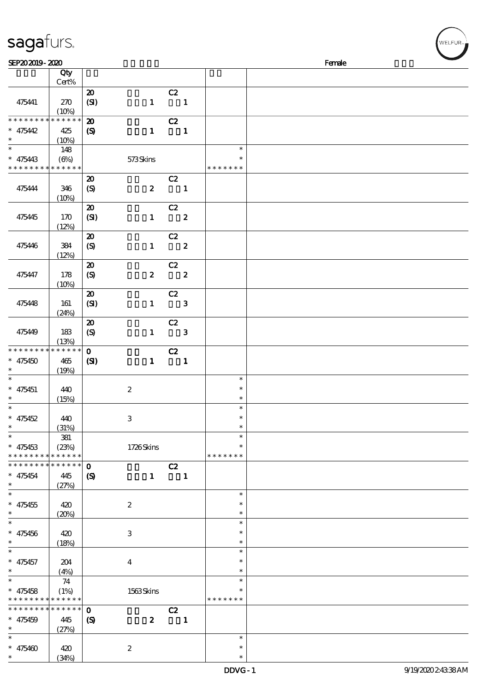| sagafurs.                                              |              |                             |                  |                            |                |                         |        |
|--------------------------------------------------------|--------------|-----------------------------|------------------|----------------------------|----------------|-------------------------|--------|
| SEP202019-2020                                         |              |                             |                  |                            |                |                         | Female |
|                                                        | Qty<br>Cert% |                             |                  |                            |                |                         |        |
|                                                        |              | $\boldsymbol{\mathbf{z}}$   |                  | C2                         |                |                         |        |
| 475441                                                 | 270          | (SI)                        | $\mathbf{1}$     | $\overline{\mathbf{1}}$    |                |                         |        |
|                                                        | (10%)        |                             |                  |                            |                |                         |        |
| * * * * * * * * * * * * * *<br>$* 475442$              | 425          | $\boldsymbol{\mathfrak{D}}$ | $\mathbf{1}$     | C2                         |                |                         |        |
| $\ast$                                                 | (10%)        | $\boldsymbol{S}$            |                  | $\overline{\phantom{a}}$ 1 |                |                         |        |
| $\ast$                                                 | 148          |                             |                  |                            |                | $\ast$                  |        |
| $* 475443$                                             | (6%)         |                             | 573Skins         |                            |                | $\ast$                  |        |
| * * * * * * * * <mark>* * * * * *</mark>               |              |                             |                  |                            |                | * * * * * * *           |        |
|                                                        |              | $\boldsymbol{\mathsf{20}}$  |                  | C2                         |                |                         |        |
| 475444                                                 | 346<br>(10%) | (S)                         | $\boldsymbol{z}$ | $\blacksquare$             |                |                         |        |
|                                                        |              | $\boldsymbol{\mathfrak{D}}$ |                  | C2                         |                |                         |        |
| 475445                                                 | 170          | (SI)                        | $\mathbf{1}$     | $\overline{\mathbf{2}}$    |                |                         |        |
|                                                        | (12%)        |                             |                  |                            |                |                         |        |
|                                                        |              | $\pmb{\mathcal{Z}}$         |                  | C2                         |                |                         |        |
| 475446                                                 | 384<br>(12%) | $\boldsymbol{S}$            |                  | $1 \t 2$                   |                |                         |        |
|                                                        |              | $\pmb{\mathcal{Z}}$         |                  | C2                         |                |                         |        |
| 475447                                                 | 178          | (S)                         |                  | $2\qquad 2$                |                |                         |        |
|                                                        | (10%)        |                             |                  |                            |                |                         |        |
|                                                        |              | $\boldsymbol{\mathfrak{D}}$ |                  | C2                         |                |                         |        |
| 475448                                                 | 161          | (SI)                        | $\mathbf{1}$     | $\overline{\phantom{a}}$ 3 |                |                         |        |
|                                                        | (24%)        | $\pmb{\mathcal{X}}$         |                  | C2                         |                |                         |        |
| 475449                                                 | 183          | $\boldsymbol{\mathrm{(S)}}$ | $\mathbf{1}$     | $\overline{\phantom{a}}$ 3 |                |                         |        |
|                                                        | (13%)        |                             |                  |                            |                |                         |        |
| * * * * * * * * * * * * * *                            |              | $\mathbf{o}$                |                  | C2                         |                |                         |        |
| $* 475450$<br>$\ast$                                   | 465          | (S)                         | $\mathbf{1}$     | $\blacksquare$             |                |                         |        |
| $\ast$                                                 | (19%)        |                             |                  |                            |                | $\ast$                  |        |
| $* 475451$                                             | 440          |                             | $\boldsymbol{2}$ |                            |                | $\ast$                  |        |
| $\ast$                                                 | (15%)        |                             |                  |                            |                | $\ast$                  |        |
| $\ast$                                                 |              |                             |                  |                            |                | $\ast$                  |        |
| $* 475452$<br>$\ast$                                   | 440<br>(31%) |                             | 3                |                            |                | $\ast$<br>$\ast$        |        |
| $\overline{\ast}$                                      | ${\bf 38}1$  |                             |                  |                            |                | $\ast$                  |        |
| $* 475453$                                             | (23%)        |                             | 1726Skins        |                            |                | $\ast$                  |        |
| * * * * * * * * * * * * * *                            |              |                             |                  |                            |                | * * * * * * *           |        |
| * * * * * * * * <mark>* * * * * * *</mark>             |              | $\mathbf{o}$                |                  | C2                         |                |                         |        |
| $* 475454$<br>$\ast$                                   | 445<br>(27%) | $\boldsymbol{\mathcal{S}}$  | $\mathbf{1}$     |                            | $\blacksquare$ |                         |        |
| $\ast$                                                 |              |                             |                  |                            |                | $\ast$                  |        |
| $* 475455$                                             | 420          |                             | $\boldsymbol{2}$ |                            |                | $\ast$                  |        |
| $\ast$                                                 | (20%)        |                             |                  |                            |                | $\ast$                  |        |
| $\ast$                                                 |              |                             |                  |                            |                | $\ast$                  |        |
| $* 475456$<br>$\ast$                                   | 420<br>(18%) |                             | $\,3$            |                            |                | $\ast$<br>$\ast$        |        |
| $\ast$                                                 |              |                             |                  |                            |                | $\ast$                  |        |
| $* 475457$                                             | 204          |                             | $\boldsymbol{4}$ |                            |                | $\ast$                  |        |
| $\ast$                                                 | (4%)         |                             |                  |                            |                | $\ast$                  |        |
| $\ast$                                                 | 74           |                             |                  |                            |                | $\ast$                  |        |
| $* 475458$<br>* * * * * * * * <mark>* * * * * *</mark> | (1%)         |                             | 1563Skins        |                            |                | $\ast$<br>* * * * * * * |        |
| * * * * * * * * * * * * * *                            |              | $\mathbf 0$                 |                  | C2                         |                |                         |        |
| $* 475459$                                             | 445          | $\boldsymbol{\mathcal{S}}$  | $\boldsymbol{z}$ | $\blacksquare$             |                |                         |        |
| $\ast$                                                 | (27%)        |                             |                  |                            |                |                         |        |
| $\ast$                                                 |              |                             |                  |                            |                | $\ast$                  |        |
| $* 475460$<br>$\ast$                                   | 420          |                             | $\boldsymbol{2}$ |                            |                | $\ast$<br>$\ast$        |        |
|                                                        | (34%)        |                             |                  |                            |                |                         |        |

(34%)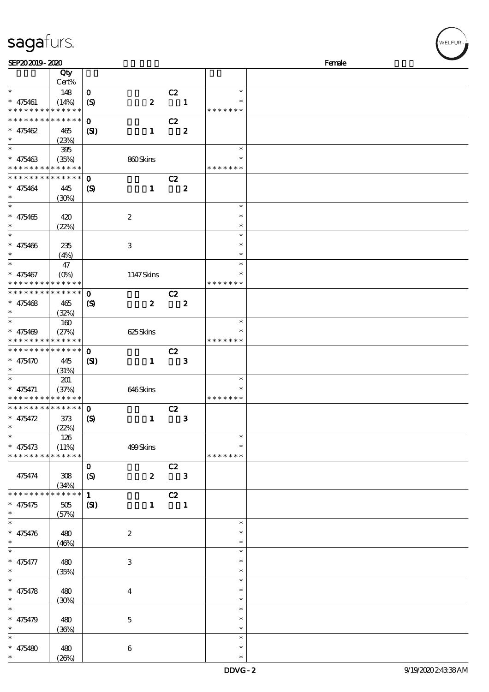| SEP202019-2020                             |                 |                             |                  |                         |                  |               | Female |
|--------------------------------------------|-----------------|-----------------------------|------------------|-------------------------|------------------|---------------|--------|
|                                            | Qty             |                             |                  |                         |                  |               |        |
|                                            | Cert%           |                             |                  |                         |                  |               |        |
| $\ast$                                     | 148             | $\mathbf{o}$                |                  | C2                      |                  | $\ast$        |        |
| $* 475461$                                 | (14%)           | $\boldsymbol{\mathrm{(S)}}$ | $\boldsymbol{z}$ |                         | $\blacksquare$   | $\ast$        |        |
| * * * * * * * * <mark>* * * * * * *</mark> |                 |                             |                  |                         |                  | * * * * * * * |        |
| * * * * * * * * * * * * * *                |                 | $\mathbf 0$                 |                  | C2                      |                  |               |        |
|                                            |                 |                             |                  |                         |                  |               |        |
| * $475462$                                 | 465             | (S)                         | $\mathbf{1}$     |                         | $\boldsymbol{z}$ |               |        |
| $\ast$                                     | (23%)           |                             |                  |                         |                  |               |        |
|                                            | 395             |                             |                  |                         |                  | $\ast$        |        |
| $* 475463$                                 | (35%)           |                             | 860Skins         |                         |                  | $\ast$        |        |
| * * * * * * * *                            | * * * * * *     |                             |                  |                         |                  | * * * * * * * |        |
| * * * * * * * *                            | * * * * * *     | $\mathbf 0$                 |                  | C2                      |                  |               |        |
| * 475464                                   | 445             | $\boldsymbol{\mathcal{S}}$  | $\mathbf{1}$     |                         | $\boldsymbol{z}$ |               |        |
| $\ast$                                     | (30%)           |                             |                  |                         |                  |               |        |
| $\overline{\ast}$                          |                 |                             |                  |                         |                  | $\ast$        |        |
| $* 475465$                                 |                 |                             |                  |                         |                  | $\ast$        |        |
| $\ast$                                     | 420             |                             | $\boldsymbol{2}$ |                         |                  | $\ast$        |        |
| $\ast$                                     | (22%)           |                             |                  |                         |                  |               |        |
|                                            |                 |                             |                  |                         |                  | $\ast$        |        |
| $* 475466$                                 | 235             |                             | 3                |                         |                  | $\ast$        |        |
| $\ast$                                     | (4%)            |                             |                  |                         |                  | $\ast$        |        |
| $\ast$                                     | 47              |                             |                  |                         |                  | $\ast$        |        |
| $* 475467$                                 | $(O\%)$         |                             | 1147Skins        |                         |                  | $\ast$        |        |
| * * * * * * * *                            | * * * * * *     |                             |                  |                         |                  | * * * * * * * |        |
| * * * * * * * * <mark>* * * * * * *</mark> |                 | $\mathbf 0$                 |                  | C2                      |                  |               |        |
| $* 475468$                                 | 465             |                             | $\boldsymbol{z}$ |                         | $\mathbf{z}$     |               |        |
| $\ast$                                     |                 | $\boldsymbol{\mathcal{S}}$  |                  |                         |                  |               |        |
| $*$                                        | (32%)           |                             |                  |                         |                  |               |        |
|                                            | 160             |                             |                  |                         |                  | $\ast$        |        |
| $* 475469$                                 | (27%)           |                             | 625Skins         |                         |                  | *             |        |
| * * * * * * * *                            | * * * * * *     |                             |                  |                         |                  | * * * * * * * |        |
| * * * * * * * *                            | $* * * * * * *$ | $\mathbf 0$                 |                  | C2                      |                  |               |        |
| $* 475470$                                 | 445             | (S)                         | $\mathbf{1}$     |                         | $\mathbf{3}$     |               |        |
| $\ast$                                     | (31%)           |                             |                  |                         |                  |               |        |
| $\ast$                                     | 201             |                             |                  |                         |                  | $\ast$        |        |
| $* 475471$                                 | (37%)           |                             | 646Skins         |                         |                  | $\ast$        |        |
| * * * * * * * * <mark>* * * * * *</mark>   |                 |                             |                  |                         |                  | * * * * * * * |        |
| * * * * * * * *                            | $******$        | $\mathbf 0$                 |                  | C2                      |                  |               |        |
| * $475472$                                 | 373             |                             | $\mathbf{1}$     |                         | $\mathbf{3}$     |               |        |
| $\ast$                                     |                 | $\boldsymbol{\mathcal{S}}$  |                  |                         |                  |               |        |
|                                            | (22%)           |                             |                  |                         |                  |               |        |
| $\ast$                                     | 126             |                             |                  |                         |                  | $\ast$        |        |
| $*$ 475473                                 | (11%)           |                             | 499Skins         |                         |                  | $\ast$        |        |
| * * * * * * * *                            | * * * * * *     |                             |                  |                         |                  | * * * * * * * |        |
|                                            |                 | $\mathbf{o}$                |                  | C2                      |                  |               |        |
| 475474                                     | 308             | $\boldsymbol{S}$            | $\boldsymbol{z}$ | $\overline{\mathbf{3}}$ |                  |               |        |
|                                            | (34%)           |                             |                  |                         |                  |               |        |
| * * * * * * * *                            | * * * * * *     | $\mathbf{1}$                |                  | C2                      |                  |               |        |
| * 475475                                   | 505             | (S)                         | $\mathbf{1}$     | $\blacksquare$          |                  |               |        |
| $\ast$                                     | (57%)           |                             |                  |                         |                  |               |        |
| $\ast$                                     |                 |                             |                  |                         |                  | $\ast$        |        |
|                                            |                 |                             |                  |                         |                  |               |        |
| $* 475476$                                 | 480             |                             | $\boldsymbol{2}$ |                         |                  | $\ast$        |        |
| $\ast$                                     | (46%)           |                             |                  |                         |                  | $\ast$        |        |
| $\ast$                                     |                 |                             |                  |                         |                  | $\ast$        |        |
| * 475477                                   | 480             |                             | $\,3\,$          |                         |                  | $\ast$        |        |
| $\ast$                                     | (35%)           |                             |                  |                         |                  | $\ast$        |        |
| $\overline{\ast}$                          |                 |                             |                  |                         |                  | $\ast$        |        |
| $* 475478$                                 | 480             |                             | $\boldsymbol{4}$ |                         |                  | $\ast$        |        |
| $\ast$                                     | (30%)           |                             |                  |                         |                  | $\ast$        |        |
| $\ast$                                     |                 |                             |                  |                         |                  | $\ast$        |        |
|                                            |                 |                             |                  |                         |                  | $\ast$        |        |
| $* 475479$                                 | 480             |                             | $\mathbf 5$      |                         |                  |               |        |
| $\ast$                                     | (36%)           |                             |                  |                         |                  | $\ast$        |        |
| $\ast$                                     |                 |                             |                  |                         |                  | $\ast$        |        |
| $* 475480$                                 | 480             |                             | 6                |                         |                  | $\ast$        |        |

(26%)

sagafurs.

WELFUR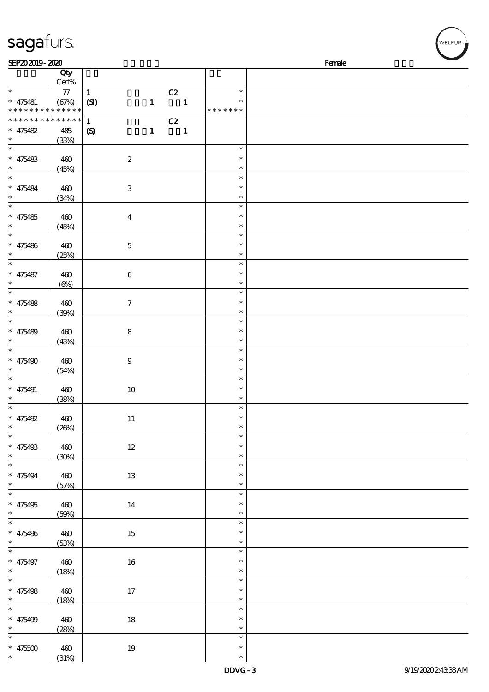| sagafurs.                                                 |              |                             |                  |              |                          |                  |        |  |
|-----------------------------------------------------------|--------------|-----------------------------|------------------|--------------|--------------------------|------------------|--------|--|
| SEP202019-2020                                            |              |                             |                  |              |                          |                  | Female |  |
|                                                           | Qty<br>Cert% |                             |                  |              |                          |                  |        |  |
| $\ast$                                                    | ${\bf 77}$   | $\mathbf{1}$                |                  |              | C2                       | $\ast$           |        |  |
| $* 475481$                                                | (67%)        | (SI)                        |                  | $\mathbf{1}$ | $\sim$ 1                 | $\ast$           |        |  |
| * * * * * * * * <mark>* * * * * * *</mark>                |              |                             |                  |              |                          | * * * * * * *    |        |  |
| * * * * * * * * <mark>* * * * * * *</mark>                |              | $\mathbf{1}$                |                  |              | C2                       |                  |        |  |
| $* 475482$                                                | 485          | $\boldsymbol{\mathrm{(S)}}$ |                  | $\mathbf{1}$ | $\overline{\phantom{a}}$ |                  |        |  |
| $\ast$<br>$\ast$                                          | (33%)        |                             |                  |              |                          | $\ast$           |        |  |
| $* 475483$                                                | 460          |                             | $\boldsymbol{2}$ |              |                          | $\ast$           |        |  |
|                                                           | (45%)        |                             |                  |              |                          | $\ast$           |        |  |
| $\ast$                                                    |              |                             |                  |              |                          | $\ast$           |        |  |
| $* 475484$                                                | 460          |                             | $\,3$            |              |                          | $\ast$           |        |  |
| $\ast$                                                    | (34%)        |                             |                  |              |                          | $\ast$           |        |  |
| $\ast$                                                    |              |                             |                  |              |                          | $\ast$           |        |  |
| $* 475485$<br>$\ast$                                      | 460          |                             | $\boldsymbol{4}$ |              |                          | $\ast$<br>$\ast$ |        |  |
| $\ast$                                                    | (45%)        |                             |                  |              |                          | $\ast$           |        |  |
| $* 475486$                                                | 460          |                             | $\mathbf 5$      |              |                          | $\ast$           |        |  |
| $\ast$                                                    | (25%)        |                             |                  |              |                          | $\ast$           |        |  |
| $\ast$                                                    |              |                             |                  |              |                          | $\ast$           |        |  |
| $* 475487$                                                | 460          |                             | $\,6\,$          |              |                          | $\ast$           |        |  |
| $\ast$<br>$\ast$                                          | $(\Theta\%)$ |                             |                  |              |                          | $\ast$           |        |  |
|                                                           |              |                             |                  |              |                          | $\ast$<br>$\ast$ |        |  |
| $* 475488$<br>$\ast$                                      | 460<br>(30%) |                             | 7                |              |                          | $\ast$           |        |  |
| $\ast$                                                    |              |                             |                  |              |                          | $\ast$           |        |  |
| $* 475489$                                                | 460          |                             | $\bf 8$          |              |                          | $\ast$           |        |  |
|                                                           | (43%)        |                             |                  |              |                          | $\ast$           |        |  |
| $\ast$                                                    |              |                             |                  |              |                          | $\ast$           |        |  |
| $* 475490$                                                | 460          |                             | $\boldsymbol{9}$ |              |                          | $\ast$           |        |  |
| $\ast$<br>$\ast$                                          | (54%)        |                             |                  |              |                          | $\ast$<br>$\ast$ |        |  |
| $* 475491$                                                | 460          |                             | 10               |              |                          | $\ast$           |        |  |
| $\ast$                                                    | (38%)        |                             |                  |              |                          | $\ast$           |        |  |
| $\ast$                                                    |              |                             |                  |              |                          | $\ast$           |        |  |
| $* 475492$                                                | 460          |                             | 11               |              |                          | ∗                |        |  |
| $\ast$<br>$\overline{\phantom{0}}$                        | (20%)        |                             |                  |              |                          | $\ast$           |        |  |
|                                                           |              |                             |                  |              |                          | $\ast$<br>$\ast$ |        |  |
| $* 475498$<br>$\ast$                                      | 460<br>(30%) |                             | $12 \,$          |              |                          | $\ast$           |        |  |
| $\frac{1}{\ast}$                                          |              |                             |                  |              |                          | $\ast$           |        |  |
| $* 475494$                                                | 460          |                             | 13               |              |                          | $\ast$           |        |  |
| $\ast$                                                    | (57%)        |                             |                  |              |                          | $\ast$           |        |  |
| $\overline{\ast}$                                         |              |                             |                  |              |                          | $\ast$           |        |  |
| $* 475495$                                                | 460          |                             | 14               |              |                          | $\ast$           |        |  |
| $\begin{array}{c}\n* \\ \hline\n* \\ \hline\n\end{array}$ | (50%)        |                             |                  |              |                          | $\ast$<br>$\ast$ |        |  |
| * $475496$                                                | 460          |                             | 15               |              |                          | $\ast$           |        |  |
| $\ddot{\bullet}$                                          | (53%)        |                             |                  |              |                          | $\ast$           |        |  |
| $\frac{1}{\ast}$                                          |              |                             |                  |              |                          | $\ast$           |        |  |
| $* 475497$                                                | 460          |                             | 16               |              |                          | $\ast$           |        |  |
|                                                           | (18%)        |                             |                  |              |                          | $\ast$           |        |  |
| $\ast$                                                    |              |                             |                  |              |                          | $\ast$           |        |  |
| $* 475498$<br>$\ast$                                      | 460          |                             | 17               |              |                          | $\ast$<br>$\ast$ |        |  |
| $\overline{\ast}$                                         | (18%)        |                             |                  |              |                          | $\ast$           |        |  |
| $* 475499$                                                | 460          |                             | $18\,$           |              |                          | $\ast$           |        |  |
| $*$                                                       | (28%)        |                             |                  |              |                          | $\ast$           |        |  |
|                                                           |              |                             |                  |              |                          | $\ast$           |        |  |
| $* 47500$                                                 | 460          |                             | 19               |              |                          | $\ast$           |        |  |

\* \*

(31%)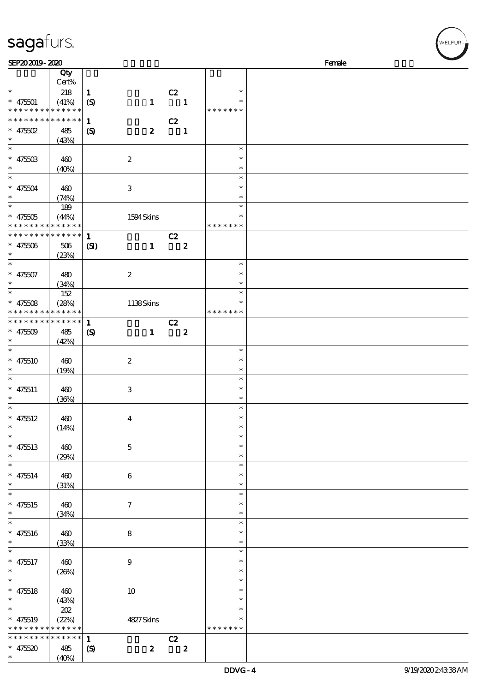| SEP202019-2020                                              |                      |                            |                     |                      |                         | Female |
|-------------------------------------------------------------|----------------------|----------------------------|---------------------|----------------------|-------------------------|--------|
|                                                             | Qty                  |                            |                     |                      |                         |        |
| $\ast$                                                      | $Cert\%$             |                            |                     |                      | $\ast$                  |        |
| $* 47501$                                                   | 218<br>(41%)         | $\mathbf{1}$               | $\mathbf{1}$        | C2<br>$\blacksquare$ | $\ast$                  |        |
| * * * * * * * *                                             | * * * * * *          | (S)                        |                     |                      | * * * * * * *           |        |
| * * * * * * * *                                             | * * * * * *          | $\mathbf{1}$               |                     | C2                   |                         |        |
| * $475502$                                                  | 485                  | $\boldsymbol{S}$           | $\boldsymbol{2}$    | $\mathbf 1$          |                         |        |
| $\ast$                                                      | (43%)                |                            |                     |                      |                         |        |
| $\ast$                                                      |                      |                            |                     |                      | $\ast$                  |        |
| $* 47550B$                                                  | 460                  |                            | $\boldsymbol{2}$    |                      | $\ast$                  |        |
| $\ast$                                                      | (40%)                |                            |                     |                      | $\ast$                  |        |
| $\overline{\ast}$                                           |                      |                            |                     |                      | $\ast$                  |        |
| $* 475504$                                                  | 460                  |                            | $\,3\,$             |                      | $\ast$                  |        |
| $\ast$                                                      | (74%)                |                            |                     |                      | $\ast$                  |        |
|                                                             | 189                  |                            |                     |                      | $\ast$                  |        |
| $* 475005$                                                  | (44%)                |                            | 1594Skins           |                      | $\ast$                  |        |
| * * * * * * * *                                             | * * * * * *          |                            |                     |                      | * * * * * * *           |        |
| * * * * * * * *                                             | * * * * * *          | $\mathbf{1}$               |                     | C2                   |                         |        |
| $* 47500$                                                   | 506                  | $\mathbf{C}$               | $\mathbf{1}$        | $\boldsymbol{z}$     |                         |        |
| $\ast$<br>$\ast$                                            | (23%)                |                            |                     |                      |                         |        |
|                                                             |                      |                            |                     |                      | $\ast$<br>$\ast$        |        |
| $* 47507$<br>$\ast$                                         | 480                  |                            | $\boldsymbol{2}$    |                      | $\ast$                  |        |
| $\ast$                                                      | (34%)                |                            |                     |                      | $\ast$                  |        |
| $* 47508$                                                   | 152                  |                            |                     |                      | $\ast$                  |        |
| * * * * * * * *                                             | (28%)<br>* * * * * * |                            | 1138Skins           |                      | * * * * * * *           |        |
| * * * * * * * *                                             | * * * * * *          | $\mathbf{1}$               |                     | C2                   |                         |        |
| * $47509$                                                   | 485                  | $\boldsymbol{\mathcal{S}}$ | $\mathbf{1}$        | $\boldsymbol{z}$     |                         |        |
| $\ast$                                                      | (42%)                |                            |                     |                      |                         |        |
| $\ast$                                                      |                      |                            |                     |                      | $\ast$                  |        |
| $* 475510$                                                  | 460                  |                            | $\boldsymbol{2}$    |                      | $\ast$                  |        |
| $\ast$                                                      | (19%)                |                            |                     |                      | $\ast$                  |        |
| $\ast$                                                      |                      |                            |                     |                      | $\ast$                  |        |
| $* 475511$                                                  | 460                  |                            | $\,3\,$             |                      | $\ast$                  |        |
| $\ast$                                                      | (36%)                |                            |                     |                      | $\ast$                  |        |
| $\ast$                                                      |                      |                            |                     |                      | $\ast$                  |        |
| $* 475512$                                                  | 460                  |                            | $\boldsymbol{4}$    |                      | $\ast$                  |        |
|                                                             | (14%)                |                            |                     |                      |                         |        |
| $\ast$                                                      |                      |                            |                     |                      | $\ast$<br>$\ast$        |        |
| $* 475513$<br>$\ast$                                        | 460                  |                            | $\mathbf 5$         |                      | $\ast$                  |        |
| $\ast$                                                      | (29%)                |                            |                     |                      | $\ast$                  |        |
| $* 475514$                                                  | 460                  |                            | $\bf 6$             |                      | $\ast$                  |        |
| $\ast$                                                      | (31%)                |                            |                     |                      | $\ast$                  |        |
| $\ast$                                                      |                      |                            |                     |                      | $\ast$                  |        |
| $* 475515$                                                  | 460                  |                            | $\boldsymbol{\tau}$ |                      | $\ast$                  |        |
| $\ast$                                                      | (34%)                |                            |                     |                      | $\ast$                  |        |
| $\ast$                                                      |                      |                            |                     |                      | $\ast$                  |        |
| $* 475516$                                                  | 460                  |                            | 8                   |                      | $\ast$                  |        |
| $\ast$                                                      | (33%)                |                            |                     |                      | $\ast$                  |        |
| $\ast$                                                      |                      |                            |                     |                      | $\ast$                  |        |
| $* 475517$                                                  | 460                  |                            | $\boldsymbol{9}$    |                      | $\ast$                  |        |
| $\ast$                                                      | (20%)                |                            |                     |                      | $\ast$                  |        |
| $\ast$                                                      |                      |                            |                     |                      | $\ast$                  |        |
| $* 475518$                                                  | 460                  |                            | $10\,$              |                      | $\ast$                  |        |
| $\ast$                                                      | (43%)                |                            |                     |                      | $\ast$                  |        |
| $\ast$                                                      | 202                  |                            |                     |                      | $\ast$                  |        |
| $* 475519$                                                  | (22%)                |                            | 4827Skins           |                      | $\ast$<br>* * * * * * * |        |
| * * * * * * * * <mark>* * * * * *</mark><br>* * * * * * * * | * * * * * *          |                            |                     |                      |                         |        |
|                                                             |                      | $\mathbf{1}$               |                     | C2                   |                         |        |

 $(S)$  2 2

\* \* 475520 485

sagafurs.

 $(40%)$ 

WELFUR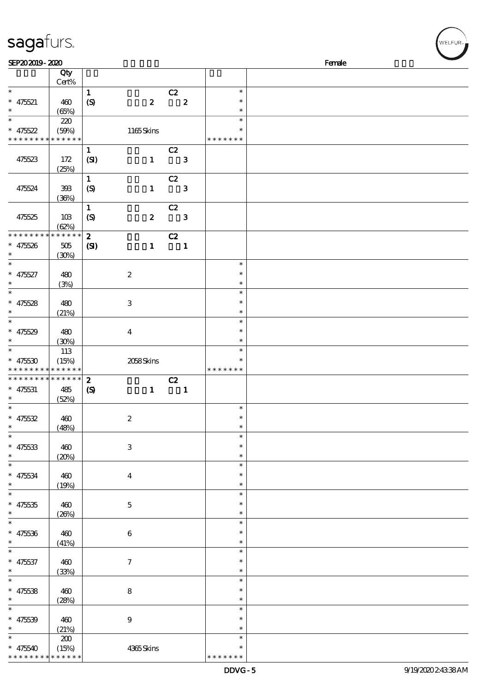| SEP202019-2020                           |                            |                            |                  |                            |                  |                  | Female |
|------------------------------------------|----------------------------|----------------------------|------------------|----------------------------|------------------|------------------|--------|
|                                          | Qty                        |                            |                  |                            |                  |                  |        |
|                                          | Cert%                      |                            |                  |                            |                  |                  |        |
| $\ast$                                   |                            | $\mathbf{1}$               |                  | C2                         |                  | $\ast$           |        |
| $* 475521$                               | 460                        | (S)                        | $\boldsymbol{z}$ |                            | $\boldsymbol{z}$ | $\ast$           |        |
| $\ast$                                   | (65%)                      |                            |                  |                            |                  | $\ast$           |        |
| $\overline{\ast}$                        | 220                        |                            |                  |                            |                  | $\ast$           |        |
| $* 475522$                               | (50%)                      |                            | 1165Skins        |                            |                  | *                |        |
| * * * * * * * * <mark>* * * * * *</mark> |                            |                            |                  |                            |                  | * * * * * * *    |        |
|                                          |                            | $\mathbf{1}$               |                  | C2                         |                  |                  |        |
| 475523                                   | 172                        | (SI)                       | $\mathbf{1}$     | $\overline{\phantom{a}}$ 3 |                  |                  |        |
|                                          | (25%)                      |                            |                  |                            |                  |                  |        |
|                                          |                            | $\mathbf{1}$               |                  | C2                         |                  |                  |        |
| 475524                                   | $393\,$                    |                            | $\mathbf{1}$     |                            | $\mathbf{3}$     |                  |        |
|                                          |                            | (S)                        |                  |                            |                  |                  |        |
|                                          | (36%)                      |                            |                  |                            |                  |                  |        |
|                                          |                            | $\mathbf{1}$               |                  | C2                         |                  |                  |        |
| 475525                                   | 10B                        | $\boldsymbol{S}$           | $\boldsymbol{z}$ |                            | $\mathbf{3}$     |                  |        |
|                                          | (62%)                      |                            |                  |                            |                  |                  |        |
| * * * * * * * *                          | ******                     | $\mathbf{z}$               |                  | C2                         |                  |                  |        |
| $* 47526$                                | $505\,$                    | $\mathbf{C}$               | $\mathbf{1}$     | $\overline{\phantom{a}}$   |                  |                  |        |
| $\ast$                                   | (30%)                      |                            |                  |                            |                  |                  |        |
| $\ast$                                   |                            |                            |                  |                            |                  | $\ast$           |        |
| $* 475527$                               | 480                        |                            | $\boldsymbol{2}$ |                            |                  | $\ast$           |        |
| $\ast$                                   | (3%)                       |                            |                  |                            |                  | $\ast$           |        |
| $\overline{\ast}$                        |                            |                            |                  |                            |                  | $\ast$           |        |
| * $47528$                                | 480                        |                            | $\,3$            |                            |                  | $\ast$           |        |
| $\ast$                                   | (21%)                      |                            |                  |                            |                  | $\ast$           |        |
| $\overline{\ast}$                        |                            |                            |                  |                            |                  | $\ast$           |        |
| * $475529$                               | 480                        |                            | $\boldsymbol{4}$ |                            |                  | *                |        |
| $\ast$                                   | (30%)                      |                            |                  |                            |                  | $\ast$           |        |
| $*$                                      | 113                        |                            |                  |                            |                  | $\ast$           |        |
| $* 475530$                               | (15%)                      |                            | 2058Skins        |                            |                  |                  |        |
| * * * * * * * *                          | $\ast\ast\ast\ast\ast\ast$ |                            |                  |                            |                  | * * * * * * *    |        |
| * * * * * * * *                          | * * * * * *                | $\boldsymbol{z}$           |                  | C2                         |                  |                  |        |
| $* 475531$                               | 485                        | $\boldsymbol{\mathcal{S}}$ | $\mathbf{1}$     | $\overline{\phantom{a}}$   |                  |                  |        |
| $\ast$                                   | (52%)                      |                            |                  |                            |                  |                  |        |
| $\overline{\ast}$                        |                            |                            |                  |                            |                  | $\ast$           |        |
| * $475532$                               |                            |                            |                  |                            |                  | $\ast$           |        |
| $\ast$                                   | 460                        |                            | $\boldsymbol{2}$ |                            |                  | $\ast$           |        |
| $\ast$                                   | (48%)                      |                            |                  |                            |                  | $\ast$           |        |
|                                          |                            |                            |                  |                            |                  |                  |        |
| $* 475533$                               | 460                        |                            | $\,3$            |                            |                  | $\ast$           |        |
| $\ast$                                   | (20%)                      |                            |                  |                            |                  | $\ast$           |        |
| $\ast$                                   |                            |                            |                  |                            |                  | $\ast$           |        |
| $* 475534$                               | $460$                      |                            | $\boldsymbol{4}$ |                            |                  | $\ast$           |        |
| $\ast$                                   | (19%)                      |                            |                  |                            |                  | $\ast$           |        |
| $\ast$                                   |                            |                            |                  |                            |                  | $\ast$           |        |
| $* 475335$                               | $460$                      |                            | $\bf 5$          |                            |                  | *                |        |
| $\ast$                                   | (20%)                      |                            |                  |                            |                  | $\ast$           |        |
| $\ast$                                   |                            |                            |                  |                            |                  | $\ast$           |        |
| $* 475336$                               | $460$                      |                            | $\,6\,$          |                            |                  | ∗                |        |
| $\ast$                                   | (41%)                      |                            |                  |                            |                  | $\ast$           |        |
| $\ast$                                   |                            |                            |                  |                            |                  | $\ast$           |        |
| $* 47537$                                | 460                        |                            | $\boldsymbol{7}$ |                            |                  | $\ast$           |        |
| $\ast$                                   | (33%)                      |                            |                  |                            |                  | $\ast$           |        |
| $\overline{\ast}$                        |                            |                            |                  |                            |                  | $\ast$           |        |
| $* 47538$                                | 460                        |                            | $\bf 8$          |                            |                  | $\ast$           |        |
| $\ast$                                   | (28%)                      |                            |                  |                            |                  | $\ast$           |        |
| $\ast$                                   |                            |                            |                  |                            |                  |                  |        |
|                                          |                            |                            |                  |                            |                  |                  |        |
|                                          |                            |                            |                  |                            |                  | $\ast$           |        |
| $* 475539$                               | 460                        |                            | $\boldsymbol{9}$ |                            |                  | $\ast$           |        |
| $\ast$                                   | (21%)<br>200               |                            |                  |                            |                  | $\ast$<br>$\ast$ |        |

\*  $* * *$ 

## sagafurs.

\* 475540

\* \* \* \* \* \* \* \* \* \*

 $(15%)$ 

(15%) 4365 Skins

| WELFUR <sub>2</sub> |
|---------------------|
|                     |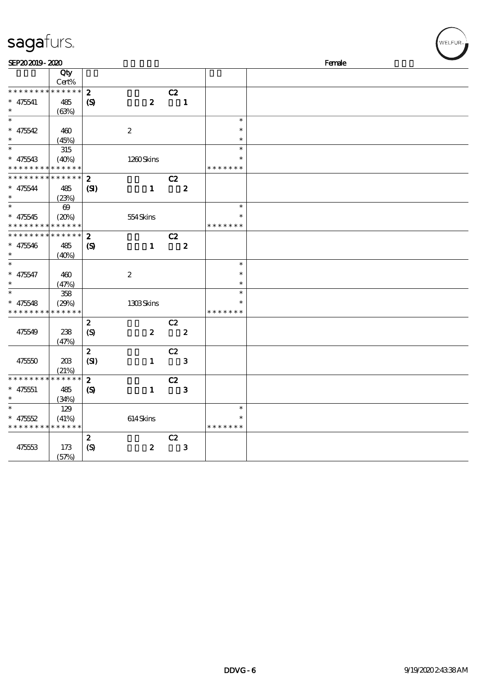| sagafurs.          |                |                             |                  |    |                  |               | WELFUR <sub>™</sub> |
|--------------------|----------------|-----------------------------|------------------|----|------------------|---------------|---------------------|
| SEP202019-2020     |                |                             |                  |    |                  |               | Female              |
|                    | Qty<br>Cert%   |                             |                  |    |                  |               |                     |
| * * * * * * * *    | * * * * *      | $\boldsymbol{z}$            |                  | C2 |                  |               |                     |
| $* 475541$         | 485            | $\boldsymbol{\mathrm{(S)}}$ | $\boldsymbol{z}$ |    | $\mathbf{1}$     |               |                     |
| $\ast$             | (63%)          |                             |                  |    |                  |               |                     |
| $\ast$             |                |                             |                  |    |                  | $\ast$        |                     |
| $* 475542$         | 460            |                             | $\boldsymbol{2}$ |    |                  | $\ast$        |                     |
|                    | (45%)          |                             |                  |    |                  | $\ast$        |                     |
| $\ast$             | 315            |                             |                  |    |                  | $\ast$        |                     |
| $* 475543$         | (40%)          |                             | 1260Skins        |    |                  | $\ast$        |                     |
| * * * *            | * * * * * *    |                             |                  |    |                  | * * * * * * * |                     |
| * * * * * * *<br>∗ | * * * * * *    | $\boldsymbol{z}$            |                  | C2 |                  |               |                     |
| $* 475544$         | 485            | $\mathbf{S}$                | $\mathbf{1}$     |    | $\boldsymbol{z}$ |               |                     |
|                    | (23%)          |                             |                  |    |                  |               |                     |
| $\ast$             | $\pmb{\infty}$ |                             |                  |    |                  | $\ast$        |                     |
| $* 475545$         | (20%)          |                             | 554Skins         |    |                  | $\ast$        |                     |
| $\ast$             | * * * * * *    |                             |                  |    |                  | * * * * * * * |                     |
| * * * * * *        | * * * * * *    | $\boldsymbol{z}$            |                  | C2 |                  |               |                     |
| $* 475546$         | 485            | $\boldsymbol{\mathcal{S}}$  | $\mathbf{1}$     |    | $\boldsymbol{z}$ |               |                     |
| $\ast$             | (40%)          |                             |                  |    |                  |               |                     |
| $\ast$             |                |                             |                  |    |                  | $\ast$        |                     |
| $\ast$<br>475547   | 460            |                             | $\boldsymbol{2}$ |    |                  | $\ast$        |                     |
|                    | (47%)          |                             |                  |    |                  | $\ast$        |                     |
|                    | 358            |                             |                  |    |                  | $\ast$        |                     |
| 475548<br>$\ast$   | (29%)          |                             | 1308Skins        |    |                  | $\ast$        |                     |
| * * * * * * * *    | * * * * * *    |                             |                  |    |                  | * * * * * * * |                     |
|                    |                | $\boldsymbol{z}$            |                  | C2 |                  |               |                     |
| 475549             | 238            | $\boldsymbol{S}$            | $\boldsymbol{z}$ |    | $\boldsymbol{z}$ |               |                     |
|                    | (47%)          |                             |                  |    |                  |               |                     |
|                    |                | $\boldsymbol{2}$            |                  | C2 |                  |               |                     |
| 475550             | 208            | (SI)                        | $\mathbf{1}$     |    | ${\bf 3}$        |               |                     |
|                    | (21%)          |                             |                  |    |                  |               |                     |
| * * * * * * * *    | * * * * * *    | $\boldsymbol{2}$            |                  | C2 |                  |               |                     |
| $* 475551$         | 485            | $\boldsymbol{\mathcal{S}}$  | $\mathbf{1}$     |    | $\bf{3}$         |               |                     |
|                    | (34%)          |                             |                  |    |                  |               |                     |
| $\ast$             | 129            |                             |                  |    |                  | $\ast$        |                     |
| 475552<br>∗        | (41%)          |                             | 614Skins         |    |                  | $\ast$        |                     |
| * * * * * * *      | * * * * * *    |                             |                  |    |                  | * * * * * * * |                     |
|                    |                | $\boldsymbol{z}$            |                  | C2 |                  |               |                     |
| 475553             | 173            | (S)                         | $\boldsymbol{2}$ |    | $\mathbf{3}$     |               |                     |
|                    | (57%)          |                             |                  |    |                  |               |                     |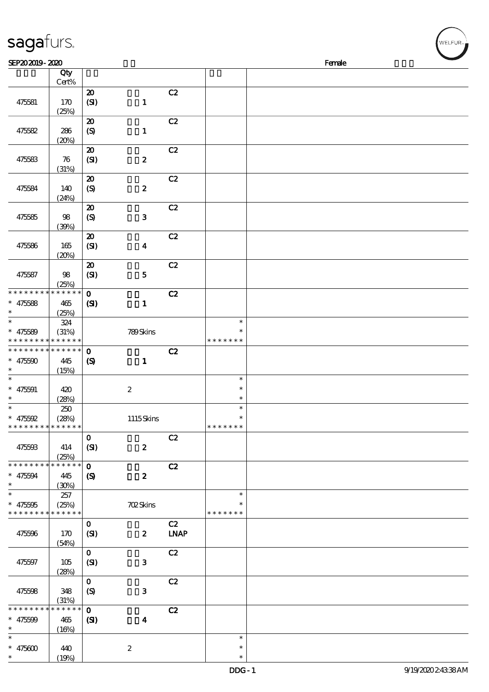| sagafurs.                                           |                             |                                                 |                  |             |                                   |        | WELFUR <sub>™</sub> |
|-----------------------------------------------------|-----------------------------|-------------------------------------------------|------------------|-------------|-----------------------------------|--------|---------------------|
| SEP202019-2020                                      |                             |                                                 |                  |             |                                   | Female |                     |
|                                                     | Qty                         |                                                 |                  |             |                                   |        |                     |
|                                                     | Cert%                       |                                                 |                  |             |                                   |        |                     |
| 475581                                              | 170<br>(25%)                | $\boldsymbol{\mathsf{20}}$<br>(SI)              | $\mathbf{1}$     | C2          |                                   |        |                     |
| 475582                                              | 286<br>(20%)                | $\boldsymbol{\mathfrak{D}}$<br>(S)              | $\mathbf{1}$     | C2          |                                   |        |                     |
| 475583                                              | 76<br>(31%)                 | $\pmb{\mathcal{X}}$<br>(SI)                     | $\pmb{2}$        | C2          |                                   |        |                     |
| 475584                                              | 140<br>(24%)                | $\boldsymbol{\mathsf{20}}$<br>$\boldsymbol{S}$  | $\pmb{2}$        | C2          |                                   |        |                     |
| 475585                                              | 98<br>(30%)                 | $\boldsymbol{\mathfrak{D}}$<br>$\boldsymbol{S}$ | ${\bf 3}$        | C2          |                                   |        |                     |
| 475586                                              | 165<br>(20%)                | ${\bf Z}$<br>(SI)                               | $\boldsymbol{4}$ | C2          |                                   |        |                     |
| 475587                                              | 98<br>(25%)                 | $\boldsymbol{\mathsf{20}}$<br>(SI)              | ${\bf 5}$        | C2          |                                   |        |                     |
| * * * * * * * *                                     | $******$                    | $\mathbf 0$                                     |                  | C2          |                                   |        |                     |
| $* 475588$<br>$\ast$<br>$\ast$                      | 465<br>(25%)                | $\mathbf{C}$                                    | $\mathbf{1}$     |             |                                   |        |                     |
| $* 475589$<br>* * * * * * * * * * * * * *           | 324<br>(31%)                |                                                 | 789Skins         |             | $\ast$<br>$\ast$<br>* * * * * * * |        |                     |
| * * * * * * * * * * * * * *<br>$* 475500$<br>$\ast$ | 445<br>(15%)                | $\mathbf 0$<br>$\boldsymbol{\mathrm{(S)}}$      | $\mathbf{1}$     | C2          |                                   |        |                     |
| $\ast$<br>$* 475591$<br>$\ast$                      | 420<br>(28%)                |                                                 | $\boldsymbol{2}$ |             | $\ast$<br>$\ast$<br>$\ast$        |        |                     |
| $\ast$<br>$* 475592$<br>* * * * * * * *             | 250<br>(28%)<br>* * * * * * |                                                 | $1115$ Skins     |             | $\ast$<br>$\ast$<br>* * * * * * * |        |                     |
| 475593                                              | 414<br>(25%)                | $\mathbf{O}$<br>(SI)                            | $\boldsymbol{z}$ | C2          |                                   |        |                     |
| * * * * * * * *                                     | * * * * * *                 | $\mathbf{o}$                                    |                  | C2          |                                   |        |                     |
| $* 475594$<br>$\ast$                                | 445<br>(30%)                | $\boldsymbol{\mathcal{S}}$                      | $\boldsymbol{z}$ |             |                                   |        |                     |
| $\ast$<br>$* 475595$                                | 257<br>(25%)                |                                                 | <b>702Skins</b>  |             | $\ast$<br>$\ast$                  |        |                     |
| * * * * * * * * * * * * * *                         |                             | $\mathbf{O}$                                    |                  | C2          | * * * * * * *                     |        |                     |
| 475596                                              | 170<br>(54%)                | (SI)                                            | $\boldsymbol{z}$ | <b>LNAP</b> |                                   |        |                     |
| 475597                                              | 105<br>(28%)                | $\mathbf{O}$<br>(SI)                            | $\mathbf 3$      | C2          |                                   |        |                     |
| 475598                                              | 348<br>(31%)                | $\mathbf{o}$<br>(S)                             | ${\bf 3}$        | C2          |                                   |        |                     |
| * * * * * * * *<br>$* 475509$<br>$\ast$             | * * * * * *<br>465<br>(16%) | $\mathbf{o}$<br>$\mathbf{C}$                    | $\boldsymbol{4}$ | C2          |                                   |        |                     |
| $\ast$<br>$* 475600$<br>$\ast$                      | 440<br>(19%)                |                                                 | $\boldsymbol{2}$ |             | $\ast$<br>$\ast$<br>$\ast$        |        |                     |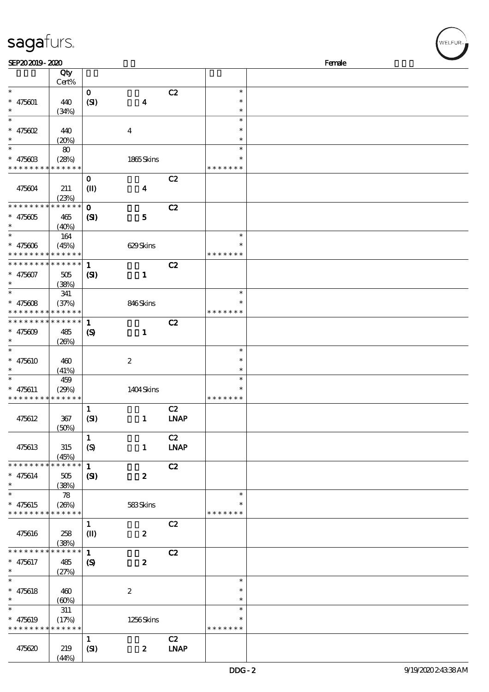| SEP202019-2020                |                      |                            |                  |             |               | Female |
|-------------------------------|----------------------|----------------------------|------------------|-------------|---------------|--------|
|                               | Qty                  |                            |                  |             |               |        |
|                               | Cert%                |                            |                  |             |               |        |
| $\ast$                        |                      | $\mathbf{o}$               |                  | C2          | $\ast$        |        |
| $* 475601$                    | 440                  | (SI)                       | $\boldsymbol{4}$ |             | $\ast$        |        |
|                               | (34%)                |                            |                  |             | $\ast$        |        |
| $\ast$                        |                      |                            |                  |             | $\ast$        |        |
| * $475602$                    | 440                  |                            | $\boldsymbol{4}$ |             | $\ast$        |        |
| *                             | (20%)                |                            |                  |             | $\ast$        |        |
| $\ast$                        | 80                   |                            |                  |             | $\ast$        |        |
|                               |                      |                            |                  |             | $\ast$        |        |
| $* 47560B$<br>* * * * * * * * | (28%)<br>* * * * * * |                            | 1865Skins        |             | * * * * * * * |        |
|                               |                      |                            |                  |             |               |        |
|                               |                      | $\mathbf{o}$               |                  | C2          |               |        |
| 475604                        | 211                  | $\mathbf{I}$               | $\boldsymbol{4}$ |             |               |        |
|                               | (23%)                |                            |                  |             |               |        |
| * * * * * * * *               | * * * * * *          | $\mathbf{O}$               |                  | C2          |               |        |
| $* 475605$                    | 465                  | (S)                        | $\mathbf{5}$     |             |               |        |
| $\ast$                        | (40%)                |                            |                  |             |               |        |
| $\ast$                        | $164$                |                            |                  |             | $\ast$        |        |
| $* 475606$                    | (45%)                |                            | 629Skins         |             | $\ast$        |        |
| * * * * * * * *               | * * * * * *          |                            |                  |             | * * * * * * * |        |
| * * * * * * * *               | * * * * * *          | $\mathbf{1}$               |                  | C2          |               |        |
| $* 475607$                    | 505                  | (S)                        | $\mathbf{1}$     |             |               |        |
| *                             | (38%)                |                            |                  |             |               |        |
| $\ast$                        | 341                  |                            |                  |             | $\ast$        |        |
| * $475608$                    | (37%)                |                            | 846Skins         |             | $\ast$        |        |
| * * * * * * * *               | * * * * * *          |                            |                  |             | * * * * * * * |        |
| * * * * * * * *               | * * * * * *          | $\mathbf{1}$               |                  | C2          |               |        |
| * $475609$                    | 485                  | $\boldsymbol{\mathcal{S}}$ | $\mathbf{1}$     |             |               |        |
| *                             | (20%)                |                            |                  |             |               |        |
| $\ast$                        |                      |                            |                  |             | $\ast$        |        |
| $* 475610$                    | 460                  |                            | $\boldsymbol{2}$ |             | $\ast$        |        |
| $\ast$                        | (41%)                |                            |                  |             | $\ast$        |        |
| $\ast$                        | 459                  |                            |                  |             | $\ast$        |        |
| $* 475611$                    | (29%)                |                            | 1404Skins        |             | ∗             |        |
| * * * * * * * *               | * * * * * *          |                            |                  |             | * * * * * * * |        |
|                               |                      | $\mathbf{1}$               |                  | C2          |               |        |
| 475612                        | 367                  | (SI)                       | $\mathbf{1}$     | <b>LNAP</b> |               |        |
|                               | (50%)                |                            |                  |             |               |        |
|                               |                      | $\mathbf{1}$               |                  | C2          |               |        |
| 475613                        | 315                  | (S)                        | $\mathbf{1}$     | <b>LNAP</b> |               |        |
|                               | (45%)                |                            |                  |             |               |        |
| * * * * * * * *               | * * * * * *          | $\mathbf{1}$               |                  | C2          |               |        |
| $* 475614$                    | 505                  | $\mathbf{C}$               | $\boldsymbol{z}$ |             |               |        |
| $\ast$                        | (38%)                |                            |                  |             |               |        |
| $\ast$                        | 78                   |                            |                  |             | $\ast$        |        |
| $* 475615$                    | (20%)                |                            | 583Skins         |             | ∗             |        |
| * * * * * * * *               | * * * * * *          |                            |                  |             | * * * * * * * |        |
|                               |                      | $\mathbf{1}$               |                  | C2          |               |        |
| 475616                        | 258                  | $\mathbf{I}$               | $\boldsymbol{z}$ |             |               |        |
|                               | (38%)                |                            |                  |             |               |        |
| * * * * * * * *               | * * * * * *          | $\mathbf{1}$               |                  | C2          |               |        |
| $* 475617$                    | 485                  | $\boldsymbol{\mathcal{S}}$ | $\boldsymbol{z}$ |             |               |        |
| $\ast$                        | (27%)                |                            |                  |             |               |        |
| $\ast$                        |                      |                            |                  |             | $\ast$        |        |
| $* 475618$                    | 460                  |                            | $\boldsymbol{2}$ |             | $\ast$        |        |
| $\ast$                        | (60%)                |                            |                  |             | $\ast$        |        |
| $\ast$                        | 311                  |                            |                  |             | $\ast$        |        |
| $* 475619$                    | (17%)                |                            | 1256Skins        |             | $\ast$        |        |
| * * * * * * * *               | * * * * * *          |                            |                  |             | * * * * * * * |        |
|                               |                      | $\mathbf{1}$               |                  | C2          |               |        |
| 475620                        | 219                  | (SI)                       | $\boldsymbol{z}$ | <b>LNAP</b> |               |        |
|                               |                      |                            |                  |             |               |        |

sagafurs.

 $(44%)$ 

WELFUR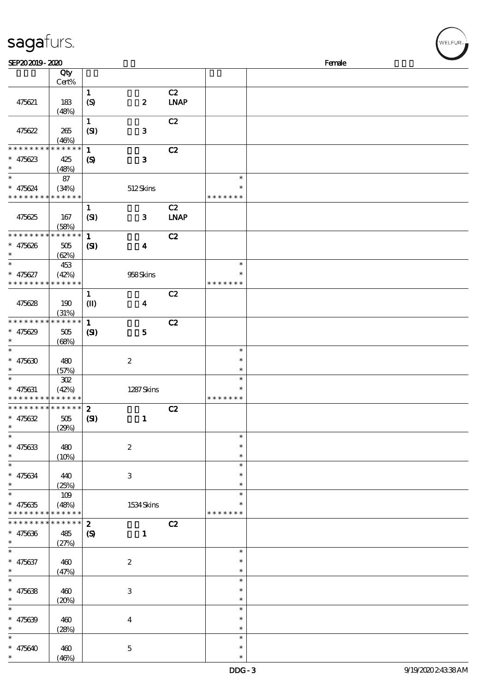| sagafurs.                                |                           |                             |                           |             |                  |        |  |
|------------------------------------------|---------------------------|-----------------------------|---------------------------|-------------|------------------|--------|--|
| SEP202019-2020                           |                           |                             |                           |             |                  | Female |  |
|                                          | Qty                       |                             |                           |             |                  |        |  |
|                                          | Cert%                     |                             |                           |             |                  |        |  |
|                                          |                           | $\mathbf{1}$                |                           | C2          |                  |        |  |
| 475621                                   | 183                       | $\boldsymbol{S}$            | $\boldsymbol{z}$          | <b>LNAP</b> |                  |        |  |
|                                          | (48%)                     |                             |                           |             |                  |        |  |
|                                          |                           | $\mathbf 1$                 |                           | C2          |                  |        |  |
| 475622                                   | 265                       | (SI)                        | $\mathbf{3}$              |             |                  |        |  |
| * * * * * * * *                          | (46%)<br>$* * * * * *$    |                             |                           |             |                  |        |  |
|                                          |                           | $\mathbf{1}$                |                           | C2          |                  |        |  |
| $* 475623$<br>$\ast$                     | 425                       | $\boldsymbol{\mathrm{(S)}}$ | $\mathbf{3}$              |             |                  |        |  |
| $\ast$                                   | (48%)<br>$87\,$           |                             |                           |             | $\ast$           |        |  |
| $\ast$<br>475624                         | (34%)                     |                             | 512Skins                  |             | $\ast$           |        |  |
|                                          | ***********               |                             |                           |             | * * * * * * *    |        |  |
|                                          |                           | $\mathbf{1}$                |                           | C2          |                  |        |  |
| 475625                                   | 167                       | (SI)                        | $\mathbf{3}$              | <b>LNAP</b> |                  |        |  |
|                                          | (58%)                     |                             |                           |             |                  |        |  |
| * * * * * * * *                          | * * * * * *               | $\mathbf 1$                 |                           | C2          |                  |        |  |
| 475626<br>$\ast$                         | 505                       | $\mathbf{C}$                | $\boldsymbol{4}$          |             |                  |        |  |
| $\ast$                                   | (62%)                     |                             |                           |             |                  |        |  |
| $\ast$                                   | 453                       |                             |                           |             | $\ast$           |        |  |
| $\ast$<br>475627                         | (42%)                     |                             | 958Skins                  |             | $\ast$           |        |  |
|                                          | * * * * * * * * * * * * * |                             |                           |             | * * * * * * *    |        |  |
|                                          |                           | $\mathbf{1}$                |                           | C2          |                  |        |  |
| 475628                                   | 190                       | $\mathbf{I}$                | $\boldsymbol{4}$          |             |                  |        |  |
|                                          | (31%)                     |                             |                           |             |                  |        |  |
| * * * * * * * *                          | * * * * * *               | $\mathbf{1}$                |                           | C2          |                  |        |  |
| $* 475629$                               | 505                       | $\mathbf{C}$                | $\mathbf{5}$              |             |                  |        |  |
|                                          | (68%)                     |                             |                           |             |                  |        |  |
| $\ast$                                   |                           |                             |                           |             | $\ast$           |        |  |
| $\ast$<br>475630                         | 480                       |                             | $\boldsymbol{2}$          |             | $\ast$           |        |  |
|                                          | (57%)                     |                             |                           |             | $\ast$           |        |  |
|                                          | ${\bf 3\!}$               |                             |                           |             | $\ast$           |        |  |
| $* 475631$                               | (42%)                     |                             | 1287Skins                 |             | $\ast$           |        |  |
| * * * * * * * * * * * * * *              |                           |                             |                           |             | * * * * * * *    |        |  |
| * * * * * * * * * * * * * *              |                           | $\boldsymbol{z}$            |                           | C2          |                  |        |  |
| 475632                                   | 505                       | (S)                         | $\mathbf{1}$              |             |                  |        |  |
| $\ast$<br>$\ast$                         | (29%)                     |                             |                           |             |                  |        |  |
|                                          |                           |                             |                           |             | $\ast$<br>$\ast$ |        |  |
| $* 475633$<br>$\ast$                     | 480                       |                             | $\boldsymbol{z}$          |             | $\ast$           |        |  |
| $\ast$                                   | (10%)                     |                             |                           |             | $\ast$           |        |  |
|                                          |                           |                             |                           |             | ∗                |        |  |
| $* 475634$<br>$\ast$                     | 440<br>(25%)              |                             | $\ensuremath{\mathsf{3}}$ |             | $\ast$           |        |  |
| $\ast$                                   | 109                       |                             |                           |             | $\ast$           |        |  |
| $* 475635$                               | (48%)                     |                             | 1534Skins                 |             |                  |        |  |
| * * * * * * * * <mark>* * * * * *</mark> |                           |                             |                           |             | * * * * * * *    |        |  |
| * * * * * * * * * * * * * *              |                           | $\boldsymbol{z}$            |                           | C2          |                  |        |  |
| $* 475636$                               | 485                       | $\boldsymbol{S}$            | $\mathbf{1}$              |             |                  |        |  |
| $\ast$                                   | (27%)                     |                             |                           |             |                  |        |  |
| $\ast$                                   |                           |                             |                           |             | $\ast$           |        |  |
| $* 475637$                               | 460                       |                             | $\boldsymbol{2}$          |             | $\ast$           |        |  |
| $\ast$                                   | (47%)                     |                             |                           |             | $\ast$           |        |  |
| $\ast$                                   |                           |                             |                           |             | $\ast$           |        |  |
| $* 475638$                               | 460                       |                             | 3                         |             | $\ast$           |        |  |
| $\ast$                                   | (20%)                     |                             |                           |             | $\ast$           |        |  |
| $\ast$                                   |                           |                             |                           |             | $\ast$           |        |  |
| $* 475639$                               | 460                       |                             | $\boldsymbol{4}$          |             | $\ast$           |        |  |
| $\ast$                                   | (28%)                     |                             |                           |             | $\ast$           |        |  |
| $\ast$                                   |                           |                             |                           |             | $\ast$           |        |  |
| $* 475640$                               | 460                       |                             | $\mathbf{5}$              |             | $\ast$           |        |  |
| $\ast$                                   | (46%)                     |                             |                           |             | $\ast$           |        |  |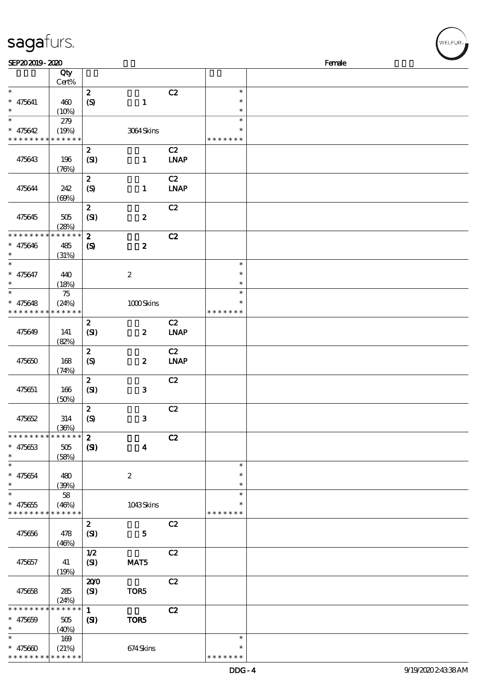| sagafurs.                   |             |                            |                  |             |               |        |
|-----------------------------|-------------|----------------------------|------------------|-------------|---------------|--------|
| SEP202019-2020              |             |                            |                  |             |               | Female |
|                             | Qty         |                            |                  |             |               |        |
|                             | Cert%       |                            |                  |             |               |        |
| $\ast$                      |             | $\boldsymbol{z}$           |                  | C2          | $\ast$        |        |
| $\ast$<br>475641            | 460         | (S)                        | $\mathbf{1}$     |             | $\ast$        |        |
| $\ast$                      | (10%)       |                            |                  |             | $\ast$        |        |
| $\ast$                      | 279         |                            |                  |             | $\ast$        |        |
| $\ast$<br>475642            | (19%)       |                            | 3064Skins        |             | $\ast$        |        |
| * * * * * * * * * * * * * * |             |                            |                  |             | * * * * * * * |        |
|                             |             | $\boldsymbol{z}$           |                  | C2          |               |        |
| 475643                      | 196         | (SI)                       | $\mathbf{1}$     | <b>LNAP</b> |               |        |
|                             | (76%)       |                            |                  |             |               |        |
|                             |             | $\boldsymbol{z}$           |                  | C2          |               |        |
| 475644                      | 242         | (S)                        | $\mathbf{1}$     | <b>LNAP</b> |               |        |
|                             | (60%)       |                            |                  |             |               |        |
|                             |             | $\boldsymbol{2}$           |                  | C2          |               |        |
| 475645                      | 505         | (SI)                       | $\boldsymbol{2}$ |             |               |        |
|                             | (28%)       |                            |                  |             |               |        |
| * * * * * * *               | * * * * * * | $\boldsymbol{z}$           |                  | C2          |               |        |
| 475646                      | 485         | $\boldsymbol{\mathcal{S}}$ | $\boldsymbol{z}$ |             |               |        |
| $\ast$                      | (31%)       |                            |                  |             |               |        |
| $\ast$                      |             |                            |                  |             | $\ast$        |        |
| $\ast$<br>475647            | 440         |                            | $\boldsymbol{2}$ |             | $\ast$        |        |
| $\ast$                      | (18%)       |                            |                  |             | $\ast$        |        |
| $\ast$                      | 75          |                            |                  |             | $\ast$        |        |
| $\ast$<br>475648            | (24%)       |                            | 1000Skins        |             | $\ast$        |        |
| * * * * * * * * * * * * * * |             |                            |                  |             | * * * * * * * |        |
|                             |             | $\boldsymbol{z}$           |                  | C2          |               |        |
| 475649                      | 141         | (SI)                       | $\boldsymbol{z}$ | <b>LNAP</b> |               |        |
|                             | (82%)       |                            |                  |             |               |        |
|                             |             | $\boldsymbol{z}$           |                  | C2          |               |        |
| 475650                      | 168         | (S)                        | $\boldsymbol{z}$ | <b>LNAP</b> |               |        |
|                             | (74%)       |                            |                  |             |               |        |
|                             |             | $\boldsymbol{2}$           |                  | C2          |               |        |
| 475651                      | 166         | (SI)                       | $\mathbf{3}$     |             |               |        |
|                             | (50)        |                            |                  |             |               |        |

| 475649                      | 141          | $\mathbf{z}$<br>(SI) | $\boldsymbol{z}$ | C2<br><b>LNAP</b> |               |  |
|-----------------------------|--------------|----------------------|------------------|-------------------|---------------|--|
|                             | (82%)        |                      |                  |                   |               |  |
|                             |              | $\mathbf{z}$         |                  | C2                |               |  |
| 475650                      | 168          | (S)                  | $\boldsymbol{z}$ | <b>LNAP</b>       |               |  |
|                             | (74%)        |                      |                  |                   |               |  |
|                             |              | $\mathbf{z}$         |                  | C2                |               |  |
| 475651                      | 166<br>(50%) | (SI)                 | ${\bf 3}$        |                   |               |  |
|                             |              | $\boldsymbol{z}$     |                  | C2                |               |  |
| 475652                      | 314          | (S)                  | $\mathbf{3}$     |                   |               |  |
|                             | (36%)        |                      |                  |                   |               |  |
| * * * * * * * *             | * * * * * *  | $\mathbf{2}$         |                  | C2                |               |  |
| $* 475653$                  | $505\,$      | (S)                  | $\boldsymbol{4}$ |                   |               |  |
| $\ast$                      | (58%)        |                      |                  |                   |               |  |
| $\ast$                      |              |                      |                  |                   | $\ast$        |  |
| $* 475654$                  | 480          |                      | $\boldsymbol{2}$ |                   | $\ast$        |  |
| $\ast$                      | (39%)        |                      |                  |                   | $\ast$        |  |
| $\ast$                      | 58           |                      |                  |                   | $\ast$        |  |
| $* 475655$                  | (46%)        |                      | 1043Skins        |                   | $\ast$        |  |
| * * * * * * * * * * * * * * |              |                      |                  |                   | * * * * * * * |  |
|                             |              | $\mathbf{z}$         |                  | C2                |               |  |
| 475656                      | 478          | (SI)                 | $\mathbf{5}$     |                   |               |  |
|                             | (46%)        | 1/2                  |                  | C2                |               |  |
| 475657                      | 41           | (SI)                 | MAT5             |                   |               |  |
|                             | (19%)        |                      |                  |                   |               |  |
|                             |              | 200                  |                  | C2                |               |  |
| 475658                      | 285          | (SI)                 | TOR5             |                   |               |  |
|                             | (24%)        |                      |                  |                   |               |  |
| * * * * * * * *             | * * * * * *  | $\mathbf{1}$         |                  | C2                |               |  |
| $* 475659$                  | 505          | (S)                  | TOR5             |                   |               |  |
| $\ast$                      | (40%)        |                      |                  |                   |               |  |
| $\ast$                      | 169          |                      |                  |                   | $\ast$        |  |
| $* 475600$                  | (21%)        |                      | 674Skins         |                   | $\ast$        |  |
| * * * * * * * * * * * * * * |              |                      |                  |                   | * * * * * * * |  |

WELFUR-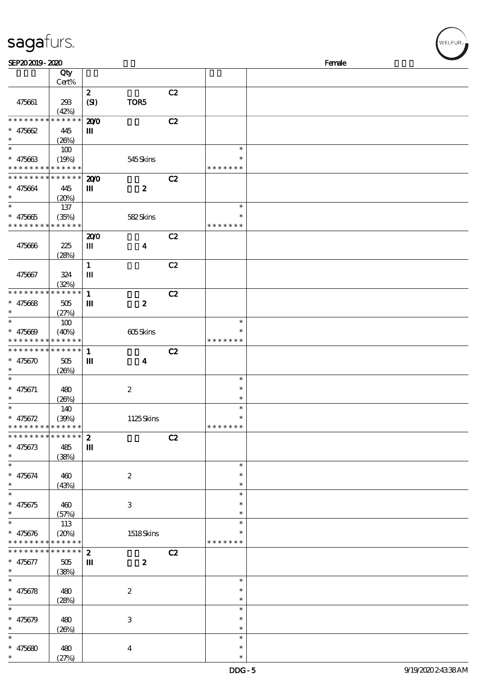| sagafurs.                                                              |                                           |                                  |                  |    |                                   |        |  | WELFUR <sub>™</sub> |
|------------------------------------------------------------------------|-------------------------------------------|----------------------------------|------------------|----|-----------------------------------|--------|--|---------------------|
| SEP202019-2020                                                         |                                           |                                  |                  |    |                                   | Female |  |                     |
|                                                                        | Qty<br>Cert%                              |                                  |                  |    |                                   |        |  |                     |
| 475661                                                                 | 293<br>(42%)                              | $\boldsymbol{z}$<br>(SI)         | TOR5             | C2 |                                   |        |  |                     |
| * * * * * * * * <mark>* * * * * *</mark><br>$* 475662$                 | 445<br>(20%)                              | 200<br>Ш                         |                  | C2 |                                   |        |  |                     |
| $\ast$<br>$* 475663$                                                   | $100\,$<br>(19%)<br>* * * * * * * * * * * |                                  | 545Skins         |    | $\ast$<br>$\ast$<br>* * * * * * * |        |  |                     |
| $* 475664$<br>$\ast$                                                   | * * * * * * * * * * *<br>445<br>(20%)     | 200<br>Ш                         | $\boldsymbol{z}$ | C2 |                                   |        |  |                     |
| $\ast$<br>$\ast$<br>475665<br>* * * * * * * * <mark>* * * * * *</mark> | $137\,$<br>(35%)                          |                                  | 582Skins         |    | $\ast$<br>$\ast$<br>* * * * * * * |        |  |                     |
| 475666                                                                 | 225<br>(28%)                              | 200<br>Ш                         | $\boldsymbol{4}$ | C2 |                                   |        |  |                     |
| 475667                                                                 | 324<br>(32%)                              | $\mathbf{1}$<br>$\mathbf{m}$     |                  | C2 |                                   |        |  |                     |
| * * * * * * * *<br>$* 475668$                                          | * * * * * *<br>$505\,$<br>(27%)           | $\mathbf{1}$<br>$\mathbf m$      | $\boldsymbol{z}$ | C2 |                                   |        |  |                     |
| $\ast$<br>475669                                                       | $100$<br>(40%)<br>* * * * * * * * * *     |                                  | 605Skins         |    | $\ast$<br>$\ast$<br>* * * * * * * |        |  |                     |
| * * * * * * * * <mark>* * * * * * *</mark><br>$* 475670$               | 505<br>(20%)                              | $\mathbf{1}$<br>$\mathbf m$      | $\boldsymbol{4}$ | C2 |                                   |        |  |                     |
| $\ast$<br>$* 475671$<br>$\ast$                                         | 480<br>(20%)                              |                                  | $\boldsymbol{2}$ |    | $\ast$<br>$\ast$<br>$\ast$        |        |  |                     |
| $\ast$<br>$\ast$<br>475672<br>* * *                                    | 140<br>(30%)<br>* * * * * * * * * * *     |                                  | 1125Skins        |    | $\ast$<br>∗<br>* * * * * * *      |        |  |                     |
| * * * * *<br>$* 475673$<br>$\ast$                                      | * * * * * *<br>485<br>(38%)               | $\boldsymbol{z}$<br>$\mathbf{m}$ |                  | C2 |                                   |        |  |                     |
| $\ast$<br>$* 475674$<br>$\ast$                                         | 460<br>(43%)                              |                                  | $\boldsymbol{2}$ |    | $\ast$<br>$\ast$<br>$\ast$        |        |  |                     |
| $\ast$<br>$* 475675$<br>$\ast$                                         | 460<br>(57%)                              |                                  | $\,3$            |    | $\ast$<br>$\ast$<br>$\ast$        |        |  |                     |
| * $475676$<br>* * *                                                    | 113<br>(20%)<br>* * * * * * * * * * *     |                                  | 1518Skins        |    | $\ast$<br>$\ast$<br>* * * * * * * |        |  |                     |
| * * * * * * * *<br>$* 475677$<br>$\ast$                                | $******$<br>505<br>(38%)                  | $\boldsymbol{2}$<br>Ш            | $\boldsymbol{z}$ | C2 |                                   |        |  |                     |
| $\ast$<br>$* 475678$<br>$\ast$                                         | 480<br>(28%)                              |                                  | $\boldsymbol{2}$ |    | $\ast$<br>$\ast$<br>$\ast$        |        |  |                     |
| $\ast$<br>$\ast$<br>475679<br>$\ast$                                   | 480<br>(20%)                              |                                  | $\,3$            |    | $\ast$<br>$\ast$<br>$\ast$        |        |  |                     |
| $\ast$<br>$* 475680$<br>$\ast$                                         | 480<br>(27%)                              |                                  | $\boldsymbol{4}$ |    | $\ast$<br>$\ast$<br>$\ast$        |        |  |                     |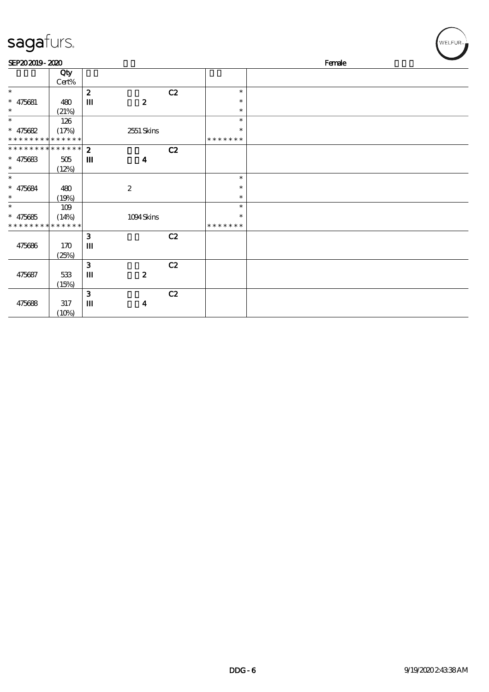| sagafurs.                   |              |                  |                  |    |                  | WELFUR <sub>™</sub> |
|-----------------------------|--------------|------------------|------------------|----|------------------|---------------------|
| SEP202019-2020              |              |                  |                  |    |                  | Female              |
|                             | Qty<br>Cert% |                  |                  |    |                  |                     |
| $\ast$                      |              | $\boldsymbol{z}$ |                  | C2 | $\ast$           |                     |
| $* 475681$<br>$\ast$        | 480<br>(21%) | $\mathbf m$      | $\boldsymbol{z}$ |    | $\ast$<br>$\ast$ |                     |
| $\ast$                      | 126          |                  |                  |    | $\ast$           |                     |
| $* 475682$                  | (17%)        |                  | 2551 Skins       |    | $\ast$           |                     |
| * * * * * * * * * * * * * * |              |                  |                  |    | * * * * * * *    |                     |
| * * * * * * * * * * * * * * |              | $\mathbf{z}$     |                  | C2 |                  |                     |
| $* 475683$                  | $505\,$      | $\mathbf m$      | $\boldsymbol{4}$ |    |                  |                     |
| $\ast$                      | (12%)        |                  |                  |    |                  |                     |
| $\ast$                      |              |                  |                  |    | $\ast$           |                     |
| $* 475684$                  | 480          |                  | $\boldsymbol{2}$ |    | $\ast$           |                     |
| $\ast$                      | (19%)        |                  |                  |    | $\ast$           |                     |
| $\ast$                      | 109          |                  |                  |    | $\ast$           |                     |
| $* 475685$                  | (14%)        |                  | 1094Skins        |    | $\ast$           |                     |
| * * * * * * * * * * * * * * |              |                  |                  |    | * * * * * * *    |                     |
|                             |              | $\mathbf{3}$     |                  | C2 |                  |                     |
| 475686                      | 170<br>(25%) | Ш                |                  |    |                  |                     |
|                             |              | 3                |                  | C2 |                  |                     |
| 475687                      | 533          | Ш                | $\boldsymbol{z}$ |    |                  |                     |
|                             | (15%)        |                  |                  |    |                  |                     |
|                             |              | 3                |                  | C2 |                  |                     |
| 475688                      | 317          | $\mathbf m$      | $\boldsymbol{4}$ |    |                  |                     |
|                             | (10%)        |                  |                  |    |                  |                     |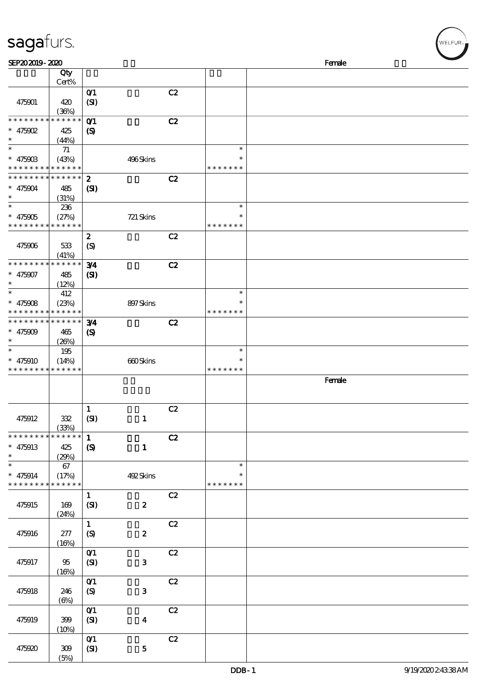| sagafurs.                                                          |                             |                                            |                  |    |                                   |  |        |  | WELFUR <sub>™</sub> |  |
|--------------------------------------------------------------------|-----------------------------|--------------------------------------------|------------------|----|-----------------------------------|--|--------|--|---------------------|--|
| SEP202019-2020                                                     |                             |                                            |                  |    | Female                            |  |        |  |                     |  |
|                                                                    | Qty<br>Cert%                |                                            |                  |    |                                   |  |        |  |                     |  |
| 475901                                                             | 420<br>(36%)                | $O$ <sup><math>\prime</math></sup><br>(SI) |                  | C2 |                                   |  |        |  |                     |  |
| * * * * * * * * <mark>* * * * * *</mark><br>$* 475902$<br>$\ast$   | 425<br>(44%)                | $O$ 1<br>$\boldsymbol{\mathcal{S}}$        |                  | C2 |                                   |  |        |  |                     |  |
| $\ast$<br>$* 47590B$<br>* * * * * * * * <mark>* * * * * *</mark>   | $71\,$<br>(43%)             |                                            | 496Skins         |    | $\ast$<br>* * * * * * *           |  |        |  |                     |  |
| * * * * * * * * <mark>* * * * * * *</mark><br>$* 475904$<br>$\ast$ | 485<br>(31%)                | $\boldsymbol{z}$<br>(S)                    |                  | C2 |                                   |  |        |  |                     |  |
| $\ast$<br>$* 475905$<br>* * * * * * * * * * * * * *                | 236<br>(27%)                |                                            | 721 Skins        |    | $\ast$<br>* * * * * * *           |  |        |  |                     |  |
| 475906                                                             | 533<br>(41%)                | $\boldsymbol{z}$<br>$\circledS$            |                  | C2 |                                   |  |        |  |                     |  |
| * * * * * * * *<br>$* 475907$<br>$\ast$                            | * * * * * *<br>485<br>(12%) | 3⁄4<br>(S)                                 |                  | C2 |                                   |  |        |  |                     |  |
| $\ast$<br>$* 475008$<br>* * * * * * * * <mark>* * * * * *</mark>   | 412<br>(23%)                |                                            | 897Skins         |    | $\ast$<br>* * * * * * *           |  |        |  |                     |  |
| * * * * * * * * * * * * * *<br>$* 475009$<br>$\ast$                | 465<br>(20%)                | 3/4<br>$\boldsymbol{\mathrm{(S)}}$         |                  | C2 |                                   |  |        |  |                     |  |
| $\ast$<br>$* 475910$<br>* * * * * * * * <mark>* * * * * *</mark>   | 195<br>(14%)                |                                            | 660Skins         |    | $\ast$<br>$\ast$<br>* * * * * * * |  |        |  |                     |  |
|                                                                    |                             |                                            |                  |    |                                   |  | Female |  |                     |  |
| 475912                                                             | 332<br>(33%)                | $\mathbf{1}$<br>(SI)                       | $\mathbf{1}$     | C2 |                                   |  |        |  |                     |  |
| * * * * * * * *<br>$* 475913$<br>$\ast$                            | * * * * * *<br>425<br>(29%) | $\mathbf{1}$<br>$\boldsymbol{S}$           | $\mathbf{1}$     | C2 |                                   |  |        |  |                     |  |
| $\ast$<br>$* 475914$<br>* * * * * * * * * * * * * *                | 67<br>(17%)                 |                                            | 492Skins         |    | $\ast$<br>$\ast$<br>* * * * * * * |  |        |  |                     |  |
| 475915                                                             | 169<br>(24%)                | $\mathbf{1}$<br>(SI)                       | $\pmb{2}$        | C2 |                                   |  |        |  |                     |  |
| 475916                                                             | 277<br>(16%)                | $\mathbf{1}$<br>$\boldsymbol{S}$           | $\pmb{2}$        | C2 |                                   |  |        |  |                     |  |
| 475917                                                             | 95<br>(16%)                 | $O$ $1$<br>(SI)                            | ${\bf 3}$        | C2 |                                   |  |        |  |                     |  |
| 475918                                                             | 246<br>$(\Theta)$           | O(1)<br>$\boldsymbol{\mathrm{(S)}}$        | ${\bf 3}$        | C2 |                                   |  |        |  |                     |  |
| 475919                                                             | 399<br>(10%)                | O(1)<br>(SI)                               | $\boldsymbol{4}$ | C2 |                                   |  |        |  |                     |  |
| 475920                                                             | 309                         | $O$ <sup><math>\prime</math></sup><br>(SI) | ${\bf 5}$        | C2 |                                   |  |        |  |                     |  |

(5%)

 $\sqrt{2}$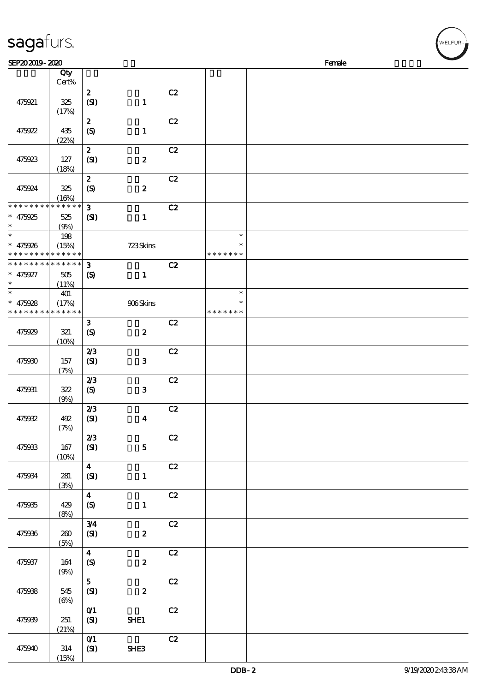| sagafurs.                                                        |                   |                                            |                  |               |                                   |        | WELFUR <sub>™</sub> |
|------------------------------------------------------------------|-------------------|--------------------------------------------|------------------|---------------|-----------------------------------|--------|---------------------|
| SEP202019-2020                                                   |                   |                                            |                  |               |                                   | Female |                     |
|                                                                  | Qty<br>Cert%      |                                            |                  |               |                                   |        |                     |
| 475921                                                           | 325<br>(17%)      | $\boldsymbol{z}$<br>(SI)                   | $\mathbf{1}$     | C2            |                                   |        |                     |
| 475922                                                           | 435<br>(22%)      | $\boldsymbol{z}$<br>(S)                    | $\mathbf{1}$     | C2            |                                   |        |                     |
| 475923                                                           | 127<br>(18%)      | $\boldsymbol{z}$<br>(SI)                   | $\pmb{2}$        | C2            |                                   |        |                     |
| 475924                                                           | 325<br>(16%)      | $\boldsymbol{z}$<br>(S)                    | $\pmb{2}$        | C2            |                                   |        |                     |
| * * * * * * * * * * * * * *<br>$* 475925$<br>$\ast$              | 525<br>(9%)       | $\mathbf{3}$<br>$\mathbf{C}$               | $\mathbf{1}$     | C2            |                                   |        |                     |
| $\ast$<br>$* 475926$<br>* * * * * * * * <mark>* * * * * *</mark> | 198<br>(15%)      |                                            | 723Skins         |               | $\ast$<br>* * * * * * *           |        |                     |
| * * * * * * * * * * * * * *<br>$* 475927$<br>$\ast$              | 505<br>(11%)      | $\mathbf{3}$<br>$\boldsymbol{S}$           | $\mathbf{1}$     | C2            |                                   |        |                     |
| $\ast$<br>$* 475928$<br>* * * * * * * * <mark>* * * * * *</mark> | 401<br>(17%)      |                                            | 906Skins         |               | $\ast$<br>$\ast$<br>* * * * * * * |        |                     |
| 475929                                                           | 321<br>(10%)      | $\mathbf{3}$<br>$\boldsymbol{S}$           | $\pmb{2}$        | C2            |                                   |        |                     |
| 475930                                                           | 157<br>(7%)       | 2/3<br>(SI)                                | ${\bf 3}$        | C2            |                                   |        |                     |
| 475931                                                           | 322<br>(9%)       | 2/3<br>$\boldsymbol{S}$                    | $\mathbf{3}$     | C2            |                                   |        |                     |
| 475932                                                           | 492<br>(7%)       | 2/3<br>(SI)                                | $\boldsymbol{4}$ | $\mathbf{C2}$ |                                   |        |                     |
| 475933                                                           | 167<br>(10%)      | 2/3<br>(SI)                                | ${\bf 5}$        | $\mathbf{C2}$ |                                   |        |                     |
| 475934                                                           | $281$<br>(3%)     | $\overline{\mathbf{4}}$<br>(SI)            | $\mathbf 1$      | C2            |                                   |        |                     |
| 475935                                                           | 429<br>(8%)       | $\boldsymbol{4}$<br>$\pmb{\in}$            | $\mathbf 1$      | C2            |                                   |        |                     |
| 475936                                                           | 260<br>(5%)       | 3/4<br>(SI)                                | $\boldsymbol{2}$ | C2            |                                   |        |                     |
| 475937                                                           | 164<br>(9%)       | $\boldsymbol{4}$<br>$\boldsymbol{S}$       | $\boldsymbol{2}$ | C2            |                                   |        |                     |
| 475938                                                           | 545<br>$(\Theta)$ | 5 <sub>5</sub><br>(SI)                     | $\pmb{2}$        | $\mathbf{C2}$ |                                   |        |                     |
| 475939                                                           | 251<br>(21%)      | $O$ $1$<br>(SI)                            | SHE1             | C2            |                                   |        |                     |
| 475940                                                           | $314\,$           | $O$ <sup><math>\prime</math></sup><br>(SI) | SHE3             | C2            |                                   |        |                     |

(15%)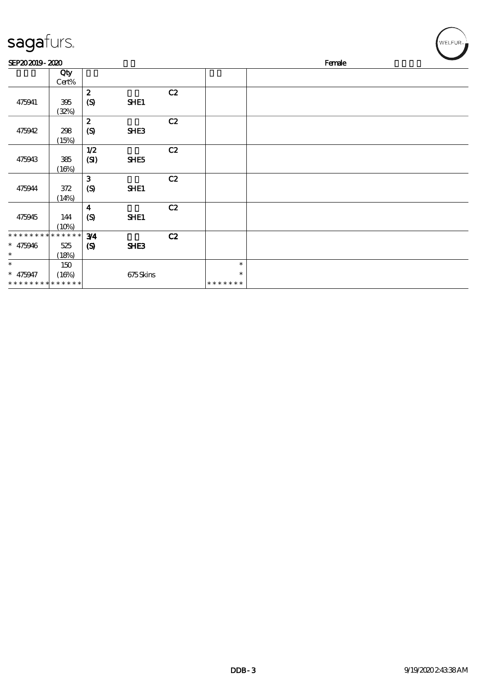| sagafurs.                                             |                             |                                                 |             |    |                                   | WELFUR <sub>™</sub> |  |  |  |  |
|-------------------------------------------------------|-----------------------------|-------------------------------------------------|-------------|----|-----------------------------------|---------------------|--|--|--|--|
| SEP202019-2020                                        |                             |                                                 |             |    | Female                            |                     |  |  |  |  |
|                                                       | Qty<br>$Cert\%$             |                                                 |             |    |                                   |                     |  |  |  |  |
| 475941                                                | 395<br>(32%)                | $\boldsymbol{2}$<br>$\boldsymbol{\mathrm{(S)}}$ | SHE1        | C2 |                                   |                     |  |  |  |  |
| 475942                                                | 298<br>(15%)                | $\boldsymbol{2}$<br>$\boldsymbol{S}$            | SHE3        | C2 |                                   |                     |  |  |  |  |
| 475943                                                | 385<br>(16%)                | $1/2$<br>(SI)                                   | SHE5        | C2 |                                   |                     |  |  |  |  |
| 475944                                                | 372<br>(14%)                | 3<br>$\boldsymbol{S}$                           | <b>SHE1</b> | C2 |                                   |                     |  |  |  |  |
| 475945                                                | 144<br>(10%)                | $\boldsymbol{4}$<br>(S)                         | SHE1        | C2 |                                   |                     |  |  |  |  |
| * * * * * * * *<br>$* 475946$<br>$\ast$               | * * * * * *<br>525<br>(18%) | 3/4<br>$\boldsymbol{\mathcal{S}}$               | SHE3        | C2 |                                   |                     |  |  |  |  |
| $\ast$<br>$* 475947$<br>* * * * * * * * * * * * * * * | 150<br>(16%)                |                                                 | 675Skins    |    | $\ast$<br>$\ast$<br>* * * * * * * |                     |  |  |  |  |

- 11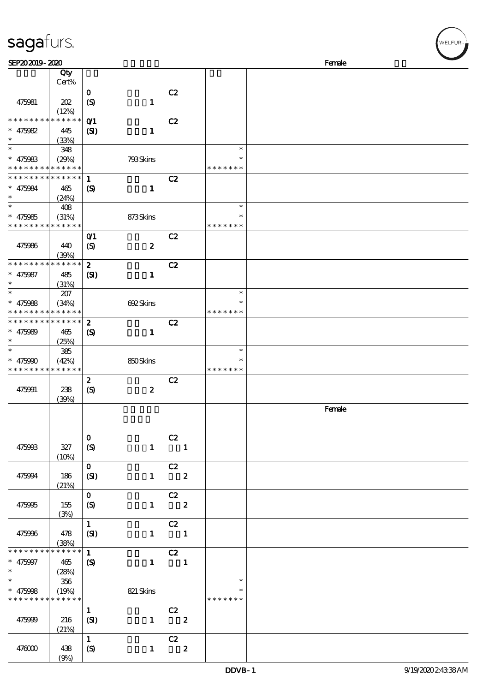| sagafurs.<br>SEP202019-2020              |                                    |                                    |                  |                                             |                  |                         | Female |
|------------------------------------------|------------------------------------|------------------------------------|------------------|---------------------------------------------|------------------|-------------------------|--------|
|                                          | Qty                                |                                    |                  |                                             |                  |                         |        |
|                                          | Cert%                              |                                    |                  |                                             |                  |                         |        |
| 475981                                   | 202                                | $\mathbf 0$<br>$\boldsymbol{S}$    | $\mathbf{1}$     | C2                                          |                  |                         |        |
|                                          | (12%)                              |                                    |                  |                                             |                  |                         |        |
| * * * * * * * *                          | * * * * * *                        | O(1)                               |                  | C2                                          |                  |                         |        |
| $* 475082$                               | 445                                | $\mathbf{S}$                       | $\mathbf{1}$     |                                             |                  |                         |        |
| $\ast$                                   | (33%)                              |                                    |                  |                                             |                  |                         |        |
| $\ast$                                   | 348                                |                                    |                  |                                             |                  | $\ast$                  |        |
| $* 475983$                               | (29%)<br>* * * * * * * * * * * * * |                                    | 793Skins         |                                             |                  | $\ast$<br>* * * * * * * |        |
| * * * * * * * *                          | * * * * * *                        | $\mathbf{1}$                       |                  | C2                                          |                  |                         |        |
| $* 475084$                               | 465                                | $\boldsymbol{\mathrm{(S)}}$        | $\mathbf{1}$     |                                             |                  |                         |        |
|                                          | (24%)                              |                                    |                  |                                             |                  |                         |        |
| $\ast$                                   | 408                                |                                    |                  |                                             |                  | $\ast$                  |        |
| $* 475085$                               | (31%)                              |                                    | 873Skins         |                                             |                  | $\ast$                  |        |
| * * * * *                                | * * * * * *                        |                                    |                  |                                             |                  | * * * * * * *           |        |
|                                          |                                    | $O$ <sup><math>\prime</math></sup> |                  | C2                                          |                  |                         |        |
| 475986                                   | 440                                | $\boldsymbol{S}$                   | $\boldsymbol{2}$ |                                             |                  |                         |        |
| * * * * * * * *                          | (39%)<br>* * * * * *               | $\boldsymbol{z}$                   |                  | C2                                          |                  |                         |        |
| $* 475987$                               | 485                                | $\mathbf{S}$                       | $\mathbf{1}$     |                                             |                  |                         |        |
| $\ast$                                   | (31%)                              |                                    |                  |                                             |                  |                         |        |
|                                          | 207                                |                                    |                  |                                             |                  | $\ast$                  |        |
| $* 475088$                               | (34%)                              |                                    | 692Skins         |                                             |                  | ∗                       |        |
| * * * * *                                | * * * * * *                        |                                    |                  |                                             |                  | * * * * * * *           |        |
| * * * * * * * *                          | * * * * * *                        | $\boldsymbol{z}$                   |                  | C2                                          |                  |                         |        |
| $* 475989$                               | 465<br>(25%)                       | $\boldsymbol{\mathcal{S}}$         | $\mathbf{1}$     |                                             |                  |                         |        |
| $\ast$                                   | 385                                |                                    |                  |                                             |                  | $\ast$                  |        |
| * $475990$                               | (42%)                              |                                    | 850Skins         |                                             |                  | $\ast$                  |        |
| * * * * * * * * <mark>* * * * * *</mark> |                                    |                                    |                  |                                             |                  | * * * * * * *           |        |
|                                          |                                    | $\boldsymbol{z}$                   |                  | C2                                          |                  |                         |        |
| 475991                                   | 238                                | $\boldsymbol{S}$                   | $\boldsymbol{2}$ |                                             |                  |                         |        |
|                                          | (39%)                              |                                    |                  |                                             |                  |                         | Female |
|                                          |                                    |                                    |                  |                                             |                  |                         |        |
|                                          |                                    |                                    |                  |                                             |                  |                         |        |
|                                          |                                    | $\mathbf 0$                        |                  | C2                                          |                  |                         |        |
| 475993                                   | 327                                | $\boldsymbol{S}$                   |                  | $1 \quad 1$                                 |                  |                         |        |
|                                          | (10%)                              |                                    |                  |                                             |                  |                         |        |
|                                          |                                    | $\mathbf{O}$                       |                  | $-cz$                                       |                  |                         |        |
| 475994                                   | 186                                | (SI)                               |                  | $1 \t 2$                                    |                  |                         |        |
|                                          | (21%)                              | $\mathbf{O}$                       |                  | $\overline{c}$                              |                  |                         |        |
| 475995                                   | 155                                | $\boldsymbol{S}$                   |                  | $1 \t 2$                                    |                  |                         |        |
|                                          | (3%)                               |                                    |                  |                                             |                  |                         |        |
|                                          |                                    | $\mathbf{1}$                       |                  | C2                                          |                  |                         |        |
| 475996                                   | 478                                | (SI)                               |                  | $\begin{array}{cccc} 1 & & & 1 \end{array}$ |                  |                         |        |
| * * * * * * *                            | (38%)<br>* * * * * *               |                                    |                  |                                             |                  |                         |        |
|                                          |                                    | $\mathbf{1}$                       | $\mathbf{1}$     | $\overline{c}z$<br>$\overline{\phantom{a}}$ |                  |                         |        |
| $* 475997$<br>$\ast$                     | 465<br>(28%)                       | $\boldsymbol{\mathcal{S}}$         |                  |                                             |                  |                         |        |
| $\ast$                                   | 356                                |                                    |                  |                                             |                  | $\ast$                  |        |
| $* 475008$                               | (19%)                              |                                    | 821 Skins        |                                             |                  | $\ast$                  |        |
| * * * * * * * * <mark>* * * * * *</mark> |                                    |                                    |                  |                                             |                  | * * * * * * *           |        |
|                                          |                                    | $\mathbf{1}$                       |                  | C2                                          |                  |                         |        |
| 475999                                   | 216                                | (SI)                               | $\mathbf{1}$     | $\overline{\mathbf{2}}$                     |                  |                         |        |
|                                          | (21%)                              |                                    |                  |                                             |                  |                         |        |
| 476000                                   | 438                                | $\mathbf{1}$                       |                  | C2<br>$1 \qquad \qquad$                     | $\boldsymbol{z}$ |                         |        |
|                                          |                                    | $\boldsymbol{S}$                   |                  |                                             |                  |                         |        |

 $(9%)$